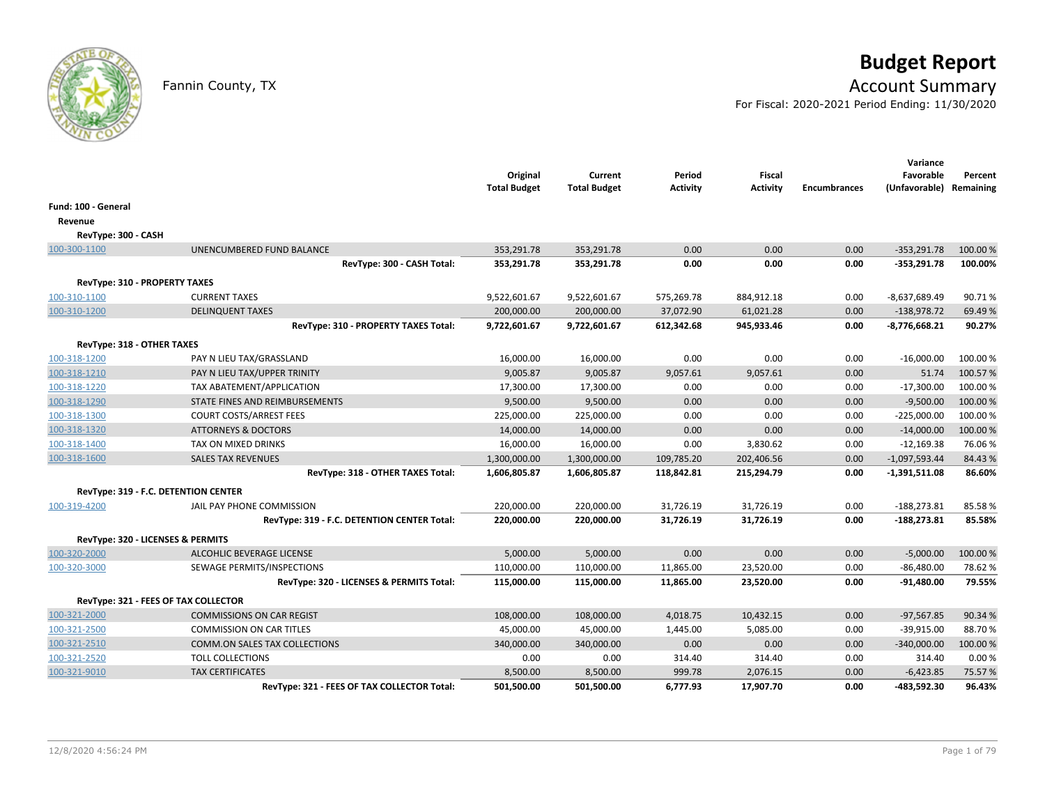

# **Budget Report**

## Fannin County, TX **Account Summary**

For Fiscal: 2020-2021 Period Ending: 11/30/2020

|                                   |                                             | Original<br><b>Total Budget</b> | Current<br><b>Total Budget</b> | Period<br><b>Activity</b> | <b>Fiscal</b><br><b>Activity</b> | <b>Encumbrances</b> | Variance<br>Favorable<br>(Unfavorable) | Percent<br>Remaining |
|-----------------------------------|---------------------------------------------|---------------------------------|--------------------------------|---------------------------|----------------------------------|---------------------|----------------------------------------|----------------------|
| Fund: 100 - General               |                                             |                                 |                                |                           |                                  |                     |                                        |                      |
| Revenue                           |                                             |                                 |                                |                           |                                  |                     |                                        |                      |
| RevType: 300 - CASH               |                                             |                                 |                                |                           |                                  |                     |                                        |                      |
| 100-300-1100                      | UNENCUMBERED FUND BALANCE                   | 353,291.78                      | 353,291.78                     | 0.00                      | 0.00                             | 0.00                | $-353,291.78$                          | 100.00 %             |
|                                   | RevType: 300 - CASH Total:                  | 353,291.78                      | 353,291.78                     | 0.00                      | 0.00                             | 0.00                | $-353,291.78$                          | 100.00%              |
| RevType: 310 - PROPERTY TAXES     |                                             |                                 |                                |                           |                                  |                     |                                        |                      |
| 100-310-1100                      | <b>CURRENT TAXES</b>                        | 9,522,601.67                    | 9,522,601.67                   | 575,269.78                | 884,912.18                       | 0.00                | $-8,637,689.49$                        | 90.71%               |
| 100-310-1200                      | <b>DELINQUENT TAXES</b>                     | 200,000.00                      | 200,000.00                     | 37,072.90                 | 61,021.28                        | 0.00                | $-138,978.72$                          | 69.49%               |
|                                   | RevType: 310 - PROPERTY TAXES Total:        | 9,722,601.67                    | 9,722,601.67                   | 612,342.68                | 945,933.46                       | 0.00                | $-8,776,668.21$                        | 90.27%               |
| RevType: 318 - OTHER TAXES        |                                             |                                 |                                |                           |                                  |                     |                                        |                      |
| 100-318-1200                      | PAY N LIEU TAX/GRASSLAND                    | 16,000.00                       | 16,000.00                      | 0.00                      | 0.00                             | 0.00                | $-16,000.00$                           | 100.00 %             |
| 100-318-1210                      | PAY N LIEU TAX/UPPER TRINITY                | 9,005.87                        | 9,005.87                       | 9,057.61                  | 9,057.61                         | 0.00                | 51.74                                  | 100.57%              |
| 100-318-1220                      | TAX ABATEMENT/APPLICATION                   | 17,300.00                       | 17,300.00                      | 0.00                      | 0.00                             | 0.00                | $-17,300.00$                           | 100.00%              |
| 100-318-1290                      | STATE FINES AND REIMBURSEMENTS              | 9,500.00                        | 9,500.00                       | 0.00                      | 0.00                             | 0.00                | $-9,500.00$                            | 100.00%              |
| 100-318-1300                      | <b>COURT COSTS/ARREST FEES</b>              | 225,000.00                      | 225,000.00                     | 0.00                      | 0.00                             | 0.00                | $-225,000.00$                          | 100.00 %             |
| 100-318-1320                      | <b>ATTORNEYS &amp; DOCTORS</b>              | 14,000.00                       | 14,000.00                      | 0.00                      | 0.00                             | 0.00                | $-14,000.00$                           | 100.00%              |
| 100-318-1400                      | TAX ON MIXED DRINKS                         | 16,000.00                       | 16,000.00                      | 0.00                      | 3,830.62                         | 0.00                | $-12,169.38$                           | 76.06%               |
| 100-318-1600                      | <b>SALES TAX REVENUES</b>                   | 1,300,000.00                    | 1,300,000.00                   | 109,785.20                | 202,406.56                       | 0.00                | $-1,097,593.44$                        | 84.43%               |
|                                   | RevType: 318 - OTHER TAXES Total:           | 1,606,805.87                    | 1,606,805.87                   | 118,842.81                | 215,294.79                       | 0.00                | $-1,391,511.08$                        | 86.60%               |
|                                   | RevType: 319 - F.C. DETENTION CENTER        |                                 |                                |                           |                                  |                     |                                        |                      |
| 100-319-4200                      | JAIL PAY PHONE COMMISSION                   | 220,000.00                      | 220,000.00                     | 31,726.19                 | 31,726.19                        | 0.00                | $-188,273.81$                          | 85.58%               |
|                                   | RevType: 319 - F.C. DETENTION CENTER Total: | 220,000.00                      | 220,000.00                     | 31,726.19                 | 31,726.19                        | 0.00                | $-188,273.81$                          | 85.58%               |
| RevType: 320 - LICENSES & PERMITS |                                             |                                 |                                |                           |                                  |                     |                                        |                      |
| 100-320-2000                      | ALCOHLIC BEVERAGE LICENSE                   | 5,000.00                        | 5,000.00                       | 0.00                      | 0.00                             | 0.00                | $-5,000.00$                            | 100.00%              |
| 100-320-3000                      | SEWAGE PERMITS/INSPECTIONS                  | 110,000.00                      | 110,000.00                     | 11,865.00                 | 23,520.00                        | 0.00                | $-86,480.00$                           | 78.62%               |
|                                   | RevType: 320 - LICENSES & PERMITS Total:    | 115,000.00                      | 115,000.00                     | 11,865.00                 | 23,520.00                        | 0.00                | $-91,480.00$                           | 79.55%               |
|                                   | RevType: 321 - FEES OF TAX COLLECTOR        |                                 |                                |                           |                                  |                     |                                        |                      |
| 100-321-2000                      | <b>COMMISSIONS ON CAR REGIST</b>            | 108,000.00                      | 108,000.00                     | 4,018.75                  | 10,432.15                        | 0.00                | $-97,567.85$                           | 90.34 %              |
| 100-321-2500                      | <b>COMMISSION ON CAR TITLES</b>             | 45,000.00                       | 45,000.00                      | 1,445.00                  | 5,085.00                         | 0.00                | $-39,915.00$                           | 88.70%               |
| 100-321-2510                      | <b>COMM.ON SALES TAX COLLECTIONS</b>        | 340,000.00                      | 340,000.00                     | 0.00                      | 0.00                             | 0.00                | $-340,000.00$                          | 100.00%              |
| 100-321-2520                      | <b>TOLL COLLECTIONS</b>                     | 0.00                            | 0.00                           | 314.40                    | 314.40                           | 0.00                | 314.40                                 | 0.00%                |
| 100-321-9010                      | <b>TAX CERTIFICATES</b>                     | 8,500.00                        | 8,500.00                       | 999.78                    | 2,076.15                         | 0.00                | $-6,423.85$                            | 75.57%               |
|                                   | RevType: 321 - FEES OF TAX COLLECTOR Total: | 501,500.00                      | 501,500.00                     | 6,777.93                  | 17,907.70                        | 0.00                | -483,592.30                            | 96.43%               |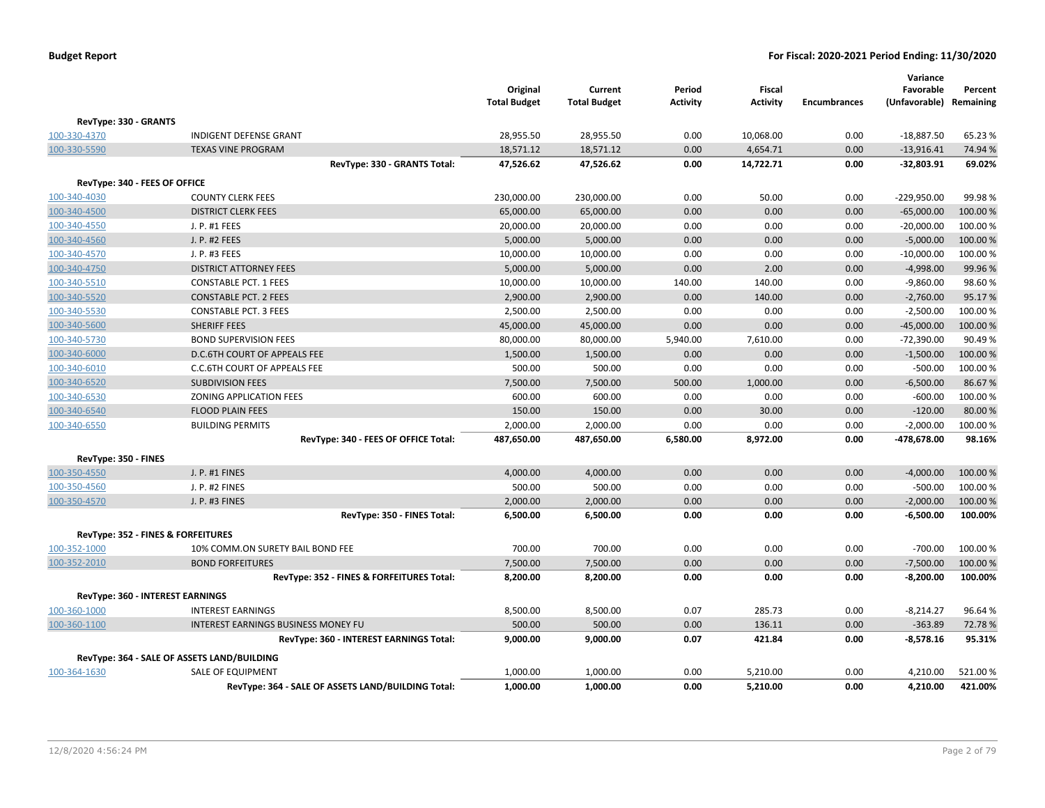|                                         |                                                    | Original<br><b>Total Budget</b> | Current<br><b>Total Budget</b> | Period<br><b>Activity</b> | Fiscal<br><b>Activity</b> | <b>Encumbrances</b> | Variance<br>Favorable<br>(Unfavorable) Remaining | Percent  |
|-----------------------------------------|----------------------------------------------------|---------------------------------|--------------------------------|---------------------------|---------------------------|---------------------|--------------------------------------------------|----------|
| RevType: 330 - GRANTS                   |                                                    |                                 |                                |                           |                           |                     |                                                  |          |
| 100-330-4370                            | <b>INDIGENT DEFENSE GRANT</b>                      | 28,955.50                       | 28,955.50                      | 0.00                      | 10,068.00                 | 0.00                | $-18,887.50$                                     | 65.23 %  |
| 100-330-5590                            | <b>TEXAS VINE PROGRAM</b>                          | 18,571.12                       | 18,571.12                      | 0.00                      | 4,654.71                  | 0.00                | $-13,916.41$                                     | 74.94 %  |
|                                         | RevType: 330 - GRANTS Total:                       | 47,526.62                       | 47,526.62                      | 0.00                      | 14,722.71                 | 0.00                | $-32,803.91$                                     | 69.02%   |
| RevType: 340 - FEES OF OFFICE           |                                                    |                                 |                                |                           |                           |                     |                                                  |          |
| 100-340-4030                            | <b>COUNTY CLERK FEES</b>                           | 230,000.00                      | 230,000.00                     | 0.00                      | 50.00                     | 0.00                | $-229,950.00$                                    | 99.98%   |
| 100-340-4500                            | <b>DISTRICT CLERK FEES</b>                         | 65,000.00                       | 65,000.00                      | 0.00                      | 0.00                      | 0.00                | $-65,000.00$                                     | 100.00 % |
| 100-340-4550                            | J. P. #1 FEES                                      | 20,000.00                       | 20,000.00                      | 0.00                      | 0.00                      | 0.00                | $-20,000.00$                                     | 100.00 % |
| 100-340-4560                            | J. P. #2 FEES                                      | 5,000.00                        | 5,000.00                       | 0.00                      | 0.00                      | 0.00                | $-5,000.00$                                      | 100.00 % |
| 100-340-4570                            | J. P. #3 FEES                                      | 10,000.00                       | 10,000.00                      | 0.00                      | 0.00                      | 0.00                | $-10,000.00$                                     | 100.00%  |
| 100-340-4750                            | <b>DISTRICT ATTORNEY FEES</b>                      | 5,000.00                        | 5,000.00                       | 0.00                      | 2.00                      | 0.00                | $-4,998.00$                                      | 99.96%   |
| 100-340-5510                            | <b>CONSTABLE PCT. 1 FEES</b>                       | 10,000.00                       | 10,000.00                      | 140.00                    | 140.00                    | 0.00                | $-9,860.00$                                      | 98.60%   |
| 100-340-5520                            | <b>CONSTABLE PCT. 2 FEES</b>                       | 2,900.00                        | 2,900.00                       | 0.00                      | 140.00                    | 0.00                | $-2,760.00$                                      | 95.17%   |
| 100-340-5530                            | <b>CONSTABLE PCT. 3 FEES</b>                       | 2,500.00                        | 2,500.00                       | 0.00                      | 0.00                      | 0.00                | $-2,500.00$                                      | 100.00%  |
| 100-340-5600                            | SHERIFF FEES                                       | 45,000.00                       | 45,000.00                      | 0.00                      | 0.00                      | 0.00                | $-45,000.00$                                     | 100.00%  |
| 100-340-5730                            | <b>BOND SUPERVISION FEES</b>                       | 80,000.00                       | 80,000.00                      | 5,940.00                  | 7,610.00                  | 0.00                | $-72,390.00$                                     | 90.49%   |
| 100-340-6000                            | D.C.6TH COURT OF APPEALS FEE                       | 1,500.00                        | 1,500.00                       | 0.00                      | 0.00                      | 0.00                | $-1,500.00$                                      | 100.00%  |
| 100-340-6010                            | C.C.6TH COURT OF APPEALS FEE                       | 500.00                          | 500.00                         | 0.00                      | 0.00                      | 0.00                | $-500.00$                                        | 100.00%  |
| 100-340-6520                            | <b>SUBDIVISION FEES</b>                            | 7,500.00                        | 7,500.00                       | 500.00                    | 1,000.00                  | 0.00                | $-6,500.00$                                      | 86.67%   |
| 100-340-6530                            | ZONING APPLICATION FEES                            | 600.00                          | 600.00                         | 0.00                      | 0.00                      | 0.00                | $-600.00$                                        | 100.00 % |
| 100-340-6540                            | <b>FLOOD PLAIN FEES</b>                            | 150.00                          | 150.00                         | 0.00                      | 30.00                     | 0.00                | $-120.00$                                        | 80.00%   |
| 100-340-6550                            | <b>BUILDING PERMITS</b>                            | 2,000.00                        | 2,000.00                       | 0.00                      | 0.00                      | 0.00                | $-2,000.00$                                      | 100.00%  |
|                                         | RevType: 340 - FEES OF OFFICE Total:               | 487,650.00                      | 487,650.00                     | 6,580.00                  | 8,972.00                  | 0.00                | -478,678.00                                      | 98.16%   |
| RevType: 350 - FINES                    |                                                    |                                 |                                |                           |                           |                     |                                                  |          |
| 100-350-4550                            | J. P. #1 FINES                                     | 4,000.00                        | 4,000.00                       | 0.00                      | 0.00                      | 0.00                | $-4,000.00$                                      | 100.00 % |
| 100-350-4560                            | J. P. #2 FINES                                     | 500.00                          | 500.00                         | 0.00                      | 0.00                      | 0.00                | $-500.00$                                        | 100.00%  |
| 100-350-4570                            | J. P. #3 FINES                                     | 2,000.00                        | 2,000.00                       | 0.00                      | 0.00                      | 0.00                | $-2,000.00$                                      | 100.00 % |
|                                         | RevType: 350 - FINES Total:                        | 6,500.00                        | 6,500.00                       | 0.00                      | 0.00                      | 0.00                | $-6,500.00$                                      | 100.00%  |
|                                         | RevType: 352 - FINES & FORFEITURES                 |                                 |                                |                           |                           |                     |                                                  |          |
| 100-352-1000                            | 10% COMM.ON SURETY BAIL BOND FEE                   | 700.00                          | 700.00                         | 0.00                      | 0.00                      | 0.00                | $-700.00$                                        | 100.00 % |
| 100-352-2010                            | <b>BOND FORFEITURES</b>                            | 7,500.00                        | 7,500.00                       | 0.00                      | 0.00                      | 0.00                | $-7,500.00$                                      | 100.00 % |
|                                         | RevType: 352 - FINES & FORFEITURES Total:          | 8,200.00                        | 8,200.00                       | 0.00                      | 0.00                      | 0.00                | $-8,200.00$                                      | 100.00%  |
| <b>RevType: 360 - INTEREST EARNINGS</b> |                                                    |                                 |                                |                           |                           |                     |                                                  |          |
| 100-360-1000                            | <b>INTEREST EARNINGS</b>                           | 8,500.00                        | 8,500.00                       | 0.07                      | 285.73                    | 0.00                | $-8,214.27$                                      | 96.64%   |
| 100-360-1100                            | <b>INTEREST EARNINGS BUSINESS MONEY FU</b>         | 500.00                          | 500.00                         | 0.00                      | 136.11                    | 0.00                | $-363.89$                                        | 72.78%   |
|                                         | RevType: 360 - INTEREST EARNINGS Total:            | 9,000.00                        | 9,000.00                       | 0.07                      | 421.84                    | 0.00                | $-8,578.16$                                      | 95.31%   |
|                                         | RevType: 364 - SALE OF ASSETS LAND/BUILDING        |                                 |                                |                           |                           |                     |                                                  |          |
| 100-364-1630                            | SALE OF EQUIPMENT                                  | 1,000.00                        | 1,000.00                       | 0.00                      | 5,210.00                  | 0.00                | 4,210.00                                         | 521.00%  |
|                                         | RevType: 364 - SALE OF ASSETS LAND/BUILDING Total: | 1,000.00                        | 1,000.00                       | 0.00                      | 5,210.00                  | 0.00                | 4,210.00                                         | 421.00%  |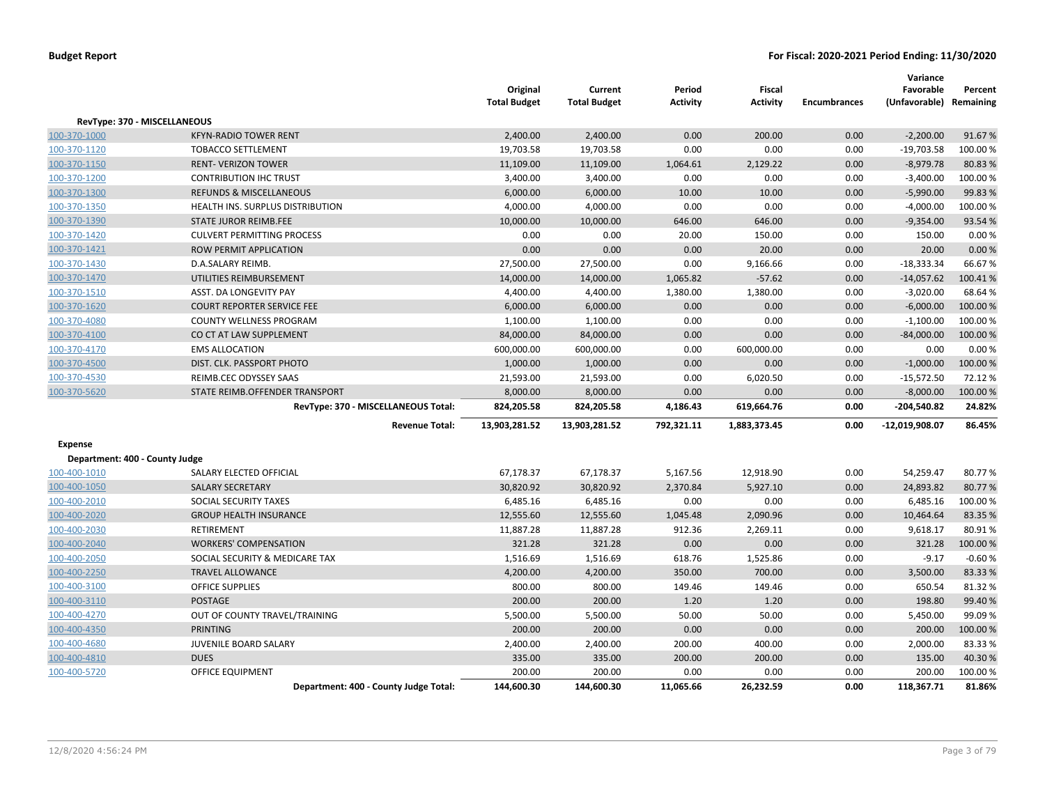|                                |                                       | Original<br><b>Total Budget</b> | Current<br><b>Total Budget</b> | Period<br><b>Activity</b> | Fiscal<br><b>Activity</b> | <b>Encumbrances</b> | Variance<br>Favorable<br>(Unfavorable) Remaining | Percent  |
|--------------------------------|---------------------------------------|---------------------------------|--------------------------------|---------------------------|---------------------------|---------------------|--------------------------------------------------|----------|
|                                | RevType: 370 - MISCELLANEOUS          |                                 |                                |                           |                           |                     |                                                  |          |
| 100-370-1000                   | <b>KFYN-RADIO TOWER RENT</b>          | 2,400.00                        | 2,400.00                       | 0.00                      | 200.00                    | 0.00                | $-2,200.00$                                      | 91.67%   |
| 100-370-1120                   | <b>TOBACCO SETTLEMENT</b>             | 19,703.58                       | 19,703.58                      | 0.00                      | 0.00                      | 0.00                | $-19,703.58$                                     | 100.00%  |
| 100-370-1150                   | <b>RENT- VERIZON TOWER</b>            | 11,109.00                       | 11,109.00                      | 1,064.61                  | 2,129.22                  | 0.00                | $-8,979.78$                                      | 80.83%   |
| 100-370-1200                   | <b>CONTRIBUTION IHC TRUST</b>         | 3,400.00                        | 3,400.00                       | 0.00                      | 0.00                      | 0.00                | $-3,400.00$                                      | 100.00%  |
| 100-370-1300                   | <b>REFUNDS &amp; MISCELLANEOUS</b>    | 6,000.00                        | 6,000.00                       | 10.00                     | 10.00                     | 0.00                | $-5,990.00$                                      | 99.83%   |
| 100-370-1350                   | HEALTH INS. SURPLUS DISTRIBUTION      | 4,000.00                        | 4,000.00                       | 0.00                      | 0.00                      | 0.00                | $-4,000.00$                                      | 100.00%  |
| 100-370-1390                   | STATE JUROR REIMB.FEE                 | 10,000.00                       | 10,000.00                      | 646.00                    | 646.00                    | 0.00                | $-9,354.00$                                      | 93.54 %  |
| 100-370-1420                   | <b>CULVERT PERMITTING PROCESS</b>     | 0.00                            | 0.00                           | 20.00                     | 150.00                    | 0.00                | 150.00                                           | 0.00%    |
| 100-370-1421                   | ROW PERMIT APPLICATION                | 0.00                            | 0.00                           | 0.00                      | 20.00                     | 0.00                | 20.00                                            | 0.00%    |
| 100-370-1430                   | D.A.SALARY REIMB.                     | 27,500.00                       | 27,500.00                      | 0.00                      | 9,166.66                  | 0.00                | $-18,333.34$                                     | 66.67%   |
| 100-370-1470                   | UTILITIES REIMBURSEMENT               | 14,000.00                       | 14,000.00                      | 1,065.82                  | $-57.62$                  | 0.00                | $-14,057.62$                                     | 100.41%  |
| 100-370-1510                   | ASST. DA LONGEVITY PAY                | 4,400.00                        | 4,400.00                       | 1,380.00                  | 1,380.00                  | 0.00                | $-3,020.00$                                      | 68.64%   |
| 100-370-1620                   | <b>COURT REPORTER SERVICE FEE</b>     | 6,000.00                        | 6,000.00                       | 0.00                      | 0.00                      | 0.00                | $-6,000.00$                                      | 100.00%  |
| 100-370-4080                   | <b>COUNTY WELLNESS PROGRAM</b>        | 1,100.00                        | 1,100.00                       | 0.00                      | 0.00                      | 0.00                | $-1,100.00$                                      | 100.00%  |
| 100-370-4100                   | CO CT AT LAW SUPPLEMENT               | 84,000.00                       | 84,000.00                      | 0.00                      | 0.00                      | 0.00                | $-84,000.00$                                     | 100.00%  |
| 100-370-4170                   | <b>EMS ALLOCATION</b>                 | 600,000.00                      | 600,000.00                     | 0.00                      | 600,000.00                | 0.00                | 0.00                                             | 0.00%    |
| 100-370-4500                   | DIST. CLK. PASSPORT PHOTO             | 1,000.00                        | 1,000.00                       | 0.00                      | 0.00                      | 0.00                | $-1,000.00$                                      | 100.00%  |
| 100-370-4530                   | REIMB.CEC ODYSSEY SAAS                | 21,593.00                       | 21,593.00                      | 0.00                      | 6,020.50                  | 0.00                | $-15,572.50$                                     | 72.12%   |
| 100-370-5620                   | STATE REIMB.OFFENDER TRANSPORT        | 8,000.00                        | 8,000.00                       | 0.00                      | 0.00                      | 0.00                | $-8,000.00$                                      | 100.00%  |
|                                | RevType: 370 - MISCELLANEOUS Total:   | 824,205.58                      | 824,205.58                     | 4,186.43                  | 619,664.76                | 0.00                | $-204,540.82$                                    | 24.82%   |
|                                | <b>Revenue Total:</b>                 | 13,903,281.52                   | 13,903,281.52                  | 792,321.11                | 1,883,373.45              | 0.00                | -12,019,908.07                                   | 86.45%   |
| Expense                        |                                       |                                 |                                |                           |                           |                     |                                                  |          |
| Department: 400 - County Judge |                                       |                                 |                                |                           |                           |                     |                                                  |          |
| 100-400-1010                   | SALARY ELECTED OFFICIAL               | 67,178.37                       | 67,178.37                      | 5,167.56                  | 12,918.90                 | 0.00                | 54,259.47                                        | 80.77%   |
| 100-400-1050                   | <b>SALARY SECRETARY</b>               | 30,820.92                       | 30,820.92                      | 2,370.84                  | 5,927.10                  | 0.00                | 24,893.82                                        | 80.77%   |
| 100-400-2010                   | SOCIAL SECURITY TAXES                 | 6,485.16                        | 6,485.16                       | 0.00                      | 0.00                      | 0.00                | 6,485.16                                         | 100.00%  |
| 100-400-2020                   | <b>GROUP HEALTH INSURANCE</b>         | 12,555.60                       | 12,555.60                      | 1,045.48                  | 2,090.96                  | 0.00                | 10,464.64                                        | 83.35 %  |
| 100-400-2030                   | RETIREMENT                            | 11,887.28                       | 11,887.28                      | 912.36                    | 2,269.11                  | 0.00                | 9,618.17                                         | 80.91%   |
| 100-400-2040                   | <b>WORKERS' COMPENSATION</b>          | 321.28                          | 321.28                         | 0.00                      | 0.00                      | 0.00                | 321.28                                           | 100.00%  |
| 100-400-2050                   | SOCIAL SECURITY & MEDICARE TAX        | 1,516.69                        | 1,516.69                       | 618.76                    | 1,525.86                  | 0.00                | $-9.17$                                          | $-0.60%$ |
| 100-400-2250                   | <b>TRAVEL ALLOWANCE</b>               | 4,200.00                        | 4,200.00                       | 350.00                    | 700.00                    | 0.00                | 3,500.00                                         | 83.33%   |
| 100-400-3100                   | <b>OFFICE SUPPLIES</b>                | 800.00                          | 800.00                         | 149.46                    | 149.46                    | 0.00                | 650.54                                           | 81.32%   |
| 100-400-3110                   | <b>POSTAGE</b>                        | 200.00                          | 200.00                         | 1.20                      | 1.20                      | 0.00                | 198.80                                           | 99.40%   |
| 100-400-4270                   | OUT OF COUNTY TRAVEL/TRAINING         | 5,500.00                        | 5,500.00                       | 50.00                     | 50.00                     | 0.00                | 5,450.00                                         | 99.09 %  |
| 100-400-4350                   | <b>PRINTING</b>                       | 200.00                          | 200.00                         | 0.00                      | 0.00                      | 0.00                | 200.00                                           | 100.00%  |
| 100-400-4680                   | JUVENILE BOARD SALARY                 | 2,400.00                        | 2,400.00                       | 200.00                    | 400.00                    | 0.00                | 2,000.00                                         | 83.33%   |
| 100-400-4810                   | <b>DUES</b>                           | 335.00                          | 335.00                         | 200.00                    | 200.00                    | 0.00                | 135.00                                           | 40.30%   |
| 100-400-5720                   | <b>OFFICE EQUIPMENT</b>               | 200.00                          | 200.00                         | 0.00                      | 0.00                      | 0.00                | 200.00                                           | 100.00%  |
|                                | Department: 400 - County Judge Total: | 144,600.30                      | 144,600.30                     | 11,065.66                 | 26,232.59                 | 0.00                | 118,367.71                                       | 81.86%   |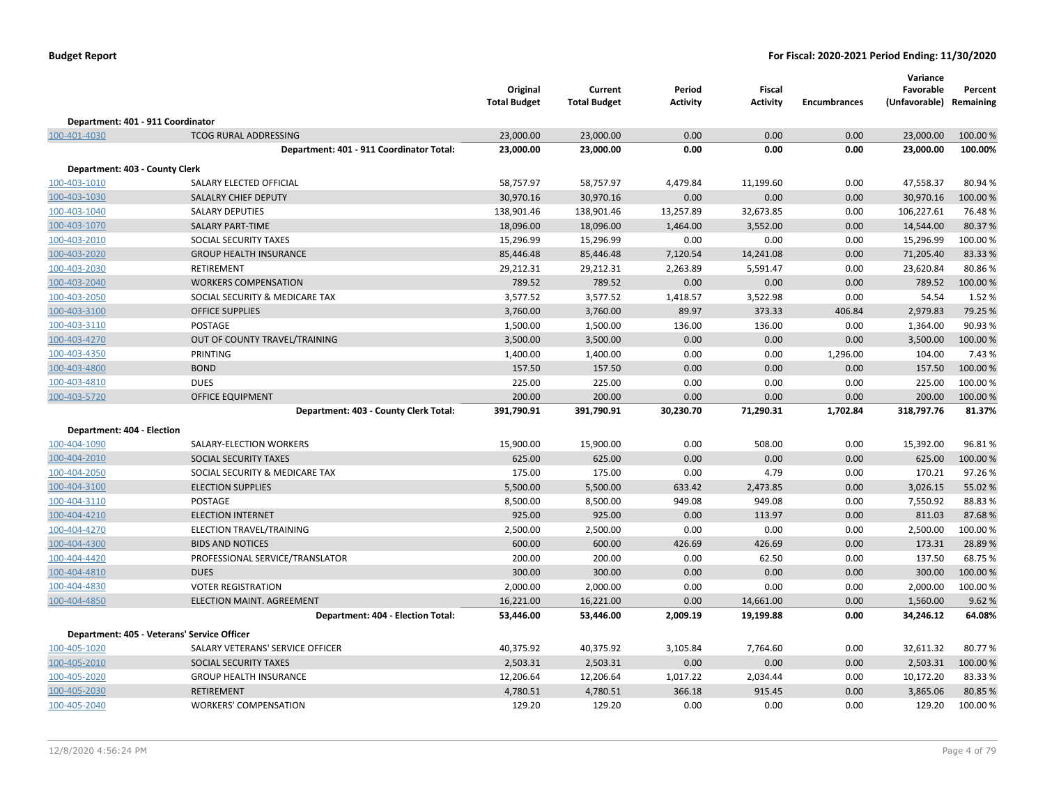|                                   |                                             | Original<br><b>Total Budget</b> | Current<br><b>Total Budget</b> | Period<br><b>Activity</b> | <b>Fiscal</b><br><b>Activity</b> | <b>Encumbrances</b> | Variance<br>Favorable<br>(Unfavorable) Remaining | Percent  |
|-----------------------------------|---------------------------------------------|---------------------------------|--------------------------------|---------------------------|----------------------------------|---------------------|--------------------------------------------------|----------|
| Department: 401 - 911 Coordinator |                                             |                                 |                                |                           |                                  |                     |                                                  |          |
| 100-401-4030                      | <b>TCOG RURAL ADDRESSING</b>                | 23,000.00                       | 23,000.00                      | 0.00                      | 0.00                             | 0.00                | 23,000.00                                        | 100.00 % |
|                                   | Department: 401 - 911 Coordinator Total:    | 23,000.00                       | 23,000.00                      | 0.00                      | 0.00                             | 0.00                | 23,000.00                                        | 100.00%  |
| Department: 403 - County Clerk    |                                             |                                 |                                |                           |                                  |                     |                                                  |          |
| 100-403-1010                      | SALARY ELECTED OFFICIAL                     | 58,757.97                       | 58,757.97                      | 4,479.84                  | 11,199.60                        | 0.00                | 47,558.37                                        | 80.94 %  |
| 100-403-1030                      | SALALRY CHIEF DEPUTY                        | 30,970.16                       | 30,970.16                      | 0.00                      | 0.00                             | 0.00                | 30,970.16                                        | 100.00%  |
| 100-403-1040                      | <b>SALARY DEPUTIES</b>                      | 138,901.46                      | 138,901.46                     | 13,257.89                 | 32,673.85                        | 0.00                | 106,227.61                                       | 76.48%   |
| 100-403-1070                      | <b>SALARY PART-TIME</b>                     | 18,096.00                       | 18,096.00                      | 1,464.00                  | 3,552.00                         | 0.00                | 14,544.00                                        | 80.37%   |
| 100-403-2010                      | SOCIAL SECURITY TAXES                       | 15,296.99                       | 15,296.99                      | 0.00                      | 0.00                             | 0.00                | 15,296.99                                        | 100.00 % |
| 100-403-2020                      | <b>GROUP HEALTH INSURANCE</b>               | 85,446.48                       | 85,446.48                      | 7,120.54                  | 14,241.08                        | 0.00                | 71,205.40                                        | 83.33%   |
| 100-403-2030                      | RETIREMENT                                  | 29,212.31                       | 29,212.31                      | 2,263.89                  | 5,591.47                         | 0.00                | 23,620.84                                        | 80.86%   |
| 100-403-2040                      | <b>WORKERS COMPENSATION</b>                 | 789.52                          | 789.52                         | 0.00                      | 0.00                             | 0.00                | 789.52                                           | 100.00 % |
| 100-403-2050                      | SOCIAL SECURITY & MEDICARE TAX              | 3,577.52                        | 3,577.52                       | 1,418.57                  | 3,522.98                         | 0.00                | 54.54                                            | 1.52%    |
| 100-403-3100                      | <b>OFFICE SUPPLIES</b>                      | 3,760.00                        | 3,760.00                       | 89.97                     | 373.33                           | 406.84              | 2,979.83                                         | 79.25 %  |
| 100-403-3110                      | <b>POSTAGE</b>                              | 1,500.00                        | 1,500.00                       | 136.00                    | 136.00                           | 0.00                | 1,364.00                                         | 90.93%   |
| 100-403-4270                      | OUT OF COUNTY TRAVEL/TRAINING               | 3,500.00                        | 3,500.00                       | 0.00                      | 0.00                             | 0.00                | 3,500.00                                         | 100.00 % |
| 100-403-4350                      | PRINTING                                    | 1,400.00                        | 1,400.00                       | 0.00                      | 0.00                             | 1,296.00            | 104.00                                           | 7.43 %   |
| 100-403-4800                      | <b>BOND</b>                                 | 157.50                          | 157.50                         | 0.00                      | 0.00                             | 0.00                | 157.50                                           | 100.00%  |
| 100-403-4810                      | <b>DUES</b>                                 | 225.00                          | 225.00                         | 0.00                      | 0.00                             | 0.00                | 225.00                                           | 100.00%  |
| 100-403-5720                      | <b>OFFICE EQUIPMENT</b>                     | 200.00                          | 200.00                         | 0.00                      | 0.00                             | 0.00                | 200.00                                           | 100.00 % |
|                                   | Department: 403 - County Clerk Total:       | 391,790.91                      | 391,790.91                     | 30,230.70                 | 71,290.31                        | 1,702.84            | 318,797.76                                       | 81.37%   |
| Department: 404 - Election        |                                             |                                 |                                |                           |                                  |                     |                                                  |          |
| 100-404-1090                      | SALARY-ELECTION WORKERS                     | 15,900.00                       | 15,900.00                      | 0.00                      | 508.00                           | 0.00                | 15,392.00                                        | 96.81%   |
| 100-404-2010                      | SOCIAL SECURITY TAXES                       | 625.00                          | 625.00                         | 0.00                      | 0.00                             | 0.00                | 625.00                                           | 100.00 % |
| 100-404-2050                      | SOCIAL SECURITY & MEDICARE TAX              | 175.00                          | 175.00                         | 0.00                      | 4.79                             | 0.00                | 170.21                                           | 97.26%   |
| 100-404-3100                      | <b>ELECTION SUPPLIES</b>                    | 5,500.00                        | 5,500.00                       | 633.42                    | 2,473.85                         | 0.00                | 3,026.15                                         | 55.02 %  |
| 100-404-3110                      | POSTAGE                                     | 8,500.00                        | 8,500.00                       | 949.08                    | 949.08                           | 0.00                | 7,550.92                                         | 88.83%   |
| 100-404-4210                      | <b>ELECTION INTERNET</b>                    | 925.00                          | 925.00                         | 0.00                      | 113.97                           | 0.00                | 811.03                                           | 87.68%   |
| 100-404-4270                      | ELECTION TRAVEL/TRAINING                    | 2,500.00                        | 2,500.00                       | 0.00                      | 0.00                             | 0.00                | 2,500.00                                         | 100.00%  |
| 100-404-4300                      | <b>BIDS AND NOTICES</b>                     | 600.00                          | 600.00                         | 426.69                    | 426.69                           | 0.00                | 173.31                                           | 28.89%   |
| 100-404-4420                      | PROFESSIONAL SERVICE/TRANSLATOR             | 200.00                          | 200.00                         | 0.00                      | 62.50                            | 0.00                | 137.50                                           | 68.75%   |
| 100-404-4810                      | <b>DUES</b>                                 | 300.00                          | 300.00                         | 0.00                      | 0.00                             | 0.00                | 300.00                                           | 100.00%  |
| 100-404-4830                      | <b>VOTER REGISTRATION</b>                   | 2,000.00                        | 2,000.00                       | 0.00                      | 0.00                             | 0.00                | 2,000.00                                         | 100.00 % |
| 100-404-4850                      | ELECTION MAINT. AGREEMENT                   | 16,221.00                       | 16,221.00                      | 0.00                      | 14,661.00                        | 0.00                | 1,560.00                                         | 9.62%    |
|                                   | Department: 404 - Election Total:           | 53,446.00                       | 53,446.00                      | 2,009.19                  | 19,199.88                        | 0.00                | 34,246.12                                        | 64.08%   |
|                                   | Department: 405 - Veterans' Service Officer |                                 |                                |                           |                                  |                     |                                                  |          |
| 100-405-1020                      | SALARY VETERANS' SERVICE OFFICER            | 40,375.92                       | 40,375.92                      | 3,105.84                  | 7,764.60                         | 0.00                | 32,611.32                                        | 80.77%   |
| 100-405-2010                      | SOCIAL SECURITY TAXES                       | 2,503.31                        | 2,503.31                       | 0.00                      | 0.00                             | 0.00                | 2,503.31                                         | 100.00 % |
| 100-405-2020                      | <b>GROUP HEALTH INSURANCE</b>               | 12,206.64                       | 12,206.64                      | 1,017.22                  | 2,034.44                         | 0.00                | 10,172.20                                        | 83.33%   |
| 100-405-2030                      | <b>RETIREMENT</b>                           | 4,780.51                        | 4,780.51                       | 366.18                    | 915.45                           | 0.00                | 3,865.06                                         | 80.85%   |
| 100-405-2040                      | <b>WORKERS' COMPENSATION</b>                | 129.20                          | 129.20                         | 0.00                      | 0.00                             | 0.00                | 129.20                                           | 100.00%  |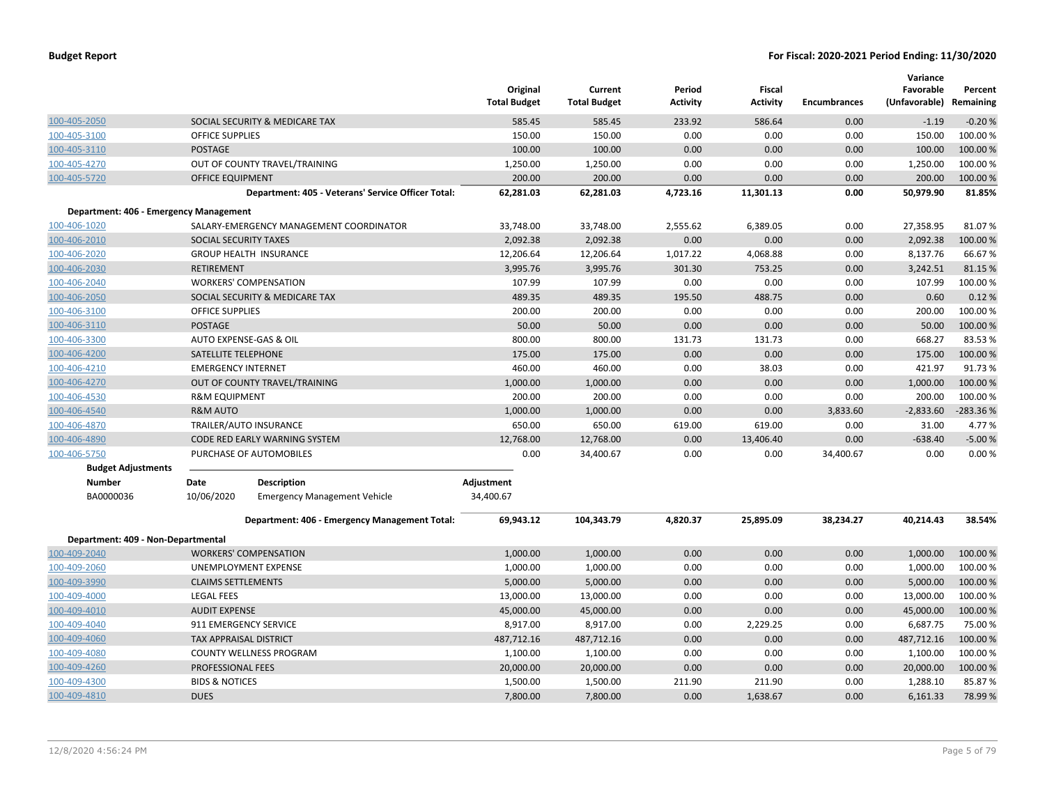|                                        |                               |                                                    | Original<br><b>Total Budget</b> | Current<br><b>Total Budget</b> | Period<br>Activity | <b>Fiscal</b><br><b>Activity</b> | <b>Encumbrances</b> | Variance<br>Favorable<br>(Unfavorable) Remaining | Percent    |
|----------------------------------------|-------------------------------|----------------------------------------------------|---------------------------------|--------------------------------|--------------------|----------------------------------|---------------------|--------------------------------------------------|------------|
| 100-405-2050                           |                               | SOCIAL SECURITY & MEDICARE TAX                     | 585.45                          | 585.45                         | 233.92             | 586.64                           | 0.00                | $-1.19$                                          | $-0.20%$   |
| 100-405-3100                           | <b>OFFICE SUPPLIES</b>        |                                                    | 150.00                          | 150.00                         | 0.00               | 0.00                             | 0.00                | 150.00                                           | 100.00%    |
| 100-405-3110                           | <b>POSTAGE</b>                |                                                    | 100.00                          | 100.00                         | 0.00               | 0.00                             | 0.00                | 100.00                                           | 100.00%    |
| 100-405-4270                           |                               | OUT OF COUNTY TRAVEL/TRAINING                      | 1,250.00                        | 1,250.00                       | 0.00               | 0.00                             | 0.00                | 1,250.00                                         | 100.00 %   |
| 100-405-5720                           | <b>OFFICE EQUIPMENT</b>       |                                                    | 200.00                          | 200.00                         | 0.00               | 0.00                             | 0.00                | 200.00                                           | 100.00 %   |
|                                        |                               | Department: 405 - Veterans' Service Officer Total: | 62,281.03                       | 62,281.03                      | 4,723.16           | 11,301.13                        | 0.00                | 50,979.90                                        | 81.85%     |
| Department: 406 - Emergency Management |                               |                                                    |                                 |                                |                    |                                  |                     |                                                  |            |
| 100-406-1020                           |                               | SALARY-EMERGENCY MANAGEMENT COORDINATOR            | 33,748.00                       | 33,748.00                      | 2,555.62           | 6,389.05                         | 0.00                | 27,358.95                                        | 81.07%     |
| 100-406-2010                           | <b>SOCIAL SECURITY TAXES</b>  |                                                    | 2,092.38                        | 2,092.38                       | 0.00               | 0.00                             | 0.00                | 2,092.38                                         | 100.00 %   |
| 100-406-2020                           |                               | <b>GROUP HEALTH INSURANCE</b>                      | 12,206.64                       | 12,206.64                      | 1,017.22           | 4,068.88                         | 0.00                | 8,137.76                                         | 66.67%     |
| 100-406-2030                           | <b>RETIREMENT</b>             |                                                    | 3,995.76                        | 3,995.76                       | 301.30             | 753.25                           | 0.00                | 3,242.51                                         | 81.15 %    |
| 100-406-2040                           |                               | <b>WORKERS' COMPENSATION</b>                       | 107.99                          | 107.99                         | 0.00               | 0.00                             | 0.00                | 107.99                                           | 100.00%    |
| 100-406-2050                           |                               | SOCIAL SECURITY & MEDICARE TAX                     | 489.35                          | 489.35                         | 195.50             | 488.75                           | 0.00                | 0.60                                             | 0.12%      |
| 100-406-3100                           | <b>OFFICE SUPPLIES</b>        |                                                    | 200.00                          | 200.00                         | 0.00               | 0.00                             | 0.00                | 200.00                                           | 100.00%    |
| 100-406-3110                           | <b>POSTAGE</b>                |                                                    | 50.00                           | 50.00                          | 0.00               | 0.00                             | 0.00                | 50.00                                            | 100.00%    |
| 100-406-3300                           |                               | AUTO EXPENSE-GAS & OIL                             | 800.00                          | 800.00                         | 131.73             | 131.73                           | 0.00                | 668.27                                           | 83.53%     |
| 100-406-4200                           | SATELLITE TELEPHONE           |                                                    | 175.00                          | 175.00                         | 0.00               | 0.00                             | 0.00                | 175.00                                           | 100.00 %   |
| 100-406-4210                           | <b>EMERGENCY INTERNET</b>     |                                                    | 460.00                          | 460.00                         | 0.00               | 38.03                            | 0.00                | 421.97                                           | 91.73%     |
| 100-406-4270                           |                               | OUT OF COUNTY TRAVEL/TRAINING                      | 1,000.00                        | 1,000.00                       | 0.00               | 0.00                             | 0.00                | 1,000.00                                         | 100.00 %   |
| 100-406-4530                           | <b>R&amp;M EQUIPMENT</b>      |                                                    | 200.00                          | 200.00                         | 0.00               | 0.00                             | 0.00                | 200.00                                           | 100.00%    |
| 100-406-4540                           | <b>R&amp;M AUTO</b>           |                                                    | 1,000.00                        | 1,000.00                       | 0.00               | 0.00                             | 3,833.60            | $-2,833.60$                                      | $-283.36%$ |
| 100-406-4870                           |                               | TRAILER/AUTO INSURANCE                             | 650.00                          | 650.00                         | 619.00             | 619.00                           | 0.00                | 31.00                                            | 4.77%      |
| 100-406-4890                           |                               | CODE RED EARLY WARNING SYSTEM                      | 12,768.00                       | 12,768.00                      | 0.00               | 13.406.40                        | 0.00                | $-638.40$                                        | $-5.00%$   |
| 100-406-5750                           |                               | PURCHASE OF AUTOMOBILES                            | 0.00                            | 34,400.67                      | 0.00               | 0.00                             | 34,400.67           | 0.00                                             | 0.00%      |
| <b>Budget Adjustments</b>              |                               |                                                    |                                 |                                |                    |                                  |                     |                                                  |            |
| <b>Number</b>                          | Date                          | <b>Description</b>                                 | Adjustment                      |                                |                    |                                  |                     |                                                  |            |
| BA0000036                              | 10/06/2020                    | <b>Emergency Management Vehicle</b>                | 34,400.67                       |                                |                    |                                  |                     |                                                  |            |
|                                        |                               | Department: 406 - Emergency Management Total:      | 69,943.12                       | 104,343.79                     | 4,820.37           | 25,895.09                        | 38,234.27           | 40,214.43                                        | 38.54%     |
| Department: 409 - Non-Departmental     |                               |                                                    |                                 |                                |                    |                                  |                     |                                                  |            |
| 100-409-2040                           |                               | <b>WORKERS' COMPENSATION</b>                       | 1,000.00                        | 1,000.00                       | 0.00               | 0.00                             | 0.00                | 1,000.00                                         | 100.00 %   |
| 100-409-2060                           |                               | UNEMPLOYMENT EXPENSE                               | 1,000.00                        | 1,000.00                       | 0.00               | 0.00                             | 0.00                | 1,000.00                                         | 100.00%    |
| 100-409-3990                           | <b>CLAIMS SETTLEMENTS</b>     |                                                    | 5,000.00                        | 5,000.00                       | 0.00               | 0.00                             | 0.00                | 5,000.00                                         | 100.00 %   |
| 100-409-4000                           | <b>LEGAL FEES</b>             |                                                    | 13,000.00                       | 13,000.00                      | 0.00               | 0.00                             | 0.00                | 13,000.00                                        | 100.00 %   |
| 100-409-4010                           | <b>AUDIT EXPENSE</b>          |                                                    | 45,000.00                       | 45,000.00                      | 0.00               | 0.00                             | 0.00                | 45,000.00                                        | 100.00 %   |
| 100-409-4040                           |                               | 911 EMERGENCY SERVICE                              | 8,917.00                        | 8,917.00                       | 0.00               | 2,229.25                         | 0.00                | 6,687.75                                         | 75.00%     |
| 100-409-4060                           | <b>TAX APPRAISAL DISTRICT</b> |                                                    | 487,712.16                      | 487,712.16                     | 0.00               | 0.00                             | 0.00                | 487,712.16                                       | 100.00 %   |
| 100-409-4080                           |                               | <b>COUNTY WELLNESS PROGRAM</b>                     | 1,100.00                        | 1,100.00                       | 0.00               | 0.00                             | 0.00                | 1,100.00                                         | 100.00 %   |
| 100-409-4260                           | PROFESSIONAL FEES             |                                                    | 20,000.00                       | 20,000.00                      | 0.00               | 0.00                             | 0.00                | 20,000.00                                        | 100.00 %   |
| 100-409-4300                           | <b>BIDS &amp; NOTICES</b>     |                                                    | 1,500.00                        | 1,500.00                       | 211.90             | 211.90                           | 0.00                | 1,288.10                                         | 85.87%     |
| 100-409-4810                           | <b>DUES</b>                   |                                                    | 7,800.00                        | 7,800.00                       | 0.00               | 1,638.67                         | 0.00                | 6,161.33                                         | 78.99 %    |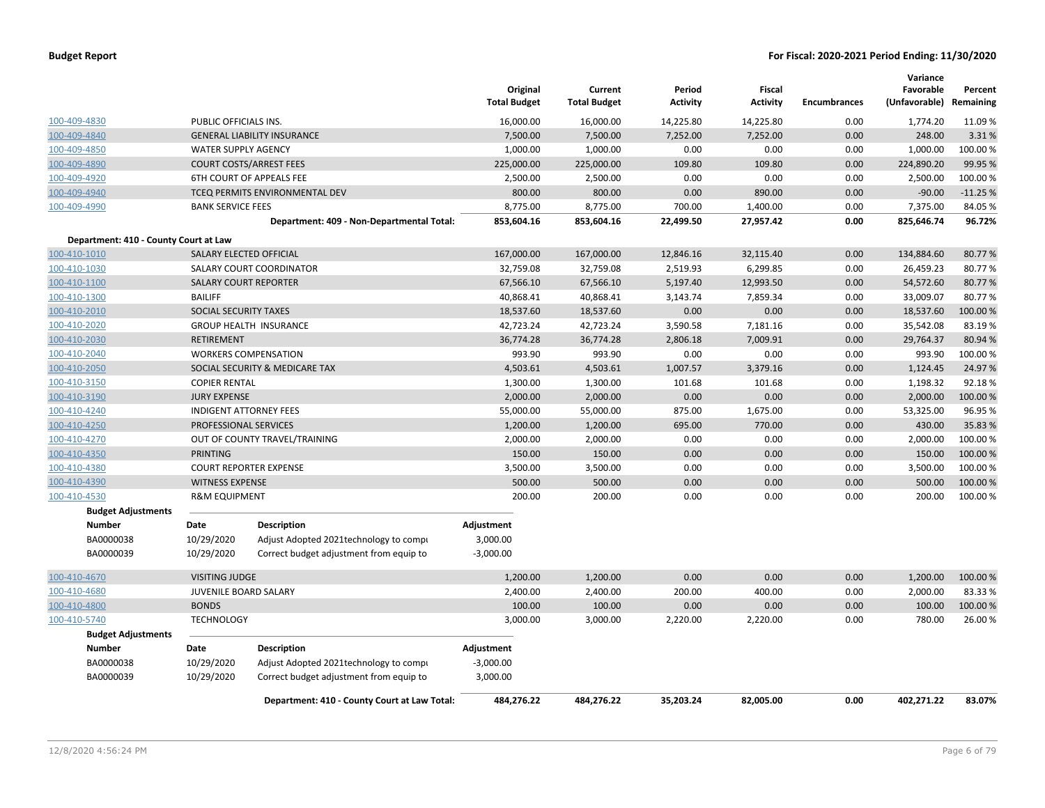|                                       |                            |                                              | Original<br><b>Total Budget</b> | Current<br><b>Total Budget</b> | Period<br><b>Activity</b> | <b>Fiscal</b><br><b>Activity</b> | <b>Encumbrances</b> | Variance<br>Favorable<br>(Unfavorable) | Percent<br>Remaining |
|---------------------------------------|----------------------------|----------------------------------------------|---------------------------------|--------------------------------|---------------------------|----------------------------------|---------------------|----------------------------------------|----------------------|
| 100-409-4830                          | PUBLIC OFFICIALS INS.      |                                              | 16,000.00                       | 16,000.00                      | 14,225.80                 | 14,225.80                        | 0.00                | 1,774.20                               | 11.09 %              |
| 100-409-4840                          |                            | <b>GENERAL LIABILITY INSURANCE</b>           | 7,500.00                        | 7,500.00                       | 7,252.00                  | 7,252.00                         | 0.00                | 248.00                                 | 3.31%                |
| 100-409-4850                          | <b>WATER SUPPLY AGENCY</b> |                                              | 1,000.00                        | 1,000.00                       | 0.00                      | 0.00                             | 0.00                | 1,000.00                               | 100.00%              |
| 100-409-4890                          |                            | <b>COURT COSTS/ARREST FEES</b>               | 225,000.00                      | 225,000.00                     | 109.80                    | 109.80                           | 0.00                | 224,890.20                             | 99.95 %              |
| 100-409-4920                          |                            | 6TH COURT OF APPEALS FEE                     | 2,500.00                        | 2,500.00                       | 0.00                      | 0.00                             | 0.00                | 2,500.00                               | 100.00%              |
| 100-409-4940                          |                            | TCEQ PERMITS ENVIRONMENTAL DEV               | 800.00                          | 800.00                         | 0.00                      | 890.00                           | 0.00                | $-90.00$                               | $-11.25%$            |
| 100-409-4990                          | <b>BANK SERVICE FEES</b>   |                                              | 8,775.00                        | 8,775.00                       | 700.00                    | 1,400.00                         | 0.00                | 7,375.00                               | 84.05%               |
|                                       |                            | Department: 409 - Non-Departmental Total:    | 853,604.16                      | 853,604.16                     | 22,499.50                 | 27,957.42                        | 0.00                | 825,646.74                             | 96.72%               |
| Department: 410 - County Court at Law |                            |                                              |                                 |                                |                           |                                  |                     |                                        |                      |
| 100-410-1010                          |                            | SALARY ELECTED OFFICIAL                      | 167,000.00                      | 167,000.00                     | 12,846.16                 | 32,115.40                        | 0.00                | 134,884.60                             | 80.77%               |
| 100-410-1030                          |                            | SALARY COURT COORDINATOR                     | 32,759.08                       | 32,759.08                      | 2,519.93                  | 6,299.85                         | 0.00                | 26,459.23                              | 80.77%               |
| 100-410-1100                          |                            | <b>SALARY COURT REPORTER</b>                 | 67,566.10                       | 67,566.10                      | 5,197.40                  | 12,993.50                        | 0.00                | 54,572.60                              | 80.77%               |
| 100-410-1300                          | <b>BAILIFF</b>             |                                              | 40,868.41                       | 40,868.41                      | 3,143.74                  | 7,859.34                         | 0.00                | 33,009.07                              | 80.77%               |
| 100-410-2010                          | SOCIAL SECURITY TAXES      |                                              | 18,537.60                       | 18,537.60                      | 0.00                      | 0.00                             | 0.00                | 18,537.60                              | 100.00%              |
| 100-410-2020                          |                            | <b>GROUP HEALTH INSURANCE</b>                | 42,723.24                       | 42,723.24                      | 3,590.58                  | 7,181.16                         | 0.00                | 35,542.08                              | 83.19%               |
| 100-410-2030                          | <b>RETIREMENT</b>          |                                              | 36,774.28                       | 36,774.28                      | 2,806.18                  | 7,009.91                         | 0.00                | 29,764.37                              | 80.94 %              |
| 100-410-2040                          |                            | <b>WORKERS COMPENSATION</b>                  | 993.90                          | 993.90                         | 0.00                      | 0.00                             | 0.00                | 993.90                                 | 100.00%              |
| 100-410-2050                          |                            | SOCIAL SECURITY & MEDICARE TAX               | 4,503.61                        | 4,503.61                       | 1,007.57                  | 3,379.16                         | 0.00                | 1,124.45                               | 24.97 %              |
| 100-410-3150                          | <b>COPIER RENTAL</b>       |                                              | 1,300.00                        | 1,300.00                       | 101.68                    | 101.68                           | 0.00                | 1,198.32                               | 92.18%               |
| 100-410-3190                          | <b>JURY EXPENSE</b>        |                                              | 2,000.00                        | 2,000.00                       | 0.00                      | 0.00                             | 0.00                | 2,000.00                               | 100.00%              |
| 100-410-4240                          |                            | <b>INDIGENT ATTORNEY FEES</b>                | 55,000.00                       | 55,000.00                      | 875.00                    | 1,675.00                         | 0.00                | 53,325.00                              | 96.95 %              |
| 100-410-4250                          | PROFESSIONAL SERVICES      |                                              | 1,200.00                        | 1,200.00                       | 695.00                    | 770.00                           | 0.00                | 430.00                                 | 35.83 %              |
| 100-410-4270                          |                            | OUT OF COUNTY TRAVEL/TRAINING                | 2,000.00                        | 2,000.00                       | 0.00                      | 0.00                             | 0.00                | 2,000.00                               | 100.00%              |
| 100-410-4350                          | <b>PRINTING</b>            |                                              | 150.00                          | 150.00                         | 0.00                      | 0.00                             | 0.00                | 150.00                                 | 100.00%              |
| 100-410-4380                          |                            | <b>COURT REPORTER EXPENSE</b>                | 3,500.00                        | 3,500.00                       | 0.00                      | 0.00                             | 0.00                | 3,500.00                               | 100.00 %             |
| 100-410-4390                          | <b>WITNESS EXPENSE</b>     |                                              | 500.00                          | 500.00                         | 0.00                      | 0.00                             | 0.00                | 500.00                                 | 100.00%              |
| 100-410-4530                          | <b>R&amp;M EQUIPMENT</b>   |                                              | 200.00                          | 200.00                         | 0.00                      | 0.00                             | 0.00                | 200.00                                 | 100.00 %             |
| <b>Budget Adjustments</b>             |                            |                                              |                                 |                                |                           |                                  |                     |                                        |                      |
| <b>Number</b>                         | Date                       | <b>Description</b>                           | Adjustment                      |                                |                           |                                  |                     |                                        |                      |
| BA0000038                             | 10/29/2020                 | Adjust Adopted 2021 technology to compi      | 3,000.00                        |                                |                           |                                  |                     |                                        |                      |
| BA0000039                             | 10/29/2020                 | Correct budget adjustment from equip to      | $-3,000.00$                     |                                |                           |                                  |                     |                                        |                      |
| 100-410-4670                          | <b>VISITING JUDGE</b>      |                                              | 1,200.00                        | 1,200.00                       | 0.00                      | 0.00                             | 0.00                | 1,200.00                               | 100.00%              |
| 100-410-4680                          | JUVENILE BOARD SALARY      |                                              | 2,400.00                        | 2,400.00                       | 200.00                    | 400.00                           | 0.00                | 2,000.00                               | 83.33%               |
| 100-410-4800                          | <b>BONDS</b>               |                                              | 100.00                          | 100.00                         | 0.00                      | 0.00                             | 0.00                | 100.00                                 | 100.00%              |
| 100-410-5740                          | <b>TECHNOLOGY</b>          |                                              | 3,000.00                        | 3,000.00                       | 2,220.00                  | 2,220.00                         | 0.00                | 780.00                                 | 26.00%               |
| <b>Budget Adjustments</b>             |                            |                                              |                                 |                                |                           |                                  |                     |                                        |                      |
| <b>Number</b>                         | Date                       | <b>Description</b>                           | Adjustment                      |                                |                           |                                  |                     |                                        |                      |
| BA0000038                             | 10/29/2020                 | Adjust Adopted 2021technology to compi       | $-3,000.00$                     |                                |                           |                                  |                     |                                        |                      |
| BA0000039                             | 10/29/2020                 | Correct budget adjustment from equip to      | 3,000.00                        |                                |                           |                                  |                     |                                        |                      |
|                                       |                            | Department: 410 - County Court at Law Total: | 484,276.22                      | 484,276.22                     | 35,203.24                 | 82,005.00                        | 0.00                | 402,271.22                             | 83.07%               |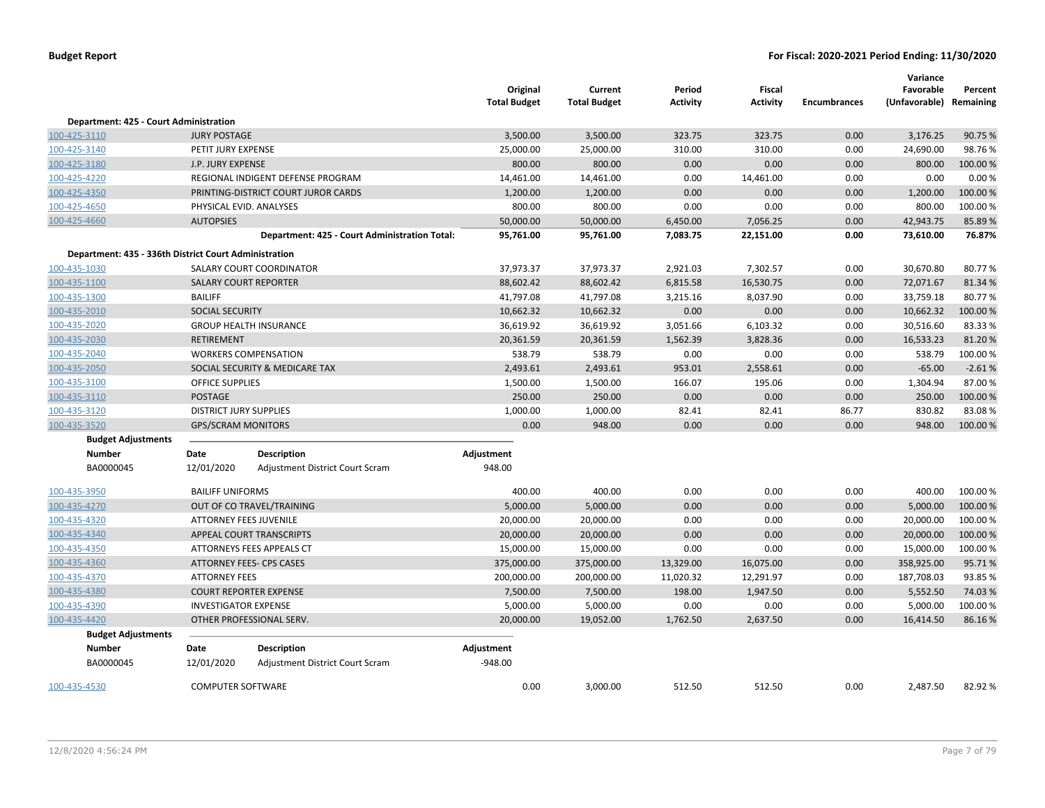|                                                       |                               |                                               | Original<br><b>Total Budget</b> | Current<br><b>Total Budget</b> | Period<br><b>Activity</b> | Fiscal<br><b>Activity</b> | <b>Encumbrances</b> | Variance<br>Favorable<br>(Unfavorable) Remaining | Percent  |
|-------------------------------------------------------|-------------------------------|-----------------------------------------------|---------------------------------|--------------------------------|---------------------------|---------------------------|---------------------|--------------------------------------------------|----------|
| Department: 425 - Court Administration                |                               |                                               |                                 |                                |                           |                           |                     |                                                  |          |
| 100-425-3110                                          | <b>JURY POSTAGE</b>           |                                               | 3,500.00                        | 3,500.00                       | 323.75                    | 323.75                    | 0.00                | 3,176.25                                         | 90.75 %  |
| 100-425-3140                                          | PETIT JURY EXPENSE            |                                               | 25,000.00                       | 25,000.00                      | 310.00                    | 310.00                    | 0.00                | 24,690.00                                        | 98.76%   |
| 100-425-3180                                          | J.P. JURY EXPENSE             |                                               | 800.00                          | 800.00                         | 0.00                      | 0.00                      | 0.00                | 800.00                                           | 100.00 % |
| 100-425-4220                                          |                               | REGIONAL INDIGENT DEFENSE PROGRAM             | 14,461.00                       | 14,461.00                      | 0.00                      | 14,461.00                 | 0.00                | 0.00                                             | 0.00%    |
| 100-425-4350                                          |                               | PRINTING-DISTRICT COURT JUROR CARDS           | 1,200.00                        | 1,200.00                       | 0.00                      | 0.00                      | 0.00                | 1,200.00                                         | 100.00%  |
| 100-425-4650                                          | PHYSICAL EVID. ANALYSES       |                                               | 800.00                          | 800.00                         | 0.00                      | 0.00                      | 0.00                | 800.00                                           | 100.00%  |
| 100-425-4660                                          | <b>AUTOPSIES</b>              |                                               | 50,000.00                       | 50,000.00                      | 6,450.00                  | 7,056.25                  | 0.00                | 42,943.75                                        | 85.89%   |
|                                                       |                               | Department: 425 - Court Administration Total: | 95,761.00                       | 95,761.00                      | 7,083.75                  | 22,151.00                 | 0.00                | 73,610.00                                        | 76.87%   |
| Department: 435 - 336th District Court Administration |                               |                                               |                                 |                                |                           |                           |                     |                                                  |          |
| 100-435-1030                                          |                               | SALARY COURT COORDINATOR                      | 37,973.37                       | 37,973.37                      | 2,921.03                  | 7,302.57                  | 0.00                | 30,670.80                                        | 80.77%   |
| 100-435-1100                                          |                               | <b>SALARY COURT REPORTER</b>                  | 88,602.42                       | 88,602.42                      | 6,815.58                  | 16,530.75                 | 0.00                | 72,071.67                                        | 81.34 %  |
| 100-435-1300                                          | <b>BAILIFF</b>                |                                               | 41,797.08                       | 41,797.08                      | 3,215.16                  | 8,037.90                  | 0.00                | 33,759.18                                        | 80.77%   |
| 100-435-2010                                          | <b>SOCIAL SECURITY</b>        |                                               | 10,662.32                       | 10,662.32                      | 0.00                      | 0.00                      | 0.00                | 10,662.32                                        | 100.00 % |
| 100-435-2020                                          |                               | <b>GROUP HEALTH INSURANCE</b>                 | 36,619.92                       | 36,619.92                      | 3,051.66                  | 6,103.32                  | 0.00                | 30,516.60                                        | 83.33 %  |
| 100-435-2030                                          | <b>RETIREMENT</b>             |                                               | 20,361.59                       | 20,361.59                      | 1,562.39                  | 3,828.36                  | 0.00                | 16,533.23                                        | 81.20%   |
| 100-435-2040                                          |                               | <b>WORKERS COMPENSATION</b>                   | 538.79                          | 538.79                         | 0.00                      | 0.00                      | 0.00                | 538.79                                           | 100.00%  |
| 100-435-2050                                          |                               | SOCIAL SECURITY & MEDICARE TAX                | 2,493.61                        | 2,493.61                       | 953.01                    | 2,558.61                  | 0.00                | $-65.00$                                         | $-2.61%$ |
| 100-435-3100                                          | <b>OFFICE SUPPLIES</b>        |                                               | 1,500.00                        | 1,500.00                       | 166.07                    | 195.06                    | 0.00                | 1,304.94                                         | 87.00 %  |
| 100-435-3110                                          | <b>POSTAGE</b>                |                                               | 250.00                          | 250.00                         | 0.00                      | 0.00                      | 0.00                | 250.00                                           | 100.00%  |
| 100-435-3120                                          | <b>DISTRICT JURY SUPPLIES</b> |                                               | 1,000.00                        | 1,000.00                       | 82.41                     | 82.41                     | 86.77               | 830.82                                           | 83.08%   |
| 100-435-3520                                          | <b>GPS/SCRAM MONITORS</b>     |                                               | 0.00                            | 948.00                         | 0.00                      | 0.00                      | 0.00                | 948.00                                           | 100.00%  |
| <b>Budget Adjustments</b>                             |                               |                                               |                                 |                                |                           |                           |                     |                                                  |          |
| <b>Number</b>                                         | Date                          | <b>Description</b>                            | Adjustment                      |                                |                           |                           |                     |                                                  |          |
| BA0000045                                             | 12/01/2020                    | <b>Adjustment District Court Scram</b>        | 948.00                          |                                |                           |                           |                     |                                                  |          |
| 100-435-3950                                          | <b>BAILIFF UNIFORMS</b>       |                                               | 400.00                          | 400.00                         | 0.00                      | 0.00                      | 0.00                | 400.00                                           | 100.00 % |
| 100-435-4270                                          |                               | OUT OF CO TRAVEL/TRAINING                     | 5,000.00                        | 5,000.00                       | 0.00                      | 0.00                      | 0.00                | 5,000.00                                         | 100.00 % |
| 100-435-4320                                          | <b>ATTORNEY FEES JUVENILE</b> |                                               | 20,000.00                       | 20,000.00                      | 0.00                      | 0.00                      | 0.00                | 20,000.00                                        | 100.00%  |
| 100-435-4340                                          |                               | APPEAL COURT TRANSCRIPTS                      | 20,000.00                       | 20,000.00                      | 0.00                      | 0.00                      | 0.00                | 20,000.00                                        | 100.00 % |
| 100-435-4350                                          |                               | ATTORNEYS FEES APPEALS CT                     | 15,000.00                       | 15,000.00                      | 0.00                      | 0.00                      | 0.00                | 15,000.00                                        | 100.00%  |
| 100-435-4360                                          |                               | ATTORNEY FEES- CPS CASES                      | 375,000.00                      | 375,000.00                     | 13,329.00                 | 16,075.00                 | 0.00                | 358,925.00                                       | 95.71%   |
| 100-435-4370                                          | <b>ATTORNEY FEES</b>          |                                               | 200,000.00                      | 200,000.00                     | 11,020.32                 | 12,291.97                 | 0.00                | 187,708.03                                       | 93.85 %  |
| 100-435-4380                                          |                               | <b>COURT REPORTER EXPENSE</b>                 | 7,500.00                        | 7,500.00                       | 198.00                    | 1,947.50                  | 0.00                | 5,552.50                                         | 74.03 %  |
| 100-435-4390                                          | <b>INVESTIGATOR EXPENSE</b>   |                                               | 5,000.00                        | 5,000.00                       | 0.00                      | 0.00                      | 0.00                | 5,000.00                                         | 100.00 % |
| 100-435-4420                                          |                               | OTHER PROFESSIONAL SERV.                      | 20,000.00                       | 19,052.00                      | 1,762.50                  | 2,637.50                  | 0.00                | 16,414.50                                        | 86.16%   |
| <b>Budget Adjustments</b>                             |                               |                                               |                                 |                                |                           |                           |                     |                                                  |          |
| Number                                                | Date                          | <b>Description</b>                            | Adjustment                      |                                |                           |                           |                     |                                                  |          |
| BA0000045                                             | 12/01/2020                    | Adjustment District Court Scram               | -948.00                         |                                |                           |                           |                     |                                                  |          |
| 100-435-4530                                          | <b>COMPUTER SOFTWARE</b>      |                                               | 0.00                            | 3,000.00                       | 512.50                    | 512.50                    | 0.00                | 2,487.50                                         | 82.92%   |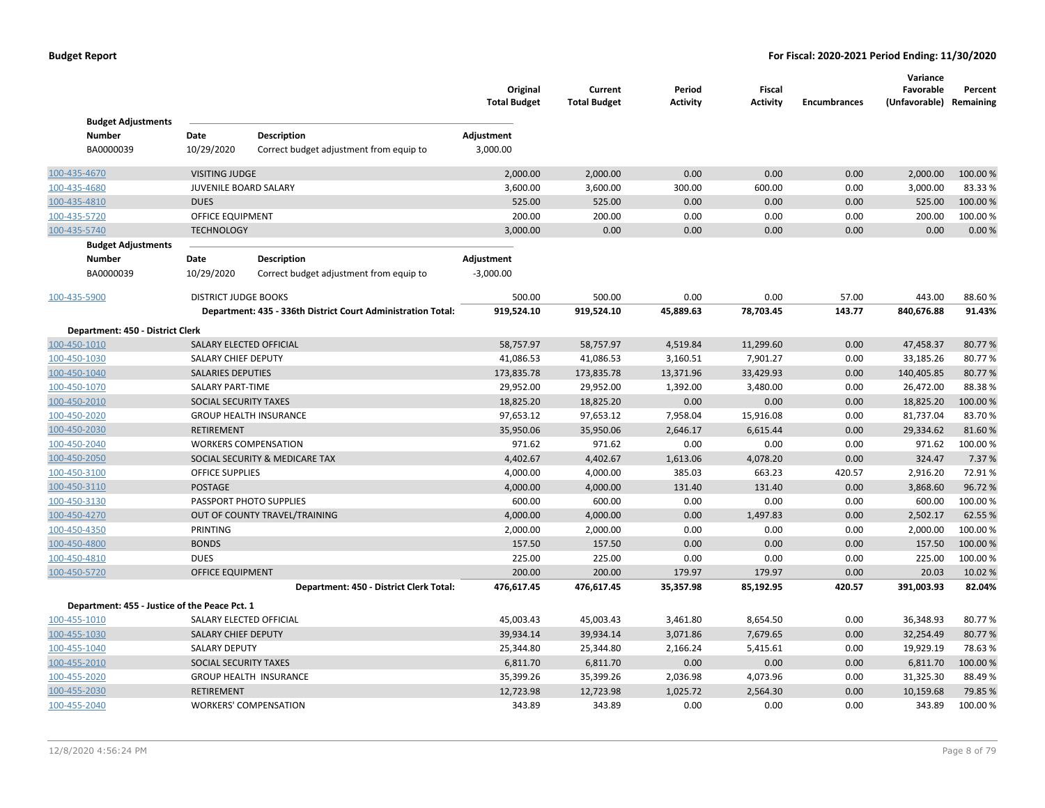|                                               |                             |                                                              | Original<br><b>Total Budget</b> | Current<br><b>Total Budget</b> | Period<br>Activity | Fiscal<br><b>Activity</b> | <b>Encumbrances</b> | Variance<br>Favorable<br>(Unfavorable) Remaining | Percent  |
|-----------------------------------------------|-----------------------------|--------------------------------------------------------------|---------------------------------|--------------------------------|--------------------|---------------------------|---------------------|--------------------------------------------------|----------|
| <b>Budget Adjustments</b>                     |                             |                                                              |                                 |                                |                    |                           |                     |                                                  |          |
| <b>Number</b><br>BA0000039                    | Date<br>10/29/2020          | <b>Description</b>                                           | Adjustment<br>3,000.00          |                                |                    |                           |                     |                                                  |          |
|                                               |                             | Correct budget adjustment from equip to                      |                                 |                                |                    |                           |                     |                                                  |          |
| 100-435-4670                                  | <b>VISITING JUDGE</b>       |                                                              | 2,000.00                        | 2,000.00                       | 0.00               | 0.00                      | 0.00                | 2,000.00                                         | 100.00%  |
| 100-435-4680                                  | JUVENILE BOARD SALARY       |                                                              | 3,600.00                        | 3,600.00                       | 300.00             | 600.00                    | 0.00                | 3,000.00                                         | 83.33%   |
| 100-435-4810                                  | <b>DUES</b>                 |                                                              | 525.00                          | 525.00                         | 0.00               | 0.00                      | 0.00                | 525.00                                           | 100.00%  |
| 100-435-5720                                  | OFFICE EQUIPMENT            |                                                              | 200.00                          | 200.00                         | 0.00               | 0.00                      | 0.00                | 200.00                                           | 100.00%  |
| 100-435-5740                                  | <b>TECHNOLOGY</b>           |                                                              | 3,000.00                        | 0.00                           | 0.00               | 0.00                      | 0.00                | 0.00                                             | 0.00%    |
| <b>Budget Adjustments</b>                     |                             |                                                              |                                 |                                |                    |                           |                     |                                                  |          |
| Number                                        | Date                        | <b>Description</b>                                           | Adjustment                      |                                |                    |                           |                     |                                                  |          |
| BA0000039                                     | 10/29/2020                  | Correct budget adjustment from equip to                      | $-3,000.00$                     |                                |                    |                           |                     |                                                  |          |
| 100-435-5900                                  | <b>DISTRICT JUDGE BOOKS</b> |                                                              | 500.00                          | 500.00                         | 0.00               | 0.00                      | 57.00               | 443.00                                           | 88.60%   |
|                                               |                             | Department: 435 - 336th District Court Administration Total: | 919,524.10                      | 919,524.10                     | 45,889.63          | 78,703.45                 | 143.77              | 840,676.88                                       | 91.43%   |
| Department: 450 - District Clerk              |                             |                                                              |                                 |                                |                    |                           |                     |                                                  |          |
| 100-450-1010                                  |                             | SALARY ELECTED OFFICIAL                                      | 58,757.97                       | 58,757.97                      | 4,519.84           | 11,299.60                 | 0.00                | 47,458.37                                        | 80.77%   |
| 100-450-1030                                  | SALARY CHIEF DEPUTY         |                                                              | 41,086.53                       | 41,086.53                      | 3,160.51           | 7,901.27                  | 0.00                | 33,185.26                                        | 80.77%   |
| 100-450-1040                                  | <b>SALARIES DEPUTIES</b>    |                                                              | 173,835.78                      | 173,835.78                     | 13,371.96          | 33,429.93                 | 0.00                | 140,405.85                                       | 80.77%   |
| 100-450-1070                                  | SALARY PART-TIME            |                                                              | 29,952.00                       | 29,952.00                      | 1,392.00           | 3,480.00                  | 0.00                | 26,472.00                                        | 88.38%   |
| 100-450-2010                                  | SOCIAL SECURITY TAXES       |                                                              | 18,825.20                       | 18,825.20                      | 0.00               | 0.00                      | 0.00                | 18,825.20                                        | 100.00 % |
| 100-450-2020                                  |                             | <b>GROUP HEALTH INSURANCE</b>                                | 97,653.12                       | 97,653.12                      | 7,958.04           | 15,916.08                 | 0.00                | 81,737.04                                        | 83.70%   |
| 100-450-2030                                  | <b>RETIREMENT</b>           |                                                              | 35,950.06                       | 35,950.06                      | 2,646.17           | 6,615.44                  | 0.00                | 29,334.62                                        | 81.60%   |
| 100-450-2040                                  |                             | <b>WORKERS COMPENSATION</b>                                  | 971.62                          | 971.62                         | 0.00               | 0.00                      | 0.00                | 971.62                                           | 100.00 % |
| 100-450-2050                                  |                             | SOCIAL SECURITY & MEDICARE TAX                               | 4,402.67                        | 4,402.67                       | 1,613.06           | 4,078.20                  | 0.00                | 324.47                                           | 7.37 %   |
| 100-450-3100                                  | <b>OFFICE SUPPLIES</b>      |                                                              | 4,000.00                        | 4,000.00                       | 385.03             | 663.23                    | 420.57              | 2,916.20                                         | 72.91%   |
| 100-450-3110                                  | <b>POSTAGE</b>              |                                                              | 4,000.00                        | 4,000.00                       | 131.40             | 131.40                    | 0.00                | 3,868.60                                         | 96.72%   |
| 100-450-3130                                  |                             | PASSPORT PHOTO SUPPLIES                                      | 600.00                          | 600.00                         | 0.00               | 0.00                      | 0.00                | 600.00                                           | 100.00%  |
| 100-450-4270                                  |                             | OUT OF COUNTY TRAVEL/TRAINING                                | 4,000.00                        | 4,000.00                       | 0.00               | 1,497.83                  | 0.00                | 2,502.17                                         | 62.55%   |
| 100-450-4350                                  | <b>PRINTING</b>             |                                                              | 2,000.00                        | 2,000.00                       | 0.00               | 0.00                      | 0.00                | 2,000.00                                         | 100.00%  |
| 100-450-4800                                  | <b>BONDS</b>                |                                                              | 157.50                          | 157.50                         | 0.00               | 0.00                      | 0.00                | 157.50                                           | 100.00 % |
| 100-450-4810                                  | <b>DUES</b>                 |                                                              | 225.00                          | 225.00                         | 0.00               | 0.00                      | 0.00                | 225.00                                           | 100.00 % |
| 100-450-5720                                  | <b>OFFICE EQUIPMENT</b>     |                                                              | 200.00                          | 200.00                         | 179.97             | 179.97                    | 0.00                | 20.03                                            | 10.02%   |
|                                               |                             | Department: 450 - District Clerk Total:                      | 476,617.45                      | 476,617.45                     | 35,357.98          | 85,192.95                 | 420.57              | 391,003.93                                       | 82.04%   |
| Department: 455 - Justice of the Peace Pct. 1 |                             |                                                              |                                 |                                |                    |                           |                     |                                                  |          |
| 100-455-1010                                  | SALARY ELECTED OFFICIAL     |                                                              | 45,003.43                       | 45,003.43                      | 3,461.80           | 8,654.50                  | 0.00                | 36,348.93                                        | 80.77%   |
| 100-455-1030                                  | SALARY CHIEF DEPUTY         |                                                              | 39,934.14                       | 39,934.14                      | 3,071.86           | 7,679.65                  | 0.00                | 32,254.49                                        | 80.77%   |
| 100-455-1040                                  | <b>SALARY DEPUTY</b>        |                                                              | 25,344.80                       | 25,344.80                      | 2,166.24           | 5,415.61                  | 0.00                | 19,929.19                                        | 78.63%   |
| 100-455-2010                                  | SOCIAL SECURITY TAXES       |                                                              | 6,811.70                        | 6,811.70                       | 0.00               | 0.00                      | 0.00                | 6,811.70                                         | 100.00%  |
| 100-455-2020                                  |                             | <b>GROUP HEALTH INSURANCE</b>                                | 35,399.26                       | 35,399.26                      | 2,036.98           | 4,073.96                  | 0.00                | 31,325.30                                        | 88.49%   |
| 100-455-2030                                  | <b>RETIREMENT</b>           |                                                              | 12,723.98                       | 12,723.98                      | 1,025.72           | 2,564.30                  | 0.00                | 10,159.68                                        | 79.85%   |
| 100-455-2040                                  |                             | <b>WORKERS' COMPENSATION</b>                                 | 343.89                          | 343.89                         | 0.00               | 0.00                      | 0.00                | 343.89                                           | 100.00 % |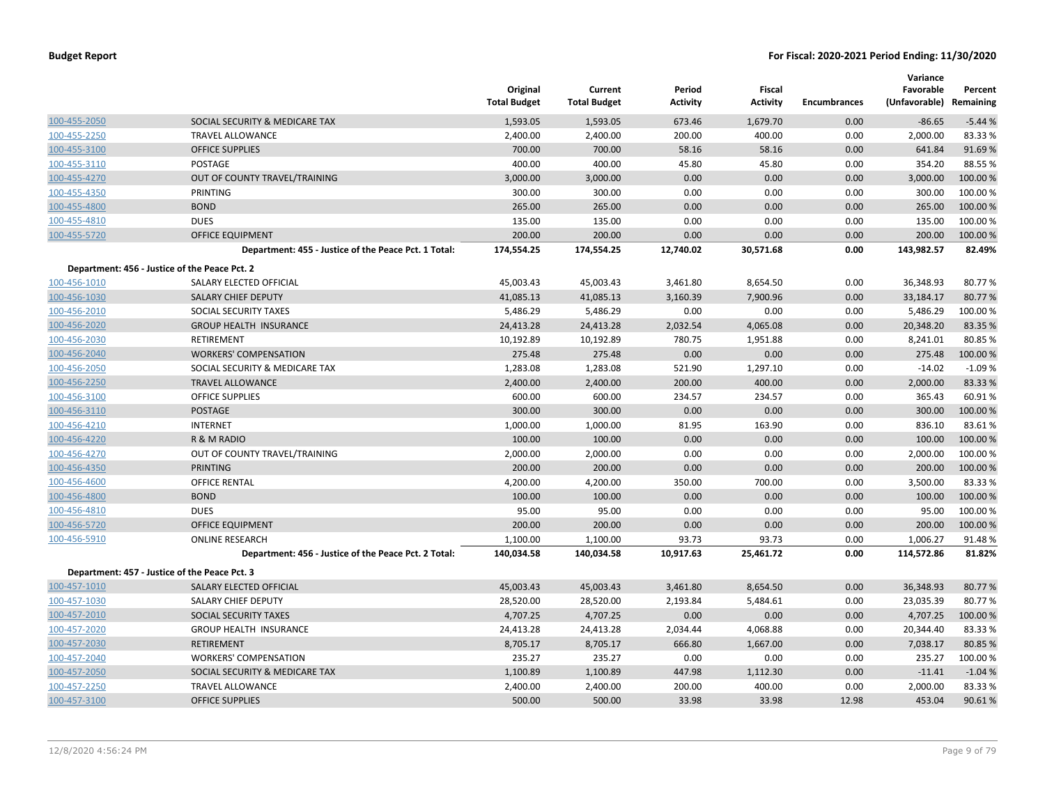|              |                                                      | Original<br><b>Total Budget</b> | Current<br><b>Total Budget</b> | Period<br>Activity | Fiscal<br><b>Activity</b> | <b>Encumbrances</b> | Variance<br>Favorable<br>(Unfavorable) Remaining | Percent  |
|--------------|------------------------------------------------------|---------------------------------|--------------------------------|--------------------|---------------------------|---------------------|--------------------------------------------------|----------|
| 100-455-2050 | SOCIAL SECURITY & MEDICARE TAX                       | 1,593.05                        | 1,593.05                       | 673.46             | 1,679.70                  | 0.00                | $-86.65$                                         | $-5.44%$ |
| 100-455-2250 | <b>TRAVEL ALLOWANCE</b>                              | 2,400.00                        | 2,400.00                       | 200.00             | 400.00                    | 0.00                | 2,000.00                                         | 83.33%   |
| 100-455-3100 | <b>OFFICE SUPPLIES</b>                               | 700.00                          | 700.00                         | 58.16              | 58.16                     | 0.00                | 641.84                                           | 91.69%   |
| 100-455-3110 | <b>POSTAGE</b>                                       | 400.00                          | 400.00                         | 45.80              | 45.80                     | 0.00                | 354.20                                           | 88.55 %  |
| 100-455-4270 | OUT OF COUNTY TRAVEL/TRAINING                        | 3,000.00                        | 3,000.00                       | 0.00               | 0.00                      | 0.00                | 3,000.00                                         | 100.00%  |
| 100-455-4350 | PRINTING                                             | 300.00                          | 300.00                         | 0.00               | 0.00                      | 0.00                | 300.00                                           | 100.00%  |
| 100-455-4800 | <b>BOND</b>                                          | 265.00                          | 265.00                         | 0.00               | 0.00                      | 0.00                | 265.00                                           | 100.00%  |
| 100-455-4810 | <b>DUES</b>                                          | 135.00                          | 135.00                         | 0.00               | 0.00                      | 0.00                | 135.00                                           | 100.00%  |
| 100-455-5720 | OFFICE EQUIPMENT                                     | 200.00                          | 200.00                         | 0.00               | 0.00                      | 0.00                | 200.00                                           | 100.00 % |
|              | Department: 455 - Justice of the Peace Pct. 1 Total: | 174,554.25                      | 174,554.25                     | 12,740.02          | 30,571.68                 | 0.00                | 143,982.57                                       | 82.49%   |
|              | Department: 456 - Justice of the Peace Pct. 2        |                                 |                                |                    |                           |                     |                                                  |          |
| 100-456-1010 | SALARY ELECTED OFFICIAL                              | 45,003.43                       | 45,003.43                      | 3,461.80           | 8,654.50                  | 0.00                | 36,348.93                                        | 80.77%   |
| 100-456-1030 | <b>SALARY CHIEF DEPUTY</b>                           | 41,085.13                       | 41,085.13                      | 3,160.39           | 7,900.96                  | 0.00                | 33,184.17                                        | 80.77%   |
| 100-456-2010 | SOCIAL SECURITY TAXES                                | 5,486.29                        | 5,486.29                       | 0.00               | 0.00                      | 0.00                | 5,486.29                                         | 100.00%  |
| 100-456-2020 | <b>GROUP HEALTH INSURANCE</b>                        | 24,413.28                       | 24,413.28                      | 2,032.54           | 4,065.08                  | 0.00                | 20,348.20                                        | 83.35 %  |
| 100-456-2030 | RETIREMENT                                           | 10,192.89                       | 10,192.89                      | 780.75             | 1,951.88                  | 0.00                | 8,241.01                                         | 80.85%   |
| 100-456-2040 | <b>WORKERS' COMPENSATION</b>                         | 275.48                          | 275.48                         | 0.00               | 0.00                      | 0.00                | 275.48                                           | 100.00%  |
| 100-456-2050 | SOCIAL SECURITY & MEDICARE TAX                       | 1,283.08                        | 1,283.08                       | 521.90             | 1,297.10                  | 0.00                | $-14.02$                                         | $-1.09%$ |
| 100-456-2250 | <b>TRAVEL ALLOWANCE</b>                              | 2,400.00                        | 2,400.00                       | 200.00             | 400.00                    | 0.00                | 2,000.00                                         | 83.33 %  |
| 100-456-3100 | <b>OFFICE SUPPLIES</b>                               | 600.00                          | 600.00                         | 234.57             | 234.57                    | 0.00                | 365.43                                           | 60.91%   |
| 100-456-3110 | <b>POSTAGE</b>                                       | 300.00                          | 300.00                         | 0.00               | 0.00                      | 0.00                | 300.00                                           | 100.00%  |
| 100-456-4210 | <b>INTERNET</b>                                      | 1,000.00                        | 1,000.00                       | 81.95              | 163.90                    | 0.00                | 836.10                                           | 83.61%   |
| 100-456-4220 | R & M RADIO                                          | 100.00                          | 100.00                         | 0.00               | 0.00                      | 0.00                | 100.00                                           | 100.00 % |
| 100-456-4270 | OUT OF COUNTY TRAVEL/TRAINING                        | 2,000.00                        | 2,000.00                       | 0.00               | 0.00                      | 0.00                | 2,000.00                                         | 100.00%  |
| 100-456-4350 | <b>PRINTING</b>                                      | 200.00                          | 200.00                         | 0.00               | 0.00                      | 0.00                | 200.00                                           | 100.00 % |
| 100-456-4600 | OFFICE RENTAL                                        | 4,200.00                        | 4,200.00                       | 350.00             | 700.00                    | 0.00                | 3,500.00                                         | 83.33%   |
| 100-456-4800 | <b>BOND</b>                                          | 100.00                          | 100.00                         | 0.00               | 0.00                      | 0.00                | 100.00                                           | 100.00%  |
| 100-456-4810 | <b>DUES</b>                                          | 95.00                           | 95.00                          | 0.00               | 0.00                      | 0.00                | 95.00                                            | 100.00%  |
| 100-456-5720 | <b>OFFICE EQUIPMENT</b>                              | 200.00                          | 200.00                         | 0.00               | 0.00                      | 0.00                | 200.00                                           | 100.00%  |
| 100-456-5910 | <b>ONLINE RESEARCH</b>                               | 1,100.00                        | 1,100.00                       | 93.73              | 93.73                     | 0.00                | 1,006.27                                         | 91.48%   |
|              | Department: 456 - Justice of the Peace Pct. 2 Total: | 140,034.58                      | 140,034.58                     | 10,917.63          | 25,461.72                 | 0.00                | 114,572.86                                       | 81.82%   |
|              | Department: 457 - Justice of the Peace Pct. 3        |                                 |                                |                    |                           |                     |                                                  |          |
| 100-457-1010 | SALARY ELECTED OFFICIAL                              | 45,003.43                       | 45,003.43                      | 3,461.80           | 8,654.50                  | 0.00                | 36,348.93                                        | 80.77%   |
| 100-457-1030 | SALARY CHIEF DEPUTY                                  | 28,520.00                       | 28,520.00                      | 2,193.84           | 5,484.61                  | 0.00                | 23,035.39                                        | 80.77%   |
| 100-457-2010 | SOCIAL SECURITY TAXES                                | 4,707.25                        | 4,707.25                       | 0.00               | 0.00                      | 0.00                | 4,707.25                                         | 100.00 % |
| 100-457-2020 | <b>GROUP HEALTH INSURANCE</b>                        | 24,413.28                       | 24,413.28                      | 2,034.44           | 4,068.88                  | 0.00                | 20,344.40                                        | 83.33%   |
| 100-457-2030 | <b>RETIREMENT</b>                                    | 8,705.17                        | 8,705.17                       | 666.80             | 1,667.00                  | 0.00                | 7,038.17                                         | 80.85 %  |
| 100-457-2040 | <b>WORKERS' COMPENSATION</b>                         | 235.27                          | 235.27                         | 0.00               | 0.00                      | 0.00                | 235.27                                           | 100.00%  |
| 100-457-2050 | SOCIAL SECURITY & MEDICARE TAX                       | 1,100.89                        | 1,100.89                       | 447.98             | 1,112.30                  | 0.00                | $-11.41$                                         | $-1.04%$ |
| 100-457-2250 | <b>TRAVEL ALLOWANCE</b>                              | 2,400.00                        | 2,400.00                       | 200.00             | 400.00                    | 0.00                | 2,000.00                                         | 83.33%   |
| 100-457-3100 | <b>OFFICE SUPPLIES</b>                               | 500.00                          | 500.00                         | 33.98              | 33.98                     | 12.98               | 453.04                                           | 90.61%   |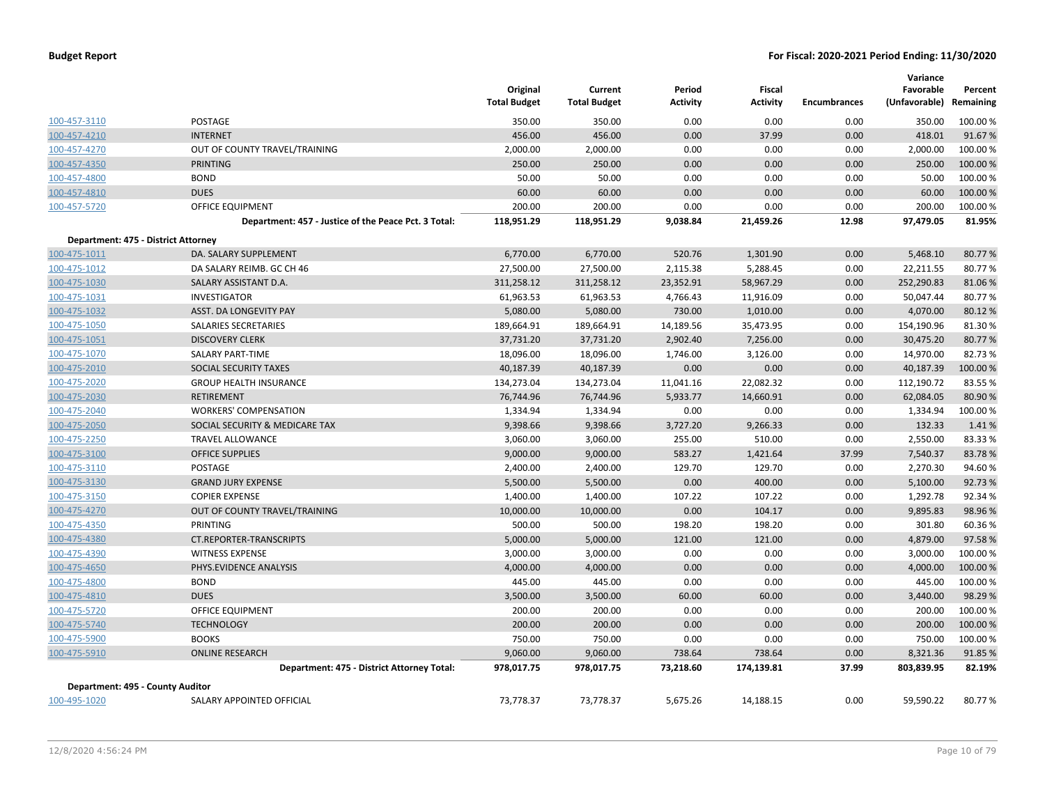|                                     |                                                      | Original<br><b>Total Budget</b> | Current<br><b>Total Budget</b> | Period<br><b>Activity</b> | Fiscal<br><b>Activity</b> | <b>Encumbrances</b> | Variance<br>Favorable<br>(Unfavorable) | Percent<br>Remaining |
|-------------------------------------|------------------------------------------------------|---------------------------------|--------------------------------|---------------------------|---------------------------|---------------------|----------------------------------------|----------------------|
| 100-457-3110                        | <b>POSTAGE</b>                                       | 350.00                          | 350.00                         | 0.00                      | 0.00                      | 0.00                | 350.00                                 | 100.00 %             |
| 100-457-4210                        | <b>INTERNET</b>                                      | 456.00                          | 456.00                         | 0.00                      | 37.99                     | 0.00                | 418.01                                 | 91.67%               |
| 100-457-4270                        | OUT OF COUNTY TRAVEL/TRAINING                        | 2,000.00                        | 2,000.00                       | 0.00                      | 0.00                      | 0.00                | 2,000.00                               | 100.00 %             |
| 100-457-4350                        | <b>PRINTING</b>                                      | 250.00                          | 250.00                         | 0.00                      | 0.00                      | 0.00                | 250.00                                 | 100.00 %             |
| 100-457-4800                        | <b>BOND</b>                                          | 50.00                           | 50.00                          | 0.00                      | 0.00                      | 0.00                | 50.00                                  | 100.00 %             |
| 100-457-4810                        | <b>DUES</b>                                          | 60.00                           | 60.00                          | 0.00                      | 0.00                      | 0.00                | 60.00                                  | 100.00 %             |
| 100-457-5720                        | OFFICE EQUIPMENT                                     | 200.00                          | 200.00                         | 0.00                      | 0.00                      | 0.00                | 200.00                                 | 100.00%              |
|                                     | Department: 457 - Justice of the Peace Pct. 3 Total: | 118,951.29                      | 118,951.29                     | 9,038.84                  | 21,459.26                 | 12.98               | 97,479.05                              | 81.95%               |
| Department: 475 - District Attorney |                                                      |                                 |                                |                           |                           |                     |                                        |                      |
| 100-475-1011                        | DA. SALARY SUPPLEMENT                                | 6,770.00                        | 6,770.00                       | 520.76                    | 1,301.90                  | 0.00                | 5,468.10                               | 80.77%               |
| 100-475-1012                        | DA SALARY REIMB. GC CH 46                            | 27,500.00                       | 27,500.00                      | 2,115.38                  | 5,288.45                  | 0.00                | 22,211.55                              | 80.77%               |
| 100-475-1030                        | SALARY ASSISTANT D.A.                                | 311,258.12                      | 311,258.12                     | 23,352.91                 | 58,967.29                 | 0.00                | 252,290.83                             | 81.06%               |
| 100-475-1031                        | <b>INVESTIGATOR</b>                                  | 61,963.53                       | 61,963.53                      | 4,766.43                  | 11,916.09                 | 0.00                | 50,047.44                              | 80.77%               |
| 100-475-1032                        | ASST. DA LONGEVITY PAY                               | 5,080.00                        | 5,080.00                       | 730.00                    | 1,010.00                  | 0.00                | 4,070.00                               | 80.12%               |
| 100-475-1050                        | SALARIES SECRETARIES                                 | 189,664.91                      | 189,664.91                     | 14,189.56                 | 35,473.95                 | 0.00                | 154,190.96                             | 81.30%               |
| 100-475-1051                        | <b>DISCOVERY CLERK</b>                               | 37,731.20                       | 37,731.20                      | 2,902.40                  | 7,256.00                  | 0.00                | 30,475.20                              | 80.77%               |
| 100-475-1070                        | SALARY PART-TIME                                     | 18,096.00                       | 18,096.00                      | 1,746.00                  | 3,126.00                  | 0.00                | 14,970.00                              | 82.73%               |
| 100-475-2010                        | <b>SOCIAL SECURITY TAXES</b>                         | 40,187.39                       | 40,187.39                      | 0.00                      | 0.00                      | 0.00                | 40,187.39                              | 100.00%              |
| 100-475-2020                        | <b>GROUP HEALTH INSURANCE</b>                        | 134,273.04                      | 134,273.04                     | 11,041.16                 | 22,082.32                 | 0.00                | 112,190.72                             | 83.55%               |
| 100-475-2030                        | <b>RETIREMENT</b>                                    | 76,744.96                       | 76,744.96                      | 5,933.77                  | 14,660.91                 | 0.00                | 62,084.05                              | 80.90%               |
| 100-475-2040                        | <b>WORKERS' COMPENSATION</b>                         | 1,334.94                        | 1,334.94                       | 0.00                      | 0.00                      | 0.00                | 1,334.94                               | 100.00%              |
| 100-475-2050                        | SOCIAL SECURITY & MEDICARE TAX                       | 9,398.66                        | 9,398.66                       | 3,727.20                  | 9,266.33                  | 0.00                | 132.33                                 | 1.41%                |
| 100-475-2250                        | <b>TRAVEL ALLOWANCE</b>                              | 3,060.00                        | 3,060.00                       | 255.00                    | 510.00                    | 0.00                | 2,550.00                               | 83.33%               |
| 100-475-3100                        | <b>OFFICE SUPPLIES</b>                               | 9,000.00                        | 9,000.00                       | 583.27                    | 1,421.64                  | 37.99               | 7,540.37                               | 83.78%               |
| 100-475-3110                        | <b>POSTAGE</b>                                       | 2,400.00                        | 2,400.00                       | 129.70                    | 129.70                    | 0.00                | 2,270.30                               | 94.60%               |
| 100-475-3130                        | <b>GRAND JURY EXPENSE</b>                            | 5,500.00                        | 5,500.00                       | 0.00                      | 400.00                    | 0.00                | 5,100.00                               | 92.73%               |
| 100-475-3150                        | <b>COPIER EXPENSE</b>                                | 1,400.00                        | 1,400.00                       | 107.22                    | 107.22                    | 0.00                | 1,292.78                               | 92.34 %              |
| 100-475-4270                        | OUT OF COUNTY TRAVEL/TRAINING                        | 10,000.00                       | 10,000.00                      | 0.00                      | 104.17                    | 0.00                | 9,895.83                               | 98.96%               |
| 100-475-4350                        | PRINTING                                             | 500.00                          | 500.00                         | 198.20                    | 198.20                    | 0.00                | 301.80                                 | 60.36%               |
| 100-475-4380                        | CT.REPORTER-TRANSCRIPTS                              | 5,000.00                        | 5,000.00                       | 121.00                    | 121.00                    | 0.00                | 4,879.00                               | 97.58%               |
| 100-475-4390                        | <b>WITNESS EXPENSE</b>                               | 3,000.00                        | 3,000.00                       | 0.00                      | 0.00                      | 0.00                | 3,000.00                               | 100.00%              |
| 100-475-4650                        | PHYS.EVIDENCE ANALYSIS                               | 4,000.00                        | 4,000.00                       | 0.00                      | 0.00                      | 0.00                | 4,000.00                               | 100.00%              |
| 100-475-4800                        | <b>BOND</b>                                          | 445.00                          | 445.00                         | 0.00                      | 0.00                      | 0.00                | 445.00                                 | 100.00%              |
| 100-475-4810                        | <b>DUES</b>                                          | 3,500.00                        | 3,500.00                       | 60.00                     | 60.00                     | 0.00                | 3,440.00                               | 98.29%               |
| 100-475-5720                        | <b>OFFICE EQUIPMENT</b>                              | 200.00                          | 200.00                         | 0.00                      | 0.00                      | 0.00                | 200.00                                 | 100.00%              |
| 100-475-5740                        | <b>TECHNOLOGY</b>                                    | 200.00                          | 200.00                         | 0.00                      | 0.00                      | 0.00                | 200.00                                 | 100.00 %             |
| 100-475-5900                        | <b>BOOKS</b>                                         | 750.00                          | 750.00                         | 0.00                      | 0.00                      | 0.00                | 750.00                                 | 100.00%              |
| 100-475-5910                        | <b>ONLINE RESEARCH</b>                               | 9,060.00                        | 9,060.00                       | 738.64                    | 738.64                    | 0.00                | 8,321.36                               | 91.85%               |
|                                     | Department: 475 - District Attorney Total:           | 978,017.75                      | 978,017.75                     | 73,218.60                 | 174,139.81                | 37.99               | 803,839.95                             | 82.19%               |
| Department: 495 - County Auditor    |                                                      |                                 |                                |                           |                           |                     |                                        |                      |
| 100-495-1020                        | SALARY APPOINTED OFFICIAL                            | 73,778.37                       | 73,778.37                      | 5,675.26                  | 14,188.15                 | 0.00                | 59,590.22                              | 80.77%               |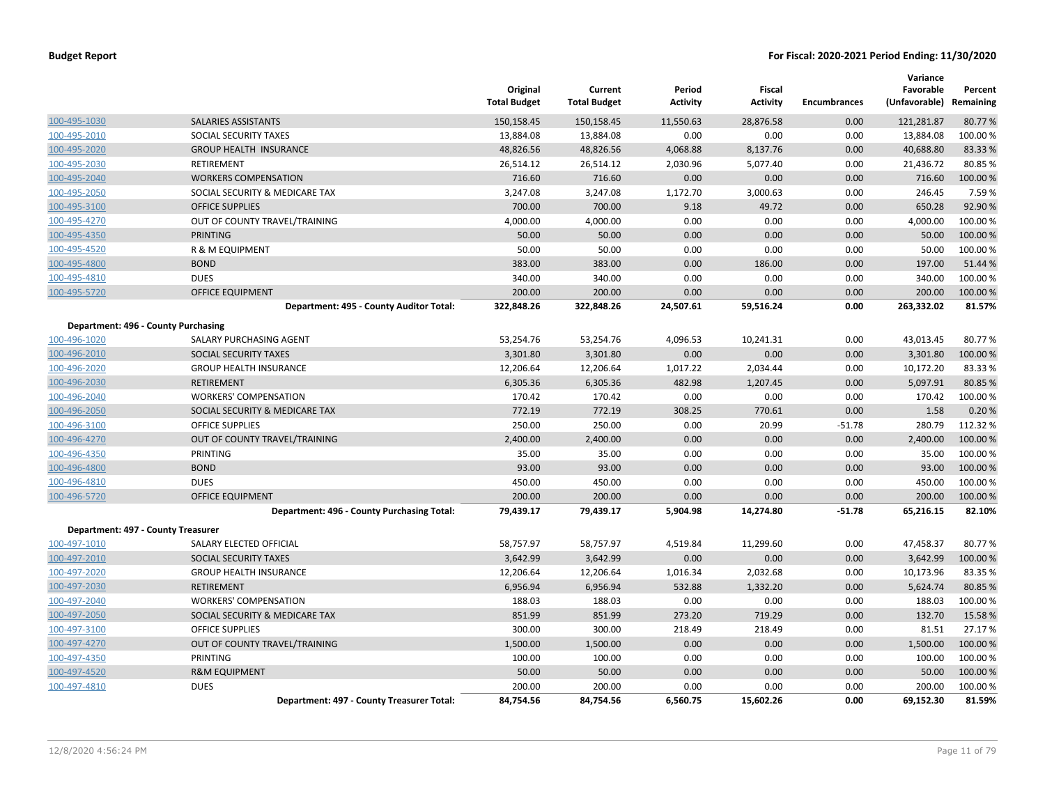|                                    |                                            | Original<br><b>Total Budget</b> | Current<br><b>Total Budget</b> | Period<br><b>Activity</b> | <b>Fiscal</b><br><b>Activity</b> | <b>Encumbrances</b> | Variance<br>Favorable<br>(Unfavorable) | Percent<br>Remaining |
|------------------------------------|--------------------------------------------|---------------------------------|--------------------------------|---------------------------|----------------------------------|---------------------|----------------------------------------|----------------------|
| 100-495-1030                       | SALARIES ASSISTANTS                        | 150,158.45                      | 150,158.45                     | 11,550.63                 | 28,876.58                        | 0.00                | 121,281.87                             | 80.77%               |
| 100-495-2010                       | SOCIAL SECURITY TAXES                      | 13,884.08                       | 13,884.08                      | 0.00                      | 0.00                             | 0.00                | 13,884.08                              | 100.00%              |
| 100-495-2020                       | <b>GROUP HEALTH INSURANCE</b>              | 48,826.56                       | 48,826.56                      | 4,068.88                  | 8,137.76                         | 0.00                | 40,688.80                              | 83.33 %              |
| 100-495-2030                       | RETIREMENT                                 | 26,514.12                       | 26,514.12                      | 2,030.96                  | 5,077.40                         | 0.00                | 21,436.72                              | 80.85%               |
| 100-495-2040                       | <b>WORKERS COMPENSATION</b>                | 716.60                          | 716.60                         | 0.00                      | 0.00                             | 0.00                | 716.60                                 | 100.00%              |
| 100-495-2050                       | SOCIAL SECURITY & MEDICARE TAX             | 3,247.08                        | 3,247.08                       | 1,172.70                  | 3,000.63                         | 0.00                | 246.45                                 | 7.59%                |
| 100-495-3100                       | <b>OFFICE SUPPLIES</b>                     | 700.00                          | 700.00                         | 9.18                      | 49.72                            | 0.00                | 650.28                                 | 92.90%               |
| 100-495-4270                       | OUT OF COUNTY TRAVEL/TRAINING              | 4,000.00                        | 4,000.00                       | 0.00                      | 0.00                             | 0.00                | 4,000.00                               | 100.00%              |
| 100-495-4350                       | <b>PRINTING</b>                            | 50.00                           | 50.00                          | 0.00                      | 0.00                             | 0.00                | 50.00                                  | 100.00%              |
| 100-495-4520                       | R & M EQUIPMENT                            | 50.00                           | 50.00                          | 0.00                      | 0.00                             | 0.00                | 50.00                                  | 100.00%              |
| 100-495-4800                       | <b>BOND</b>                                | 383.00                          | 383.00                         | 0.00                      | 186.00                           | 0.00                | 197.00                                 | 51.44 %              |
| 100-495-4810                       | <b>DUES</b>                                | 340.00                          | 340.00                         | 0.00                      | 0.00                             | 0.00                | 340.00                                 | 100.00%              |
| 100-495-5720                       | <b>OFFICE EQUIPMENT</b>                    | 200.00                          | 200.00                         | 0.00                      | 0.00                             | 0.00                | 200.00                                 | 100.00%              |
|                                    | Department: 495 - County Auditor Total:    | 322,848.26                      | 322,848.26                     | 24,507.61                 | 59,516.24                        | 0.00                | 263,332.02                             | 81.57%               |
|                                    | Department: 496 - County Purchasing        |                                 |                                |                           |                                  |                     |                                        |                      |
| 100-496-1020                       | SALARY PURCHASING AGENT                    | 53,254.76                       | 53,254.76                      | 4,096.53                  | 10,241.31                        | 0.00                | 43,013.45                              | 80.77%               |
| 100-496-2010                       | <b>SOCIAL SECURITY TAXES</b>               | 3,301.80                        | 3,301.80                       | 0.00                      | 0.00                             | 0.00                | 3,301.80                               | 100.00 %             |
| 100-496-2020                       | <b>GROUP HEALTH INSURANCE</b>              | 12,206.64                       | 12,206.64                      | 1,017.22                  | 2,034.44                         | 0.00                | 10,172.20                              | 83.33%               |
| 100-496-2030                       | <b>RETIREMENT</b>                          | 6,305.36                        | 6,305.36                       | 482.98                    | 1,207.45                         | 0.00                | 5,097.91                               | 80.85 %              |
| 100-496-2040                       | <b>WORKERS' COMPENSATION</b>               | 170.42                          | 170.42                         | 0.00                      | 0.00                             | 0.00                | 170.42                                 | 100.00 %             |
| 100-496-2050                       | SOCIAL SECURITY & MEDICARE TAX             | 772.19                          | 772.19                         | 308.25                    | 770.61                           | 0.00                | 1.58                                   | 0.20%                |
| 100-496-3100                       | <b>OFFICE SUPPLIES</b>                     | 250.00                          | 250.00                         | 0.00                      | 20.99                            | $-51.78$            | 280.79                                 | 112.32 %             |
| 100-496-4270                       | OUT OF COUNTY TRAVEL/TRAINING              | 2,400.00                        | 2,400.00                       | 0.00                      | 0.00                             | 0.00                | 2,400.00                               | 100.00%              |
| 100-496-4350                       | PRINTING                                   | 35.00                           | 35.00                          | 0.00                      | 0.00                             | 0.00                | 35.00                                  | 100.00%              |
| 100-496-4800                       | <b>BOND</b>                                | 93.00                           | 93.00                          | 0.00                      | 0.00                             | 0.00                | 93.00                                  | 100.00%              |
| 100-496-4810                       | <b>DUES</b>                                | 450.00                          | 450.00                         | 0.00                      | 0.00                             | 0.00                | 450.00                                 | 100.00%              |
| 100-496-5720                       | <b>OFFICE EQUIPMENT</b>                    | 200.00                          | 200.00                         | 0.00                      | 0.00                             | 0.00                | 200.00                                 | 100.00%              |
|                                    | Department: 496 - County Purchasing Total: | 79,439.17                       | 79,439.17                      | 5,904.98                  | 14,274.80                        | $-51.78$            | 65,216.15                              | 82.10%               |
| Department: 497 - County Treasurer |                                            |                                 |                                |                           |                                  |                     |                                        |                      |
| 100-497-1010                       | SALARY ELECTED OFFICIAL                    | 58,757.97                       | 58,757.97                      | 4,519.84                  | 11,299.60                        | 0.00                | 47,458.37                              | 80.77%               |
| 100-497-2010                       | SOCIAL SECURITY TAXES                      | 3,642.99                        | 3,642.99                       | 0.00                      | 0.00                             | 0.00                | 3,642.99                               | 100.00 %             |
| 100-497-2020                       | <b>GROUP HEALTH INSURANCE</b>              | 12,206.64                       | 12,206.64                      | 1,016.34                  | 2,032.68                         | 0.00                | 10,173.96                              | 83.35%               |
| 100-497-2030                       | <b>RETIREMENT</b>                          | 6,956.94                        | 6,956.94                       | 532.88                    | 1,332.20                         | 0.00                | 5,624.74                               | 80.85 %              |
| 100-497-2040                       | <b>WORKERS' COMPENSATION</b>               | 188.03                          | 188.03                         | 0.00                      | 0.00                             | 0.00                | 188.03                                 | 100.00%              |
| 100-497-2050                       | SOCIAL SECURITY & MEDICARE TAX             | 851.99                          | 851.99                         | 273.20                    | 719.29                           | 0.00                | 132.70                                 | 15.58%               |
| 100-497-3100                       | <b>OFFICE SUPPLIES</b>                     | 300.00                          | 300.00                         | 218.49                    | 218.49                           | 0.00                | 81.51                                  | 27.17%               |
| 100-497-4270                       | OUT OF COUNTY TRAVEL/TRAINING              | 1,500.00                        | 1,500.00                       | 0.00                      | 0.00                             | 0.00                | 1,500.00                               | 100.00%              |
| 100-497-4350                       | PRINTING                                   | 100.00                          | 100.00                         | 0.00                      | 0.00                             | 0.00                | 100.00                                 | 100.00%              |
| 100-497-4520                       | <b>R&amp;M EQUIPMENT</b>                   | 50.00                           | 50.00                          | 0.00                      | 0.00                             | 0.00                | 50.00                                  | 100.00 %             |
| 100-497-4810                       | <b>DUES</b>                                | 200.00                          | 200.00                         | 0.00                      | 0.00                             | 0.00                | 200.00                                 | 100.00%              |
|                                    | Department: 497 - County Treasurer Total:  | 84,754.56                       | 84,754.56                      | 6,560.75                  | 15,602.26                        | 0.00                | 69,152.30                              | 81.59%               |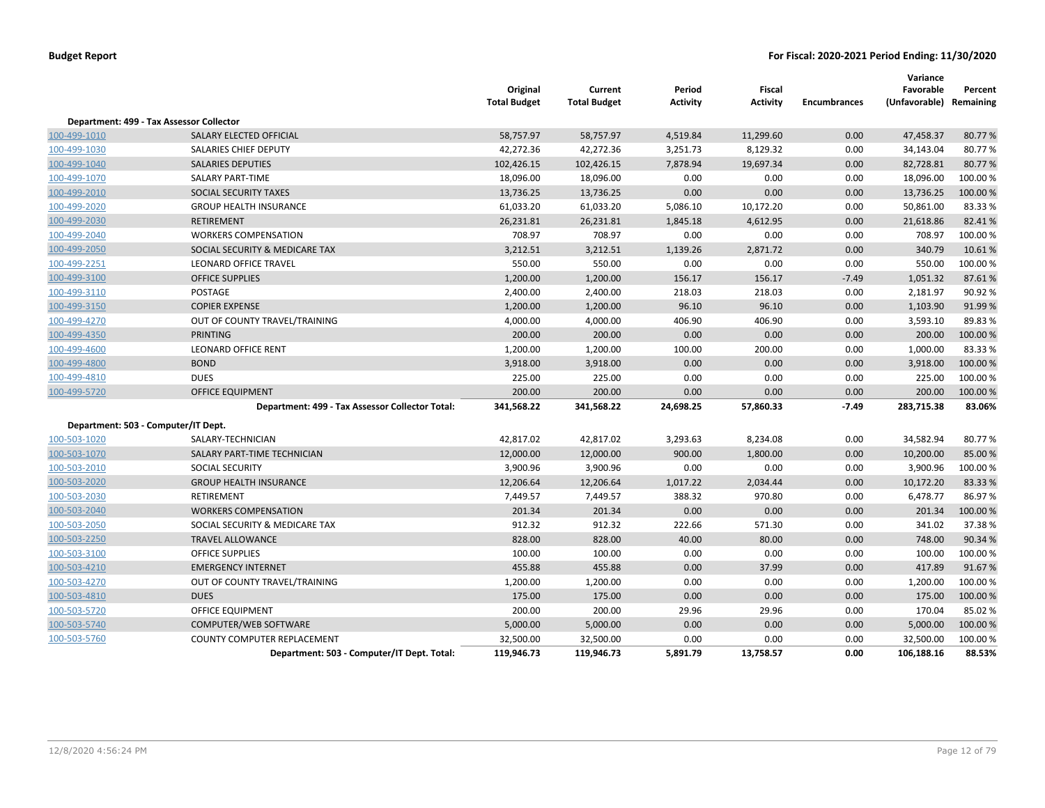|              |                                                 | Original<br><b>Total Budget</b> | Current<br><b>Total Budget</b> | Period<br><b>Activity</b> | <b>Fiscal</b><br>Activity | <b>Encumbrances</b> | Variance<br>Favorable<br>(Unfavorable) | Percent<br>Remaining |
|--------------|-------------------------------------------------|---------------------------------|--------------------------------|---------------------------|---------------------------|---------------------|----------------------------------------|----------------------|
|              | Department: 499 - Tax Assessor Collector        |                                 |                                |                           |                           |                     |                                        |                      |
| 100-499-1010 | SALARY ELECTED OFFICIAL                         | 58,757.97                       | 58,757.97                      | 4,519.84                  | 11,299.60                 | 0.00                | 47,458.37                              | 80.77%               |
| 100-499-1030 | SALARIES CHIEF DEPUTY                           | 42,272.36                       | 42,272.36                      | 3,251.73                  | 8,129.32                  | 0.00                | 34,143.04                              | 80.77%               |
| 100-499-1040 | <b>SALARIES DEPUTIES</b>                        | 102,426.15                      | 102,426.15                     | 7,878.94                  | 19,697.34                 | 0.00                | 82,728.81                              | 80.77%               |
| 100-499-1070 | <b>SALARY PART-TIME</b>                         | 18,096.00                       | 18,096.00                      | 0.00                      | 0.00                      | 0.00                | 18,096.00                              | 100.00%              |
| 100-499-2010 | SOCIAL SECURITY TAXES                           | 13,736.25                       | 13,736.25                      | 0.00                      | 0.00                      | 0.00                | 13,736.25                              | 100.00 %             |
| 100-499-2020 | <b>GROUP HEALTH INSURANCE</b>                   | 61,033.20                       | 61,033.20                      | 5,086.10                  | 10,172.20                 | 0.00                | 50,861.00                              | 83.33%               |
| 100-499-2030 | <b>RETIREMENT</b>                               | 26,231.81                       | 26,231.81                      | 1,845.18                  | 4,612.95                  | 0.00                | 21,618.86                              | 82.41%               |
| 100-499-2040 | <b>WORKERS COMPENSATION</b>                     | 708.97                          | 708.97                         | 0.00                      | 0.00                      | 0.00                | 708.97                                 | 100.00%              |
| 100-499-2050 | SOCIAL SECURITY & MEDICARE TAX                  | 3,212.51                        | 3,212.51                       | 1,139.26                  | 2,871.72                  | 0.00                | 340.79                                 | 10.61%               |
| 100-499-2251 | <b>LEONARD OFFICE TRAVEL</b>                    | 550.00                          | 550.00                         | 0.00                      | 0.00                      | 0.00                | 550.00                                 | 100.00%              |
| 100-499-3100 | <b>OFFICE SUPPLIES</b>                          | 1,200.00                        | 1,200.00                       | 156.17                    | 156.17                    | $-7.49$             | 1,051.32                               | 87.61%               |
| 100-499-3110 | POSTAGE                                         | 2,400.00                        | 2,400.00                       | 218.03                    | 218.03                    | 0.00                | 2,181.97                               | 90.92%               |
| 100-499-3150 | <b>COPIER EXPENSE</b>                           | 1,200.00                        | 1,200.00                       | 96.10                     | 96.10                     | 0.00                | 1,103.90                               | 91.99%               |
| 100-499-4270 | OUT OF COUNTY TRAVEL/TRAINING                   | 4,000.00                        | 4,000.00                       | 406.90                    | 406.90                    | 0.00                | 3,593.10                               | 89.83%               |
| 100-499-4350 | <b>PRINTING</b>                                 | 200.00                          | 200.00                         | 0.00                      | 0.00                      | 0.00                | 200.00                                 | 100.00 %             |
| 100-499-4600 | <b>LEONARD OFFICE RENT</b>                      | 1,200.00                        | 1,200.00                       | 100.00                    | 200.00                    | 0.00                | 1,000.00                               | 83.33%               |
| 100-499-4800 | <b>BOND</b>                                     | 3,918.00                        | 3,918.00                       | 0.00                      | 0.00                      | 0.00                | 3,918.00                               | 100.00 %             |
| 100-499-4810 | <b>DUES</b>                                     | 225.00                          | 225.00                         | 0.00                      | 0.00                      | 0.00                | 225.00                                 | 100.00 %             |
| 100-499-5720 | <b>OFFICE EQUIPMENT</b>                         | 200.00                          | 200.00                         | 0.00                      | 0.00                      | 0.00                | 200.00                                 | 100.00 %             |
|              | Department: 499 - Tax Assessor Collector Total: | 341,568.22                      | 341,568.22                     | 24,698.25                 | 57,860.33                 | $-7.49$             | 283,715.38                             | 83.06%               |
|              | Department: 503 - Computer/IT Dept.             |                                 |                                |                           |                           |                     |                                        |                      |
| 100-503-1020 | SALARY-TECHNICIAN                               | 42,817.02                       | 42,817.02                      | 3,293.63                  | 8,234.08                  | 0.00                | 34,582.94                              | 80.77%               |
| 100-503-1070 | SALARY PART-TIME TECHNICIAN                     | 12,000.00                       | 12,000.00                      | 900.00                    | 1,800.00                  | 0.00                | 10,200.00                              | 85.00%               |
| 100-503-2010 | SOCIAL SECURITY                                 | 3,900.96                        | 3,900.96                       | 0.00                      | 0.00                      | 0.00                | 3,900.96                               | 100.00%              |
| 100-503-2020 | <b>GROUP HEALTH INSURANCE</b>                   | 12,206.64                       | 12,206.64                      | 1,017.22                  | 2,034.44                  | 0.00                | 10,172.20                              | 83.33%               |
| 100-503-2030 | <b>RETIREMENT</b>                               | 7,449.57                        | 7,449.57                       | 388.32                    | 970.80                    | 0.00                | 6,478.77                               | 86.97%               |
| 100-503-2040 | <b>WORKERS COMPENSATION</b>                     | 201.34                          | 201.34                         | 0.00                      | 0.00                      | 0.00                | 201.34                                 | 100.00 %             |
| 100-503-2050 | SOCIAL SECURITY & MEDICARE TAX                  | 912.32                          | 912.32                         | 222.66                    | 571.30                    | 0.00                | 341.02                                 | 37.38%               |
| 100-503-2250 | <b>TRAVEL ALLOWANCE</b>                         | 828.00                          | 828.00                         | 40.00                     | 80.00                     | 0.00                | 748.00                                 | 90.34 %              |
| 100-503-3100 | <b>OFFICE SUPPLIES</b>                          | 100.00                          | 100.00                         | 0.00                      | 0.00                      | 0.00                | 100.00                                 | 100.00 %             |
| 100-503-4210 | <b>EMERGENCY INTERNET</b>                       | 455.88                          | 455.88                         | 0.00                      | 37.99                     | 0.00                | 417.89                                 | 91.67%               |
| 100-503-4270 | OUT OF COUNTY TRAVEL/TRAINING                   | 1,200.00                        | 1,200.00                       | 0.00                      | 0.00                      | 0.00                | 1,200.00                               | 100.00%              |
| 100-503-4810 | <b>DUES</b>                                     | 175.00                          | 175.00                         | 0.00                      | 0.00                      | 0.00                | 175.00                                 | 100.00 %             |
| 100-503-5720 | <b>OFFICE EQUIPMENT</b>                         | 200.00                          | 200.00                         | 29.96                     | 29.96                     | 0.00                | 170.04                                 | 85.02%               |
| 100-503-5740 | COMPUTER/WEB SOFTWARE                           | 5,000.00                        | 5,000.00                       | 0.00                      | 0.00                      | 0.00                | 5,000.00                               | 100.00 %             |
| 100-503-5760 | COUNTY COMPUTER REPLACEMENT                     | 32,500.00                       | 32,500.00                      | 0.00                      | 0.00                      | 0.00                | 32,500.00                              | 100.00 %             |
|              | Department: 503 - Computer/IT Dept. Total:      | 119,946.73                      | 119,946.73                     | 5,891.79                  | 13,758.57                 | 0.00                | 106,188.16                             | 88.53%               |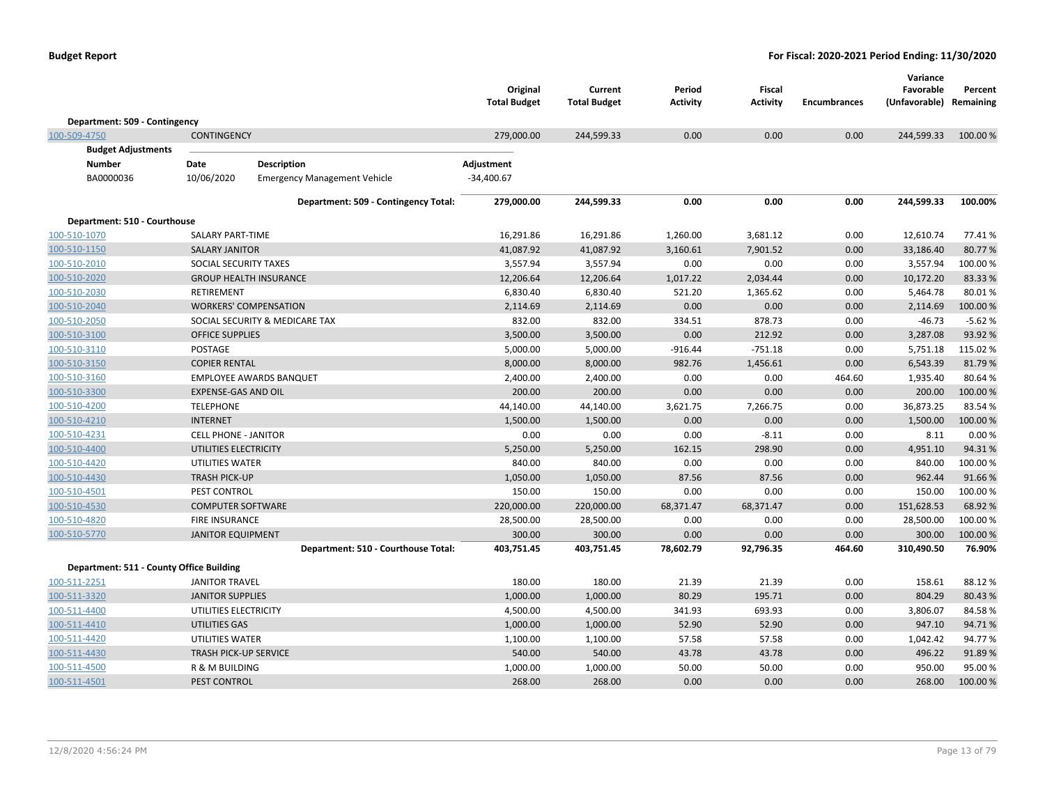|                                          |                              |                                      | Original<br><b>Total Budget</b> | Current<br><b>Total Budget</b> | Period<br><b>Activity</b> | Fiscal<br><b>Activity</b> | <b>Encumbrances</b> | Variance<br>Favorable<br>(Unfavorable) Remaining | Percent  |
|------------------------------------------|------------------------------|--------------------------------------|---------------------------------|--------------------------------|---------------------------|---------------------------|---------------------|--------------------------------------------------|----------|
| Department: 509 - Contingency            |                              |                                      |                                 |                                |                           |                           |                     |                                                  |          |
| 100-509-4750                             | <b>CONTINGENCY</b>           |                                      | 279,000.00                      | 244,599.33                     | 0.00                      | 0.00                      | 0.00                | 244,599.33                                       | 100.00 % |
| <b>Budget Adjustments</b>                |                              |                                      |                                 |                                |                           |                           |                     |                                                  |          |
| Number                                   | Date                         | <b>Description</b>                   | Adjustment                      |                                |                           |                           |                     |                                                  |          |
| BA0000036                                | 10/06/2020                   | <b>Emergency Management Vehicle</b>  | $-34,400.67$                    |                                |                           |                           |                     |                                                  |          |
|                                          |                              | Department: 509 - Contingency Total: | 279,000.00                      | 244,599.33                     | 0.00                      | 0.00                      | 0.00                | 244,599.33                                       | 100.00%  |
| Department: 510 - Courthouse             |                              |                                      |                                 |                                |                           |                           |                     |                                                  |          |
| 100-510-1070                             | SALARY PART-TIME             |                                      | 16,291.86                       | 16,291.86                      | 1,260.00                  | 3,681.12                  | 0.00                | 12,610.74                                        | 77.41%   |
| 100-510-1150                             | <b>SALARY JANITOR</b>        |                                      | 41,087.92                       | 41,087.92                      | 3,160.61                  | 7,901.52                  | 0.00                | 33,186.40                                        | 80.77%   |
| 100-510-2010                             | SOCIAL SECURITY TAXES        |                                      | 3,557.94                        | 3,557.94                       | 0.00                      | 0.00                      | 0.00                | 3,557.94                                         | 100.00%  |
| 100-510-2020                             |                              | <b>GROUP HEALTH INSURANCE</b>        | 12,206.64                       | 12,206.64                      | 1,017.22                  | 2,034.44                  | 0.00                | 10,172.20                                        | 83.33 %  |
| 100-510-2030                             | <b>RETIREMENT</b>            |                                      | 6,830.40                        | 6,830.40                       | 521.20                    | 1,365.62                  | 0.00                | 5,464.78                                         | 80.01%   |
| 100-510-2040                             |                              | <b>WORKERS' COMPENSATION</b>         | 2,114.69                        | 2,114.69                       | 0.00                      | 0.00                      | 0.00                | 2,114.69                                         | 100.00%  |
| 100-510-2050                             |                              | SOCIAL SECURITY & MEDICARE TAX       | 832.00                          | 832.00                         | 334.51                    | 878.73                    | 0.00                | $-46.73$                                         | $-5.62%$ |
| 100-510-3100                             | <b>OFFICE SUPPLIES</b>       |                                      | 3,500.00                        | 3,500.00                       | 0.00                      | 212.92                    | 0.00                | 3,287.08                                         | 93.92 %  |
| 100-510-3110                             | POSTAGE                      |                                      | 5,000.00                        | 5,000.00                       | $-916.44$                 | $-751.18$                 | 0.00                | 5,751.18                                         | 115.02%  |
| 100-510-3150                             | <b>COPIER RENTAL</b>         |                                      | 8,000.00                        | 8,000.00                       | 982.76                    | 1,456.61                  | 0.00                | 6,543.39                                         | 81.79%   |
| 100-510-3160                             |                              | <b>EMPLOYEE AWARDS BANQUET</b>       | 2,400.00                        | 2,400.00                       | 0.00                      | 0.00                      | 464.60              | 1,935.40                                         | 80.64%   |
| 100-510-3300                             | <b>EXPENSE-GAS AND OIL</b>   |                                      | 200.00                          | 200.00                         | 0.00                      | 0.00                      | 0.00                | 200.00                                           | 100.00%  |
| 100-510-4200                             | <b>TELEPHONE</b>             |                                      | 44,140.00                       | 44,140.00                      | 3,621.75                  | 7,266.75                  | 0.00                | 36,873.25                                        | 83.54%   |
| 100-510-4210                             | <b>INTERNET</b>              |                                      | 1,500.00                        | 1,500.00                       | 0.00                      | 0.00                      | 0.00                | 1,500.00                                         | 100.00%  |
| 100-510-4231                             | <b>CELL PHONE - JANITOR</b>  |                                      | 0.00                            | 0.00                           | 0.00                      | $-8.11$                   | 0.00                | 8.11                                             | 0.00%    |
| 100-510-4400                             | UTILITIES ELECTRICITY        |                                      | 5,250.00                        | 5,250.00                       | 162.15                    | 298.90                    | 0.00                | 4,951.10                                         | 94.31%   |
| 100-510-4420                             | UTILITIES WATER              |                                      | 840.00                          | 840.00                         | 0.00                      | 0.00                      | 0.00                | 840.00                                           | 100.00 % |
| 100-510-4430                             | <b>TRASH PICK-UP</b>         |                                      | 1,050.00                        | 1,050.00                       | 87.56                     | 87.56                     | 0.00                | 962.44                                           | 91.66%   |
| 100-510-4501                             | PEST CONTROL                 |                                      | 150.00                          | 150.00                         | 0.00                      | 0.00                      | 0.00                | 150.00                                           | 100.00 % |
| 100-510-4530                             | <b>COMPUTER SOFTWARE</b>     |                                      | 220,000.00                      | 220,000.00                     | 68,371.47                 | 68,371.47                 | 0.00                | 151,628.53                                       | 68.92 %  |
| 100-510-4820                             | <b>FIRE INSURANCE</b>        |                                      | 28,500.00                       | 28,500.00                      | 0.00                      | 0.00                      | 0.00                | 28,500.00                                        | 100.00 % |
| 100-510-5770                             | <b>JANITOR EQUIPMENT</b>     |                                      | 300.00                          | 300.00                         | 0.00                      | 0.00                      | 0.00                | 300.00                                           | 100.00 % |
|                                          |                              | Department: 510 - Courthouse Total:  | 403,751.45                      | 403,751.45                     | 78,602.79                 | 92,796.35                 | 464.60              | 310,490.50                                       | 76.90%   |
| Department: 511 - County Office Building |                              |                                      |                                 |                                |                           |                           |                     |                                                  |          |
| 100-511-2251                             | <b>JANITOR TRAVEL</b>        |                                      | 180.00                          | 180.00                         | 21.39                     | 21.39                     | 0.00                | 158.61                                           | 88.12%   |
| 100-511-3320                             | <b>JANITOR SUPPLIES</b>      |                                      | 1,000.00                        | 1,000.00                       | 80.29                     | 195.71                    | 0.00                | 804.29                                           | 80.43%   |
| 100-511-4400                             | UTILITIES ELECTRICITY        |                                      | 4,500.00                        | 4,500.00                       | 341.93                    | 693.93                    | 0.00                | 3,806.07                                         | 84.58%   |
| 100-511-4410                             | UTILITIES GAS                |                                      | 1,000.00                        | 1,000.00                       | 52.90                     | 52.90                     | 0.00                | 947.10                                           | 94.71%   |
| 100-511-4420                             | UTILITIES WATER              |                                      | 1,100.00                        | 1,100.00                       | 57.58                     | 57.58                     | 0.00                | 1,042.42                                         | 94.77%   |
| 100-511-4430                             | <b>TRASH PICK-UP SERVICE</b> |                                      | 540.00                          | 540.00                         | 43.78                     | 43.78                     | 0.00                | 496.22                                           | 91.89%   |
| 100-511-4500                             | R & M BUILDING               |                                      | 1,000.00                        | 1,000.00                       | 50.00                     | 50.00                     | 0.00                | 950.00                                           | 95.00%   |
| 100-511-4501                             | PEST CONTROL                 |                                      | 268.00                          | 268.00                         | 0.00                      | 0.00                      | 0.00                | 268.00                                           | 100.00 % |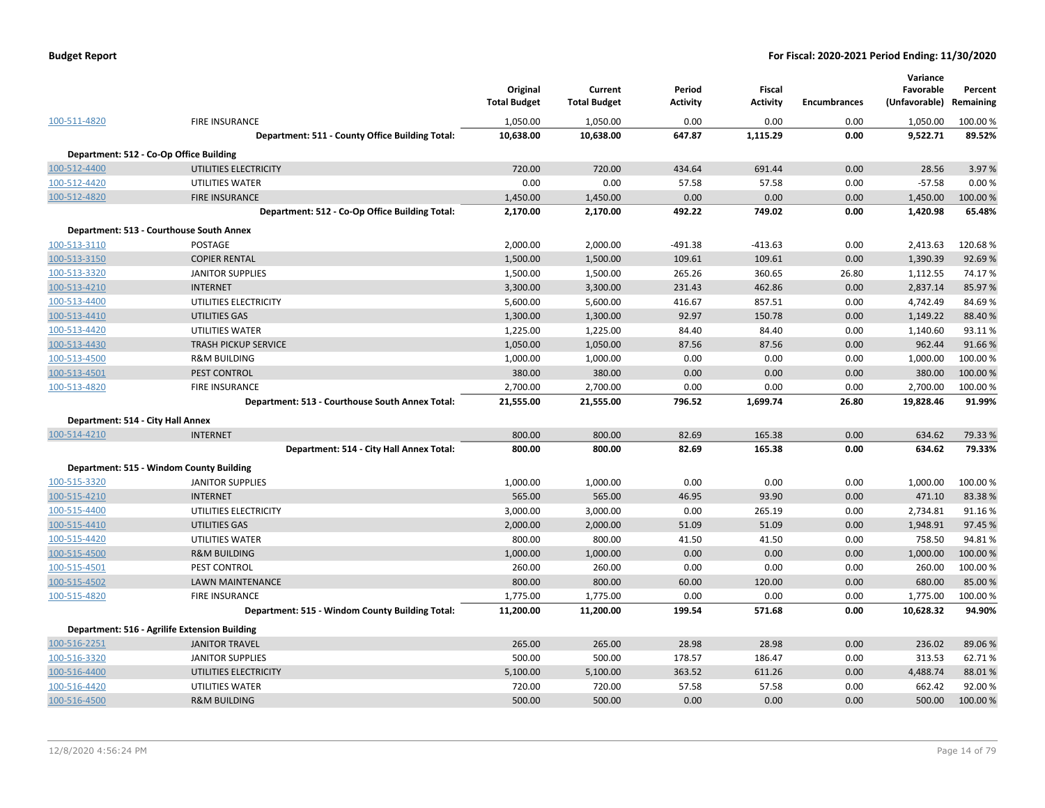|                                   |                                                 | Original<br><b>Total Budget</b> | Current<br><b>Total Budget</b> | Period<br><b>Activity</b> | <b>Fiscal</b><br><b>Activity</b> | <b>Encumbrances</b> | Variance<br>Favorable<br>(Unfavorable) | Percent<br>Remaining |
|-----------------------------------|-------------------------------------------------|---------------------------------|--------------------------------|---------------------------|----------------------------------|---------------------|----------------------------------------|----------------------|
| 100-511-4820                      | <b>FIRE INSURANCE</b>                           | 1,050.00                        | 1,050.00                       | 0.00                      | 0.00                             | 0.00                | 1,050.00                               | 100.00 %             |
|                                   | Department: 511 - County Office Building Total: | 10,638.00                       | 10,638.00                      | 647.87                    | 1,115.29                         | 0.00                | 9,522.71                               | 89.52%               |
|                                   | Department: 512 - Co-Op Office Building         |                                 |                                |                           |                                  |                     |                                        |                      |
| 100-512-4400                      | UTILITIES ELECTRICITY                           | 720.00                          | 720.00                         | 434.64                    | 691.44                           | 0.00                | 28.56                                  | 3.97 %               |
| 100-512-4420                      | UTILITIES WATER                                 | 0.00                            | 0.00                           | 57.58                     | 57.58                            | 0.00                | $-57.58$                               | 0.00%                |
| 100-512-4820                      | <b>FIRE INSURANCE</b>                           | 1,450.00                        | 1,450.00                       | 0.00                      | 0.00                             | 0.00                | 1,450.00                               | 100.00 %             |
|                                   | Department: 512 - Co-Op Office Building Total:  | 2,170.00                        | 2,170.00                       | 492.22                    | 749.02                           | 0.00                | 1,420.98                               | 65.48%               |
|                                   | Department: 513 - Courthouse South Annex        |                                 |                                |                           |                                  |                     |                                        |                      |
| 100-513-3110                      | POSTAGE                                         | 2,000.00                        | 2,000.00                       | $-491.38$                 | $-413.63$                        | 0.00                | 2,413.63                               | 120.68%              |
| 100-513-3150                      | <b>COPIER RENTAL</b>                            | 1,500.00                        | 1,500.00                       | 109.61                    | 109.61                           | 0.00                | 1,390.39                               | 92.69%               |
| 100-513-3320                      | <b>JANITOR SUPPLIES</b>                         | 1,500.00                        | 1,500.00                       | 265.26                    | 360.65                           | 26.80               | 1,112.55                               | 74.17%               |
| 100-513-4210                      | <b>INTERNET</b>                                 | 3,300.00                        | 3,300.00                       | 231.43                    | 462.86                           | 0.00                | 2,837.14                               | 85.97 %              |
| 100-513-4400                      | UTILITIES ELECTRICITY                           | 5,600.00                        | 5,600.00                       | 416.67                    | 857.51                           | 0.00                | 4,742.49                               | 84.69%               |
| 100-513-4410                      | UTILITIES GAS                                   | 1,300.00                        | 1,300.00                       | 92.97                     | 150.78                           | 0.00                | 1,149.22                               | 88.40%               |
| 100-513-4420                      | UTILITIES WATER                                 | 1,225.00                        | 1,225.00                       | 84.40                     | 84.40                            | 0.00                | 1,140.60                               | 93.11%               |
| 100-513-4430                      | <b>TRASH PICKUP SERVICE</b>                     | 1,050.00                        | 1,050.00                       | 87.56                     | 87.56                            | 0.00                | 962.44                                 | 91.66%               |
| 100-513-4500                      | <b>R&amp;M BUILDING</b>                         | 1,000.00                        | 1,000.00                       | 0.00                      | 0.00                             | 0.00                | 1,000.00                               | 100.00%              |
| 100-513-4501                      | PEST CONTROL                                    | 380.00                          | 380.00                         | 0.00                      | 0.00                             | 0.00                | 380.00                                 | 100.00 %             |
| 100-513-4820                      | <b>FIRE INSURANCE</b>                           | 2,700.00                        | 2,700.00                       | 0.00                      | 0.00                             | 0.00                | 2,700.00                               | 100.00%              |
|                                   | Department: 513 - Courthouse South Annex Total: | 21,555.00                       | 21,555.00                      | 796.52                    | 1,699.74                         | 26.80               | 19,828.46                              | 91.99%               |
| Department: 514 - City Hall Annex |                                                 |                                 |                                |                           |                                  |                     |                                        |                      |
| 100-514-4210                      | <b>INTERNET</b>                                 | 800.00                          | 800.00                         | 82.69                     | 165.38                           | 0.00                | 634.62                                 | 79.33 %              |
|                                   | Department: 514 - City Hall Annex Total:        | 800.00                          | 800.00                         | 82.69                     | 165.38                           | 0.00                | 634.62                                 | 79.33%               |
|                                   | Department: 515 - Windom County Building        |                                 |                                |                           |                                  |                     |                                        |                      |
| 100-515-3320                      | <b>JANITOR SUPPLIES</b>                         | 1,000.00                        | 1,000.00                       | 0.00                      | 0.00                             | 0.00                | 1,000.00                               | 100.00 %             |
| 100-515-4210                      | <b>INTERNET</b>                                 | 565.00                          | 565.00                         | 46.95                     | 93.90                            | 0.00                | 471.10                                 | 83.38%               |
| 100-515-4400                      | UTILITIES ELECTRICITY                           | 3,000.00                        | 3,000.00                       | 0.00                      | 265.19                           | 0.00                | 2,734.81                               | 91.16%               |
| 100-515-4410                      | UTILITIES GAS                                   | 2,000.00                        | 2,000.00                       | 51.09                     | 51.09                            | 0.00                | 1,948.91                               | 97.45 %              |
| 100-515-4420                      | UTILITIES WATER                                 | 800.00                          | 800.00                         | 41.50                     | 41.50                            | 0.00                | 758.50                                 | 94.81%               |
| 100-515-4500                      | <b>R&amp;M BUILDING</b>                         | 1,000.00                        | 1,000.00                       | 0.00                      | 0.00                             | 0.00                | 1,000.00                               | 100.00%              |
| 100-515-4501                      | PEST CONTROL                                    | 260.00                          | 260.00                         | 0.00                      | 0.00                             | 0.00                | 260.00                                 | 100.00 %             |
| 100-515-4502                      | <b>LAWN MAINTENANCE</b>                         | 800.00                          | 800.00                         | 60.00                     | 120.00                           | 0.00                | 680.00                                 | 85.00 %              |
| 100-515-4820                      | <b>FIRE INSURANCE</b>                           | 1,775.00                        | 1,775.00                       | 0.00                      | 0.00                             | 0.00                | 1,775.00                               | 100.00%              |
|                                   | Department: 515 - Windom County Building Total: | 11,200.00                       | 11,200.00                      | 199.54                    | 571.68                           | 0.00                | 10,628.32                              | 94.90%               |
|                                   | Department: 516 - Agrilife Extension Building   |                                 |                                |                           |                                  |                     |                                        |                      |
|                                   | <b>JANITOR TRAVEL</b>                           | 265.00                          | 265.00                         | 28.98                     | 28.98                            | 0.00                | 236.02                                 | 89.06%               |
| 100-516-2251<br>100-516-3320      | <b>JANITOR SUPPLIES</b>                         | 500.00                          | 500.00                         | 178.57                    | 186.47                           |                     | 313.53                                 | 62.71%               |
| 100-516-4400                      | UTILITIES ELECTRICITY                           | 5,100.00                        | 5,100.00                       | 363.52                    | 611.26                           | 0.00<br>0.00        | 4,488.74                               | 88.01%               |
| 100-516-4420                      | UTILITIES WATER                                 | 720.00                          | 720.00                         | 57.58                     | 57.58                            | 0.00                | 662.42                                 | 92.00%               |
| 100-516-4500                      | <b>R&amp;M BUILDING</b>                         | 500.00                          | 500.00                         | 0.00                      | 0.00                             | 0.00                | 500.00                                 | 100.00%              |
|                                   |                                                 |                                 |                                |                           |                                  |                     |                                        |                      |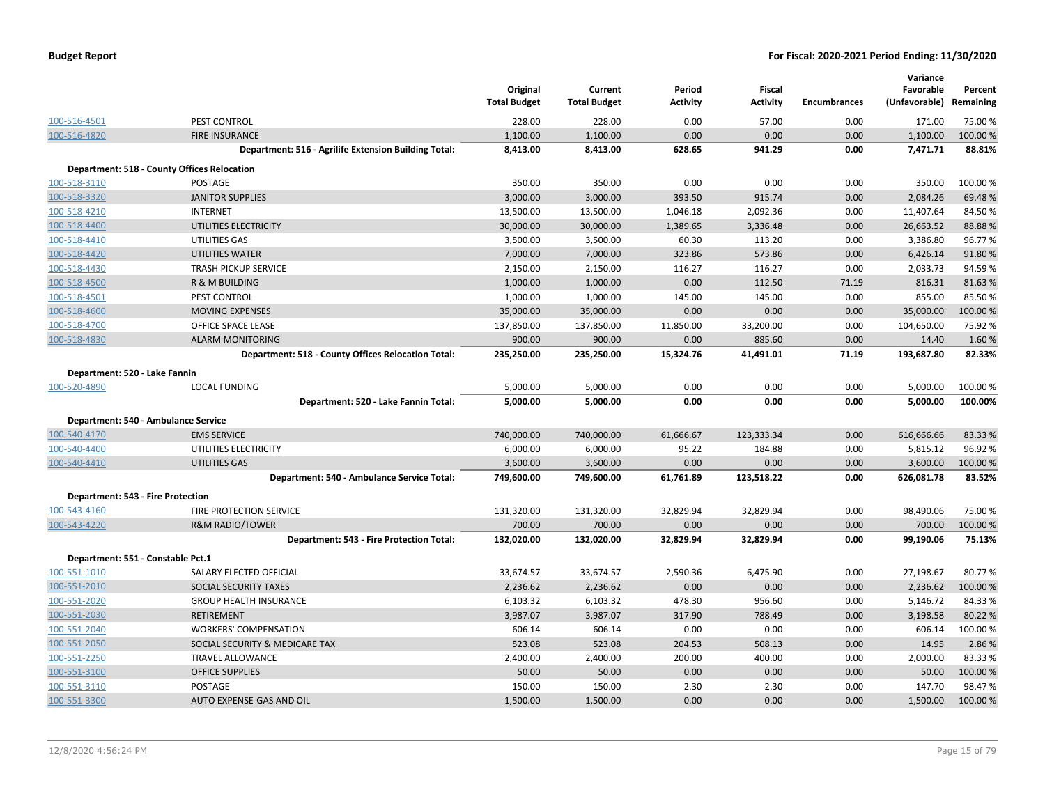| <b>Budget Report</b> |  |
|----------------------|--|
|----------------------|--|

|                                     |                                                      | Original<br><b>Total Budget</b> | Current<br><b>Total Budget</b> | Period<br><b>Activity</b> | <b>Fiscal</b><br><b>Activity</b> | <b>Encumbrances</b> | Variance<br>Favorable<br>(Unfavorable) Remaining | Percent  |
|-------------------------------------|------------------------------------------------------|---------------------------------|--------------------------------|---------------------------|----------------------------------|---------------------|--------------------------------------------------|----------|
| 100-516-4501                        | PEST CONTROL                                         | 228.00                          | 228.00                         | 0.00                      | 57.00                            | 0.00                | 171.00                                           | 75.00 %  |
| 100-516-4820                        | <b>FIRE INSURANCE</b>                                | 1,100.00                        | 1,100.00                       | 0.00                      | 0.00                             | 0.00                | 1,100.00                                         | 100.00 % |
|                                     | Department: 516 - Agrilife Extension Building Total: | 8,413.00                        | 8,413.00                       | 628.65                    | 941.29                           | 0.00                | 7,471.71                                         | 88.81%   |
|                                     | <b>Department: 518 - County Offices Relocation</b>   |                                 |                                |                           |                                  |                     |                                                  |          |
| 100-518-3110                        | <b>POSTAGE</b>                                       | 350.00                          | 350.00                         | 0.00                      | 0.00                             | 0.00                | 350.00                                           | 100.00 % |
| 100-518-3320                        | <b>JANITOR SUPPLIES</b>                              | 3,000.00                        | 3,000.00                       | 393.50                    | 915.74                           | 0.00                | 2,084.26                                         | 69.48%   |
| 100-518-4210                        | <b>INTERNET</b>                                      | 13,500.00                       | 13,500.00                      | 1,046.18                  | 2,092.36                         | 0.00                | 11,407.64                                        | 84.50%   |
| 100-518-4400                        | UTILITIES ELECTRICITY                                | 30,000.00                       | 30,000.00                      | 1,389.65                  | 3,336.48                         | 0.00                | 26,663.52                                        | 88.88%   |
| 100-518-4410                        | UTILITIES GAS                                        | 3,500.00                        | 3,500.00                       | 60.30                     | 113.20                           | 0.00                | 3,386.80                                         | 96.77%   |
| 100-518-4420                        | <b>UTILITIES WATER</b>                               | 7,000.00                        | 7,000.00                       | 323.86                    | 573.86                           | 0.00                | 6,426.14                                         | 91.80%   |
| 100-518-4430                        | <b>TRASH PICKUP SERVICE</b>                          | 2,150.00                        | 2,150.00                       | 116.27                    | 116.27                           | 0.00                | 2,033.73                                         | 94.59%   |
| 100-518-4500                        | R & M BUILDING                                       | 1,000.00                        | 1,000.00                       | 0.00                      | 112.50                           | 71.19               | 816.31                                           | 81.63%   |
| 100-518-4501                        | PEST CONTROL                                         | 1,000.00                        | 1,000.00                       | 145.00                    | 145.00                           | 0.00                | 855.00                                           | 85.50%   |
| 100-518-4600                        | <b>MOVING EXPENSES</b>                               | 35,000.00                       | 35,000.00                      | 0.00                      | 0.00                             | 0.00                | 35,000.00                                        | 100.00%  |
| 100-518-4700                        | OFFICE SPACE LEASE                                   | 137,850.00                      | 137,850.00                     | 11,850.00                 | 33,200.00                        | 0.00                | 104,650.00                                       | 75.92%   |
| 100-518-4830                        | <b>ALARM MONITORING</b>                              | 900.00                          | 900.00                         | 0.00                      | 885.60                           | 0.00                | 14.40                                            | 1.60%    |
|                                     | Department: 518 - County Offices Relocation Total:   | 235,250.00                      | 235,250.00                     | 15,324.76                 | 41,491.01                        | 71.19               | 193,687.80                                       | 82.33%   |
| Department: 520 - Lake Fannin       |                                                      |                                 |                                |                           |                                  |                     |                                                  |          |
| 100-520-4890                        | <b>LOCAL FUNDING</b>                                 | 5,000.00                        | 5,000.00                       | 0.00                      | 0.00                             | 0.00                | 5,000.00                                         | 100.00 % |
|                                     | Department: 520 - Lake Fannin Total:                 | 5,000.00                        | 5,000.00                       | 0.00                      | 0.00                             | 0.00                | 5,000.00                                         | 100.00%  |
| Department: 540 - Ambulance Service |                                                      |                                 |                                |                           |                                  |                     |                                                  |          |
| 100-540-4170                        | <b>EMS SERVICE</b>                                   | 740,000.00                      | 740,000.00                     | 61,666.67                 | 123,333.34                       | 0.00                | 616,666.66                                       | 83.33 %  |
| 100-540-4400                        | UTILITIES ELECTRICITY                                | 6,000.00                        | 6,000.00                       | 95.22                     | 184.88                           | 0.00                | 5,815.12                                         | 96.92%   |
| 100-540-4410                        | UTILITIES GAS                                        | 3,600.00                        | 3,600.00                       | 0.00                      | 0.00                             | 0.00                | 3,600.00                                         | 100.00 % |
|                                     | Department: 540 - Ambulance Service Total:           | 749,600.00                      | 749,600.00                     | 61,761.89                 | 123,518.22                       | 0.00                | 626,081.78                                       | 83.52%   |
| Department: 543 - Fire Protection   |                                                      |                                 |                                |                           |                                  |                     |                                                  |          |
| 100-543-4160                        | FIRE PROTECTION SERVICE                              | 131,320.00                      | 131,320.00                     | 32,829.94                 | 32,829.94                        | 0.00                | 98,490.06                                        | 75.00 %  |
| 100-543-4220                        | <b>R&amp;M RADIO/TOWER</b>                           | 700.00                          | 700.00                         | 0.00                      | 0.00                             | 0.00                | 700.00                                           | 100.00 % |
|                                     | Department: 543 - Fire Protection Total:             | 132,020.00                      | 132,020.00                     | 32,829.94                 | 32,829.94                        | 0.00                | 99,190.06                                        | 75.13%   |
| Department: 551 - Constable Pct.1   |                                                      |                                 |                                |                           |                                  |                     |                                                  |          |
| 100-551-1010                        | SALARY ELECTED OFFICIAL                              | 33,674.57                       | 33,674.57                      | 2,590.36                  | 6,475.90                         | 0.00                | 27,198.67                                        | 80.77%   |
| 100-551-2010                        | SOCIAL SECURITY TAXES                                | 2,236.62                        | 2,236.62                       | 0.00                      | 0.00                             | 0.00                | 2,236.62                                         | 100.00 % |
| 100-551-2020                        | <b>GROUP HEALTH INSURANCE</b>                        | 6,103.32                        | 6,103.32                       | 478.30                    | 956.60                           | 0.00                | 5,146.72                                         | 84.33%   |
| 100-551-2030                        | <b>RETIREMENT</b>                                    | 3,987.07                        | 3,987.07                       | 317.90                    | 788.49                           | 0.00                | 3,198.58                                         | 80.22 %  |
| 100-551-2040                        | <b>WORKERS' COMPENSATION</b>                         | 606.14                          | 606.14                         | 0.00                      | 0.00                             | 0.00                | 606.14                                           | 100.00%  |
| 100-551-2050                        | SOCIAL SECURITY & MEDICARE TAX                       | 523.08                          | 523.08                         | 204.53                    | 508.13                           | 0.00                | 14.95                                            | 2.86 %   |
| 100-551-2250                        | <b>TRAVEL ALLOWANCE</b>                              | 2,400.00                        | 2,400.00                       | 200.00                    | 400.00                           | 0.00                | 2,000.00                                         | 83.33%   |
| 100-551-3100                        | <b>OFFICE SUPPLIES</b>                               | 50.00                           | 50.00                          | 0.00                      | 0.00                             | 0.00                | 50.00                                            | 100.00 % |
| 100-551-3110                        | <b>POSTAGE</b>                                       | 150.00                          | 150.00                         | 2.30                      | 2.30                             | 0.00                | 147.70                                           | 98.47%   |
| 100-551-3300                        | <b>AUTO EXPENSE-GAS AND OIL</b>                      | 1,500.00                        | 1,500.00                       | 0.00                      | 0.00                             | 0.00                | 1,500.00                                         | 100.00%  |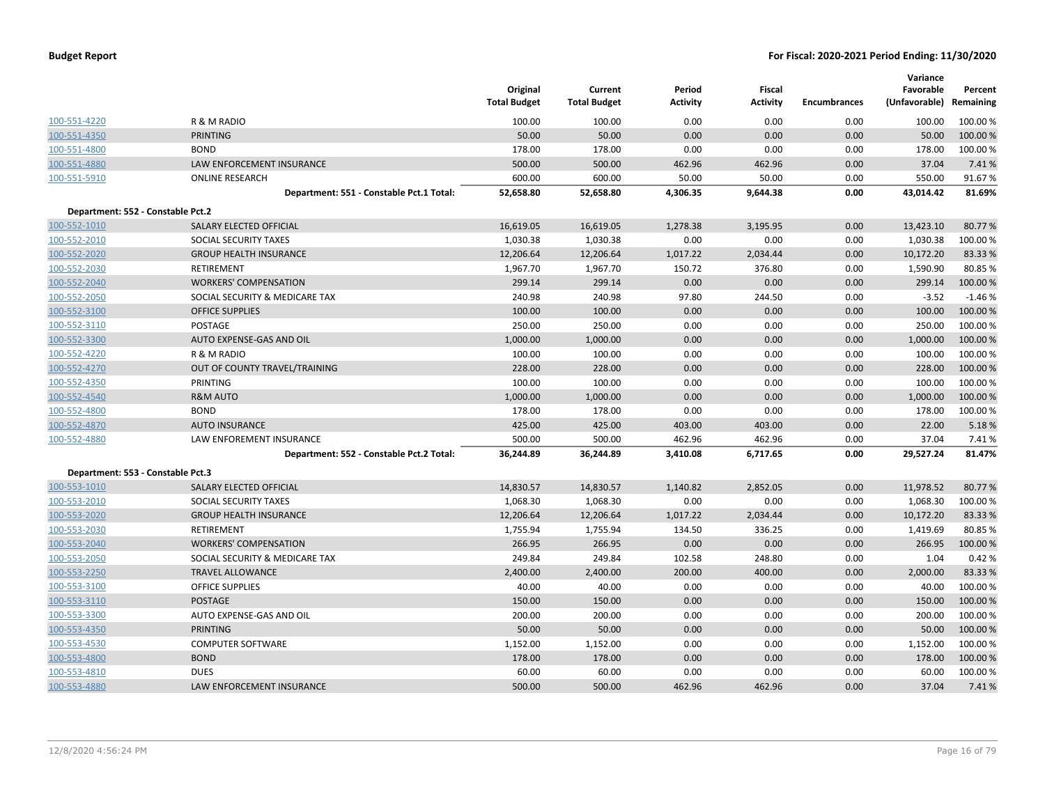| <b>Budget Report</b> |  |
|----------------------|--|
|----------------------|--|

|                                   |                                          | Original<br><b>Total Budget</b> | Current<br><b>Total Budget</b> | Period<br><b>Activity</b> | Fiscal<br><b>Activity</b> | <b>Encumbrances</b> | Variance<br>Favorable<br>(Unfavorable) Remaining | Percent  |
|-----------------------------------|------------------------------------------|---------------------------------|--------------------------------|---------------------------|---------------------------|---------------------|--------------------------------------------------|----------|
| 100-551-4220                      | R & M RADIO                              | 100.00                          | 100.00                         | 0.00                      | 0.00                      | 0.00                | 100.00                                           | 100.00 % |
| 100-551-4350                      | <b>PRINTING</b>                          | 50.00                           | 50.00                          | 0.00                      | 0.00                      | 0.00                | 50.00                                            | 100.00%  |
| 100-551-4800                      | <b>BOND</b>                              | 178.00                          | 178.00                         | 0.00                      | 0.00                      | 0.00                | 178.00                                           | 100.00 % |
| 100-551-4880                      | <b>LAW ENFORCEMENT INSURANCE</b>         | 500.00                          | 500.00                         | 462.96                    | 462.96                    | 0.00                | 37.04                                            | 7.41%    |
| 100-551-5910                      | <b>ONLINE RESEARCH</b>                   | 600.00                          | 600.00                         | 50.00                     | 50.00                     | 0.00                | 550.00                                           | 91.67%   |
|                                   | Department: 551 - Constable Pct.1 Total: | 52,658.80                       | 52,658.80                      | 4,306.35                  | 9,644.38                  | 0.00                | 43,014.42                                        | 81.69%   |
| Department: 552 - Constable Pct.2 |                                          |                                 |                                |                           |                           |                     |                                                  |          |
| 100-552-1010                      | SALARY ELECTED OFFICIAL                  | 16,619.05                       | 16,619.05                      | 1,278.38                  | 3,195.95                  | 0.00                | 13,423.10                                        | 80.77%   |
| 100-552-2010                      | SOCIAL SECURITY TAXES                    | 1,030.38                        | 1,030.38                       | 0.00                      | 0.00                      | 0.00                | 1,030.38                                         | 100.00%  |
| 100-552-2020                      | <b>GROUP HEALTH INSURANCE</b>            | 12,206.64                       | 12,206.64                      | 1,017.22                  | 2,034.44                  | 0.00                | 10,172.20                                        | 83.33 %  |
| 100-552-2030                      | <b>RETIREMENT</b>                        | 1,967.70                        | 1,967.70                       | 150.72                    | 376.80                    | 0.00                | 1,590.90                                         | 80.85%   |
| 100-552-2040                      | <b>WORKERS' COMPENSATION</b>             | 299.14                          | 299.14                         | 0.00                      | 0.00                      | 0.00                | 299.14                                           | 100.00%  |
| 100-552-2050                      | SOCIAL SECURITY & MEDICARE TAX           | 240.98                          | 240.98                         | 97.80                     | 244.50                    | 0.00                | $-3.52$                                          | $-1.46%$ |
| 100-552-3100                      | <b>OFFICE SUPPLIES</b>                   | 100.00                          | 100.00                         | 0.00                      | 0.00                      | 0.00                | 100.00                                           | 100.00 % |
| 100-552-3110                      | <b>POSTAGE</b>                           | 250.00                          | 250.00                         | 0.00                      | 0.00                      | 0.00                | 250.00                                           | 100.00%  |
| 100-552-3300                      | AUTO EXPENSE-GAS AND OIL                 | 1,000.00                        | 1,000.00                       | 0.00                      | 0.00                      | 0.00                | 1,000.00                                         | 100.00 % |
| 100-552-4220                      | R & M RADIO                              | 100.00                          | 100.00                         | 0.00                      | 0.00                      | 0.00                | 100.00                                           | 100.00 % |
| 100-552-4270                      | OUT OF COUNTY TRAVEL/TRAINING            | 228.00                          | 228.00                         | 0.00                      | 0.00                      | 0.00                | 228.00                                           | 100.00 % |
| 100-552-4350                      | <b>PRINTING</b>                          | 100.00                          | 100.00                         | 0.00                      | 0.00                      | 0.00                | 100.00                                           | 100.00%  |
| 100-552-4540                      | <b>R&amp;M AUTO</b>                      | 1,000.00                        | 1,000.00                       | 0.00                      | 0.00                      | 0.00                | 1,000.00                                         | 100.00%  |
| 100-552-4800                      | <b>BOND</b>                              | 178.00                          | 178.00                         | 0.00                      | 0.00                      | 0.00                | 178.00                                           | 100.00 % |
| 100-552-4870                      | <b>AUTO INSURANCE</b>                    | 425.00                          | 425.00                         | 403.00                    | 403.00                    | 0.00                | 22.00                                            | 5.18%    |
| 100-552-4880                      | LAW ENFOREMENT INSURANCE                 | 500.00                          | 500.00                         | 462.96                    | 462.96                    | 0.00                | 37.04                                            | 7.41%    |
|                                   | Department: 552 - Constable Pct.2 Total: | 36,244.89                       | 36,244.89                      | 3,410.08                  | 6,717.65                  | 0.00                | 29,527.24                                        | 81.47%   |
| Department: 553 - Constable Pct.3 |                                          |                                 |                                |                           |                           |                     |                                                  |          |
| 100-553-1010                      | SALARY ELECTED OFFICIAL                  | 14,830.57                       | 14,830.57                      | 1,140.82                  | 2,852.05                  | 0.00                | 11,978.52                                        | 80.77%   |
| 100-553-2010                      | SOCIAL SECURITY TAXES                    | 1,068.30                        | 1,068.30                       | 0.00                      | 0.00                      | 0.00                | 1,068.30                                         | 100.00%  |
| 100-553-2020                      | <b>GROUP HEALTH INSURANCE</b>            | 12,206.64                       | 12,206.64                      | 1,017.22                  | 2,034.44                  | 0.00                | 10,172.20                                        | 83.33 %  |
| 100-553-2030                      | <b>RETIREMENT</b>                        | 1,755.94                        | 1,755.94                       | 134.50                    | 336.25                    | 0.00                | 1,419.69                                         | 80.85%   |
| 100-553-2040                      | <b>WORKERS' COMPENSATION</b>             | 266.95                          | 266.95                         | 0.00                      | 0.00                      | 0.00                | 266.95                                           | 100.00%  |
| 100-553-2050                      | SOCIAL SECURITY & MEDICARE TAX           | 249.84                          | 249.84                         | 102.58                    | 248.80                    | 0.00                | 1.04                                             | 0.42%    |
| 100-553-2250                      | <b>TRAVEL ALLOWANCE</b>                  | 2,400.00                        | 2,400.00                       | 200.00                    | 400.00                    | 0.00                | 2,000.00                                         | 83.33%   |
| 100-553-3100                      | <b>OFFICE SUPPLIES</b>                   | 40.00                           | 40.00                          | 0.00                      | 0.00                      | 0.00                | 40.00                                            | 100.00 % |
| 100-553-3110                      | <b>POSTAGE</b>                           | 150.00                          | 150.00                         | 0.00                      | 0.00                      | 0.00                | 150.00                                           | 100.00 % |
| 100-553-3300                      | AUTO EXPENSE-GAS AND OIL                 | 200.00                          | 200.00                         | 0.00                      | 0.00                      | 0.00                | 200.00                                           | 100.00 % |
| 100-553-4350                      | <b>PRINTING</b>                          | 50.00                           | 50.00                          | 0.00                      | 0.00                      | 0.00                | 50.00                                            | 100.00%  |
| 100-553-4530                      | <b>COMPUTER SOFTWARE</b>                 | 1,152.00                        | 1,152.00                       | 0.00                      | 0.00                      | 0.00                | 1,152.00                                         | 100.00%  |
| 100-553-4800                      | <b>BOND</b>                              | 178.00                          | 178.00                         | 0.00                      | 0.00                      | 0.00                | 178.00                                           | 100.00 % |
| 100-553-4810                      | <b>DUES</b>                              | 60.00                           | 60.00                          | 0.00                      | 0.00                      | 0.00                | 60.00                                            | 100.00 % |
| 100-553-4880                      | <b>LAW ENFORCEMENT INSURANCE</b>         | 500.00                          | 500.00                         | 462.96                    | 462.96                    | 0.00                | 37.04                                            | 7.41%    |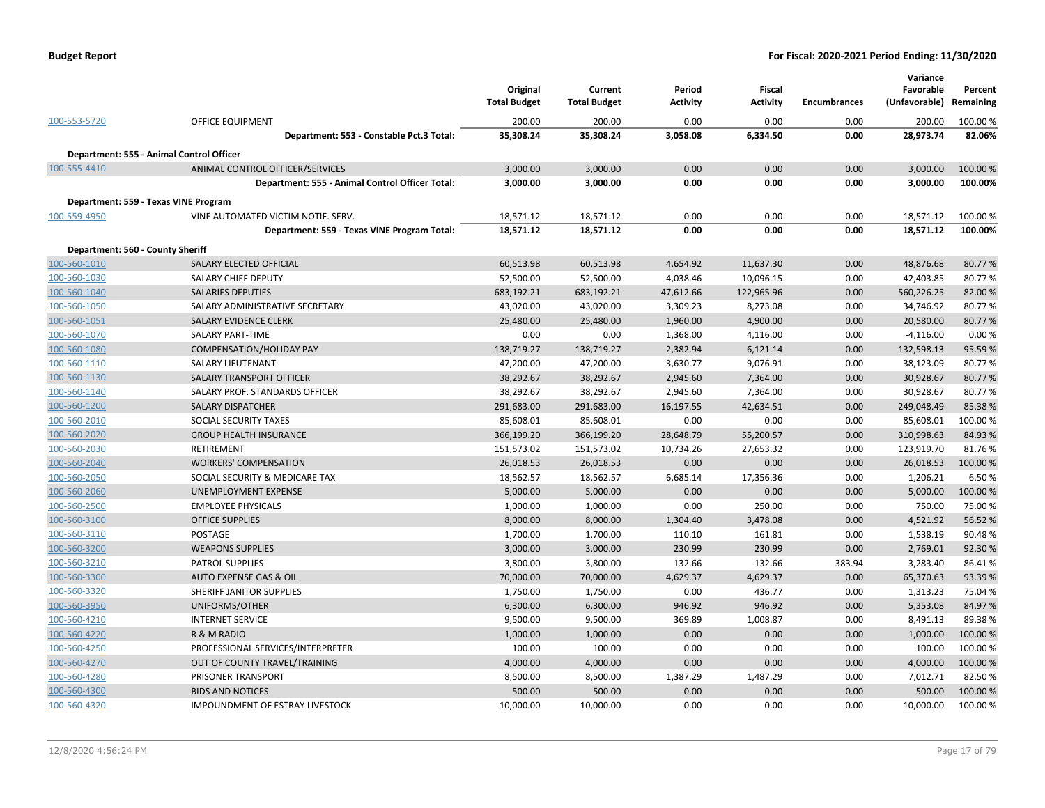| <b>Budget Report</b> |  |
|----------------------|--|
|----------------------|--|

|                                                  |                                                 | Original<br><b>Total Budget</b> | Current<br><b>Total Budget</b> | Period<br><b>Activity</b> | Fiscal<br><b>Activity</b> | Encumbrances | Variance<br>Favorable<br>(Unfavorable) | Percent<br>Remaining |
|--------------------------------------------------|-------------------------------------------------|---------------------------------|--------------------------------|---------------------------|---------------------------|--------------|----------------------------------------|----------------------|
| 100-553-5720                                     | <b>OFFICE EQUIPMENT</b>                         | 200.00                          | 200.00                         | 0.00                      | 0.00                      | 0.00         | 200.00                                 | 100.00 %             |
|                                                  | Department: 553 - Constable Pct.3 Total:        | 35,308.24                       | 35,308.24                      | 3,058.08                  | 6,334.50                  | 0.00         | 28,973.74                              | 82.06%               |
|                                                  | Department: 555 - Animal Control Officer        |                                 |                                |                           |                           |              |                                        |                      |
| 100-555-4410                                     | ANIMAL CONTROL OFFICER/SERVICES                 | 3,000.00                        | 3,000.00                       | 0.00                      | 0.00                      | 0.00         | 3,000.00                               | 100.00 %             |
|                                                  | Department: 555 - Animal Control Officer Total: | 3,000.00                        | 3,000.00                       | 0.00                      | 0.00                      | 0.00         | 3,000.00                               | 100.00%              |
|                                                  | Department: 559 - Texas VINE Program            |                                 |                                |                           |                           |              |                                        |                      |
| 100-559-4950                                     | VINE AUTOMATED VICTIM NOTIF. SERV.              | 18,571.12                       | 18,571.12                      | 0.00                      | 0.00                      | 0.00         | 18,571.12                              | 100.00%              |
|                                                  | Department: 559 - Texas VINE Program Total:     | 18,571.12                       | 18,571.12                      | 0.00                      | 0.00                      | 0.00         | 18,571.12                              | 100.00%              |
|                                                  |                                                 |                                 |                                |                           |                           |              |                                        |                      |
| Department: 560 - County Sheriff<br>100-560-1010 | SALARY ELECTED OFFICIAL                         | 60,513.98                       | 60,513.98                      | 4,654.92                  | 11,637.30                 | 0.00         | 48,876.68                              | 80.77%               |
| 100-560-1030                                     | <b>SALARY CHIEF DEPUTY</b>                      | 52,500.00                       | 52,500.00                      | 4,038.46                  | 10,096.15                 | 0.00         | 42,403.85                              | 80.77%               |
| 100-560-1040                                     | <b>SALARIES DEPUTIES</b>                        | 683,192.21                      | 683,192.21                     | 47,612.66                 | 122,965.96                | 0.00         | 560,226.25                             | 82.00%               |
| 100-560-1050                                     | SALARY ADMINISTRATIVE SECRETARY                 | 43,020.00                       | 43,020.00                      | 3,309.23                  | 8,273.08                  | 0.00         | 34,746.92                              | 80.77%               |
| 100-560-1051                                     | SALARY EVIDENCE CLERK                           | 25,480.00                       | 25,480.00                      | 1,960.00                  | 4,900.00                  | 0.00         | 20,580.00                              | 80.77%               |
| 100-560-1070                                     | <b>SALARY PART-TIME</b>                         | 0.00                            | 0.00                           | 1,368.00                  | 4,116.00                  | 0.00         | $-4,116.00$                            | 0.00%                |
| 100-560-1080                                     | <b>COMPENSATION/HOLIDAY PAY</b>                 | 138,719.27                      | 138,719.27                     | 2,382.94                  | 6,121.14                  | 0.00         | 132,598.13                             | 95.59%               |
| 100-560-1110                                     | SALARY LIEUTENANT                               | 47,200.00                       | 47,200.00                      | 3,630.77                  | 9,076.91                  | 0.00         | 38,123.09                              | 80.77%               |
| 100-560-1130                                     | SALARY TRANSPORT OFFICER                        | 38,292.67                       | 38,292.67                      | 2,945.60                  | 7,364.00                  | 0.00         | 30,928.67                              | 80.77%               |
| 100-560-1140                                     | SALARY PROF. STANDARDS OFFICER                  | 38,292.67                       | 38,292.67                      | 2,945.60                  | 7,364.00                  | 0.00         | 30,928.67                              | 80.77%               |
| 100-560-1200                                     | <b>SALARY DISPATCHER</b>                        | 291,683.00                      | 291,683.00                     | 16,197.55                 | 42,634.51                 | 0.00         | 249,048.49                             | 85.38%               |
| 100-560-2010                                     | SOCIAL SECURITY TAXES                           | 85,608.01                       | 85,608.01                      | 0.00                      | 0.00                      | 0.00         | 85,608.01                              | 100.00%              |
| 100-560-2020                                     | <b>GROUP HEALTH INSURANCE</b>                   | 366,199.20                      | 366,199.20                     | 28,648.79                 | 55,200.57                 | 0.00         | 310,998.63                             | 84.93%               |
| 100-560-2030                                     | <b>RETIREMENT</b>                               | 151,573.02                      | 151,573.02                     | 10,734.26                 | 27,653.32                 | 0.00         | 123,919.70                             | 81.76%               |
| 100-560-2040                                     | <b>WORKERS' COMPENSATION</b>                    | 26,018.53                       | 26,018.53                      | 0.00                      | 0.00                      | 0.00         | 26,018.53                              | 100.00%              |
| 100-560-2050                                     | SOCIAL SECURITY & MEDICARE TAX                  | 18,562.57                       | 18,562.57                      | 6,685.14                  | 17,356.36                 | 0.00         | 1,206.21                               | 6.50%                |
| 100-560-2060                                     | UNEMPLOYMENT EXPENSE                            | 5,000.00                        | 5,000.00                       | 0.00                      | 0.00                      | 0.00         | 5,000.00                               | 100.00 %             |
| 100-560-2500                                     | <b>EMPLOYEE PHYSICALS</b>                       | 1,000.00                        | 1,000.00                       | 0.00                      | 250.00                    | 0.00         | 750.00                                 | 75.00 %              |
| 100-560-3100                                     | <b>OFFICE SUPPLIES</b>                          | 8,000.00                        | 8,000.00                       | 1,304.40                  | 3,478.08                  | 0.00         | 4,521.92                               | 56.52%               |
| 100-560-3110                                     | <b>POSTAGE</b>                                  | 1,700.00                        | 1,700.00                       | 110.10                    | 161.81                    | 0.00         | 1,538.19                               | 90.48%               |
| 100-560-3200                                     | <b>WEAPONS SUPPLIES</b>                         | 3,000.00                        | 3,000.00                       | 230.99                    | 230.99                    | 0.00         | 2,769.01                               | 92.30%               |
| 100-560-3210                                     | PATROL SUPPLIES                                 | 3,800.00                        | 3,800.00                       | 132.66                    | 132.66                    | 383.94       | 3,283.40                               | 86.41%               |
| 100-560-3300                                     | <b>AUTO EXPENSE GAS &amp; OIL</b>               | 70,000.00                       | 70,000.00                      | 4,629.37                  | 4,629.37                  | 0.00         | 65,370.63                              | 93.39%               |
| 100-560-3320                                     | SHERIFF JANITOR SUPPLIES                        | 1,750.00                        | 1,750.00                       | 0.00                      | 436.77                    | 0.00         | 1,313.23                               | 75.04 %              |
| 100-560-3950                                     | UNIFORMS/OTHER                                  | 6,300.00                        | 6,300.00                       | 946.92                    | 946.92                    | 0.00         | 5,353.08                               | 84.97%               |
| 100-560-4210                                     | <b>INTERNET SERVICE</b>                         | 9,500.00                        | 9,500.00                       | 369.89                    | 1,008.87                  | 0.00         | 8,491.13                               | 89.38%               |
| 100-560-4220                                     | R & M RADIO                                     | 1,000.00                        | 1,000.00                       | 0.00                      | 0.00                      | 0.00         | 1,000.00                               | 100.00 %             |
| 100-560-4250                                     | PROFESSIONAL SERVICES/INTERPRETER               | 100.00                          | 100.00                         | 0.00                      | 0.00                      | 0.00         | 100.00                                 | 100.00 %             |
| 100-560-4270                                     | OUT OF COUNTY TRAVEL/TRAINING                   | 4,000.00                        | 4,000.00                       | 0.00                      | 0.00                      | 0.00         | 4,000.00                               | 100.00%              |
| 100-560-4280                                     | PRISONER TRANSPORT                              | 8,500.00                        | 8,500.00                       | 1,387.29                  | 1,487.29                  | 0.00         | 7,012.71                               | 82.50%               |
| 100-560-4300                                     | <b>BIDS AND NOTICES</b>                         | 500.00                          | 500.00                         | 0.00                      | 0.00                      | 0.00         | 500.00                                 | 100.00%              |
| 100-560-4320                                     | <b>IMPOUNDMENT OF ESTRAY LIVESTOCK</b>          | 10,000.00                       | 10,000.00                      | 0.00                      | 0.00                      | 0.00         | 10,000.00                              | 100.00 %             |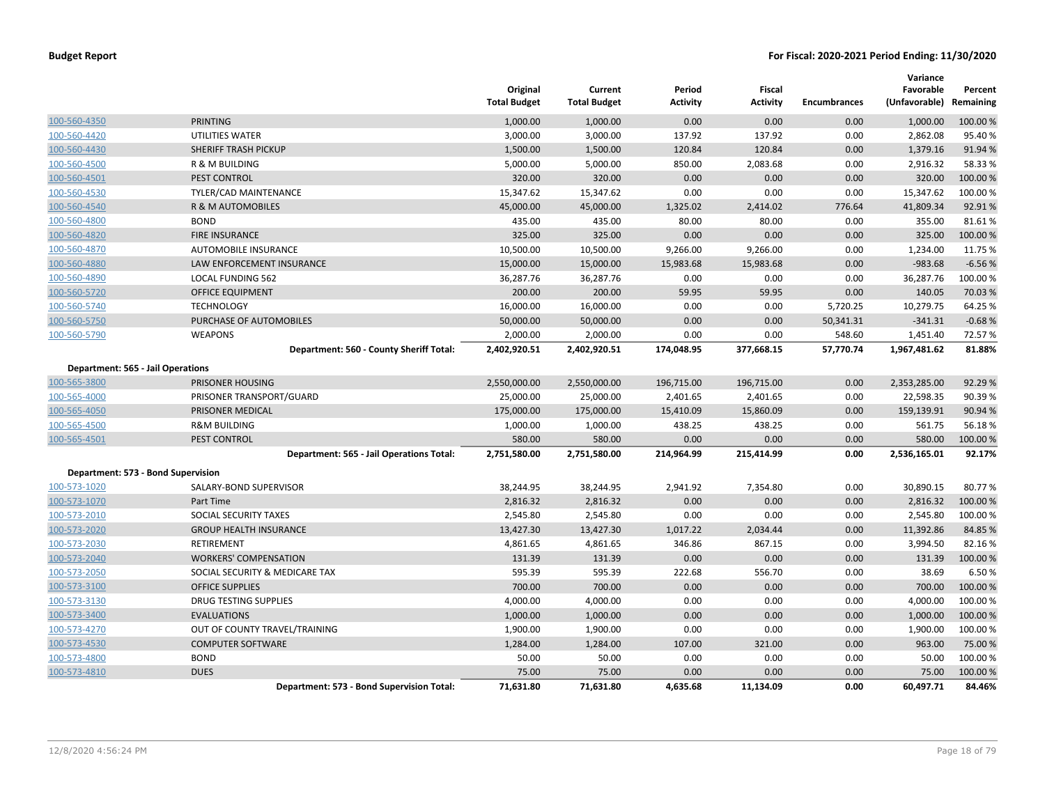|                                    |                                           | Original<br><b>Total Budget</b> | Current<br><b>Total Budget</b> | Period<br>Activity | Fiscal<br><b>Activity</b> | <b>Encumbrances</b> | Variance<br>Favorable<br>(Unfavorable) | Percent<br>Remaining |
|------------------------------------|-------------------------------------------|---------------------------------|--------------------------------|--------------------|---------------------------|---------------------|----------------------------------------|----------------------|
| 100-560-4350                       | <b>PRINTING</b>                           | 1,000.00                        | 1,000.00                       | 0.00               | 0.00                      | 0.00                | 1,000.00                               | 100.00%              |
| 100-560-4420                       | UTILITIES WATER                           | 3,000.00                        | 3,000.00                       | 137.92             | 137.92                    | 0.00                | 2,862.08                               | 95.40%               |
| 100-560-4430                       | <b>SHERIFF TRASH PICKUP</b>               | 1,500.00                        | 1,500.00                       | 120.84             | 120.84                    | 0.00                | 1,379.16                               | 91.94 %              |
| 100-560-4500                       | <b>R &amp; M BUILDING</b>                 | 5,000.00                        | 5,000.00                       | 850.00             | 2,083.68                  | 0.00                | 2,916.32                               | 58.33%               |
| 100-560-4501                       | PEST CONTROL                              | 320.00                          | 320.00                         | 0.00               | 0.00                      | 0.00                | 320.00                                 | 100.00%              |
| 100-560-4530                       | TYLER/CAD MAINTENANCE                     | 15,347.62                       | 15,347.62                      | 0.00               | 0.00                      | 0.00                | 15,347.62                              | 100.00%              |
| 100-560-4540                       | R & M AUTOMOBILES                         | 45,000.00                       | 45,000.00                      | 1,325.02           | 2,414.02                  | 776.64              | 41,809.34                              | 92.91%               |
| 100-560-4800                       | <b>BOND</b>                               | 435.00                          | 435.00                         | 80.00              | 80.00                     | 0.00                | 355.00                                 | 81.61%               |
| 100-560-4820                       | <b>FIRE INSURANCE</b>                     | 325.00                          | 325.00                         | 0.00               | 0.00                      | 0.00                | 325.00                                 | 100.00%              |
| 100-560-4870                       | AUTOMOBILE INSURANCE                      | 10,500.00                       | 10,500.00                      | 9,266.00           | 9,266.00                  | 0.00                | 1,234.00                               | 11.75 %              |
| 100-560-4880                       | LAW ENFORCEMENT INSURANCE                 | 15,000.00                       | 15,000.00                      | 15,983.68          | 15,983.68                 | 0.00                | $-983.68$                              | $-6.56%$             |
| 100-560-4890                       | <b>LOCAL FUNDING 562</b>                  | 36,287.76                       | 36,287.76                      | 0.00               | 0.00                      | 0.00                | 36,287.76                              | 100.00%              |
| 100-560-5720                       | <b>OFFICE EQUIPMENT</b>                   | 200.00                          | 200.00                         | 59.95              | 59.95                     | 0.00                | 140.05                                 | 70.03 %              |
| 100-560-5740                       | <b>TECHNOLOGY</b>                         | 16,000.00                       | 16,000.00                      | 0.00               | 0.00                      | 5,720.25            | 10,279.75                              | 64.25 %              |
| 100-560-5750                       | PURCHASE OF AUTOMOBILES                   | 50,000.00                       | 50,000.00                      | 0.00               | 0.00                      | 50,341.31           | $-341.31$                              | $-0.68%$             |
| 100-560-5790                       | <b>WEAPONS</b>                            | 2,000.00                        | 2,000.00                       | 0.00               | 0.00                      | 548.60              | 1,451.40                               | 72.57 %              |
|                                    | Department: 560 - County Sheriff Total:   | 2,402,920.51                    | 2,402,920.51                   | 174,048.95         | 377,668.15                | 57,770.74           | 1,967,481.62                           | 81.88%               |
| Department: 565 - Jail Operations  |                                           |                                 |                                |                    |                           |                     |                                        |                      |
| 100-565-3800                       | PRISONER HOUSING                          | 2,550,000.00                    | 2,550,000.00                   | 196,715.00         | 196,715.00                | 0.00                | 2,353,285.00                           | 92.29 %              |
| 100-565-4000                       | PRISONER TRANSPORT/GUARD                  | 25,000.00                       | 25,000.00                      | 2,401.65           | 2,401.65                  | 0.00                | 22,598.35                              | 90.39%               |
| 100-565-4050                       | PRISONER MEDICAL                          | 175,000.00                      | 175,000.00                     | 15,410.09          | 15,860.09                 | 0.00                | 159,139.91                             | 90.94 %              |
| 100-565-4500                       | <b>R&amp;M BUILDING</b>                   | 1,000.00                        | 1,000.00                       | 438.25             | 438.25                    | 0.00                | 561.75                                 | 56.18%               |
| 100-565-4501                       | PEST CONTROL                              | 580.00                          | 580.00                         | 0.00               | 0.00                      | 0.00                | 580.00                                 | 100.00 %             |
|                                    | Department: 565 - Jail Operations Total:  | 2,751,580.00                    | 2,751,580.00                   | 214,964.99         | 215,414.99                | 0.00                | 2,536,165.01                           | 92.17%               |
| Department: 573 - Bond Supervision |                                           |                                 |                                |                    |                           |                     |                                        |                      |
| 100-573-1020                       | SALARY-BOND SUPERVISOR                    | 38,244.95                       | 38,244.95                      | 2,941.92           | 7,354.80                  | 0.00                | 30,890.15                              | 80.77%               |
| 100-573-1070                       | Part Time                                 | 2,816.32                        | 2,816.32                       | 0.00               | 0.00                      | 0.00                | 2,816.32                               | 100.00%              |
| 100-573-2010                       | SOCIAL SECURITY TAXES                     | 2,545.80                        | 2,545.80                       | 0.00               | 0.00                      | 0.00                | 2,545.80                               | 100.00%              |
| 100-573-2020                       | <b>GROUP HEALTH INSURANCE</b>             | 13,427.30                       | 13,427.30                      | 1,017.22           | 2,034.44                  | 0.00                | 11,392.86                              | 84.85 %              |
| 100-573-2030                       | RETIREMENT                                | 4,861.65                        | 4,861.65                       | 346.86             | 867.15                    | 0.00                | 3,994.50                               | 82.16%               |
| 100-573-2040                       | <b>WORKERS' COMPENSATION</b>              | 131.39                          | 131.39                         | 0.00               | 0.00                      | 0.00                | 131.39                                 | 100.00 %             |
| 100-573-2050                       | SOCIAL SECURITY & MEDICARE TAX            | 595.39                          | 595.39                         | 222.68             | 556.70                    | 0.00                | 38.69                                  | 6.50%                |
| 100-573-3100                       | <b>OFFICE SUPPLIES</b>                    | 700.00                          | 700.00                         | 0.00               | 0.00                      | 0.00                | 700.00                                 | 100.00%              |
| 100-573-3130                       | DRUG TESTING SUPPLIES                     | 4,000.00                        | 4,000.00                       | 0.00               | 0.00                      | 0.00                | 4,000.00                               | 100.00%              |
| 100-573-3400                       | <b>EVALUATIONS</b>                        | 1,000.00                        | 1,000.00                       | 0.00               | 0.00                      | 0.00                | 1,000.00                               | 100.00%              |
| 100-573-4270                       | OUT OF COUNTY TRAVEL/TRAINING             | 1,900.00                        | 1,900.00                       | 0.00               | 0.00                      | 0.00                | 1,900.00                               | 100.00%              |
| 100-573-4530                       | <b>COMPUTER SOFTWARE</b>                  | 1,284.00                        | 1,284.00                       | 107.00             | 321.00                    | 0.00                | 963.00                                 | 75.00 %              |
| 100-573-4800                       | <b>BOND</b>                               | 50.00                           | 50.00                          | 0.00               | 0.00                      | 0.00                | 50.00                                  | 100.00%              |
| 100-573-4810                       | <b>DUES</b>                               | 75.00                           | 75.00                          | 0.00               | 0.00                      | 0.00                | 75.00                                  | 100.00 %             |
|                                    | Department: 573 - Bond Supervision Total: | 71,631.80                       | 71,631.80                      | 4,635.68           | 11,134.09                 | 0.00                | 60,497.71                              | 84.46%               |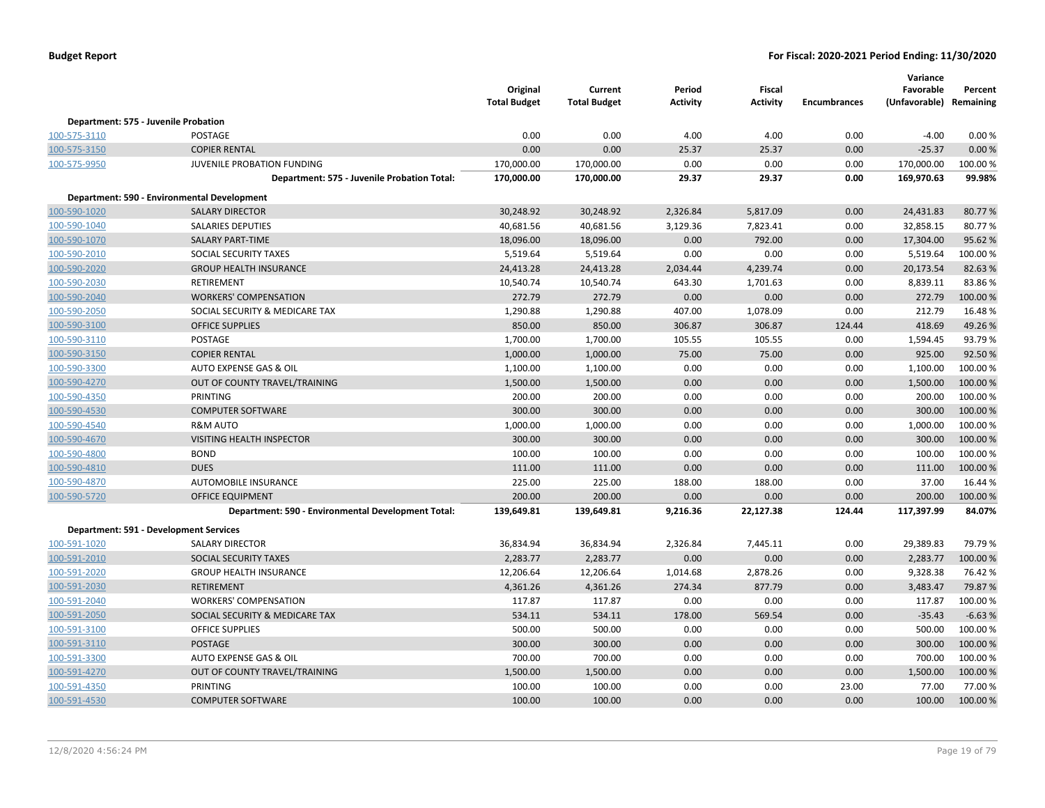|              |                                                    | Original<br><b>Total Budget</b> | Current<br><b>Total Budget</b> | Period<br><b>Activity</b> | <b>Fiscal</b><br><b>Activity</b> | <b>Encumbrances</b> | Variance<br>Favorable<br>(Unfavorable) Remaining | Percent  |
|--------------|----------------------------------------------------|---------------------------------|--------------------------------|---------------------------|----------------------------------|---------------------|--------------------------------------------------|----------|
|              | Department: 575 - Juvenile Probation               |                                 |                                |                           |                                  |                     |                                                  |          |
| 100-575-3110 | POSTAGE                                            | 0.00                            | 0.00                           | 4.00                      | 4.00                             | 0.00                | $-4.00$                                          | 0.00%    |
| 100-575-3150 | <b>COPIER RENTAL</b>                               | 0.00                            | 0.00                           | 25.37                     | 25.37                            | 0.00                | $-25.37$                                         | 0.00%    |
| 100-575-9950 | JUVENILE PROBATION FUNDING                         | 170,000.00                      | 170,000.00                     | 0.00                      | 0.00                             | 0.00                | 170,000.00                                       | 100.00%  |
|              | Department: 575 - Juvenile Probation Total:        | 170,000.00                      | 170,000.00                     | 29.37                     | 29.37                            | 0.00                | 169,970.63                                       | 99.98%   |
|              | Department: 590 - Environmental Development        |                                 |                                |                           |                                  |                     |                                                  |          |
| 100-590-1020 | <b>SALARY DIRECTOR</b>                             | 30,248.92                       | 30,248.92                      | 2,326.84                  | 5,817.09                         | 0.00                | 24,431.83                                        | 80.77%   |
| 100-590-1040 | <b>SALARIES DEPUTIES</b>                           | 40,681.56                       | 40,681.56                      | 3,129.36                  | 7,823.41                         | 0.00                | 32,858.15                                        | 80.77%   |
| 100-590-1070 | <b>SALARY PART-TIME</b>                            | 18,096.00                       | 18,096.00                      | 0.00                      | 792.00                           | 0.00                | 17,304.00                                        | 95.62%   |
| 100-590-2010 | SOCIAL SECURITY TAXES                              | 5,519.64                        | 5,519.64                       | 0.00                      | 0.00                             | 0.00                | 5,519.64                                         | 100.00%  |
| 100-590-2020 | <b>GROUP HEALTH INSURANCE</b>                      | 24,413.28                       | 24,413.28                      | 2,034.44                  | 4,239.74                         | 0.00                | 20,173.54                                        | 82.63%   |
| 100-590-2030 | RETIREMENT                                         | 10,540.74                       | 10,540.74                      | 643.30                    | 1,701.63                         | 0.00                | 8,839.11                                         | 83.86%   |
| 100-590-2040 | <b>WORKERS' COMPENSATION</b>                       | 272.79                          | 272.79                         | 0.00                      | 0.00                             | 0.00                | 272.79                                           | 100.00%  |
| 100-590-2050 | SOCIAL SECURITY & MEDICARE TAX                     | 1,290.88                        | 1,290.88                       | 407.00                    | 1,078.09                         | 0.00                | 212.79                                           | 16.48%   |
| 100-590-3100 | <b>OFFICE SUPPLIES</b>                             | 850.00                          | 850.00                         | 306.87                    | 306.87                           | 124.44              | 418.69                                           | 49.26%   |
| 100-590-3110 | POSTAGE                                            | 1,700.00                        | 1,700.00                       | 105.55                    | 105.55                           | 0.00                | 1,594.45                                         | 93.79%   |
| 100-590-3150 | <b>COPIER RENTAL</b>                               | 1,000.00                        | 1,000.00                       | 75.00                     | 75.00                            | 0.00                | 925.00                                           | 92.50%   |
| 100-590-3300 | AUTO EXPENSE GAS & OIL                             | 1,100.00                        | 1,100.00                       | 0.00                      | 0.00                             | 0.00                | 1,100.00                                         | 100.00 % |
| 100-590-4270 | OUT OF COUNTY TRAVEL/TRAINING                      | 1,500.00                        | 1,500.00                       | 0.00                      | 0.00                             | 0.00                | 1,500.00                                         | 100.00 % |
| 100-590-4350 | PRINTING                                           | 200.00                          | 200.00                         | 0.00                      | 0.00                             | 0.00                | 200.00                                           | 100.00 % |
| 100-590-4530 | <b>COMPUTER SOFTWARE</b>                           | 300.00                          | 300.00                         | 0.00                      | 0.00                             | 0.00                | 300.00                                           | 100.00 % |
| 100-590-4540 | <b>R&amp;M AUTO</b>                                | 1,000.00                        | 1,000.00                       | 0.00                      | 0.00                             | 0.00                | 1,000.00                                         | 100.00 % |
| 100-590-4670 | VISITING HEALTH INSPECTOR                          | 300.00                          | 300.00                         | 0.00                      | 0.00                             | 0.00                | 300.00                                           | 100.00 % |
| 100-590-4800 | <b>BOND</b>                                        | 100.00                          | 100.00                         | 0.00                      | 0.00                             | 0.00                | 100.00                                           | 100.00 % |
| 100-590-4810 | <b>DUES</b>                                        | 111.00                          | 111.00                         | 0.00                      | 0.00                             | 0.00                | 111.00                                           | 100.00 % |
| 100-590-4870 | AUTOMOBILE INSURANCE                               | 225.00                          | 225.00                         | 188.00                    | 188.00                           | 0.00                | 37.00                                            | 16.44 %  |
| 100-590-5720 | <b>OFFICE EQUIPMENT</b>                            | 200.00                          | 200.00                         | 0.00                      | 0.00                             | 0.00                | 200.00                                           | 100.00 % |
|              | Department: 590 - Environmental Development Total: | 139,649.81                      | 139,649.81                     | 9,216.36                  | 22,127.38                        | 124.44              | 117,397.99                                       | 84.07%   |
|              | Department: 591 - Development Services             |                                 |                                |                           |                                  |                     |                                                  |          |
| 100-591-1020 | <b>SALARY DIRECTOR</b>                             | 36,834.94                       | 36,834.94                      | 2,326.84                  | 7,445.11                         | 0.00                | 29,389.83                                        | 79.79%   |
| 100-591-2010 | SOCIAL SECURITY TAXES                              | 2,283.77                        | 2,283.77                       | 0.00                      | 0.00                             | 0.00                | 2,283.77                                         | 100.00 % |
| 100-591-2020 | <b>GROUP HEALTH INSURANCE</b>                      | 12,206.64                       | 12,206.64                      | 1,014.68                  | 2,878.26                         | 0.00                | 9,328.38                                         | 76.42%   |
| 100-591-2030 | RETIREMENT                                         | 4,361.26                        | 4,361.26                       | 274.34                    | 877.79                           | 0.00                | 3,483.47                                         | 79.87%   |
| 100-591-2040 | <b>WORKERS' COMPENSATION</b>                       | 117.87                          | 117.87                         | 0.00                      | 0.00                             | 0.00                | 117.87                                           | 100.00%  |
| 100-591-2050 | SOCIAL SECURITY & MEDICARE TAX                     | 534.11                          | 534.11                         | 178.00                    | 569.54                           | 0.00                | $-35.43$                                         | $-6.63%$ |
| 100-591-3100 | <b>OFFICE SUPPLIES</b>                             | 500.00                          | 500.00                         | 0.00                      | 0.00                             | 0.00                | 500.00                                           | 100.00 % |
| 100-591-3110 | POSTAGE                                            | 300.00                          | 300.00                         | 0.00                      | 0.00                             | 0.00                | 300.00                                           | 100.00 % |
| 100-591-3300 | AUTO EXPENSE GAS & OIL                             | 700.00                          | 700.00                         | 0.00                      | 0.00                             | 0.00                | 700.00                                           | 100.00 % |
| 100-591-4270 | OUT OF COUNTY TRAVEL/TRAINING                      | 1,500.00                        | 1,500.00                       | 0.00                      | 0.00                             | 0.00                | 1,500.00                                         | 100.00 % |
| 100-591-4350 | PRINTING                                           | 100.00                          | 100.00                         | 0.00                      | 0.00                             | 23.00               | 77.00                                            | 77.00%   |
| 100-591-4530 | <b>COMPUTER SOFTWARE</b>                           | 100.00                          | 100.00                         | 0.00                      | 0.00                             | 0.00                | 100.00                                           | 100.00 % |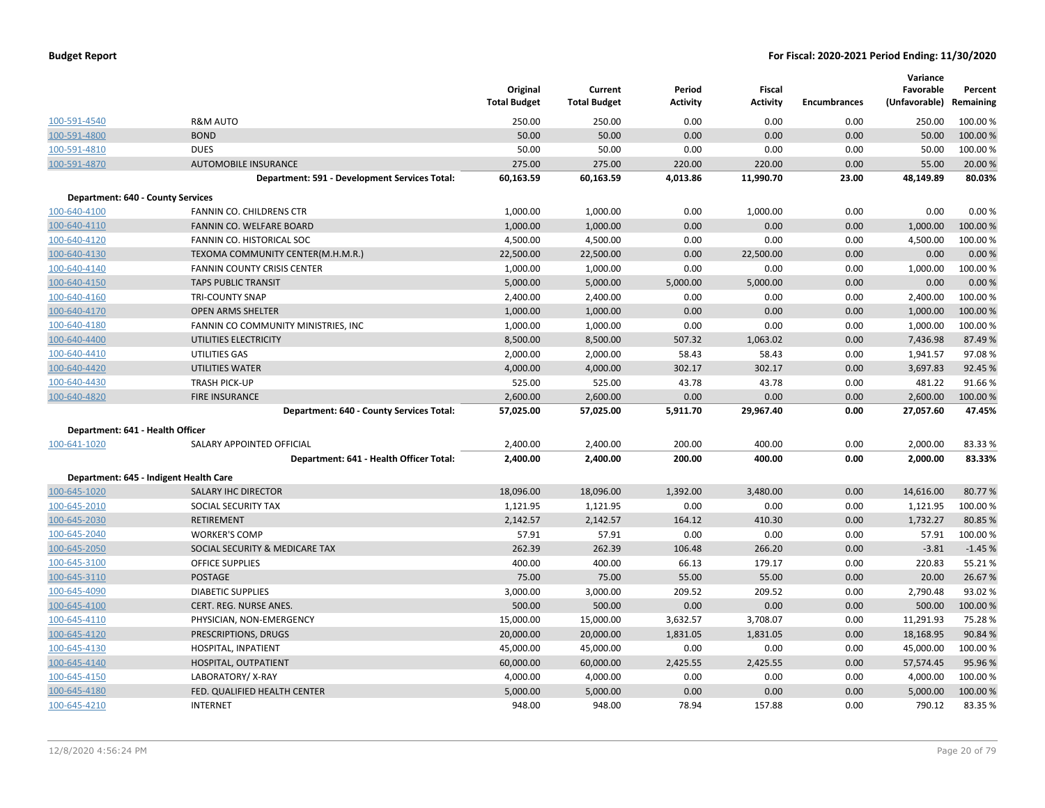|                                          |                                               | Original<br><b>Total Budget</b> | Current<br><b>Total Budget</b> | Period<br><b>Activity</b> | <b>Fiscal</b><br><b>Activity</b> | <b>Encumbrances</b> | Variance<br>Favorable<br>(Unfavorable) | Percent<br>Remaining |
|------------------------------------------|-----------------------------------------------|---------------------------------|--------------------------------|---------------------------|----------------------------------|---------------------|----------------------------------------|----------------------|
| 100-591-4540                             | <b>R&amp;M AUTO</b>                           | 250.00                          | 250.00                         | 0.00                      | 0.00                             | 0.00                | 250.00                                 | 100.00 %             |
| 100-591-4800                             | <b>BOND</b>                                   | 50.00                           | 50.00                          | 0.00                      | 0.00                             | 0.00                | 50.00                                  | 100.00 %             |
| 100-591-4810                             | <b>DUES</b>                                   | 50.00                           | 50.00                          | 0.00                      | 0.00                             | 0.00                | 50.00                                  | 100.00%              |
| 100-591-4870                             | <b>AUTOMOBILE INSURANCE</b>                   | 275.00                          | 275.00                         | 220.00                    | 220.00                           | 0.00                | 55.00                                  | 20.00 %              |
|                                          | Department: 591 - Development Services Total: | 60,163.59                       | 60,163.59                      | 4,013.86                  | 11,990.70                        | 23.00               | 48,149.89                              | 80.03%               |
| <b>Department: 640 - County Services</b> |                                               |                                 |                                |                           |                                  |                     |                                        |                      |
| 100-640-4100                             | <b>FANNIN CO. CHILDRENS CTR</b>               | 1,000.00                        | 1,000.00                       | 0.00                      | 1,000.00                         | 0.00                | 0.00                                   | 0.00%                |
| 100-640-4110                             | FANNIN CO. WELFARE BOARD                      | 1,000.00                        | 1,000.00                       | 0.00                      | 0.00                             | 0.00                | 1,000.00                               | 100.00 %             |
| 100-640-4120                             | FANNIN CO. HISTORICAL SOC                     | 4,500.00                        | 4,500.00                       | 0.00                      | 0.00                             | 0.00                | 4,500.00                               | 100.00%              |
| 100-640-4130                             | TEXOMA COMMUNITY CENTER(M.H.M.R.)             | 22,500.00                       | 22,500.00                      | 0.00                      | 22,500.00                        | 0.00                | 0.00                                   | 0.00%                |
| 100-640-4140                             | <b>FANNIN COUNTY CRISIS CENTER</b>            | 1,000.00                        | 1,000.00                       | 0.00                      | 0.00                             | 0.00                | 1,000.00                               | 100.00%              |
| 100-640-4150                             | <b>TAPS PUBLIC TRANSIT</b>                    | 5,000.00                        | 5,000.00                       | 5,000.00                  | 5,000.00                         | 0.00                | 0.00                                   | 0.00%                |
| 100-640-4160                             | <b>TRI-COUNTY SNAP</b>                        | 2,400.00                        | 2,400.00                       | 0.00                      | 0.00                             | 0.00                | 2,400.00                               | 100.00 %             |
| 100-640-4170                             | <b>OPEN ARMS SHELTER</b>                      | 1,000.00                        | 1,000.00                       | 0.00                      | 0.00                             | 0.00                | 1,000.00                               | 100.00 %             |
| 100-640-4180                             | FANNIN CO COMMUNITY MINISTRIES, INC           | 1,000.00                        | 1,000.00                       | 0.00                      | 0.00                             | 0.00                | 1,000.00                               | 100.00%              |
| 100-640-4400                             | UTILITIES ELECTRICITY                         | 8,500.00                        | 8,500.00                       | 507.32                    | 1,063.02                         | 0.00                | 7,436.98                               | 87.49%               |
| 100-640-4410                             | UTILITIES GAS                                 | 2,000.00                        | 2,000.00                       | 58.43                     | 58.43                            | 0.00                | 1,941.57                               | 97.08%               |
| 100-640-4420                             | <b>UTILITIES WATER</b>                        | 4,000.00                        | 4,000.00                       | 302.17                    | 302.17                           | 0.00                | 3,697.83                               | 92.45 %              |
| 100-640-4430                             | <b>TRASH PICK-UP</b>                          | 525.00                          | 525.00                         | 43.78                     | 43.78                            | 0.00                | 481.22                                 | 91.66%               |
| 100-640-4820                             | <b>FIRE INSURANCE</b>                         | 2,600.00                        | 2,600.00                       | 0.00                      | 0.00                             | 0.00                | 2,600.00                               | 100.00%              |
|                                          | Department: 640 - County Services Total:      | 57,025.00                       | 57,025.00                      | 5,911.70                  | 29,967.40                        | 0.00                | 27,057.60                              | 47.45%               |
| Department: 641 - Health Officer         |                                               |                                 |                                |                           |                                  |                     |                                        |                      |
| 100-641-1020                             | SALARY APPOINTED OFFICIAL                     | 2,400.00                        | 2,400.00                       | 200.00                    | 400.00                           | 0.00                | 2,000.00                               | 83.33%               |
|                                          | Department: 641 - Health Officer Total:       | 2,400.00                        | 2,400.00                       | 200.00                    | 400.00                           | 0.00                | 2,000.00                               | 83.33%               |
|                                          | Department: 645 - Indigent Health Care        |                                 |                                |                           |                                  |                     |                                        |                      |
| 100-645-1020                             | <b>SALARY IHC DIRECTOR</b>                    | 18,096.00                       | 18,096.00                      | 1,392.00                  | 3,480.00                         | 0.00                | 14,616.00                              | 80.77%               |
| 100-645-2010                             | SOCIAL SECURITY TAX                           | 1,121.95                        | 1,121.95                       | 0.00                      | 0.00                             | 0.00                | 1,121.95                               | 100.00%              |
| 100-645-2030                             | <b>RETIREMENT</b>                             | 2,142.57                        | 2,142.57                       | 164.12                    | 410.30                           | 0.00                | 1,732.27                               | 80.85 %              |
| 100-645-2040                             | <b>WORKER'S COMP</b>                          | 57.91                           | 57.91                          | 0.00                      | 0.00                             | 0.00                | 57.91                                  | 100.00%              |
| 100-645-2050                             | SOCIAL SECURITY & MEDICARE TAX                | 262.39                          | 262.39                         | 106.48                    | 266.20                           | 0.00                | $-3.81$                                | $-1.45%$             |
| 100-645-3100                             | <b>OFFICE SUPPLIES</b>                        | 400.00                          | 400.00                         | 66.13                     | 179.17                           | 0.00                | 220.83                                 | 55.21%               |
| 100-645-3110                             | <b>POSTAGE</b>                                | 75.00                           | 75.00                          | 55.00                     | 55.00                            | 0.00                | 20.00                                  | 26.67%               |
| 100-645-4090                             | <b>DIABETIC SUPPLIES</b>                      | 3,000.00                        | 3,000.00                       | 209.52                    | 209.52                           | 0.00                | 2,790.48                               | 93.02%               |
| 100-645-4100                             | CERT. REG. NURSE ANES.                        | 500.00                          | 500.00                         | 0.00                      | 0.00                             | 0.00                | 500.00                                 | 100.00%              |
| 100-645-4110                             | PHYSICIAN, NON-EMERGENCY                      | 15,000.00                       | 15,000.00                      | 3,632.57                  | 3,708.07                         | 0.00                | 11,291.93                              | 75.28%               |
| 100-645-4120                             | PRESCRIPTIONS, DRUGS                          | 20,000.00                       | 20,000.00                      | 1,831.05                  | 1,831.05                         | 0.00                | 18,168.95                              | 90.84%               |
| 100-645-4130                             | HOSPITAL, INPATIENT                           | 45,000.00                       | 45,000.00                      | 0.00                      | 0.00                             | 0.00                | 45,000.00                              | 100.00%              |
| 100-645-4140                             | HOSPITAL, OUTPATIENT                          | 60,000.00                       | 60,000.00                      | 2,425.55                  | 2,425.55                         | 0.00                | 57,574.45                              | 95.96%               |
| 100-645-4150                             | LABORATORY/X-RAY                              | 4,000.00                        | 4,000.00                       | 0.00                      | 0.00                             | 0.00                | 4,000.00                               | 100.00%              |
| 100-645-4180                             | FED. QUALIFIED HEALTH CENTER                  | 5,000.00                        | 5,000.00                       | 0.00                      | 0.00                             | 0.00                | 5,000.00                               | 100.00 %             |
| 100-645-4210                             | <b>INTERNET</b>                               | 948.00                          | 948.00                         | 78.94                     | 157.88                           | 0.00                | 790.12                                 | 83.35%               |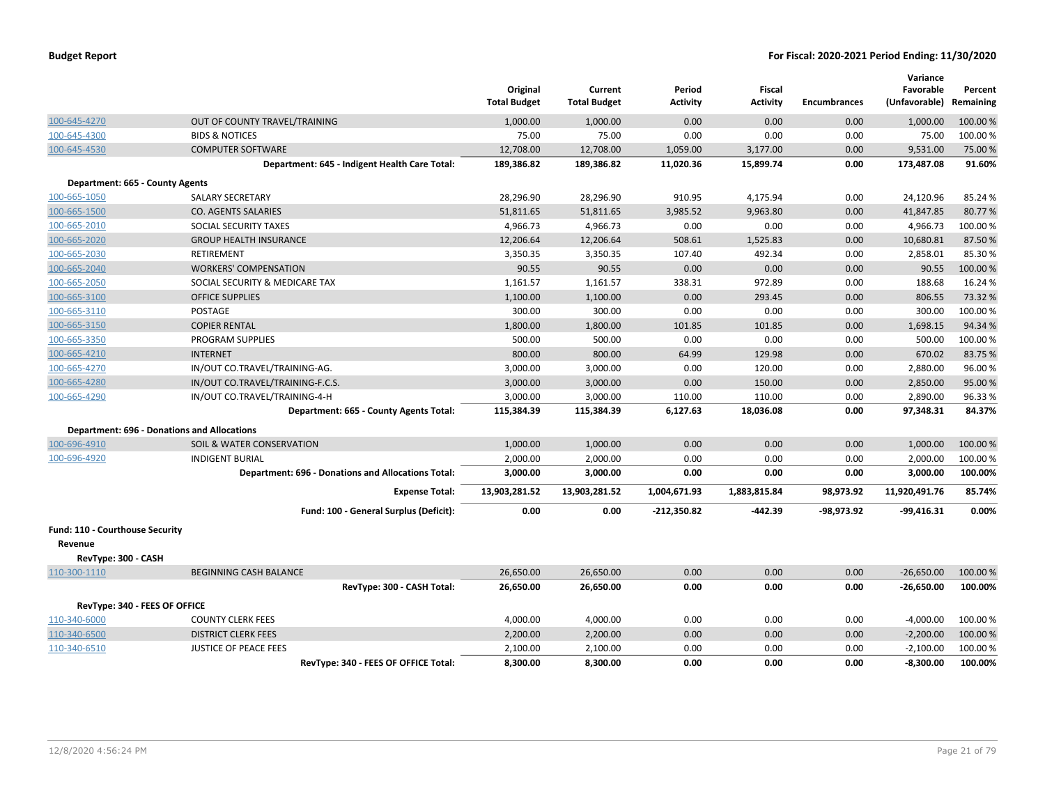|                                            |                                                           | Original<br><b>Total Budget</b> | Current<br><b>Total Budget</b> | Period<br><b>Activity</b> | Fiscal<br><b>Activity</b> | <b>Encumbrances</b> | Variance<br>Favorable<br>(Unfavorable) Remaining | Percent  |
|--------------------------------------------|-----------------------------------------------------------|---------------------------------|--------------------------------|---------------------------|---------------------------|---------------------|--------------------------------------------------|----------|
| 100-645-4270                               | OUT OF COUNTY TRAVEL/TRAINING                             | 1,000.00                        | 1,000.00                       | 0.00                      | 0.00                      | 0.00                | 1,000.00                                         | 100.00 % |
| 100-645-4300                               | <b>BIDS &amp; NOTICES</b>                                 | 75.00                           | 75.00                          | 0.00                      | 0.00                      | 0.00                | 75.00                                            | 100.00%  |
| 100-645-4530                               | <b>COMPUTER SOFTWARE</b>                                  | 12,708.00                       | 12,708.00                      | 1,059.00                  | 3,177.00                  | 0.00                | 9,531.00                                         | 75.00 %  |
|                                            | Department: 645 - Indigent Health Care Total:             | 189,386.82                      | 189,386.82                     | 11,020.36                 | 15,899.74                 | 0.00                | 173,487.08                                       | 91.60%   |
| Department: 665 - County Agents            |                                                           |                                 |                                |                           |                           |                     |                                                  |          |
| 100-665-1050                               | <b>SALARY SECRETARY</b>                                   | 28,296.90                       | 28,296.90                      | 910.95                    | 4,175.94                  | 0.00                | 24,120.96                                        | 85.24 %  |
| 100-665-1500                               | <b>CO. AGENTS SALARIES</b>                                | 51,811.65                       | 51,811.65                      | 3,985.52                  | 9,963.80                  | 0.00                | 41,847.85                                        | 80.77%   |
| 100-665-2010                               | SOCIAL SECURITY TAXES                                     | 4,966.73                        | 4,966.73                       | 0.00                      | 0.00                      | 0.00                | 4,966.73                                         | 100.00 % |
| 100-665-2020                               | <b>GROUP HEALTH INSURANCE</b>                             | 12,206.64                       | 12,206.64                      | 508.61                    | 1,525.83                  | 0.00                | 10,680.81                                        | 87.50 %  |
| 100-665-2030                               | <b>RETIREMENT</b>                                         | 3,350.35                        | 3,350.35                       | 107.40                    | 492.34                    | 0.00                | 2,858.01                                         | 85.30%   |
| 100-665-2040                               | <b>WORKERS' COMPENSATION</b>                              | 90.55                           | 90.55                          | 0.00                      | 0.00                      | 0.00                | 90.55                                            | 100.00%  |
| 100-665-2050                               | SOCIAL SECURITY & MEDICARE TAX                            | 1,161.57                        | 1,161.57                       | 338.31                    | 972.89                    | 0.00                | 188.68                                           | 16.24 %  |
| 100-665-3100                               | <b>OFFICE SUPPLIES</b>                                    | 1,100.00                        | 1,100.00                       | 0.00                      | 293.45                    | 0.00                | 806.55                                           | 73.32 %  |
| 100-665-3110                               | POSTAGE                                                   | 300.00                          | 300.00                         | 0.00                      | 0.00                      | 0.00                | 300.00                                           | 100.00 % |
| 100-665-3150                               | <b>COPIER RENTAL</b>                                      | 1,800.00                        | 1,800.00                       | 101.85                    | 101.85                    | 0.00                | 1,698.15                                         | 94.34 %  |
| 100-665-3350                               | PROGRAM SUPPLIES                                          | 500.00                          | 500.00                         | 0.00                      | 0.00                      | 0.00                | 500.00                                           | 100.00%  |
| 100-665-4210                               | <b>INTERNET</b>                                           | 800.00                          | 800.00                         | 64.99                     | 129.98                    | 0.00                | 670.02                                           | 83.75 %  |
| 100-665-4270                               | IN/OUT CO.TRAVEL/TRAINING-AG.                             | 3,000.00                        | 3,000.00                       | 0.00                      | 120.00                    | 0.00                | 2,880.00                                         | 96.00%   |
| 100-665-4280                               | IN/OUT CO.TRAVEL/TRAINING-F.C.S.                          | 3,000.00                        | 3,000.00                       | 0.00                      | 150.00                    | 0.00                | 2,850.00                                         | 95.00 %  |
| 100-665-4290                               | IN/OUT CO.TRAVEL/TRAINING-4-H                             | 3,000.00                        | 3,000.00                       | 110.00                    | 110.00                    | 0.00                | 2,890.00                                         | 96.33%   |
|                                            | Department: 665 - County Agents Total:                    | 115,384.39                      | 115,384.39                     | 6,127.63                  | 18,036.08                 | 0.00                | 97,348.31                                        | 84.37%   |
|                                            | <b>Department: 696 - Donations and Allocations</b>        |                                 |                                |                           |                           |                     |                                                  |          |
| 100-696-4910                               | SOIL & WATER CONSERVATION                                 | 1,000.00                        | 1,000.00                       | 0.00                      | 0.00                      | 0.00                | 1,000.00                                         | 100.00%  |
| 100-696-4920                               | <b>INDIGENT BURIAL</b>                                    | 2,000.00                        | 2,000.00                       | 0.00                      | 0.00                      | 0.00                | 2,000.00                                         | 100.00%  |
|                                            | <b>Department: 696 - Donations and Allocations Total:</b> | 3,000.00                        | 3,000.00                       | 0.00                      | 0.00                      | 0.00                | 3,000.00                                         | 100.00%  |
|                                            | <b>Expense Total:</b>                                     | 13,903,281.52                   | 13,903,281.52                  | 1,004,671.93              | 1,883,815.84              | 98,973.92           | 11,920,491.76                                    | 85.74%   |
|                                            | Fund: 100 - General Surplus (Deficit):                    | 0.00                            | 0.00                           | $-212,350.82$             | $-442.39$                 | -98,973.92          | $-99,416.31$                                     | 0.00%    |
| Fund: 110 - Courthouse Security<br>Revenue |                                                           |                                 |                                |                           |                           |                     |                                                  |          |
| RevType: 300 - CASH                        |                                                           |                                 |                                |                           |                           |                     |                                                  |          |
| 110-300-1110                               | <b>BEGINNING CASH BALANCE</b>                             | 26,650.00                       | 26,650.00                      | 0.00                      | 0.00                      | 0.00                | $-26,650.00$                                     | 100.00 % |
|                                            | RevType: 300 - CASH Total:                                | 26,650.00                       | 26,650.00                      | 0.00                      | 0.00                      | 0.00                | $-26,650.00$                                     | 100.00%  |
| RevType: 340 - FEES OF OFFICE              |                                                           |                                 |                                |                           |                           |                     |                                                  |          |
| 110-340-6000                               | <b>COUNTY CLERK FEES</b>                                  | 4,000.00                        | 4,000.00                       | 0.00                      | 0.00                      | 0.00                | $-4,000.00$                                      | 100.00%  |
| 110-340-6500                               | <b>DISTRICT CLERK FEES</b>                                | 2,200.00                        | 2,200.00                       | 0.00                      | 0.00                      | 0.00                | $-2,200.00$                                      | 100.00%  |
| 110-340-6510                               | <b>JUSTICE OF PEACE FEES</b>                              | 2,100.00                        | 2,100.00                       | 0.00                      | 0.00                      | 0.00                | $-2,100.00$                                      | 100.00%  |
|                                            | RevType: 340 - FEES OF OFFICE Total:                      | 8,300.00                        | 8,300.00                       | 0.00                      | 0.00                      | 0.00                | $-8,300.00$                                      | 100.00%  |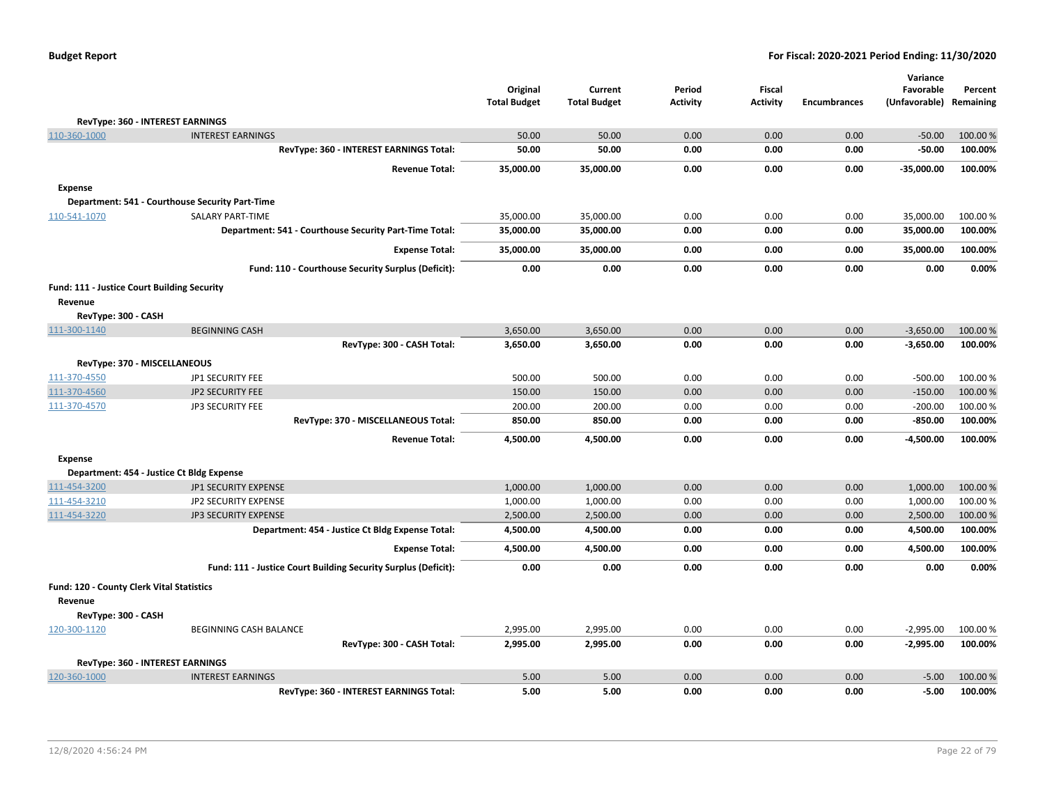| <b>Budget Report</b> |  |
|----------------------|--|
|----------------------|--|

|                     |                                                                | Original<br><b>Total Budget</b> | Current<br><b>Total Budget</b> | Period<br><b>Activity</b> | Fiscal<br><b>Activity</b> | <b>Encumbrances</b> | Variance<br>Favorable<br>(Unfavorable) | Percent<br>Remaining |
|---------------------|----------------------------------------------------------------|---------------------------------|--------------------------------|---------------------------|---------------------------|---------------------|----------------------------------------|----------------------|
|                     | RevType: 360 - INTEREST EARNINGS                               |                                 |                                |                           |                           |                     |                                        |                      |
| 110-360-1000        | <b>INTEREST EARNINGS</b>                                       | 50.00                           | 50.00                          | 0.00                      | 0.00                      | 0.00                | $-50.00$                               | 100.00 %             |
|                     | RevType: 360 - INTEREST EARNINGS Total:                        | 50.00                           | 50.00                          | 0.00                      | 0.00                      | 0.00                | $-50.00$                               | 100.00%              |
|                     | <b>Revenue Total:</b>                                          | 35,000.00                       | 35,000.00                      | 0.00                      | 0.00                      | 0.00                | $-35,000.00$                           | 100.00%              |
| <b>Expense</b>      |                                                                |                                 |                                |                           |                           |                     |                                        |                      |
|                     | Department: 541 - Courthouse Security Part-Time                |                                 |                                |                           |                           |                     |                                        |                      |
| 110-541-1070        | SALARY PART-TIME                                               | 35,000.00                       | 35,000.00                      | 0.00                      | 0.00                      | 0.00                | 35,000.00                              | 100.00%              |
|                     | Department: 541 - Courthouse Security Part-Time Total:         | 35,000.00                       | 35,000.00                      | 0.00                      | 0.00                      | 0.00                | 35,000.00                              | 100.00%              |
|                     | <b>Expense Total:</b>                                          | 35,000.00                       | 35,000.00                      | 0.00                      | 0.00                      | 0.00                | 35,000.00                              | 100.00%              |
|                     | Fund: 110 - Courthouse Security Surplus (Deficit):             | 0.00                            | 0.00                           | 0.00                      | 0.00                      | 0.00                | 0.00                                   | 0.00%                |
|                     | Fund: 111 - Justice Court Building Security                    |                                 |                                |                           |                           |                     |                                        |                      |
| Revenue             |                                                                |                                 |                                |                           |                           |                     |                                        |                      |
| RevType: 300 - CASH |                                                                |                                 |                                |                           |                           |                     |                                        |                      |
| 111-300-1140        | <b>BEGINNING CASH</b>                                          | 3,650.00                        | 3,650.00                       | 0.00                      | 0.00                      | 0.00                | $-3,650.00$                            | 100.00 %             |
|                     | RevType: 300 - CASH Total:                                     | 3,650.00                        | 3,650.00                       | 0.00                      | 0.00                      | 0.00                | $-3,650.00$                            | 100.00%              |
|                     | RevType: 370 - MISCELLANEOUS                                   |                                 |                                |                           |                           |                     |                                        |                      |
| 111-370-4550        | JP1 SECURITY FEE                                               | 500.00                          | 500.00                         | 0.00                      | 0.00                      | 0.00                | $-500.00$                              | 100.00%              |
| 111-370-4560        | JP2 SECURITY FEE                                               | 150.00                          | 150.00                         | 0.00                      | 0.00                      | 0.00                | $-150.00$                              | 100.00%              |
| 111-370-4570        | <b>JP3 SECURITY FEE</b>                                        | 200.00                          | 200.00                         | 0.00                      | 0.00                      | 0.00                | $-200.00$                              | 100.00%              |
|                     | RevType: 370 - MISCELLANEOUS Total:                            | 850.00                          | 850.00                         | 0.00                      | 0.00                      | 0.00                | $-850.00$                              | 100.00%              |
|                     | <b>Revenue Total:</b>                                          | 4,500.00                        | 4,500.00                       | 0.00                      | 0.00                      | 0.00                | $-4,500.00$                            | 100.00%              |
| <b>Expense</b>      |                                                                |                                 |                                |                           |                           |                     |                                        |                      |
|                     | Department: 454 - Justice Ct Bldg Expense                      |                                 |                                |                           |                           |                     |                                        |                      |
| 111-454-3200        | JP1 SECURITY EXPENSE                                           | 1,000.00                        | 1,000.00                       | 0.00                      | 0.00                      | 0.00                | 1,000.00                               | 100.00 %             |
| 111-454-3210        | JP2 SECURITY EXPENSE                                           | 1,000.00                        | 1,000.00                       | 0.00                      | 0.00                      | 0.00                | 1,000.00                               | 100.00%              |
| 111-454-3220        | <b>JP3 SECURITY EXPENSE</b>                                    | 2,500.00                        | 2,500.00                       | 0.00                      | 0.00                      | 0.00                | 2,500.00                               | 100.00 %             |
|                     | Department: 454 - Justice Ct Bldg Expense Total:               | 4,500.00                        | 4,500.00                       | 0.00                      | 0.00                      | 0.00                | 4,500.00                               | 100.00%              |
|                     | <b>Expense Total:</b>                                          | 4,500.00                        | 4,500.00                       | 0.00                      | 0.00                      | 0.00                | 4,500.00                               | 100.00%              |
|                     | Fund: 111 - Justice Court Building Security Surplus (Deficit): | 0.00                            | 0.00                           | 0.00                      | 0.00                      | 0.00                | 0.00                                   | 0.00%                |
|                     | Fund: 120 - County Clerk Vital Statistics                      |                                 |                                |                           |                           |                     |                                        |                      |
| Revenue             |                                                                |                                 |                                |                           |                           |                     |                                        |                      |
| RevType: 300 - CASH |                                                                |                                 |                                |                           |                           |                     |                                        |                      |
| 120-300-1120        | <b>BEGINNING CASH BALANCE</b>                                  | 2,995.00                        | 2,995.00                       | 0.00                      | 0.00                      | 0.00                | $-2,995.00$                            | 100.00 %             |
|                     | RevType: 300 - CASH Total:                                     | 2,995.00                        | 2,995.00                       | 0.00                      | 0.00                      | 0.00                | $-2,995.00$                            | 100.00%              |
|                     | RevType: 360 - INTEREST EARNINGS                               |                                 |                                |                           |                           |                     |                                        |                      |
| 120-360-1000        | <b>INTEREST EARNINGS</b>                                       | 5.00                            | 5.00                           | 0.00                      | 0.00                      | 0.00                | $-5.00$                                | 100.00 %             |
|                     | RevType: 360 - INTEREST EARNINGS Total:                        | 5.00                            | 5.00                           | 0.00                      | 0.00                      | 0.00                | $-5.00$                                | 100.00%              |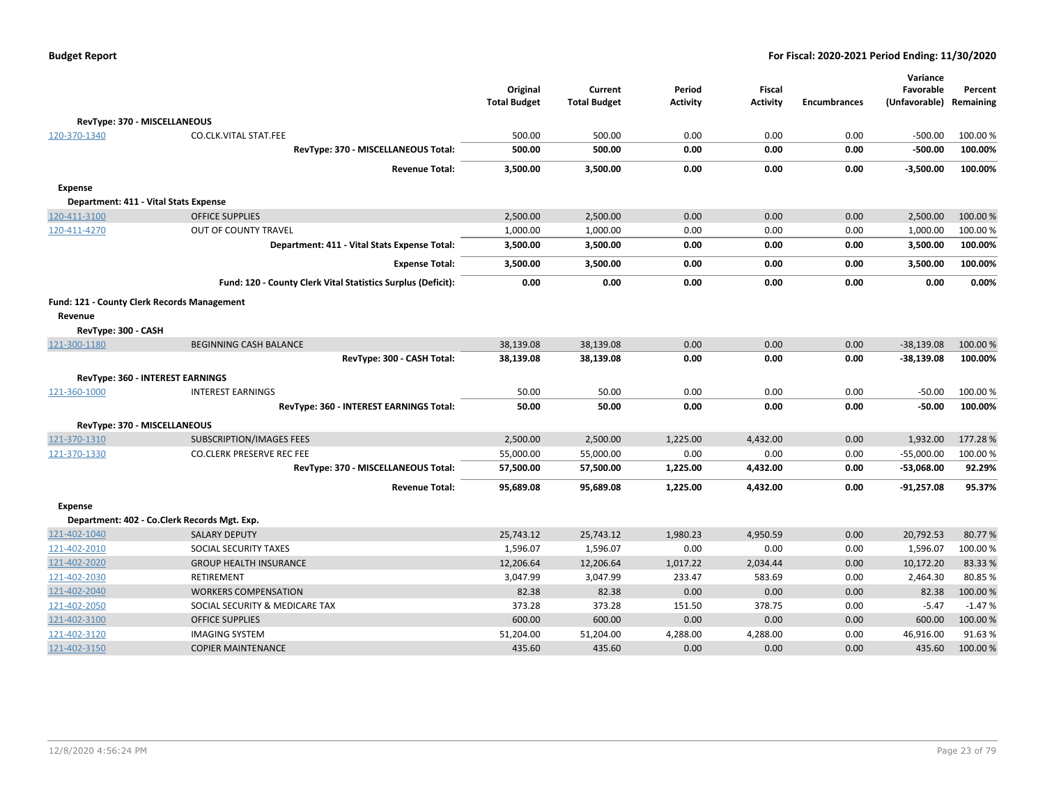|                     |                                                              | Original<br><b>Total Budget</b> | Current<br><b>Total Budget</b> | Period<br><b>Activity</b> | Fiscal<br><b>Activity</b> | <b>Encumbrances</b> | Variance<br>Favorable<br>(Unfavorable) Remaining | Percent  |
|---------------------|--------------------------------------------------------------|---------------------------------|--------------------------------|---------------------------|---------------------------|---------------------|--------------------------------------------------|----------|
|                     | RevType: 370 - MISCELLANEOUS                                 |                                 |                                |                           |                           |                     |                                                  |          |
| 120-370-1340        | <b>CO.CLK.VITAL STAT.FEE</b>                                 | 500.00                          | 500.00                         | 0.00                      | 0.00                      | 0.00                | $-500.00$                                        | 100.00%  |
|                     | RevType: 370 - MISCELLANEOUS Total:                          | 500.00                          | 500.00                         | 0.00                      | 0.00                      | 0.00                | $-500.00$                                        | 100.00%  |
|                     | <b>Revenue Total:</b>                                        | 3,500.00                        | 3,500.00                       | 0.00                      | 0.00                      | 0.00                | $-3,500.00$                                      | 100.00%  |
| <b>Expense</b>      |                                                              |                                 |                                |                           |                           |                     |                                                  |          |
|                     | Department: 411 - Vital Stats Expense                        |                                 |                                |                           |                           |                     |                                                  |          |
| 120-411-3100        | <b>OFFICE SUPPLIES</b>                                       | 2,500.00                        | 2,500.00                       | 0.00                      | 0.00                      | 0.00                | 2,500.00                                         | 100.00%  |
| 120-411-4270        | OUT OF COUNTY TRAVEL                                         | 1,000.00                        | 1,000.00                       | 0.00                      | 0.00                      | 0.00                | 1,000.00                                         | 100.00%  |
|                     | Department: 411 - Vital Stats Expense Total:                 | 3,500.00                        | 3,500.00                       | 0.00                      | 0.00                      | 0.00                | 3,500.00                                         | 100.00%  |
|                     | <b>Expense Total:</b>                                        | 3,500.00                        | 3,500.00                       | 0.00                      | 0.00                      | 0.00                | 3,500.00                                         | 100.00%  |
|                     | Fund: 120 - County Clerk Vital Statistics Surplus (Deficit): | 0.00                            | 0.00                           | 0.00                      | 0.00                      | 0.00                | 0.00                                             | 0.00%    |
|                     | Fund: 121 - County Clerk Records Management                  |                                 |                                |                           |                           |                     |                                                  |          |
| Revenue             |                                                              |                                 |                                |                           |                           |                     |                                                  |          |
| RevType: 300 - CASH |                                                              |                                 |                                |                           |                           |                     |                                                  |          |
| 121-300-1180        | <b>BEGINNING CASH BALANCE</b>                                | 38,139.08                       | 38,139.08                      | 0.00                      | 0.00                      | 0.00                | $-38,139.08$                                     | 100.00 % |
|                     | RevType: 300 - CASH Total:                                   | 38,139.08                       | 38,139.08                      | 0.00                      | 0.00                      | 0.00                | $-38,139.08$                                     | 100.00%  |
|                     | <b>RevType: 360 - INTEREST EARNINGS</b>                      |                                 |                                |                           |                           |                     |                                                  |          |
| 121-360-1000        | <b>INTEREST EARNINGS</b>                                     | 50.00                           | 50.00                          | 0.00                      | 0.00                      | 0.00                | $-50.00$                                         | 100.00%  |
|                     | RevType: 360 - INTEREST EARNINGS Total:                      | 50.00                           | 50.00                          | 0.00                      | 0.00                      | 0.00                | $-50.00$                                         | 100.00%  |
|                     | RevType: 370 - MISCELLANEOUS                                 |                                 |                                |                           |                           |                     |                                                  |          |
| 121-370-1310        | <b>SUBSCRIPTION/IMAGES FEES</b>                              | 2,500.00                        | 2,500.00                       | 1,225.00                  | 4,432.00                  | 0.00                | 1,932.00                                         | 177.28%  |
| 121-370-1330        | <b>CO.CLERK PRESERVE REC FEE</b>                             | 55,000.00                       | 55,000.00                      | 0.00                      | 0.00                      | 0.00                | $-55,000.00$                                     | 100.00%  |
|                     | RevType: 370 - MISCELLANEOUS Total:                          | 57,500.00                       | 57,500.00                      | 1,225.00                  | 4,432.00                  | 0.00                | $-53,068.00$                                     | 92.29%   |
|                     | <b>Revenue Total:</b>                                        | 95,689.08                       | 95,689.08                      | 1,225.00                  | 4,432.00                  | 0.00                | $-91,257.08$                                     | 95.37%   |
| <b>Expense</b>      |                                                              |                                 |                                |                           |                           |                     |                                                  |          |
|                     | Department: 402 - Co.Clerk Records Mgt. Exp.                 |                                 |                                |                           |                           |                     |                                                  |          |
| 121-402-1040        | <b>SALARY DEPUTY</b>                                         | 25,743.12                       | 25,743.12                      | 1,980.23                  | 4,950.59                  | 0.00                | 20,792.53                                        | 80.77%   |
| 121-402-2010        | SOCIAL SECURITY TAXES                                        | 1,596.07                        | 1,596.07                       | 0.00                      | 0.00                      | 0.00                | 1,596.07                                         | 100.00%  |
| 121-402-2020        | <b>GROUP HEALTH INSURANCE</b>                                | 12,206.64                       | 12,206.64                      | 1,017.22                  | 2,034.44                  | 0.00                | 10,172.20                                        | 83.33%   |
| 121-402-2030        | RETIREMENT                                                   | 3,047.99                        | 3,047.99                       | 233.47                    | 583.69                    | 0.00                | 2,464.30                                         | 80.85%   |
| 121-402-2040        | <b>WORKERS COMPENSATION</b>                                  | 82.38                           | 82.38                          | 0.00                      | 0.00                      | 0.00                | 82.38                                            | 100.00 % |
| 121-402-2050        | SOCIAL SECURITY & MEDICARE TAX                               | 373.28                          | 373.28                         | 151.50                    | 378.75                    | 0.00                | $-5.47$                                          | $-1.47%$ |
| 121-402-3100        | <b>OFFICE SUPPLIES</b>                                       | 600.00                          | 600.00                         | 0.00                      | 0.00                      | 0.00                | 600.00                                           | 100.00%  |
| 121-402-3120        | <b>IMAGING SYSTEM</b>                                        | 51,204.00                       | 51,204.00                      | 4,288.00                  | 4,288.00                  | 0.00                | 46,916.00                                        | 91.63%   |
| 121-402-3150        | <b>COPIER MAINTENANCE</b>                                    | 435.60                          | 435.60                         | 0.00                      | 0.00                      | 0.00                | 435.60                                           | 100.00%  |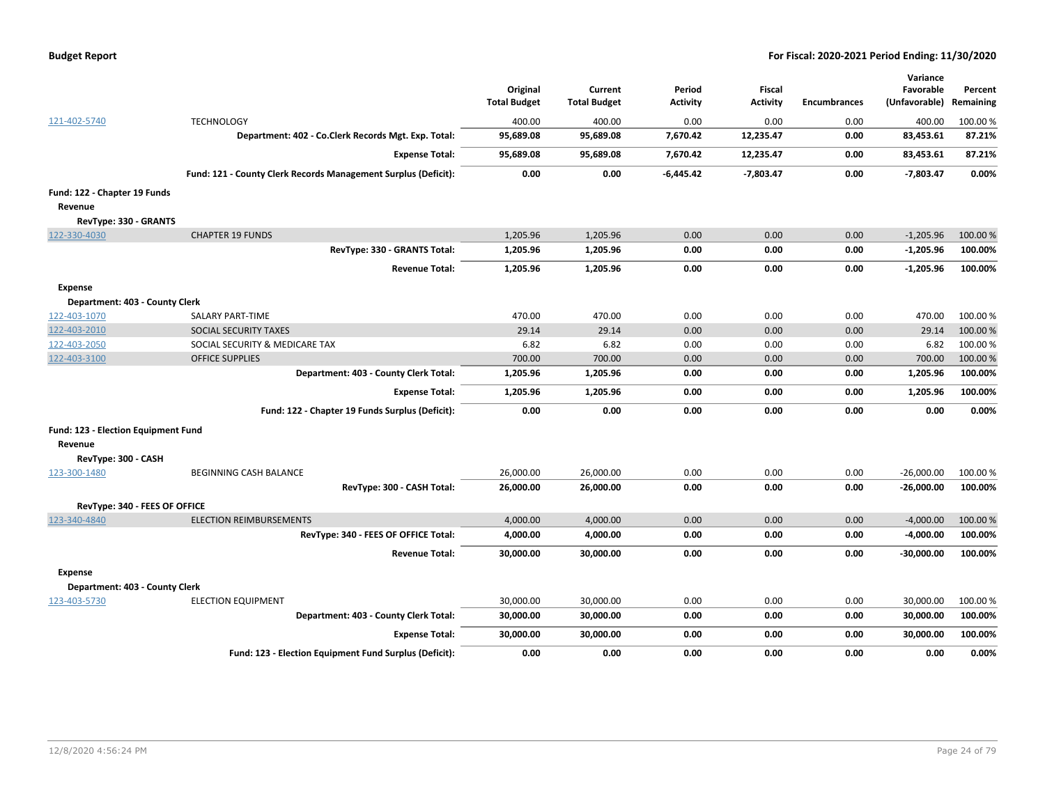| <b>Budget Report</b> |  |
|----------------------|--|
|----------------------|--|

|                                     |                                                                | Original            | Current             | Period          | <b>Fiscal</b>   |                     | Variance<br>Favorable | Percent   |
|-------------------------------------|----------------------------------------------------------------|---------------------|---------------------|-----------------|-----------------|---------------------|-----------------------|-----------|
|                                     |                                                                | <b>Total Budget</b> | <b>Total Budget</b> | <b>Activity</b> | <b>Activity</b> | <b>Encumbrances</b> | (Unfavorable)         | Remaining |
| 121-402-5740                        | <b>TECHNOLOGY</b>                                              | 400.00              | 400.00              | 0.00            | 0.00            | 0.00                | 400.00                | 100.00 %  |
|                                     | Department: 402 - Co.Clerk Records Mgt. Exp. Total:            | 95,689.08           | 95,689.08           | 7,670.42        | 12,235.47       | 0.00                | 83,453.61             | 87.21%    |
|                                     | <b>Expense Total:</b>                                          | 95,689.08           | 95,689.08           | 7,670.42        | 12,235.47       | 0.00                | 83,453.61             | 87.21%    |
|                                     | Fund: 121 - County Clerk Records Management Surplus (Deficit): | 0.00                | 0.00                | $-6,445.42$     | $-7,803.47$     | 0.00                | $-7,803.47$           | 0.00%     |
| Fund: 122 - Chapter 19 Funds        |                                                                |                     |                     |                 |                 |                     |                       |           |
| Revenue                             |                                                                |                     |                     |                 |                 |                     |                       |           |
| RevType: 330 - GRANTS               |                                                                |                     |                     |                 |                 |                     |                       |           |
| 122-330-4030                        | <b>CHAPTER 19 FUNDS</b>                                        | 1,205.96            | 1,205.96            | 0.00            | 0.00            | 0.00                | $-1,205.96$           | 100.00 %  |
|                                     | RevType: 330 - GRANTS Total:                                   | 1,205.96            | 1,205.96            | 0.00            | 0.00            | 0.00                | $-1,205.96$           | 100.00%   |
|                                     | <b>Revenue Total:</b>                                          | 1,205.96            | 1,205.96            | 0.00            | 0.00            | 0.00                | $-1,205.96$           | 100.00%   |
| <b>Expense</b>                      |                                                                |                     |                     |                 |                 |                     |                       |           |
| Department: 403 - County Clerk      |                                                                |                     |                     |                 |                 |                     |                       |           |
| 122-403-1070                        | SALARY PART-TIME                                               | 470.00              | 470.00              | 0.00            | 0.00            | 0.00                | 470.00                | 100.00%   |
| 122-403-2010                        | SOCIAL SECURITY TAXES                                          | 29.14               | 29.14               | 0.00            | 0.00            | 0.00                | 29.14                 | 100.00 %  |
| 122-403-2050                        | SOCIAL SECURITY & MEDICARE TAX                                 | 6.82                | 6.82                | 0.00            | 0.00            | 0.00                | 6.82                  | 100.00 %  |
| 122-403-3100                        | <b>OFFICE SUPPLIES</b>                                         | 700.00              | 700.00              | 0.00            | 0.00            | 0.00                | 700.00                | 100.00 %  |
|                                     | Department: 403 - County Clerk Total:                          | 1,205.96            | 1,205.96            | 0.00            | 0.00            | 0.00                | 1,205.96              | 100.00%   |
|                                     | <b>Expense Total:</b>                                          | 1,205.96            | 1,205.96            | 0.00            | 0.00            | 0.00                | 1,205.96              | 100.00%   |
|                                     | Fund: 122 - Chapter 19 Funds Surplus (Deficit):                | 0.00                | 0.00                | 0.00            | 0.00            | 0.00                | 0.00                  | 0.00%     |
| Fund: 123 - Election Equipment Fund |                                                                |                     |                     |                 |                 |                     |                       |           |
| Revenue                             |                                                                |                     |                     |                 |                 |                     |                       |           |
| RevType: 300 - CASH                 |                                                                |                     |                     |                 |                 |                     |                       |           |
| 123-300-1480                        | BEGINNING CASH BALANCE                                         | 26,000.00           | 26,000.00           | 0.00            | 0.00            | 0.00                | $-26,000.00$          | 100.00 %  |
|                                     | RevType: 300 - CASH Total:                                     | 26,000.00           | 26,000.00           | 0.00            | 0.00            | 0.00                | $-26,000.00$          | 100.00%   |
| RevType: 340 - FEES OF OFFICE       |                                                                |                     |                     |                 |                 |                     |                       |           |
| 123-340-4840                        | <b>ELECTION REIMBURSEMENTS</b>                                 | 4,000.00            | 4,000.00            | 0.00            | 0.00            | 0.00                | $-4,000.00$           | 100.00 %  |
|                                     | RevType: 340 - FEES OF OFFICE Total:                           | 4,000.00            | 4,000.00            | 0.00            | 0.00            | 0.00                | $-4,000.00$           | 100.00%   |
|                                     | <b>Revenue Total:</b>                                          | 30,000.00           | 30,000.00           | 0.00            | 0.00            | 0.00                | -30,000.00            | 100.00%   |
| <b>Expense</b>                      |                                                                |                     |                     |                 |                 |                     |                       |           |
| Department: 403 - County Clerk      |                                                                |                     |                     |                 |                 |                     |                       |           |
| 123-403-5730                        | <b>ELECTION EQUIPMENT</b>                                      | 30,000.00           | 30,000.00           | 0.00            | 0.00            | 0.00                | 30,000.00             | 100.00 %  |
|                                     | Department: 403 - County Clerk Total:                          | 30,000.00           | 30,000.00           | 0.00            | 0.00            | 0.00                | 30,000.00             | 100.00%   |
|                                     | <b>Expense Total:</b>                                          | 30,000.00           | 30,000.00           | 0.00            | 0.00            | 0.00                | 30,000.00             | 100.00%   |
|                                     | Fund: 123 - Election Equipment Fund Surplus (Deficit):         | 0.00                | 0.00                | 0.00            | 0.00            | 0.00                | 0.00                  | 0.00%     |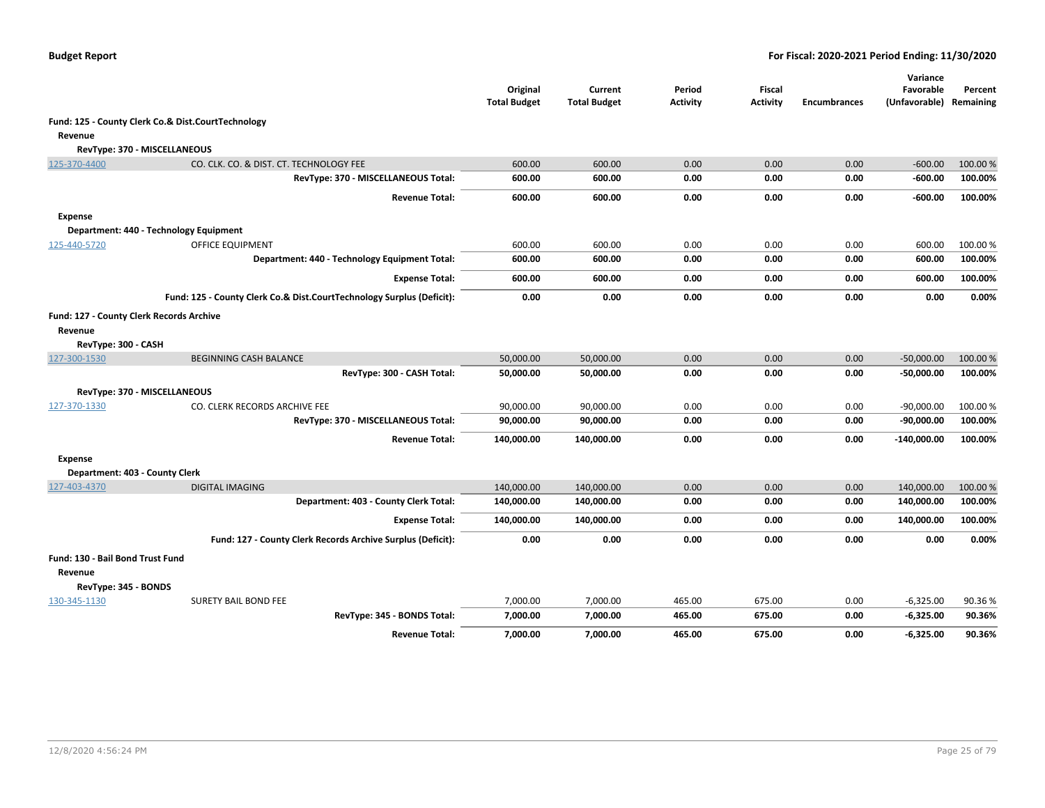|                                                     |                                                                       | Original<br><b>Total Budget</b> | Current<br><b>Total Budget</b> | Period<br><b>Activity</b> | Fiscal<br>Activity | <b>Encumbrances</b> | Variance<br>Favorable<br>(Unfavorable) Remaining | Percent  |
|-----------------------------------------------------|-----------------------------------------------------------------------|---------------------------------|--------------------------------|---------------------------|--------------------|---------------------|--------------------------------------------------|----------|
|                                                     | Fund: 125 - County Clerk Co.& Dist.CourtTechnology                    |                                 |                                |                           |                    |                     |                                                  |          |
| Revenue                                             |                                                                       |                                 |                                |                           |                    |                     |                                                  |          |
|                                                     | RevType: 370 - MISCELLANEOUS                                          |                                 |                                |                           |                    |                     |                                                  |          |
| 125-370-4400                                        | CO. CLK. CO. & DIST. CT. TECHNOLOGY FEE                               | 600.00                          | 600.00                         | 0.00                      | 0.00               | 0.00                | $-600.00$                                        | 100.00 % |
|                                                     | RevType: 370 - MISCELLANEOUS Total:                                   | 600.00                          | 600.00                         | 0.00                      | 0.00               | 0.00                | $-600.00$                                        | 100.00%  |
|                                                     | <b>Revenue Total:</b>                                                 | 600.00                          | 600.00                         | 0.00                      | 0.00               | 0.00                | -600.00                                          | 100.00%  |
| <b>Expense</b>                                      |                                                                       |                                 |                                |                           |                    |                     |                                                  |          |
|                                                     | Department: 440 - Technology Equipment                                |                                 |                                |                           |                    |                     |                                                  |          |
| 125-440-5720                                        | <b>OFFICE EQUIPMENT</b>                                               | 600.00                          | 600.00                         | 0.00                      | 0.00               | 0.00                | 600.00                                           | 100.00%  |
|                                                     | Department: 440 - Technology Equipment Total:                         | 600.00                          | 600.00                         | 0.00                      | 0.00               | 0.00                | 600.00                                           | 100.00%  |
|                                                     | <b>Expense Total:</b>                                                 | 600.00                          | 600.00                         | 0.00                      | 0.00               | 0.00                | 600.00                                           | 100.00%  |
|                                                     | Fund: 125 - County Clerk Co.& Dist.CourtTechnology Surplus (Deficit): | 0.00                            | 0.00                           | 0.00                      | 0.00               | 0.00                | 0.00                                             | 0.00%    |
| Fund: 127 - County Clerk Records Archive<br>Revenue |                                                                       |                                 |                                |                           |                    |                     |                                                  |          |
| RevType: 300 - CASH                                 |                                                                       |                                 |                                |                           |                    |                     |                                                  |          |
| 127-300-1530                                        | <b>BEGINNING CASH BALANCE</b>                                         | 50,000.00                       | 50,000.00                      | 0.00                      | 0.00               | 0.00                | $-50,000.00$                                     | 100.00%  |
|                                                     | RevType: 300 - CASH Total:                                            | 50,000.00                       | 50,000.00                      | 0.00                      | 0.00               | 0.00                | $-50,000.00$                                     | 100.00%  |
|                                                     | RevType: 370 - MISCELLANEOUS                                          |                                 |                                |                           |                    |                     |                                                  |          |
| 127-370-1330                                        | CO. CLERK RECORDS ARCHIVE FEE                                         | 90,000.00                       | 90,000.00                      | 0.00                      | 0.00               | 0.00                | $-90,000.00$                                     | 100.00 % |
|                                                     | RevType: 370 - MISCELLANEOUS Total:                                   | 90,000.00                       | 90,000.00                      | 0.00                      | 0.00               | 0.00                | $-90,000.00$                                     | 100.00%  |
|                                                     | <b>Revenue Total:</b>                                                 | 140,000.00                      | 140,000.00                     | 0.00                      | 0.00               | 0.00                | $-140,000.00$                                    | 100.00%  |
| <b>Expense</b>                                      |                                                                       |                                 |                                |                           |                    |                     |                                                  |          |
| Department: 403 - County Clerk                      |                                                                       |                                 |                                |                           |                    |                     |                                                  |          |
| 127-403-4370                                        | <b>DIGITAL IMAGING</b>                                                | 140,000.00                      | 140,000.00                     | 0.00                      | 0.00               | 0.00                | 140,000.00                                       | 100.00%  |
|                                                     | Department: 403 - County Clerk Total:                                 | 140,000.00                      | 140,000.00                     | 0.00                      | 0.00               | 0.00                | 140,000.00                                       | 100.00%  |
|                                                     | <b>Expense Total:</b>                                                 | 140,000.00                      | 140,000.00                     | 0.00                      | 0.00               | 0.00                | 140,000.00                                       | 100.00%  |
|                                                     | Fund: 127 - County Clerk Records Archive Surplus (Deficit):           | 0.00                            | 0.00                           | 0.00                      | 0.00               | 0.00                | 0.00                                             | 0.00%    |
| Fund: 130 - Bail Bond Trust Fund<br>Revenue         |                                                                       |                                 |                                |                           |                    |                     |                                                  |          |
| RevType: 345 - BONDS                                |                                                                       |                                 |                                |                           |                    |                     |                                                  |          |
| 130-345-1130                                        | <b>SURETY BAIL BOND FEE</b>                                           | 7,000.00                        | 7,000.00                       | 465.00                    | 675.00             | 0.00                | $-6,325.00$                                      | 90.36%   |
|                                                     | RevType: 345 - BONDS Total:                                           | 7,000.00                        | 7,000.00                       | 465.00                    | 675.00             | 0.00                | $-6,325.00$                                      | 90.36%   |
|                                                     | <b>Revenue Total:</b>                                                 | 7,000.00                        | 7,000.00                       | 465.00                    | 675.00             | 0.00                | $-6,325.00$                                      | 90.36%   |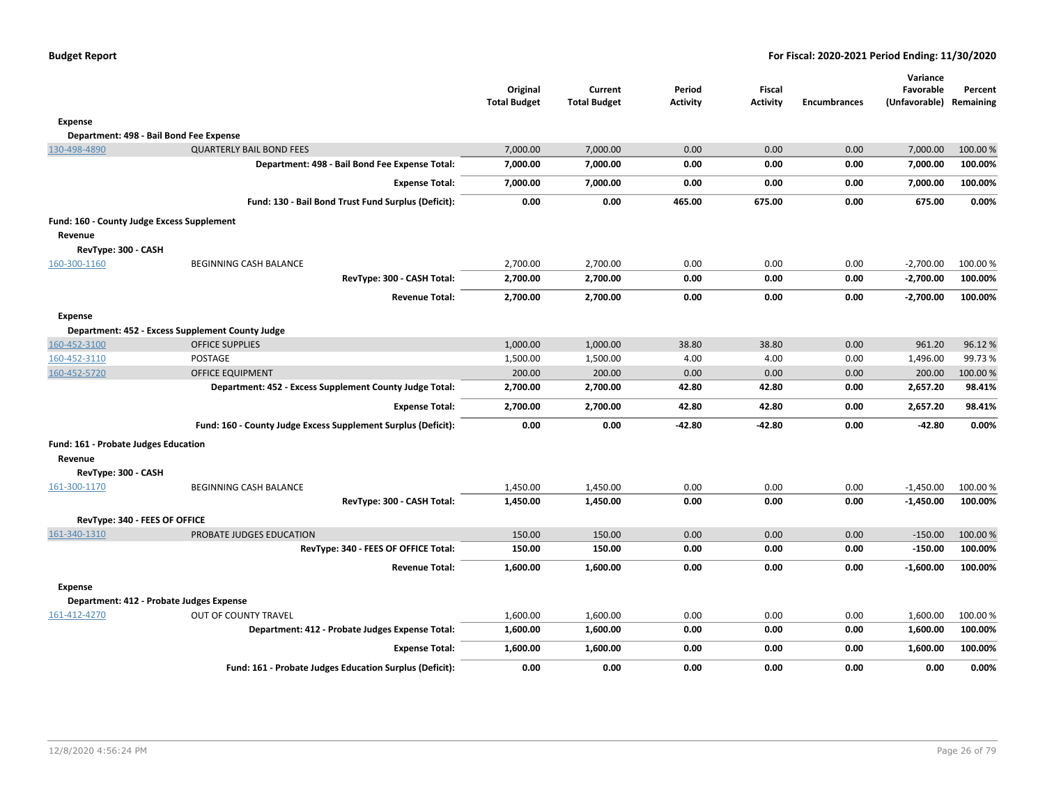|                                            |                                                               | Original<br><b>Total Budget</b> | Current<br><b>Total Budget</b> | Period<br><b>Activity</b> | <b>Fiscal</b><br><b>Activity</b> | <b>Encumbrances</b> | Variance<br>Favorable<br>(Unfavorable) Remaining | Percent  |
|--------------------------------------------|---------------------------------------------------------------|---------------------------------|--------------------------------|---------------------------|----------------------------------|---------------------|--------------------------------------------------|----------|
| Expense                                    |                                                               |                                 |                                |                           |                                  |                     |                                                  |          |
|                                            | Department: 498 - Bail Bond Fee Expense                       |                                 |                                |                           |                                  |                     |                                                  |          |
| 130-498-4890                               | <b>QUARTERLY BAIL BOND FEES</b>                               | 7,000.00                        | 7,000.00                       | 0.00                      | 0.00                             | 0.00                | 7,000.00                                         | 100.00 % |
|                                            | Department: 498 - Bail Bond Fee Expense Total:                | 7,000.00                        | 7,000.00                       | 0.00                      | 0.00                             | 0.00                | 7,000.00                                         | 100.00%  |
|                                            | <b>Expense Total:</b>                                         | 7,000.00                        | 7,000.00                       | 0.00                      | 0.00                             | 0.00                | 7,000.00                                         | 100.00%  |
|                                            | Fund: 130 - Bail Bond Trust Fund Surplus (Deficit):           | 0.00                            | 0.00                           | 465.00                    | 675.00                           | 0.00                | 675.00                                           | 0.00%    |
| Fund: 160 - County Judge Excess Supplement |                                                               |                                 |                                |                           |                                  |                     |                                                  |          |
| Revenue                                    |                                                               |                                 |                                |                           |                                  |                     |                                                  |          |
| RevType: 300 - CASH                        |                                                               |                                 |                                |                           |                                  |                     |                                                  |          |
| 160-300-1160                               | BEGINNING CASH BALANCE                                        | 2,700.00                        | 2,700.00                       | 0.00                      | 0.00                             | 0.00                | $-2,700.00$                                      | 100.00 % |
|                                            | RevType: 300 - CASH Total:                                    | 2,700.00                        | 2,700.00                       | 0.00                      | 0.00                             | 0.00                | $-2,700.00$                                      | 100.00%  |
|                                            | <b>Revenue Total:</b>                                         | 2,700.00                        | 2,700.00                       | 0.00                      | 0.00                             | 0.00                | $-2,700.00$                                      | 100.00%  |
| <b>Expense</b>                             |                                                               |                                 |                                |                           |                                  |                     |                                                  |          |
|                                            | Department: 452 - Excess Supplement County Judge              |                                 |                                |                           |                                  |                     |                                                  |          |
| 160-452-3100                               | <b>OFFICE SUPPLIES</b>                                        | 1,000.00                        | 1,000.00                       | 38.80                     | 38.80                            | 0.00                | 961.20                                           | 96.12%   |
| 160-452-3110                               | <b>POSTAGE</b>                                                | 1,500.00                        | 1,500.00                       | 4.00                      | 4.00                             | 0.00                | 1,496.00                                         | 99.73%   |
| 160-452-5720                               | <b>OFFICE EQUIPMENT</b>                                       | 200.00                          | 200.00                         | 0.00                      | 0.00                             | 0.00                | 200.00                                           | 100.00 % |
|                                            | Department: 452 - Excess Supplement County Judge Total:       | 2,700.00                        | 2,700.00                       | 42.80                     | 42.80                            | 0.00                | 2,657.20                                         | 98.41%   |
|                                            | <b>Expense Total:</b>                                         | 2,700.00                        | 2,700.00                       | 42.80                     | 42.80                            | 0.00                | 2,657.20                                         | 98.41%   |
|                                            | Fund: 160 - County Judge Excess Supplement Surplus (Deficit): | 0.00                            | 0.00                           | -42.80                    | $-42.80$                         | 0.00                | -42.80                                           | 0.00%    |
| Fund: 161 - Probate Judges Education       |                                                               |                                 |                                |                           |                                  |                     |                                                  |          |
| Revenue                                    |                                                               |                                 |                                |                           |                                  |                     |                                                  |          |
| RevType: 300 - CASH                        |                                                               |                                 |                                |                           |                                  |                     |                                                  |          |
| 161-300-1170                               | BEGINNING CASH BALANCE                                        | 1,450.00                        | 1,450.00                       | 0.00                      | 0.00                             | 0.00                | $-1,450.00$                                      | 100.00%  |
|                                            | RevType: 300 - CASH Total:                                    | 1,450.00                        | 1,450.00                       | 0.00                      | 0.00                             | 0.00                | $-1,450.00$                                      | 100.00%  |
| RevType: 340 - FEES OF OFFICE              |                                                               |                                 |                                |                           |                                  |                     |                                                  |          |
| 161-340-1310                               | PROBATE JUDGES EDUCATION                                      | 150.00                          | 150.00                         | 0.00                      | 0.00                             | 0.00                | $-150.00$                                        | 100.00%  |
|                                            | RevType: 340 - FEES OF OFFICE Total:                          | 150.00                          | 150.00                         | 0.00                      | 0.00                             | 0.00                | $-150.00$                                        | 100.00%  |
|                                            | <b>Revenue Total:</b>                                         | 1,600.00                        | 1,600.00                       | 0.00                      | 0.00                             | 0.00                | $-1,600.00$                                      | 100.00%  |
| <b>Expense</b>                             |                                                               |                                 |                                |                           |                                  |                     |                                                  |          |
|                                            | Department: 412 - Probate Judges Expense                      |                                 |                                |                           |                                  |                     |                                                  |          |
| 161-412-4270                               | OUT OF COUNTY TRAVEL                                          | 1,600.00                        | 1,600.00                       | 0.00                      | 0.00                             | 0.00                | 1,600.00                                         | 100.00 % |
|                                            | Department: 412 - Probate Judges Expense Total:               | 1,600.00                        | 1,600.00                       | 0.00                      | 0.00                             | 0.00                | 1,600.00                                         | 100.00%  |
|                                            | <b>Expense Total:</b>                                         | 1,600.00                        | 1,600.00                       | 0.00                      | 0.00                             | 0.00                | 1,600.00                                         | 100.00%  |
|                                            | Fund: 161 - Probate Judges Education Surplus (Deficit):       | 0.00                            | 0.00                           | 0.00                      | 0.00                             | 0.00                | 0.00                                             | 0.00%    |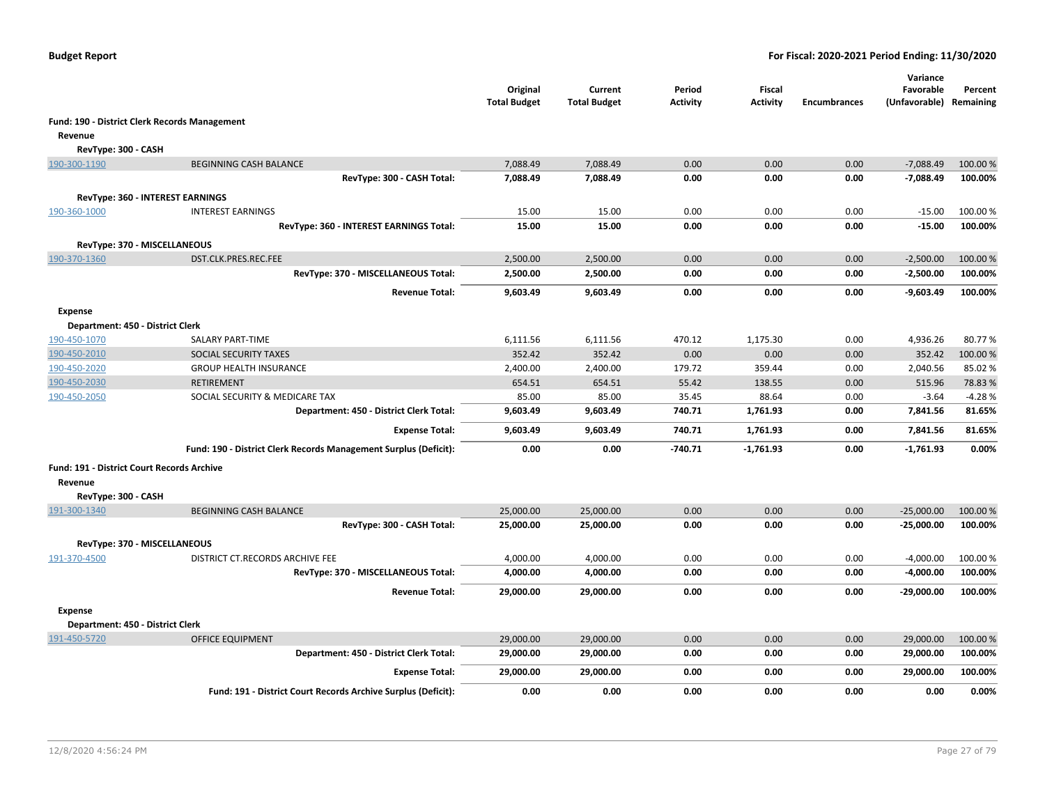|                                                   |                                                                  | Original<br><b>Total Budget</b> | Current<br><b>Total Budget</b> | Period<br><b>Activity</b> | <b>Fiscal</b><br><b>Activity</b> | <b>Encumbrances</b> | Variance<br>Favorable<br>(Unfavorable) Remaining | Percent  |
|---------------------------------------------------|------------------------------------------------------------------|---------------------------------|--------------------------------|---------------------------|----------------------------------|---------------------|--------------------------------------------------|----------|
|                                                   | Fund: 190 - District Clerk Records Management                    |                                 |                                |                           |                                  |                     |                                                  |          |
| Revenue                                           |                                                                  |                                 |                                |                           |                                  |                     |                                                  |          |
| RevType: 300 - CASH                               |                                                                  |                                 |                                |                           |                                  |                     |                                                  |          |
| 190-300-1190                                      | <b>BEGINNING CASH BALANCE</b>                                    | 7,088.49                        | 7,088.49                       | 0.00                      | 0.00                             | 0.00                | $-7,088.49$                                      | 100.00 % |
|                                                   | RevType: 300 - CASH Total:                                       | 7,088.49                        | 7,088.49                       | 0.00                      | 0.00                             | 0.00                | $-7,088.49$                                      | 100.00%  |
|                                                   | RevType: 360 - INTEREST EARNINGS                                 |                                 |                                |                           |                                  |                     |                                                  |          |
| 190-360-1000                                      | <b>INTEREST EARNINGS</b>                                         | 15.00                           | 15.00                          | 0.00                      | 0.00                             | 0.00                | $-15.00$                                         | 100.00%  |
|                                                   | RevType: 360 - INTEREST EARNINGS Total:                          | 15.00                           | 15.00                          | 0.00                      | 0.00                             | 0.00                | $-15.00$                                         | 100.00%  |
|                                                   |                                                                  |                                 |                                |                           |                                  |                     |                                                  |          |
| RevType: 370 - MISCELLANEOUS                      | DST.CLK.PRES.REC.FEE                                             | 2,500.00                        | 2,500.00                       | 0.00                      | 0.00                             | 0.00                | $-2,500.00$                                      | 100.00 % |
| 190-370-1360                                      | RevType: 370 - MISCELLANEOUS Total:                              | 2,500.00                        | 2,500.00                       | 0.00                      | 0.00                             | 0.00                | $-2,500.00$                                      | 100.00%  |
|                                                   |                                                                  |                                 |                                |                           |                                  |                     |                                                  |          |
|                                                   | <b>Revenue Total:</b>                                            | 9,603.49                        | 9,603.49                       | 0.00                      | 0.00                             | 0.00                | $-9,603.49$                                      | 100.00%  |
| <b>Expense</b>                                    |                                                                  |                                 |                                |                           |                                  |                     |                                                  |          |
| Department: 450 - District Clerk                  |                                                                  |                                 |                                |                           |                                  |                     |                                                  |          |
| 190-450-1070                                      | SALARY PART-TIME                                                 | 6,111.56                        | 6,111.56                       | 470.12                    | 1,175.30                         | 0.00                | 4,936.26                                         | 80.77%   |
| 190-450-2010                                      | SOCIAL SECURITY TAXES                                            | 352.42                          | 352.42                         | 0.00                      | 0.00                             | 0.00                | 352.42                                           | 100.00 % |
| 190-450-2020                                      | <b>GROUP HEALTH INSURANCE</b>                                    | 2,400.00                        | 2,400.00                       | 179.72                    | 359.44                           | 0.00                | 2,040.56                                         | 85.02%   |
| 190-450-2030                                      | <b>RETIREMENT</b>                                                | 654.51                          | 654.51                         | 55.42                     | 138.55                           | 0.00                | 515.96                                           | 78.83%   |
| 190-450-2050                                      | SOCIAL SECURITY & MEDICARE TAX                                   | 85.00                           | 85.00                          | 35.45                     | 88.64                            | 0.00                | $-3.64$                                          | $-4.28%$ |
|                                                   | Department: 450 - District Clerk Total:                          | 9,603.49                        | 9,603.49                       | 740.71                    | 1,761.93                         | 0.00                | 7,841.56                                         | 81.65%   |
|                                                   | <b>Expense Total:</b>                                            | 9,603.49                        | 9,603.49                       | 740.71                    | 1,761.93                         | 0.00                | 7,841.56                                         | 81.65%   |
|                                                   | Fund: 190 - District Clerk Records Management Surplus (Deficit): | 0.00                            | 0.00                           | $-740.71$                 | $-1,761.93$                      | 0.00                | $-1,761.93$                                      | 0.00%    |
| <b>Fund: 191 - District Court Records Archive</b> |                                                                  |                                 |                                |                           |                                  |                     |                                                  |          |
| Revenue                                           |                                                                  |                                 |                                |                           |                                  |                     |                                                  |          |
| RevType: 300 - CASH                               |                                                                  |                                 |                                |                           |                                  |                     |                                                  |          |
| 191-300-1340                                      | <b>BEGINNING CASH BALANCE</b>                                    | 25,000.00                       | 25,000.00                      | 0.00                      | 0.00                             | 0.00                | $-25,000.00$                                     | 100.00 % |
|                                                   | RevType: 300 - CASH Total:                                       | 25,000.00                       | 25,000.00                      | 0.00                      | 0.00                             | 0.00                | $-25,000.00$                                     | 100.00%  |
| RevType: 370 - MISCELLANEOUS                      |                                                                  |                                 |                                |                           |                                  |                     |                                                  |          |
| 191-370-4500                                      | DISTRICT CT.RECORDS ARCHIVE FEE                                  | 4,000.00                        | 4,000.00                       | 0.00                      | 0.00                             | 0.00                | $-4,000.00$                                      | 100.00 % |
|                                                   | RevType: 370 - MISCELLANEOUS Total:                              | 4,000.00                        | 4,000.00                       | 0.00                      | 0.00                             | 0.00                | $-4,000.00$                                      | 100.00%  |
|                                                   | <b>Revenue Total:</b>                                            | 29,000.00                       | 29,000.00                      | 0.00                      | 0.00                             | 0.00                | -29,000.00                                       | 100.00%  |
| <b>Expense</b>                                    |                                                                  |                                 |                                |                           |                                  |                     |                                                  |          |
| Department: 450 - District Clerk                  |                                                                  |                                 |                                |                           |                                  |                     |                                                  |          |
| 191-450-5720                                      | <b>OFFICE EQUIPMENT</b>                                          | 29,000.00                       | 29,000.00                      | 0.00                      | 0.00                             | 0.00                | 29,000.00                                        | 100.00 % |
|                                                   | Department: 450 - District Clerk Total:                          | 29,000.00                       | 29,000.00                      | 0.00                      | 0.00                             | 0.00                | 29,000.00                                        | 100.00%  |
|                                                   | <b>Expense Total:</b>                                            | 29,000.00                       | 29,000.00                      | 0.00                      | 0.00                             | 0.00                | 29,000.00                                        | 100.00%  |
|                                                   | Fund: 191 - District Court Records Archive Surplus (Deficit):    | 0.00                            | 0.00                           | 0.00                      | 0.00                             | 0.00                | 0.00                                             | 0.00%    |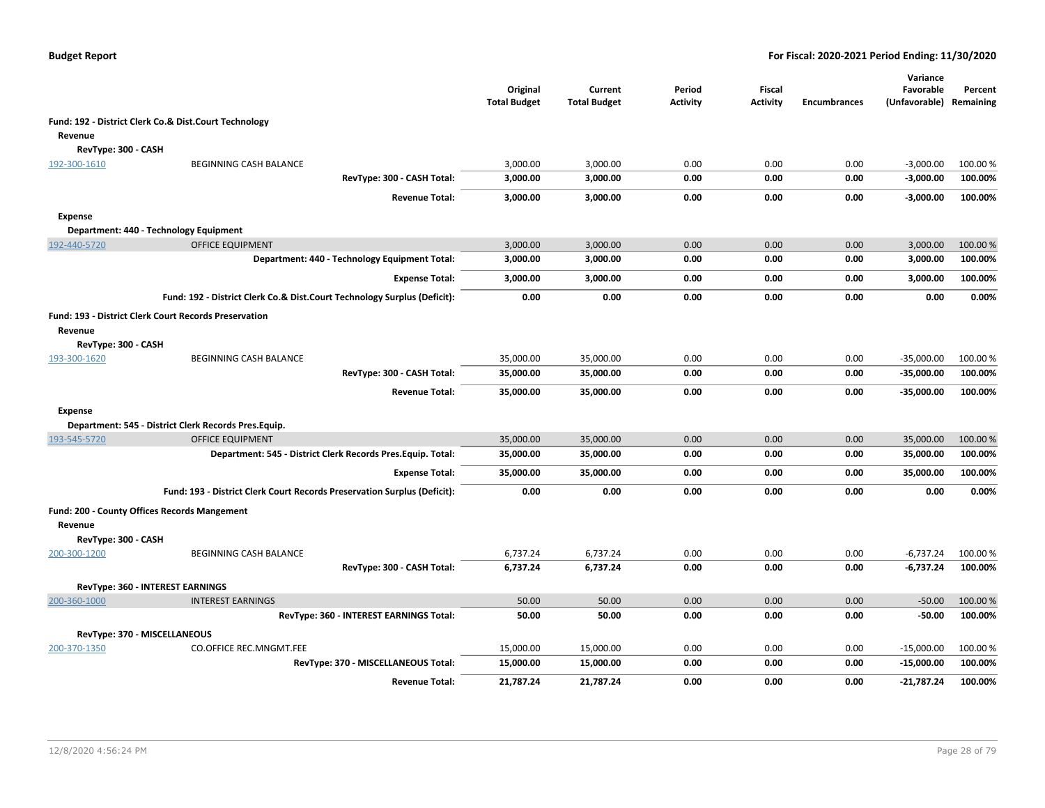|                     |                                                                          | Original<br><b>Total Budget</b> | Current<br><b>Total Budget</b> | Period<br>Activity | Fiscal<br>Activity | <b>Encumbrances</b> | Variance<br>Favorable<br>(Unfavorable) | Percent<br>Remaining |
|---------------------|--------------------------------------------------------------------------|---------------------------------|--------------------------------|--------------------|--------------------|---------------------|----------------------------------------|----------------------|
|                     | Fund: 192 - District Clerk Co.& Dist.Court Technology                    |                                 |                                |                    |                    |                     |                                        |                      |
| Revenue             |                                                                          |                                 |                                |                    |                    |                     |                                        |                      |
| RevType: 300 - CASH |                                                                          |                                 |                                |                    |                    |                     |                                        |                      |
| 192-300-1610        | BEGINNING CASH BALANCE                                                   | 3,000.00                        | 3,000.00                       | 0.00               | 0.00               | 0.00                | $-3,000.00$                            | 100.00 %             |
|                     | RevType: 300 - CASH Total:                                               | 3,000.00                        | 3,000.00                       | 0.00               | 0.00               | 0.00                | $-3,000.00$                            | 100.00%              |
|                     | <b>Revenue Total:</b>                                                    | 3,000.00                        | 3,000.00                       | 0.00               | 0.00               | 0.00                | $-3,000.00$                            | 100.00%              |
| <b>Expense</b>      |                                                                          |                                 |                                |                    |                    |                     |                                        |                      |
|                     | Department: 440 - Technology Equipment                                   |                                 |                                |                    |                    |                     |                                        |                      |
| 192-440-5720        | <b>OFFICE EQUIPMENT</b>                                                  | 3,000.00                        | 3,000.00                       | 0.00               | 0.00               | 0.00                | 3,000.00                               | 100.00%              |
|                     | Department: 440 - Technology Equipment Total:                            | 3,000.00                        | 3,000.00                       | 0.00               | 0.00               | 0.00                | 3,000.00                               | 100.00%              |
|                     | <b>Expense Total:</b>                                                    | 3,000.00                        | 3,000.00                       | 0.00               | 0.00               | 0.00                | 3,000.00                               | 100.00%              |
|                     | Fund: 192 - District Clerk Co.& Dist.Court Technology Surplus (Deficit): | 0.00                            | 0.00                           | 0.00               | 0.00               | 0.00                | 0.00                                   | 0.00%                |
| Revenue             | <b>Fund: 193 - District Clerk Court Records Preservation</b>             |                                 |                                |                    |                    |                     |                                        |                      |
| RevType: 300 - CASH |                                                                          |                                 |                                |                    |                    |                     |                                        |                      |
| 193-300-1620        | <b>BEGINNING CASH BALANCE</b>                                            | 35,000.00                       | 35,000.00                      | 0.00               | 0.00               | 0.00                | $-35,000.00$                           | 100.00 %             |
|                     | RevType: 300 - CASH Total:                                               | 35,000.00                       | 35,000.00                      | 0.00               | 0.00               | 0.00                | -35,000.00                             | 100.00%              |
|                     | <b>Revenue Total:</b>                                                    | 35,000.00                       | 35,000.00                      | 0.00               | 0.00               | 0.00                | -35,000.00                             | 100.00%              |
| <b>Expense</b>      |                                                                          |                                 |                                |                    |                    |                     |                                        |                      |
|                     | Department: 545 - District Clerk Records Pres.Equip.                     |                                 |                                |                    |                    |                     |                                        |                      |
| 193-545-5720        | <b>OFFICE EQUIPMENT</b>                                                  | 35,000.00                       | 35,000.00                      | 0.00               | 0.00               | 0.00                | 35,000.00                              | 100.00 %             |
|                     | Department: 545 - District Clerk Records Pres. Equip. Total:             | 35,000.00                       | 35,000.00                      | 0.00               | 0.00               | 0.00                | 35,000.00                              | 100.00%              |
|                     | <b>Expense Total:</b>                                                    | 35,000.00                       | 35,000.00                      | 0.00               | 0.00               | 0.00                | 35,000.00                              | 100.00%              |
|                     | Fund: 193 - District Clerk Court Records Preservation Surplus (Deficit): | 0.00                            | 0.00                           | 0.00               | 0.00               | 0.00                | 0.00                                   | 0.00%                |
| Revenue             | Fund: 200 - County Offices Records Mangement                             |                                 |                                |                    |                    |                     |                                        |                      |
| RevType: 300 - CASH |                                                                          |                                 |                                |                    |                    |                     |                                        |                      |
| 200-300-1200        | <b>BEGINNING CASH BALANCE</b>                                            | 6,737.24                        | 6,737.24                       | 0.00               | 0.00               | 0.00                | $-6,737.24$                            | 100.00%              |
|                     | RevType: 300 - CASH Total:                                               | 6,737.24                        | 6,737.24                       | 0.00               | 0.00               | 0.00                | $-6,737.24$                            | 100.00%              |
|                     | <b>RevType: 360 - INTEREST EARNINGS</b>                                  |                                 |                                |                    |                    |                     |                                        |                      |
| 200-360-1000        | <b>INTEREST EARNINGS</b>                                                 | 50.00                           | 50.00                          | 0.00               | 0.00               | 0.00                | $-50.00$                               | 100.00 %             |
|                     | RevType: 360 - INTEREST EARNINGS Total:                                  | 50.00                           | 50.00                          | 0.00               | 0.00               | 0.00                | $-50.00$                               | 100.00%              |
|                     | RevType: 370 - MISCELLANEOUS                                             |                                 |                                |                    |                    |                     |                                        |                      |
| 200-370-1350        | <b>CO.OFFICE REC.MNGMT.FEE</b>                                           | 15,000.00                       | 15,000.00                      | 0.00               | 0.00               | 0.00                | $-15,000.00$                           | 100.00 %             |
|                     | RevType: 370 - MISCELLANEOUS Total:                                      | 15,000.00                       | 15,000.00                      | 0.00               | 0.00               | 0.00                | $-15,000.00$                           | 100.00%              |
|                     | <b>Revenue Total:</b>                                                    | 21,787.24                       | 21,787.24                      | 0.00               | 0.00               | 0.00                | -21,787.24                             | 100.00%              |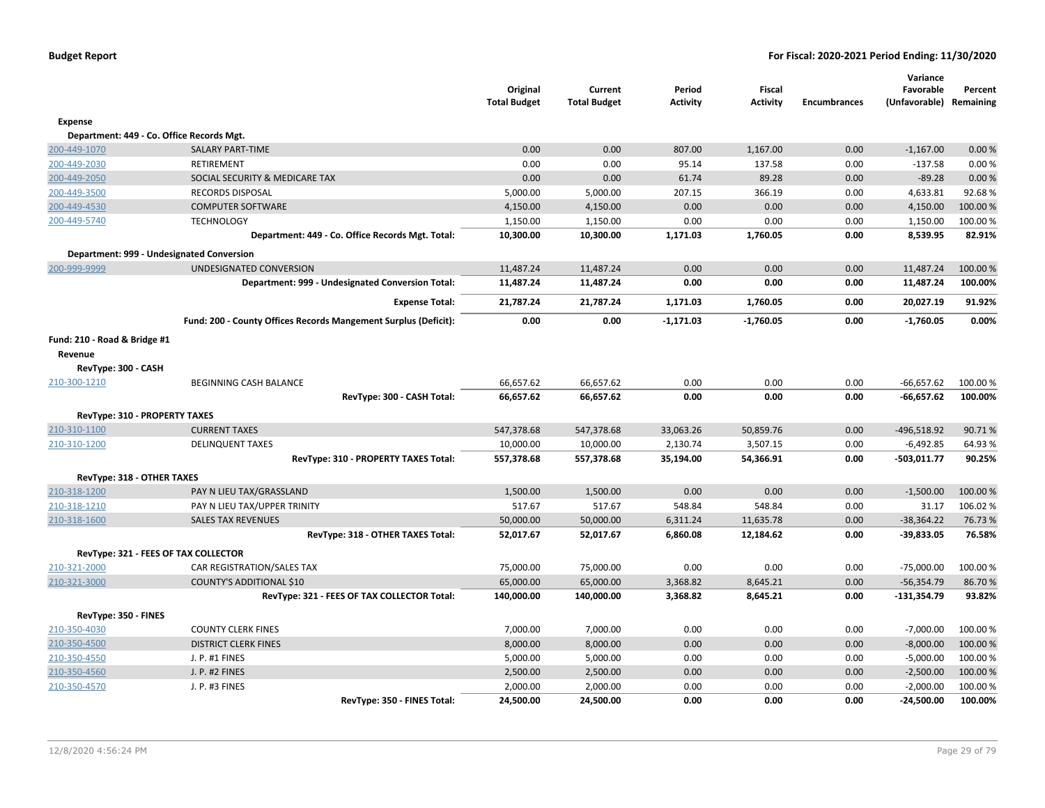|                               |                                                                 | Original<br><b>Total Budget</b> | Current<br><b>Total Budget</b> | Period<br><b>Activity</b> | Fiscal<br><b>Activity</b> | <b>Encumbrances</b> | Variance<br>Favorable<br>(Unfavorable) Remaining | Percent             |
|-------------------------------|-----------------------------------------------------------------|---------------------------------|--------------------------------|---------------------------|---------------------------|---------------------|--------------------------------------------------|---------------------|
| Expense                       |                                                                 |                                 |                                |                           |                           |                     |                                                  |                     |
|                               | Department: 449 - Co. Office Records Mgt.                       |                                 |                                |                           |                           |                     |                                                  |                     |
| 200-449-1070                  | <b>SALARY PART-TIME</b>                                         | 0.00                            | 0.00                           | 807.00                    | 1,167.00                  | 0.00                | $-1,167.00$                                      | 0.00%               |
| 200-449-2030                  | <b>RETIREMENT</b>                                               | 0.00                            | 0.00                           | 95.14                     | 137.58                    | 0.00                | $-137.58$                                        | 0.00%               |
| 200-449-2050                  | SOCIAL SECURITY & MEDICARE TAX                                  | 0.00                            | 0.00                           | 61.74                     | 89.28                     | 0.00                | $-89.28$                                         | 0.00%               |
| 200-449-3500                  | <b>RECORDS DISPOSAL</b>                                         | 5,000.00                        | 5,000.00                       | 207.15                    | 366.19                    | 0.00                | 4,633.81                                         | 92.68%              |
| 200-449-4530                  | <b>COMPUTER SOFTWARE</b>                                        | 4,150.00                        | 4,150.00                       | 0.00                      | 0.00                      | 0.00                | 4,150.00                                         | 100.00 %            |
| 200-449-5740                  | <b>TECHNOLOGY</b>                                               | 1,150.00                        | 1,150.00                       | 0.00                      | 0.00                      | 0.00                | 1,150.00                                         | 100.00%             |
|                               | Department: 449 - Co. Office Records Mgt. Total:                | 10,300.00                       | 10,300.00                      | 1,171.03                  | 1,760.05                  | 0.00                | 8,539.95                                         | 82.91%              |
|                               | Department: 999 - Undesignated Conversion                       |                                 |                                |                           |                           |                     |                                                  |                     |
| 200-999-9999                  | UNDESIGNATED CONVERSION                                         | 11,487.24                       | 11,487.24                      | 0.00                      | 0.00                      | 0.00                | 11,487.24                                        | 100.00 %            |
|                               | Department: 999 - Undesignated Conversion Total:                | 11,487.24                       | 11,487.24                      | 0.00                      | 0.00                      | 0.00                | 11,487.24                                        | 100.00%             |
|                               | <b>Expense Total:</b>                                           | 21,787.24                       | 21,787.24                      | 1,171.03                  | 1,760.05                  | 0.00                | 20,027.19                                        | 91.92%              |
|                               | Fund: 200 - County Offices Records Mangement Surplus (Deficit): | 0.00                            | 0.00                           | $-1,171.03$               | $-1,760.05$               | 0.00                | $-1,760.05$                                      | 0.00%               |
| Fund: 210 - Road & Bridge #1  |                                                                 |                                 |                                |                           |                           |                     |                                                  |                     |
| Revenue                       |                                                                 |                                 |                                |                           |                           |                     |                                                  |                     |
| RevType: 300 - CASH           |                                                                 |                                 |                                |                           |                           |                     |                                                  |                     |
| 210-300-1210                  | <b>BEGINNING CASH BALANCE</b>                                   | 66,657.62                       | 66,657.62                      | 0.00                      | 0.00                      | 0.00                | $-66,657.62$                                     | 100.00 %            |
|                               | RevType: 300 - CASH Total:                                      | 66,657.62                       | 66,657.62                      | 0.00                      | 0.00                      | 0.00                | $-66,657.62$                                     | 100.00%             |
| RevType: 310 - PROPERTY TAXES |                                                                 |                                 |                                |                           |                           |                     |                                                  |                     |
| 210-310-1100                  | <b>CURRENT TAXES</b>                                            | 547,378.68                      | 547,378.68                     | 33,063.26                 | 50,859.76                 | 0.00                | -496,518.92                                      | 90.71%              |
| 210-310-1200                  | <b>DELINQUENT TAXES</b>                                         | 10,000.00                       | 10,000.00                      | 2,130.74                  | 3,507.15                  | 0.00                | $-6,492.85$                                      | 64.93%              |
|                               | RevType: 310 - PROPERTY TAXES Total:                            | 557,378.68                      | 557,378.68                     | 35,194.00                 | 54,366.91                 | 0.00                | $-503,011.77$                                    | 90.25%              |
|                               |                                                                 |                                 |                                |                           |                           |                     |                                                  |                     |
| RevType: 318 - OTHER TAXES    |                                                                 |                                 |                                |                           |                           |                     |                                                  |                     |
| 210-318-1200<br>210-318-1210  | PAY N LIEU TAX/GRASSLAND                                        | 1,500.00<br>517.67              | 1,500.00<br>517.67             | 0.00                      | 0.00                      | 0.00                | $-1,500.00$                                      | 100.00 %<br>106.02% |
| 210-318-1600                  | PAY N LIEU TAX/UPPER TRINITY<br><b>SALES TAX REVENUES</b>       | 50,000.00                       | 50,000.00                      | 548.84<br>6,311.24        | 548.84<br>11,635.78       | 0.00<br>0.00        | 31.17<br>$-38,364.22$                            | 76.73 %             |
|                               | RevType: 318 - OTHER TAXES Total:                               | 52,017.67                       | 52,017.67                      | 6,860.08                  | 12,184.62                 | 0.00                | $-39,833.05$                                     | 76.58%              |
|                               |                                                                 |                                 |                                |                           |                           |                     |                                                  |                     |
|                               | RevType: 321 - FEES OF TAX COLLECTOR                            |                                 |                                |                           |                           |                     |                                                  |                     |
| 210-321-2000                  | CAR REGISTRATION/SALES TAX                                      | 75,000.00                       | 75,000.00                      | 0.00                      | 0.00                      | 0.00                | $-75,000.00$                                     | 100.00 %            |
| 210-321-3000                  | COUNTY'S ADDITIONAL \$10                                        | 65,000.00                       | 65,000.00                      | 3,368.82                  | 8,645.21                  | 0.00                | $-56,354.79$                                     | 86.70%              |
|                               | RevType: 321 - FEES OF TAX COLLECTOR Total:                     | 140,000.00                      | 140,000.00                     | 3,368.82                  | 8,645.21                  | 0.00                | $-131,354.79$                                    | 93.82%              |
| RevType: 350 - FINES          |                                                                 |                                 |                                |                           |                           |                     |                                                  |                     |
| 210-350-4030                  | <b>COUNTY CLERK FINES</b>                                       | 7,000.00                        | 7,000.00                       | 0.00                      | 0.00                      | 0.00                | $-7,000.00$                                      | 100.00 %            |
| 210-350-4500                  | <b>DISTRICT CLERK FINES</b>                                     | 8,000.00                        | 8,000.00                       | 0.00                      | 0.00                      | 0.00                | $-8,000.00$                                      | 100.00 %            |
| 210-350-4550                  | J. P. #1 FINES                                                  | 5,000.00                        | 5,000.00                       | 0.00                      | 0.00                      | 0.00                | $-5,000.00$                                      | 100.00 %            |
| 210-350-4560                  | J. P. #2 FINES                                                  | 2,500.00                        | 2,500.00                       | 0.00                      | 0.00                      | 0.00                | $-2,500.00$                                      | 100.00 %            |
| 210-350-4570                  | J. P. #3 FINES                                                  | 2,000.00                        | 2,000.00                       | 0.00                      | 0.00                      | 0.00                | $-2,000.00$                                      | 100.00 %            |
|                               | RevType: 350 - FINES Total:                                     | 24,500.00                       | 24,500.00                      | 0.00                      | 0.00                      | 0.00                | $-24,500.00$                                     | 100.00%             |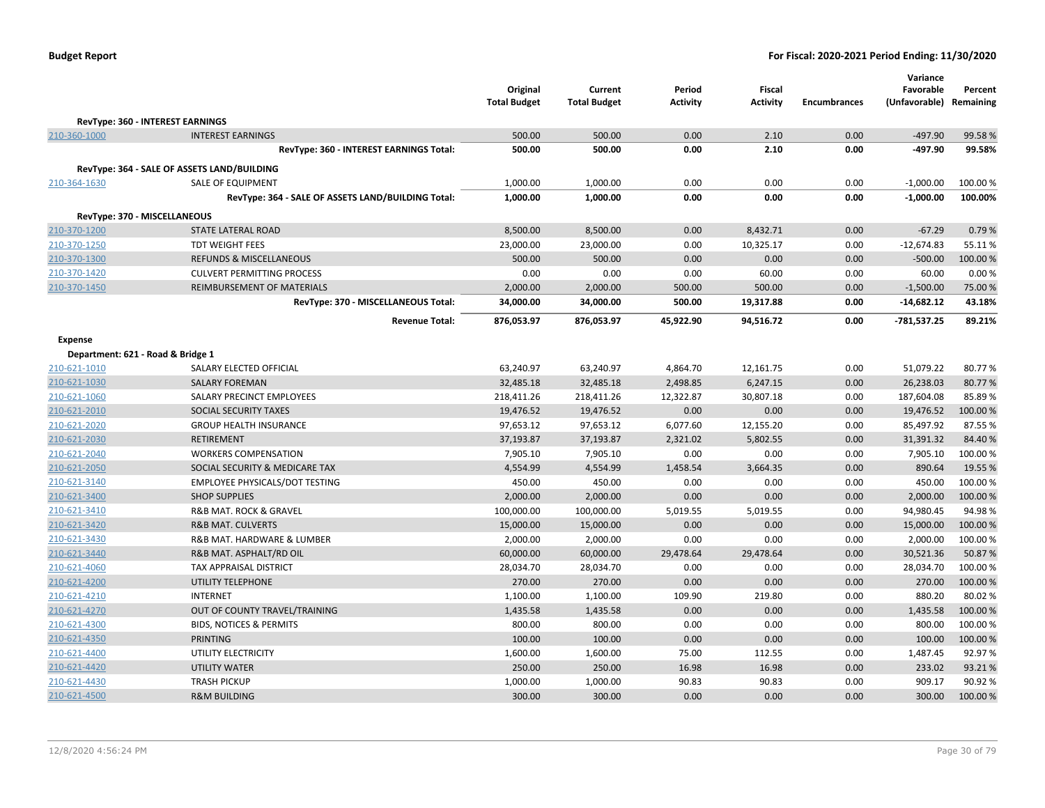|                                              |                                                    | Original<br><b>Total Budget</b> | Current<br><b>Total Budget</b> | Period<br><b>Activity</b> | <b>Fiscal</b><br><b>Activity</b> | <b>Encumbrances</b> | Variance<br>Favorable<br>(Unfavorable) | Percent<br>Remaining |
|----------------------------------------------|----------------------------------------------------|---------------------------------|--------------------------------|---------------------------|----------------------------------|---------------------|----------------------------------------|----------------------|
|                                              | RevType: 360 - INTEREST EARNINGS                   |                                 |                                |                           |                                  |                     |                                        |                      |
| 210-360-1000                                 | <b>INTEREST EARNINGS</b>                           | 500.00                          | 500.00                         | 0.00                      | 2.10                             | 0.00                | $-497.90$                              | 99.58%               |
|                                              | RevType: 360 - INTEREST EARNINGS Total:            | 500.00                          | 500.00                         | 0.00                      | 2.10                             | 0.00                | $-497.90$                              | 99.58%               |
|                                              | RevType: 364 - SALE OF ASSETS LAND/BUILDING        |                                 |                                |                           |                                  |                     |                                        |                      |
| 210-364-1630                                 | SALE OF EQUIPMENT                                  | 1,000.00                        | 1,000.00                       | 0.00                      | 0.00                             | 0.00                | $-1,000.00$                            | 100.00%              |
|                                              | RevType: 364 - SALE OF ASSETS LAND/BUILDING Total: | 1,000.00                        | 1,000.00                       | 0.00                      | 0.00                             | 0.00                | $-1,000.00$                            | 100.00%              |
|                                              |                                                    |                                 |                                |                           |                                  |                     |                                        |                      |
| RevType: 370 - MISCELLANEOUS<br>210-370-1200 | <b>STATE LATERAL ROAD</b>                          | 8,500.00                        | 8,500.00                       | 0.00                      | 8,432.71                         | 0.00                | $-67.29$                               | 0.79%                |
| 210-370-1250                                 | <b>TDT WEIGHT FEES</b>                             | 23,000.00                       | 23,000.00                      | 0.00                      | 10,325.17                        | 0.00                | $-12,674.83$                           | 55.11%               |
| 210-370-1300                                 | REFUNDS & MISCELLANEOUS                            | 500.00                          | 500.00                         | 0.00                      | 0.00                             | 0.00                | $-500.00$                              | 100.00%              |
| 210-370-1420                                 | <b>CULVERT PERMITTING PROCESS</b>                  | 0.00                            | 0.00                           | 0.00                      | 60.00                            | 0.00                | 60.00                                  | 0.00%                |
| 210-370-1450                                 | <b>REIMBURSEMENT OF MATERIALS</b>                  | 2,000.00                        | 2,000.00                       | 500.00                    | 500.00                           | 0.00                | $-1,500.00$                            | 75.00 %              |
|                                              | RevType: 370 - MISCELLANEOUS Total:                | 34,000.00                       | 34,000.00                      | 500.00                    | 19,317.88                        | 0.00                | $-14,682.12$                           | 43.18%               |
|                                              | <b>Revenue Total:</b>                              | 876,053.97                      | 876,053.97                     | 45,922.90                 | 94,516.72                        | 0.00                | $-781,537.25$                          | 89.21%               |
|                                              |                                                    |                                 |                                |                           |                                  |                     |                                        |                      |
| Expense<br>Department: 621 - Road & Bridge 1 |                                                    |                                 |                                |                           |                                  |                     |                                        |                      |
| 210-621-1010                                 | SALARY ELECTED OFFICIAL                            | 63,240.97                       | 63,240.97                      | 4,864.70                  | 12,161.75                        | 0.00                | 51,079.22                              | 80.77%               |
| 210-621-1030                                 | <b>SALARY FOREMAN</b>                              | 32,485.18                       | 32,485.18                      | 2,498.85                  | 6,247.15                         | 0.00                | 26,238.03                              | 80.77%               |
| 210-621-1060                                 | SALARY PRECINCT EMPLOYEES                          | 218,411.26                      | 218,411.26                     | 12,322.87                 | 30,807.18                        | 0.00                | 187,604.08                             | 85.89%               |
| 210-621-2010                                 | SOCIAL SECURITY TAXES                              | 19,476.52                       | 19,476.52                      | 0.00                      | 0.00                             | 0.00                | 19,476.52                              | 100.00%              |
| 210-621-2020                                 | <b>GROUP HEALTH INSURANCE</b>                      | 97,653.12                       | 97,653.12                      | 6,077.60                  | 12,155.20                        | 0.00                | 85,497.92                              | 87.55 %              |
| 210-621-2030                                 | <b>RETIREMENT</b>                                  | 37,193.87                       | 37,193.87                      | 2,321.02                  | 5,802.55                         | 0.00                | 31,391.32                              | 84.40%               |
| 210-621-2040                                 | <b>WORKERS COMPENSATION</b>                        | 7,905.10                        | 7,905.10                       | 0.00                      | 0.00                             | 0.00                | 7,905.10                               | 100.00%              |
| 210-621-2050                                 | SOCIAL SECURITY & MEDICARE TAX                     | 4,554.99                        | 4,554.99                       | 1,458.54                  | 3,664.35                         | 0.00                | 890.64                                 | 19.55 %              |
| 210-621-3140                                 | EMPLOYEE PHYSICALS/DOT TESTING                     | 450.00                          | 450.00                         | 0.00                      | 0.00                             | 0.00                | 450.00                                 | 100.00%              |
| 210-621-3400                                 | <b>SHOP SUPPLIES</b>                               | 2,000.00                        | 2,000.00                       | 0.00                      | 0.00                             | 0.00                | 2,000.00                               | 100.00%              |
| 210-621-3410                                 | R&B MAT. ROCK & GRAVEL                             | 100,000.00                      | 100,000.00                     | 5,019.55                  | 5,019.55                         | 0.00                | 94,980.45                              | 94.98%               |
| 210-621-3420                                 | <b>R&amp;B MAT. CULVERTS</b>                       | 15,000.00                       | 15,000.00                      | 0.00                      | 0.00                             | 0.00                | 15,000.00                              | 100.00%              |
| 210-621-3430                                 | R&B MAT. HARDWARE & LUMBER                         | 2,000.00                        | 2,000.00                       | 0.00                      | 0.00                             | 0.00                | 2,000.00                               | 100.00%              |
| 210-621-3440                                 | R&B MAT. ASPHALT/RD OIL                            | 60,000.00                       | 60,000.00                      | 29,478.64                 | 29,478.64                        | 0.00                | 30,521.36                              | 50.87%               |
| 210-621-4060                                 | <b>TAX APPRAISAL DISTRICT</b>                      | 28,034.70                       | 28,034.70                      | 0.00                      | 0.00                             | 0.00                | 28,034.70                              | 100.00%              |
| 210-621-4200                                 | <b>UTILITY TELEPHONE</b>                           | 270.00                          | 270.00                         | 0.00                      | 0.00                             | 0.00                | 270.00                                 | 100.00 %             |
| 210-621-4210                                 | <b>INTERNET</b>                                    | 1,100.00                        | 1,100.00                       | 109.90                    | 219.80                           | 0.00                | 880.20                                 | 80.02%               |
| 210-621-4270                                 | OUT OF COUNTY TRAVEL/TRAINING                      | 1,435.58                        | 1,435.58                       | 0.00                      | 0.00                             | 0.00                | 1,435.58                               | 100.00%              |
| 210-621-4300                                 | <b>BIDS, NOTICES &amp; PERMITS</b>                 | 800.00                          | 800.00                         | 0.00                      | 0.00                             | 0.00                | 800.00                                 | 100.00%              |
| 210-621-4350                                 | <b>PRINTING</b>                                    | 100.00                          | 100.00                         | 0.00                      | 0.00                             | 0.00                | 100.00                                 | 100.00%              |
| 210-621-4400                                 | UTILITY ELECTRICITY                                | 1,600.00                        | 1,600.00                       | 75.00                     | 112.55                           | 0.00                | 1,487.45                               | 92.97%               |
| 210-621-4420                                 | UTILITY WATER                                      | 250.00                          | 250.00                         | 16.98                     | 16.98                            | 0.00                | 233.02                                 | 93.21%               |
| 210-621-4430                                 | <b>TRASH PICKUP</b>                                | 1,000.00                        | 1,000.00                       | 90.83                     | 90.83                            | 0.00                | 909.17                                 | 90.92%               |
| 210-621-4500                                 | <b>R&amp;M BUILDING</b>                            | 300.00                          | 300.00                         | 0.00                      | 0.00                             | 0.00                | 300.00                                 | 100.00%              |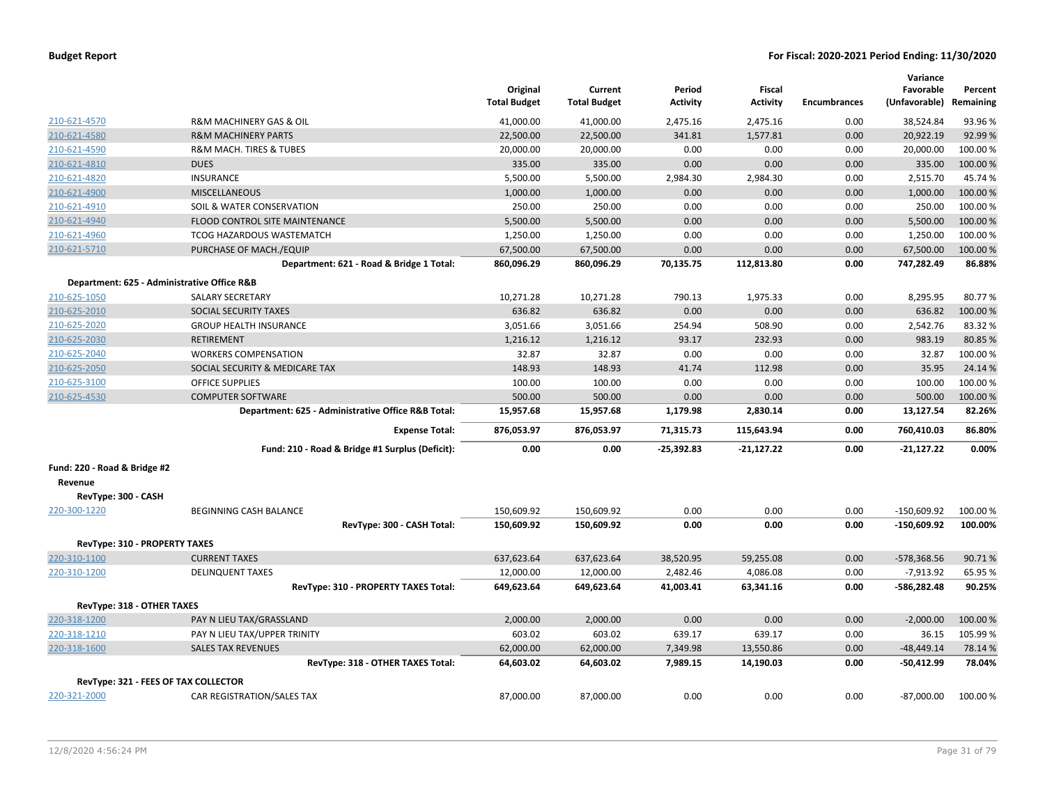|                               |                                                    | Original<br><b>Total Budget</b> | Current<br><b>Total Budget</b> | Period<br><b>Activity</b> | Fiscal<br><b>Activity</b> | <b>Encumbrances</b> | Variance<br>Favorable<br>(Unfavorable) | Percent<br>Remaining |
|-------------------------------|----------------------------------------------------|---------------------------------|--------------------------------|---------------------------|---------------------------|---------------------|----------------------------------------|----------------------|
| 210-621-4570                  | R&M MACHINERY GAS & OIL                            | 41,000.00                       | 41,000.00                      | 2,475.16                  | 2,475.16                  | 0.00                | 38,524.84                              | 93.96%               |
| 210-621-4580                  | <b>R&amp;M MACHINERY PARTS</b>                     | 22,500.00                       | 22,500.00                      | 341.81                    | 1,577.81                  | 0.00                | 20,922.19                              | 92.99%               |
| 210-621-4590                  | R&M MACH. TIRES & TUBES                            | 20,000.00                       | 20,000.00                      | 0.00                      | 0.00                      | 0.00                | 20,000.00                              | 100.00 %             |
| 210-621-4810                  | <b>DUES</b>                                        | 335.00                          | 335.00                         | 0.00                      | 0.00                      | 0.00                | 335.00                                 | 100.00 %             |
| 210-621-4820                  | <b>INSURANCE</b>                                   | 5,500.00                        | 5,500.00                       | 2,984.30                  | 2,984.30                  | 0.00                | 2,515.70                               | 45.74%               |
| 210-621-4900                  | <b>MISCELLANEOUS</b>                               | 1,000.00                        | 1,000.00                       | 0.00                      | 0.00                      | 0.00                | 1,000.00                               | 100.00 %             |
| 210-621-4910                  | SOIL & WATER CONSERVATION                          | 250.00                          | 250.00                         | 0.00                      | 0.00                      | 0.00                | 250.00                                 | 100.00 %             |
| 210-621-4940                  | FLOOD CONTROL SITE MAINTENANCE                     | 5,500.00                        | 5,500.00                       | 0.00                      | 0.00                      | 0.00                | 5,500.00                               | 100.00 %             |
| 210-621-4960                  | <b>TCOG HAZARDOUS WASTEMATCH</b>                   | 1,250.00                        | 1,250.00                       | 0.00                      | 0.00                      | 0.00                | 1,250.00                               | 100.00%              |
| 210-621-5710                  | PURCHASE OF MACH./EQUIP                            | 67,500.00                       | 67,500.00                      | 0.00                      | 0.00                      | 0.00                | 67,500.00                              | 100.00 %             |
|                               | Department: 621 - Road & Bridge 1 Total:           | 860,096.29                      | 860,096.29                     | 70,135.75                 | 112,813.80                | 0.00                | 747,282.49                             | 86.88%               |
|                               | Department: 625 - Administrative Office R&B        |                                 |                                |                           |                           |                     |                                        |                      |
| 210-625-1050                  | <b>SALARY SECRETARY</b>                            | 10,271.28                       | 10,271.28                      | 790.13                    | 1,975.33                  | 0.00                | 8,295.95                               | 80.77%               |
| 210-625-2010                  | SOCIAL SECURITY TAXES                              | 636.82                          | 636.82                         | 0.00                      | 0.00                      | 0.00                | 636.82                                 | 100.00%              |
| 210-625-2020                  | <b>GROUP HEALTH INSURANCE</b>                      | 3,051.66                        | 3,051.66                       | 254.94                    | 508.90                    | 0.00                | 2,542.76                               | 83.32 %              |
| 210-625-2030                  | <b>RETIREMENT</b>                                  | 1,216.12                        | 1,216.12                       | 93.17                     | 232.93                    | 0.00                | 983.19                                 | 80.85%               |
| 210-625-2040                  | <b>WORKERS COMPENSATION</b>                        | 32.87                           | 32.87                          | 0.00                      | 0.00                      | 0.00                | 32.87                                  | 100.00%              |
| 210-625-2050                  | SOCIAL SECURITY & MEDICARE TAX                     | 148.93                          | 148.93                         | 41.74                     | 112.98                    | 0.00                | 35.95                                  | 24.14 %              |
| 210-625-3100                  | <b>OFFICE SUPPLIES</b>                             | 100.00                          | 100.00                         | 0.00                      | 0.00                      | 0.00                | 100.00                                 | 100.00%              |
| 210-625-4530                  | <b>COMPUTER SOFTWARE</b>                           | 500.00                          | 500.00                         | 0.00                      | 0.00                      | 0.00                | 500.00                                 | 100.00%              |
|                               | Department: 625 - Administrative Office R&B Total: | 15,957.68                       | 15,957.68                      | 1,179.98                  | 2,830.14                  | 0.00                | 13,127.54                              | 82.26%               |
|                               | <b>Expense Total:</b>                              | 876,053.97                      | 876,053.97                     | 71,315.73                 | 115,643.94                | 0.00                | 760,410.03                             | 86.80%               |
|                               | Fund: 210 - Road & Bridge #1 Surplus (Deficit):    | 0.00                            | 0.00                           | $-25,392.83$              | $-21,127.22$              | 0.00                | $-21,127.22$                           | 0.00%                |
| Fund: 220 - Road & Bridge #2  |                                                    |                                 |                                |                           |                           |                     |                                        |                      |
| Revenue                       |                                                    |                                 |                                |                           |                           |                     |                                        |                      |
| RevType: 300 - CASH           |                                                    |                                 |                                |                           |                           |                     |                                        |                      |
| 220-300-1220                  | <b>BEGINNING CASH BALANCE</b>                      | 150,609.92                      | 150,609.92                     | 0.00                      | 0.00                      | 0.00                | $-150,609.92$                          | 100.00 %             |
|                               | RevType: 300 - CASH Total:                         | 150,609.92                      | 150,609.92                     | 0.00                      | 0.00                      | 0.00                | $-150,609.92$                          | 100.00%              |
| RevType: 310 - PROPERTY TAXES |                                                    |                                 |                                |                           |                           |                     |                                        |                      |
| 220-310-1100                  | <b>CURRENT TAXES</b>                               | 637,623.64                      | 637,623.64                     | 38,520.95                 | 59,255.08                 | 0.00                | $-578,368.56$                          | 90.71%               |
| 220-310-1200                  | <b>DELINQUENT TAXES</b>                            | 12,000.00                       | 12,000.00                      | 2,482.46                  | 4,086.08                  | 0.00                | $-7,913.92$                            | 65.95 %              |
|                               | RevType: 310 - PROPERTY TAXES Total:               | 649,623.64                      | 649,623.64                     | 41,003.41                 | 63,341.16                 | 0.00                | -586,282.48                            | 90.25%               |
| RevType: 318 - OTHER TAXES    |                                                    |                                 |                                |                           |                           |                     |                                        |                      |
| 220-318-1200                  | PAY N LIEU TAX/GRASSLAND                           | 2,000.00                        | 2,000.00                       | 0.00                      | 0.00                      | 0.00                | $-2,000.00$                            | 100.00 %             |
| 220-318-1210                  | PAY N LIEU TAX/UPPER TRINITY                       | 603.02                          | 603.02                         | 639.17                    | 639.17                    | 0.00                | 36.15                                  | 105.99%              |
| 220-318-1600                  | <b>SALES TAX REVENUES</b>                          | 62,000.00                       | 62,000.00                      | 7,349.98                  | 13,550.86                 | 0.00                | $-48,449.14$                           | 78.14 %              |
|                               | RevType: 318 - OTHER TAXES Total:                  | 64,603.02                       | 64,603.02                      | 7,989.15                  | 14,190.03                 | 0.00                | $-50,412.99$                           | 78.04%               |
|                               | RevType: 321 - FEES OF TAX COLLECTOR               |                                 |                                |                           |                           |                     |                                        |                      |
| 220-321-2000                  | CAR REGISTRATION/SALES TAX                         | 87,000.00                       | 87,000.00                      | 0.00                      | 0.00                      | 0.00                | $-87,000.00$                           | 100.00%              |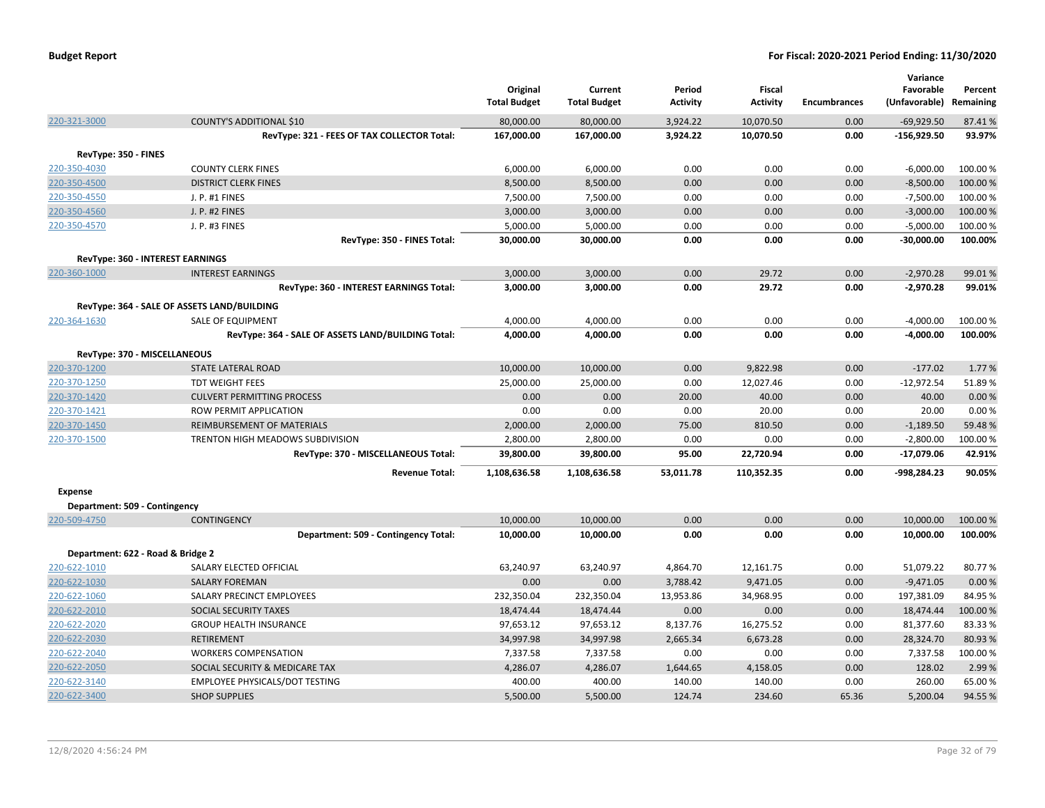|                               |                                                    | Original<br><b>Total Budget</b> | Current<br><b>Total Budget</b> | Period<br>Activity | <b>Fiscal</b><br><b>Activity</b> | <b>Encumbrances</b> | Variance<br>Favorable<br>(Unfavorable) Remaining | Percent  |
|-------------------------------|----------------------------------------------------|---------------------------------|--------------------------------|--------------------|----------------------------------|---------------------|--------------------------------------------------|----------|
| 220-321-3000                  | <b>COUNTY'S ADDITIONAL \$10</b>                    | 80,000.00                       | 80,000.00                      | 3,924.22           | 10,070.50                        | 0.00                | $-69,929.50$                                     | 87.41%   |
|                               | RevType: 321 - FEES OF TAX COLLECTOR Total:        | 167,000.00                      | 167,000.00                     | 3,924.22           | 10,070.50                        | 0.00                | $-156,929.50$                                    | 93.97%   |
| RevType: 350 - FINES          |                                                    |                                 |                                |                    |                                  |                     |                                                  |          |
| 220-350-4030                  | <b>COUNTY CLERK FINES</b>                          | 6,000.00                        | 6,000.00                       | 0.00               | 0.00                             | 0.00                | $-6,000.00$                                      | 100.00%  |
| 220-350-4500                  | <b>DISTRICT CLERK FINES</b>                        | 8,500.00                        | 8,500.00                       | 0.00               | 0.00                             | 0.00                | $-8,500.00$                                      | 100.00 % |
| 220-350-4550                  | J. P. #1 FINES                                     | 7,500.00                        | 7,500.00                       | 0.00               | 0.00                             | 0.00                | $-7,500.00$                                      | 100.00 % |
| 220-350-4560                  | J. P. #2 FINES                                     | 3,000.00                        | 3,000.00                       | 0.00               | 0.00                             | 0.00                | $-3,000.00$                                      | 100.00 % |
| 220-350-4570                  | J. P. #3 FINES                                     | 5,000.00                        | 5,000.00                       | 0.00               | 0.00                             | 0.00                | $-5,000.00$                                      | 100.00%  |
|                               | RevType: 350 - FINES Total:                        | 30,000.00                       | 30,000.00                      | 0.00               | 0.00                             | 0.00                | $-30,000.00$                                     | 100.00%  |
|                               | <b>RevType: 360 - INTEREST EARNINGS</b>            |                                 |                                |                    |                                  |                     |                                                  |          |
| 220-360-1000                  | <b>INTEREST EARNINGS</b>                           | 3,000.00                        | 3,000.00                       | 0.00               | 29.72                            | 0.00                | $-2,970.28$                                      | 99.01%   |
|                               | RevType: 360 - INTEREST EARNINGS Total:            | 3,000.00                        | 3,000.00                       | 0.00               | 29.72                            | 0.00                | $-2,970.28$                                      | 99.01%   |
|                               |                                                    |                                 |                                |                    |                                  |                     |                                                  |          |
|                               | RevType: 364 - SALE OF ASSETS LAND/BUILDING        |                                 |                                |                    |                                  |                     |                                                  |          |
| 220-364-1630                  | SALE OF EQUIPMENT                                  | 4,000.00                        | 4,000.00                       | 0.00               | 0.00                             | 0.00                | $-4,000.00$                                      | 100.00%  |
|                               | RevType: 364 - SALE OF ASSETS LAND/BUILDING Total: | 4,000.00                        | 4,000.00                       | 0.00               | 0.00                             | 0.00                | $-4,000.00$                                      | 100.00%  |
|                               | RevType: 370 - MISCELLANEOUS                       |                                 |                                |                    |                                  |                     |                                                  |          |
| 220-370-1200                  | <b>STATE LATERAL ROAD</b>                          | 10,000.00                       | 10,000.00                      | 0.00               | 9,822.98                         | 0.00                | $-177.02$                                        | 1.77 %   |
| 220-370-1250                  | <b>TDT WEIGHT FEES</b>                             | 25,000.00                       | 25,000.00                      | 0.00               | 12,027.46                        | 0.00                | $-12,972.54$                                     | 51.89%   |
| 220-370-1420                  | <b>CULVERT PERMITTING PROCESS</b>                  | 0.00                            | 0.00                           | 20.00              | 40.00                            | 0.00                | 40.00                                            | 0.00%    |
| 220-370-1421                  | ROW PERMIT APPLICATION                             | 0.00                            | 0.00                           | 0.00               | 20.00                            | 0.00                | 20.00                                            | 0.00%    |
| 220-370-1450                  | REIMBURSEMENT OF MATERIALS                         | 2,000.00                        | 2,000.00                       | 75.00              | 810.50                           | 0.00                | $-1,189.50$                                      | 59.48%   |
| 220-370-1500                  | TRENTON HIGH MEADOWS SUBDIVISION                   | 2,800.00                        | 2,800.00                       | 0.00               | 0.00                             | 0.00                | $-2,800.00$                                      | 100.00%  |
|                               | RevType: 370 - MISCELLANEOUS Total:                | 39,800.00                       | 39,800.00                      | 95.00              | 22,720.94                        | 0.00                | $-17,079.06$                                     | 42.91%   |
|                               | <b>Revenue Total:</b>                              | 1,108,636.58                    | 1,108,636.58                   | 53,011.78          | 110,352.35                       | 0.00                | -998,284.23                                      | 90.05%   |
| <b>Expense</b>                |                                                    |                                 |                                |                    |                                  |                     |                                                  |          |
| Department: 509 - Contingency |                                                    |                                 |                                |                    |                                  |                     |                                                  |          |
| 220-509-4750                  | <b>CONTINGENCY</b>                                 | 10,000.00                       | 10,000.00                      | 0.00               | 0.00                             | 0.00                | 10,000.00                                        | 100.00 % |
|                               | Department: 509 - Contingency Total:               | 10,000.00                       | 10,000.00                      | 0.00               | 0.00                             | 0.00                | 10,000.00                                        | 100.00%  |
|                               | Department: 622 - Road & Bridge 2                  |                                 |                                |                    |                                  |                     |                                                  |          |
| 220-622-1010                  | SALARY ELECTED OFFICIAL                            | 63,240.97                       | 63,240.97                      | 4,864.70           | 12,161.75                        | 0.00                | 51,079.22                                        | 80.77%   |
| 220-622-1030                  | <b>SALARY FOREMAN</b>                              | 0.00                            | 0.00                           | 3,788.42           | 9,471.05                         | 0.00                | $-9,471.05$                                      | 0.00%    |
| 220-622-1060                  | SALARY PRECINCT EMPLOYEES                          | 232,350.04                      | 232,350.04                     | 13,953.86          | 34,968.95                        | 0.00                | 197,381.09                                       | 84.95%   |
| 220-622-2010                  | <b>SOCIAL SECURITY TAXES</b>                       | 18,474.44                       | 18,474.44                      | 0.00               | 0.00                             | 0.00                | 18,474.44                                        | 100.00 % |
| 220-622-2020                  | <b>GROUP HEALTH INSURANCE</b>                      | 97,653.12                       | 97,653.12                      | 8,137.76           | 16,275.52                        | 0.00                | 81,377.60                                        | 83.33%   |
| 220-622-2030                  | <b>RETIREMENT</b>                                  | 34,997.98                       | 34,997.98                      | 2,665.34           | 6,673.28                         | 0.00                | 28,324.70                                        | 80.93%   |
| 220-622-2040                  | <b>WORKERS COMPENSATION</b>                        | 7,337.58                        | 7,337.58                       | 0.00               | 0.00                             | 0.00                | 7,337.58                                         | 100.00%  |
| 220-622-2050                  | SOCIAL SECURITY & MEDICARE TAX                     | 4,286.07                        | 4,286.07                       | 1,644.65           | 4,158.05                         | 0.00                | 128.02                                           | 2.99%    |
| 220-622-3140                  | <b>EMPLOYEE PHYSICALS/DOT TESTING</b>              | 400.00                          | 400.00                         | 140.00             | 140.00                           | 0.00                | 260.00                                           | 65.00%   |
| 220-622-3400                  | <b>SHOP SUPPLIES</b>                               | 5,500.00                        | 5,500.00                       | 124.74             | 234.60                           | 65.36               | 5,200.04                                         | 94.55%   |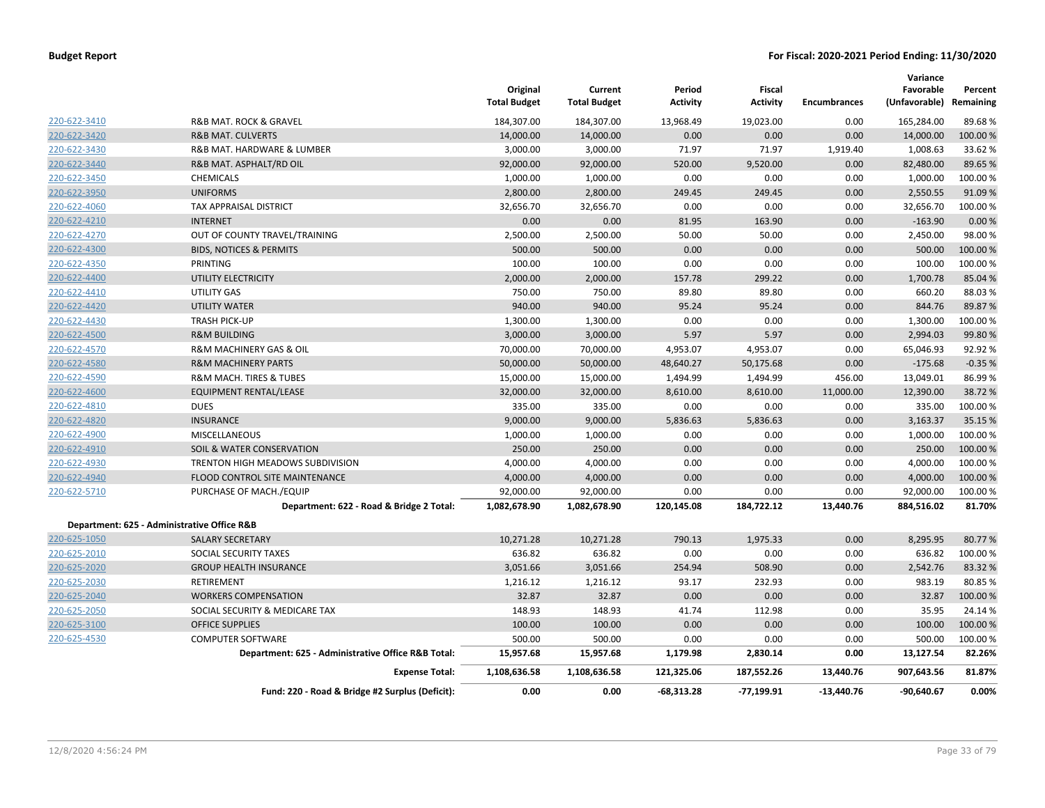|              |                                                    | Original<br><b>Total Budget</b> | Current<br><b>Total Budget</b> | Period<br><b>Activity</b> | <b>Fiscal</b><br><b>Activity</b> | <b>Encumbrances</b> | Variance<br>Favorable<br>(Unfavorable) Remaining | Percent  |
|--------------|----------------------------------------------------|---------------------------------|--------------------------------|---------------------------|----------------------------------|---------------------|--------------------------------------------------|----------|
| 220-622-3410 | <b>R&amp;B MAT. ROCK &amp; GRAVEL</b>              | 184,307.00                      | 184,307.00                     | 13,968.49                 | 19,023.00                        | 0.00                | 165,284.00                                       | 89.68%   |
| 220-622-3420 | <b>R&amp;B MAT. CULVERTS</b>                       | 14,000.00                       | 14,000.00                      | 0.00                      | 0.00                             | 0.00                | 14,000.00                                        | 100.00%  |
| 220-622-3430 | R&B MAT. HARDWARE & LUMBER                         | 3,000.00                        | 3,000.00                       | 71.97                     | 71.97                            | 1,919.40            | 1,008.63                                         | 33.62%   |
| 220-622-3440 | R&B MAT. ASPHALT/RD OIL                            | 92,000.00                       | 92,000.00                      | 520.00                    | 9,520.00                         | 0.00                | 82,480.00                                        | 89.65%   |
| 220-622-3450 | CHEMICALS                                          | 1,000.00                        | 1,000.00                       | 0.00                      | 0.00                             | 0.00                | 1,000.00                                         | 100.00%  |
| 220-622-3950 | <b>UNIFORMS</b>                                    | 2,800.00                        | 2,800.00                       | 249.45                    | 249.45                           | 0.00                | 2,550.55                                         | 91.09%   |
| 220-622-4060 | TAX APPRAISAL DISTRICT                             | 32,656.70                       | 32,656.70                      | 0.00                      | 0.00                             | 0.00                | 32,656.70                                        | 100.00%  |
| 220-622-4210 | <b>INTERNET</b>                                    | 0.00                            | 0.00                           | 81.95                     | 163.90                           | 0.00                | $-163.90$                                        | 0.00%    |
| 220-622-4270 | OUT OF COUNTY TRAVEL/TRAINING                      | 2,500.00                        | 2,500.00                       | 50.00                     | 50.00                            | 0.00                | 2,450.00                                         | 98.00%   |
| 220-622-4300 | <b>BIDS, NOTICES &amp; PERMITS</b>                 | 500.00                          | 500.00                         | 0.00                      | 0.00                             | 0.00                | 500.00                                           | 100.00%  |
| 220-622-4350 | PRINTING                                           | 100.00                          | 100.00                         | 0.00                      | 0.00                             | 0.00                | 100.00                                           | 100.00%  |
| 220-622-4400 | UTILITY ELECTRICITY                                | 2,000.00                        | 2,000.00                       | 157.78                    | 299.22                           | 0.00                | 1,700.78                                         | 85.04 %  |
| 220-622-4410 | <b>UTILITY GAS</b>                                 | 750.00                          | 750.00                         | 89.80                     | 89.80                            | 0.00                | 660.20                                           | 88.03%   |
| 220-622-4420 | <b>UTILITY WATER</b>                               | 940.00                          | 940.00                         | 95.24                     | 95.24                            | 0.00                | 844.76                                           | 89.87%   |
| 220-622-4430 | <b>TRASH PICK-UP</b>                               | 1,300.00                        | 1,300.00                       | 0.00                      | 0.00                             | 0.00                | 1,300.00                                         | 100.00%  |
| 220-622-4500 | <b>R&amp;M BUILDING</b>                            | 3,000.00                        | 3,000.00                       | 5.97                      | 5.97                             | 0.00                | 2,994.03                                         | 99.80%   |
| 220-622-4570 | R&M MACHINERY GAS & OIL                            | 70,000.00                       | 70,000.00                      | 4,953.07                  | 4,953.07                         | 0.00                | 65,046.93                                        | 92.92%   |
| 220-622-4580 | <b>R&amp;M MACHINERY PARTS</b>                     | 50,000.00                       | 50,000.00                      | 48,640.27                 | 50,175.68                        | 0.00                | $-175.68$                                        | $-0.35%$ |
| 220-622-4590 | R&M MACH. TIRES & TUBES                            | 15,000.00                       | 15,000.00                      | 1,494.99                  | 1,494.99                         | 456.00              | 13,049.01                                        | 86.99%   |
| 220-622-4600 | EQUIPMENT RENTAL/LEASE                             | 32,000.00                       | 32,000.00                      | 8,610.00                  | 8,610.00                         | 11,000.00           | 12,390.00                                        | 38.72%   |
| 220-622-4810 | <b>DUES</b>                                        | 335.00                          | 335.00                         | 0.00                      | 0.00                             | 0.00                | 335.00                                           | 100.00%  |
| 220-622-4820 | <b>INSURANCE</b>                                   | 9,000.00                        | 9,000.00                       | 5,836.63                  | 5,836.63                         | 0.00                | 3,163.37                                         | 35.15 %  |
| 220-622-4900 | MISCELLANEOUS                                      | 1,000.00                        | 1,000.00                       | 0.00                      | 0.00                             | 0.00                | 1,000.00                                         | 100.00%  |
| 220-622-4910 | SOIL & WATER CONSERVATION                          | 250.00                          | 250.00                         | 0.00                      | 0.00                             | 0.00                | 250.00                                           | 100.00%  |
| 220-622-4930 | TRENTON HIGH MEADOWS SUBDIVISION                   | 4,000.00                        | 4,000.00                       | 0.00                      | 0.00                             | 0.00                | 4,000.00                                         | 100.00%  |
| 220-622-4940 | FLOOD CONTROL SITE MAINTENANCE                     | 4,000.00                        | 4,000.00                       | 0.00                      | 0.00                             | 0.00                | 4,000.00                                         | 100.00 % |
| 220-622-5710 | PURCHASE OF MACH./EQUIP                            | 92,000.00                       | 92,000.00                      | 0.00                      | 0.00                             | 0.00                | 92,000.00                                        | 100.00 % |
|              | Department: 622 - Road & Bridge 2 Total:           | 1,082,678.90                    | 1,082,678.90                   | 120,145.08                | 184,722.12                       | 13,440.76           | 884,516.02                                       | 81.70%   |
|              | Department: 625 - Administrative Office R&B        |                                 |                                |                           |                                  |                     |                                                  |          |
| 220-625-1050 | <b>SALARY SECRETARY</b>                            | 10,271.28                       | 10,271.28                      | 790.13                    | 1,975.33                         | 0.00                | 8,295.95                                         | 80.77%   |
| 220-625-2010 | SOCIAL SECURITY TAXES                              | 636.82                          | 636.82                         | 0.00                      | 0.00                             | 0.00                | 636.82                                           | 100.00%  |
| 220-625-2020 | <b>GROUP HEALTH INSURANCE</b>                      | 3,051.66                        | 3,051.66                       | 254.94                    | 508.90                           | 0.00                | 2,542.76                                         | 83.32 %  |
| 220-625-2030 | RETIREMENT                                         | 1,216.12                        | 1,216.12                       | 93.17                     | 232.93                           | 0.00                | 983.19                                           | 80.85%   |
| 220-625-2040 | <b>WORKERS COMPENSATION</b>                        | 32.87                           | 32.87                          | 0.00                      | 0.00                             | 0.00                | 32.87                                            | 100.00%  |
| 220-625-2050 | SOCIAL SECURITY & MEDICARE TAX                     | 148.93                          | 148.93                         | 41.74                     | 112.98                           | 0.00                | 35.95                                            | 24.14%   |
| 220-625-3100 | <b>OFFICE SUPPLIES</b>                             | 100.00                          | 100.00                         | 0.00                      | 0.00                             | 0.00                | 100.00                                           | 100.00 % |
| 220-625-4530 | <b>COMPUTER SOFTWARE</b>                           | 500.00                          | 500.00                         | 0.00                      | 0.00                             | 0.00                | 500.00                                           | 100.00 % |
|              | Department: 625 - Administrative Office R&B Total: | 15,957.68                       | 15,957.68                      | 1,179.98                  | 2,830.14                         | 0.00                | 13,127.54                                        | 82.26%   |
|              | <b>Expense Total:</b>                              | 1,108,636.58                    | 1,108,636.58                   | 121,325.06                | 187,552.26                       | 13,440.76           | 907,643.56                                       | 81.87%   |
|              | Fund: 220 - Road & Bridge #2 Surplus (Deficit):    | 0.00                            | 0.00                           | $-68,313.28$              | $-77,199.91$                     | -13,440.76          | $-90,640.67$                                     | 0.00%    |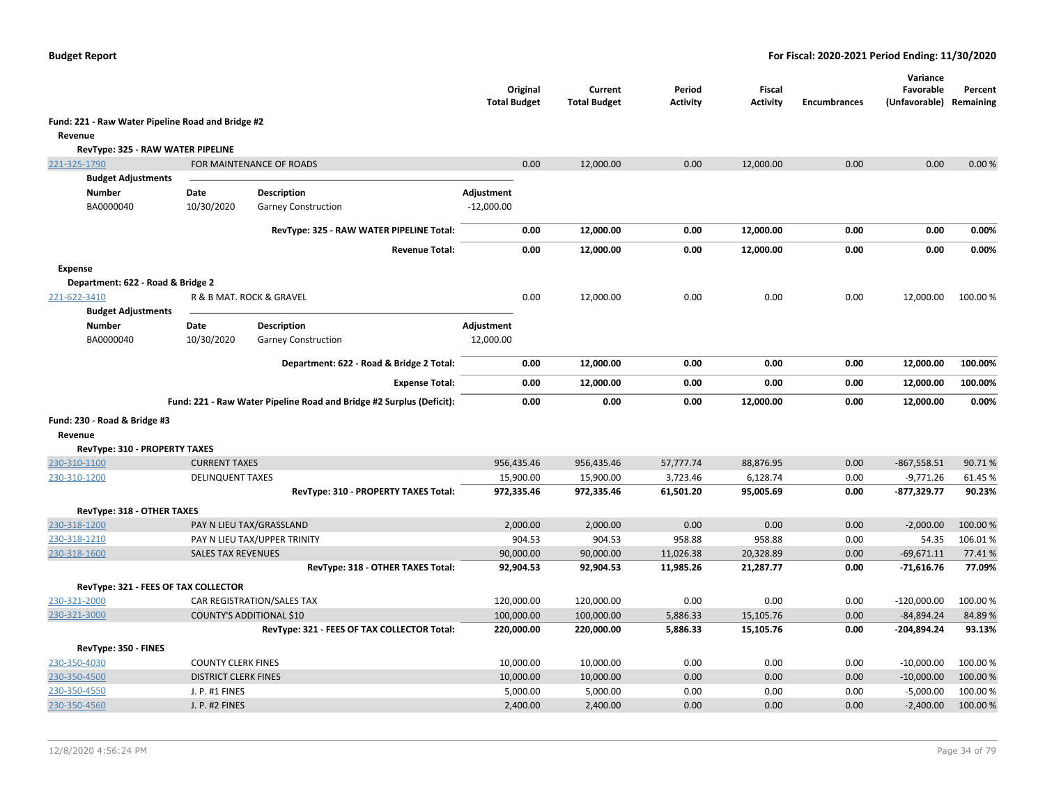|                                                   |                             |                                                                      | Original<br><b>Total Budget</b> | Current<br><b>Total Budget</b> | Period<br>Activity | <b>Fiscal</b><br><b>Activity</b> | <b>Encumbrances</b> | Variance<br>Favorable<br>(Unfavorable) | Percent<br>Remaining |
|---------------------------------------------------|-----------------------------|----------------------------------------------------------------------|---------------------------------|--------------------------------|--------------------|----------------------------------|---------------------|----------------------------------------|----------------------|
| Fund: 221 - Raw Water Pipeline Road and Bridge #2 |                             |                                                                      |                                 |                                |                    |                                  |                     |                                        |                      |
| Revenue                                           |                             |                                                                      |                                 |                                |                    |                                  |                     |                                        |                      |
| RevType: 325 - RAW WATER PIPELINE                 |                             |                                                                      |                                 |                                |                    |                                  |                     |                                        |                      |
| 221-325-1790                                      |                             | FOR MAINTENANCE OF ROADS                                             | 0.00                            | 12,000.00                      | 0.00               | 12,000.00                        | 0.00                | 0.00                                   | 0.00%                |
| <b>Budget Adjustments</b>                         |                             |                                                                      |                                 |                                |                    |                                  |                     |                                        |                      |
| <b>Number</b>                                     | Date                        | <b>Description</b>                                                   | Adjustment                      |                                |                    |                                  |                     |                                        |                      |
| BA0000040                                         | 10/30/2020                  | <b>Garney Construction</b>                                           | $-12,000.00$                    |                                |                    |                                  |                     |                                        |                      |
|                                                   |                             | RevType: 325 - RAW WATER PIPELINE Total:                             | 0.00                            | 12,000.00                      | 0.00               | 12,000.00                        | 0.00                | 0.00                                   | 0.00%                |
|                                                   |                             | <b>Revenue Total:</b>                                                | 0.00                            | 12,000.00                      | 0.00               | 12,000.00                        | 0.00                | 0.00                                   | 0.00%                |
| <b>Expense</b>                                    |                             |                                                                      |                                 |                                |                    |                                  |                     |                                        |                      |
| Department: 622 - Road & Bridge 2                 |                             |                                                                      |                                 |                                |                    |                                  |                     |                                        |                      |
| 221-622-3410                                      |                             | R & B MAT. ROCK & GRAVEL                                             | 0.00                            | 12,000.00                      | 0.00               | 0.00                             | 0.00                | 12,000.00                              | 100.00 %             |
| <b>Budget Adjustments</b>                         |                             |                                                                      |                                 |                                |                    |                                  |                     |                                        |                      |
| Number                                            | Date                        | <b>Description</b>                                                   | Adjustment                      |                                |                    |                                  |                     |                                        |                      |
| BA0000040                                         | 10/30/2020                  | <b>Garney Construction</b>                                           | 12,000.00                       |                                |                    |                                  |                     |                                        |                      |
|                                                   |                             | Department: 622 - Road & Bridge 2 Total:                             | 0.00                            | 12,000.00                      | 0.00               | 0.00                             | 0.00                | 12,000.00                              | 100.00%              |
|                                                   |                             | <b>Expense Total:</b>                                                | 0.00                            | 12,000.00                      | 0.00               | 0.00                             | 0.00                | 12,000.00                              | 100.00%              |
|                                                   |                             | Fund: 221 - Raw Water Pipeline Road and Bridge #2 Surplus (Deficit): | 0.00                            | 0.00                           | 0.00               | 12,000.00                        | 0.00                | 12,000.00                              | 0.00%                |
| Fund: 230 - Road & Bridge #3                      |                             |                                                                      |                                 |                                |                    |                                  |                     |                                        |                      |
| Revenue                                           |                             |                                                                      |                                 |                                |                    |                                  |                     |                                        |                      |
| RevType: 310 - PROPERTY TAXES                     |                             |                                                                      |                                 |                                |                    |                                  |                     |                                        |                      |
| 230-310-1100                                      | <b>CURRENT TAXES</b>        |                                                                      | 956,435.46                      | 956,435.46                     | 57,777.74          | 88,876.95                        | 0.00                | $-867,558.51$                          | 90.71%               |
| 230-310-1200                                      | <b>DELINQUENT TAXES</b>     |                                                                      | 15,900.00                       | 15,900.00                      | 3,723.46           | 6,128.74                         | 0.00                | $-9,771.26$                            | 61.45%               |
|                                                   |                             | RevType: 310 - PROPERTY TAXES Total:                                 | 972,335.46                      | 972,335.46                     | 61,501.20          | 95,005.69                        | 0.00                | $-877,329.77$                          | 90.23%               |
| RevType: 318 - OTHER TAXES                        |                             |                                                                      |                                 |                                |                    |                                  |                     |                                        |                      |
| 230-318-1200                                      |                             | PAY N LIEU TAX/GRASSLAND                                             | 2,000.00                        | 2,000.00                       | 0.00               | 0.00                             | 0.00                | $-2,000.00$                            | 100.00 %             |
| 230-318-1210                                      |                             | PAY N LIEU TAX/UPPER TRINITY                                         | 904.53                          | 904.53                         | 958.88             | 958.88                           | 0.00                | 54.35                                  | 106.01%              |
| 230-318-1600                                      | <b>SALES TAX REVENUES</b>   |                                                                      | 90,000.00                       | 90,000.00                      | 11,026.38          | 20,328.89                        | 0.00                | $-69,671.11$                           | 77.41%               |
|                                                   |                             | RevType: 318 - OTHER TAXES Total:                                    | 92,904.53                       | 92,904.53                      | 11,985.26          | 21,287.77                        | 0.00                | $-71,616.76$                           | 77.09%               |
| RevType: 321 - FEES OF TAX COLLECTOR              |                             |                                                                      |                                 |                                |                    |                                  |                     |                                        |                      |
| 230-321-2000                                      |                             | CAR REGISTRATION/SALES TAX                                           | 120,000.00                      | 120,000.00                     | 0.00               | 0.00                             | 0.00                | $-120,000.00$                          | 100.00%              |
| 230-321-3000                                      |                             | COUNTY'S ADDITIONAL \$10                                             | 100,000.00                      | 100,000.00                     | 5,886.33           | 15,105.76                        | 0.00                | $-84,894.24$                           | 84.89%               |
|                                                   |                             | RevType: 321 - FEES OF TAX COLLECTOR Total:                          | 220,000.00                      | 220,000.00                     | 5,886.33           | 15,105.76                        | 0.00                | -204,894.24                            | 93.13%               |
| RevType: 350 - FINES                              |                             |                                                                      |                                 |                                |                    |                                  |                     |                                        |                      |
| 230-350-4030                                      | <b>COUNTY CLERK FINES</b>   |                                                                      | 10,000.00                       | 10,000.00                      | 0.00               | 0.00                             | 0.00                | $-10,000.00$                           | 100.00 %             |
| 230-350-4500                                      | <b>DISTRICT CLERK FINES</b> |                                                                      | 10,000.00                       | 10,000.00                      | 0.00               | 0.00                             | 0.00                | $-10,000.00$                           | 100.00 %             |
| 230-350-4550                                      | J. P. #1 FINES              |                                                                      | 5,000.00                        | 5,000.00                       | 0.00               | 0.00                             | 0.00                | $-5,000.00$                            | 100.00%              |
| 230-350-4560                                      | <b>J. P. #2 FINES</b>       |                                                                      | 2,400.00                        | 2,400.00                       | 0.00               | 0.00                             | 0.00                | $-2,400.00$                            | 100.00 %             |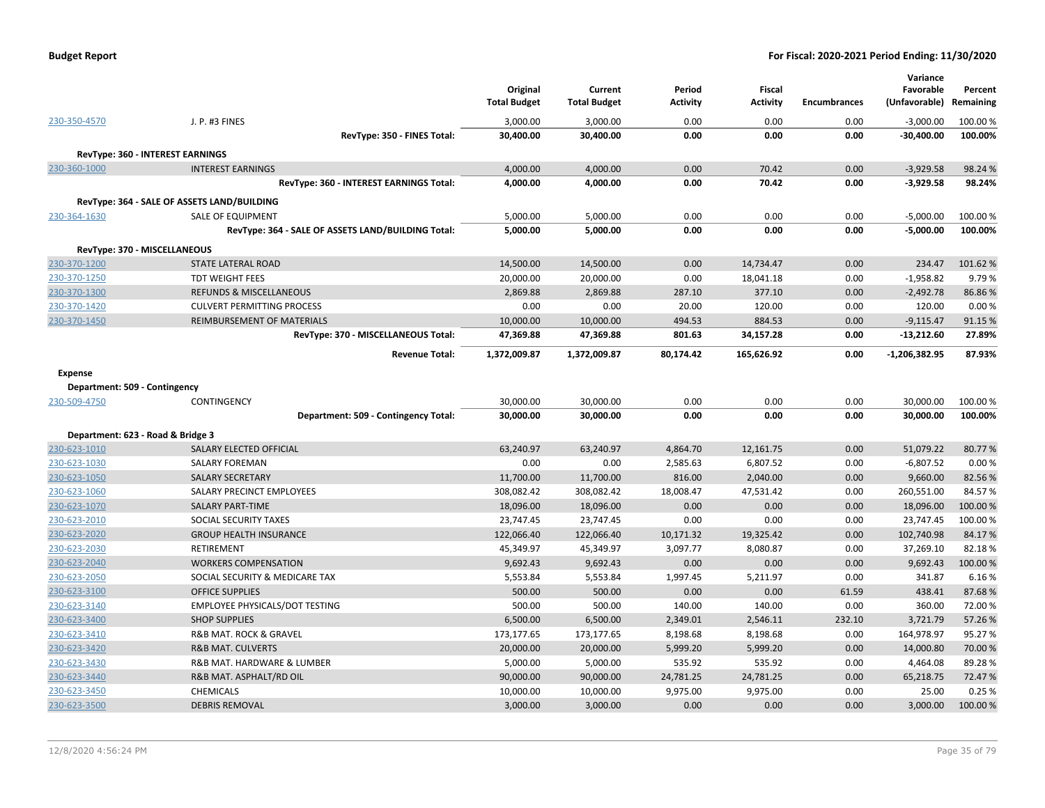| <b>Budget Report</b> |  |
|----------------------|--|
|----------------------|--|

|                                   |                                                    | Original<br><b>Total Budget</b> | Current<br><b>Total Budget</b> | Period<br><b>Activity</b> | <b>Fiscal</b><br><b>Activity</b> | <b>Encumbrances</b> | Variance<br>Favorable<br>(Unfavorable) | Percent<br>Remaining |
|-----------------------------------|----------------------------------------------------|---------------------------------|--------------------------------|---------------------------|----------------------------------|---------------------|----------------------------------------|----------------------|
| 230-350-4570                      | J. P. #3 FINES                                     | 3,000.00                        | 3,000.00                       | 0.00                      | 0.00                             | 0.00                | $-3,000.00$                            | 100.00 %             |
|                                   | RevType: 350 - FINES Total:                        | 30,400.00                       | 30,400.00                      | 0.00                      | 0.00                             | 0.00                | $-30,400.00$                           | 100.00%              |
|                                   | RevType: 360 - INTEREST EARNINGS                   |                                 |                                |                           |                                  |                     |                                        |                      |
| 230-360-1000                      | <b>INTEREST EARNINGS</b>                           | 4,000.00                        | 4,000.00                       | 0.00                      | 70.42                            | 0.00                | $-3,929.58$                            | 98.24%               |
|                                   | RevType: 360 - INTEREST EARNINGS Total:            | 4,000.00                        | 4,000.00                       | 0.00                      | 70.42                            | 0.00                | $-3,929.58$                            | 98.24%               |
|                                   | RevType: 364 - SALE OF ASSETS LAND/BUILDING        |                                 |                                |                           |                                  |                     |                                        |                      |
| 230-364-1630                      | <b>SALE OF EQUIPMENT</b>                           | 5,000.00                        | 5,000.00                       | 0.00                      | 0.00                             | 0.00                | $-5,000.00$                            | 100.00%              |
|                                   | RevType: 364 - SALE OF ASSETS LAND/BUILDING Total: | 5,000.00                        | 5,000.00                       | 0.00                      | 0.00                             | 0.00                | $-5,000.00$                            | 100.00%              |
|                                   |                                                    |                                 |                                |                           |                                  |                     |                                        |                      |
|                                   | RevType: 370 - MISCELLANEOUS                       |                                 |                                |                           |                                  |                     |                                        |                      |
| 230-370-1200                      | <b>STATE LATERAL ROAD</b>                          | 14,500.00                       | 14,500.00                      | 0.00                      | 14,734.47                        | 0.00                | 234.47                                 | 101.62%              |
| 230-370-1250                      | <b>TDT WEIGHT FEES</b>                             | 20,000.00                       | 20,000.00                      | 0.00                      | 18,041.18                        | 0.00                | $-1,958.82$                            | 9.79%                |
| 230-370-1300                      | <b>REFUNDS &amp; MISCELLANEOUS</b>                 | 2,869.88                        | 2,869.88                       | 287.10                    | 377.10                           | 0.00                | $-2,492.78$                            | 86.86%               |
| 230-370-1420                      | <b>CULVERT PERMITTING PROCESS</b>                  | 0.00                            | 0.00                           | 20.00                     | 120.00                           | 0.00                | 120.00                                 | 0.00%                |
| 230-370-1450                      | REIMBURSEMENT OF MATERIALS                         | 10,000.00                       | 10,000.00                      | 494.53                    | 884.53                           | 0.00                | $-9,115.47$                            | 91.15%               |
|                                   | RevType: 370 - MISCELLANEOUS Total:                | 47,369.88                       | 47,369.88                      | 801.63                    | 34,157.28                        | 0.00                | $-13,212.60$                           | 27.89%               |
|                                   | <b>Revenue Total:</b>                              | 1,372,009.87                    | 1,372,009.87                   | 80,174.42                 | 165,626.92                       | 0.00                | $-1,206,382.95$                        | 87.93%               |
| <b>Expense</b>                    |                                                    |                                 |                                |                           |                                  |                     |                                        |                      |
| Department: 509 - Contingency     |                                                    |                                 |                                |                           |                                  |                     |                                        |                      |
| 230-509-4750                      | CONTINGENCY                                        | 30,000.00                       | 30,000.00                      | 0.00                      | 0.00                             | 0.00                | 30,000.00                              | 100.00 %             |
|                                   | Department: 509 - Contingency Total:               | 30,000.00                       | 30,000.00                      | 0.00                      | 0.00                             | 0.00                | 30,000.00                              | 100.00%              |
| Department: 623 - Road & Bridge 3 |                                                    |                                 |                                |                           |                                  |                     |                                        |                      |
| 230-623-1010                      | SALARY ELECTED OFFICIAL                            | 63,240.97                       | 63,240.97                      | 4,864.70                  | 12,161.75                        | 0.00                | 51,079.22                              | 80.77%               |
| 230-623-1030                      | <b>SALARY FOREMAN</b>                              | 0.00                            | 0.00                           | 2,585.63                  | 6,807.52                         | 0.00                | $-6,807.52$                            | 0.00%                |
| 230-623-1050                      | <b>SALARY SECRETARY</b>                            | 11,700.00                       | 11,700.00                      | 816.00                    | 2,040.00                         | 0.00                | 9,660.00                               | 82.56%               |
| 230-623-1060                      | SALARY PRECINCT EMPLOYEES                          | 308,082.42                      | 308,082.42                     | 18,008.47                 | 47,531.42                        | 0.00                | 260,551.00                             | 84.57%               |
| 230-623-1070                      | <b>SALARY PART-TIME</b>                            | 18,096.00                       | 18,096.00                      | 0.00                      | 0.00                             | 0.00                | 18,096.00                              | 100.00%              |
| 230-623-2010                      | SOCIAL SECURITY TAXES                              | 23,747.45                       | 23,747.45                      | 0.00                      | 0.00                             | 0.00                | 23,747.45                              | 100.00 %             |
| 230-623-2020                      | <b>GROUP HEALTH INSURANCE</b>                      | 122,066.40                      | 122,066.40                     | 10,171.32                 | 19,325.42                        | 0.00                | 102,740.98                             | 84.17%               |
| 230-623-2030                      | <b>RETIREMENT</b>                                  | 45,349.97                       | 45,349.97                      | 3,097.77                  | 8,080.87                         | 0.00                | 37,269.10                              | 82.18%               |
| 230-623-2040                      | <b>WORKERS COMPENSATION</b>                        | 9,692.43                        | 9,692.43                       | 0.00                      | 0.00                             | 0.00                | 9,692.43                               | 100.00%              |
| 230-623-2050                      | SOCIAL SECURITY & MEDICARE TAX                     | 5,553.84                        | 5,553.84                       | 1,997.45                  | 5,211.97                         | 0.00                | 341.87                                 | 6.16%                |
| 230-623-3100                      | <b>OFFICE SUPPLIES</b>                             | 500.00                          | 500.00                         | 0.00                      | 0.00                             | 61.59               | 438.41                                 | 87.68%               |
| 230-623-3140                      | EMPLOYEE PHYSICALS/DOT TESTING                     | 500.00                          | 500.00                         | 140.00                    | 140.00                           | 0.00                | 360.00                                 | 72.00 %              |
| 230-623-3400                      | <b>SHOP SUPPLIES</b>                               | 6,500.00                        | 6,500.00                       | 2,349.01                  | 2,546.11                         | 232.10              | 3,721.79                               | 57.26%               |
| 230-623-3410                      | <b>R&amp;B MAT. ROCK &amp; GRAVEL</b>              | 173,177.65                      | 173,177.65                     | 8,198.68                  | 8,198.68                         | 0.00                | 164,978.97                             | 95.27%               |
| 230-623-3420                      | <b>R&amp;B MAT. CULVERTS</b>                       | 20,000.00                       | 20,000.00                      | 5,999.20                  | 5,999.20                         | 0.00                | 14,000.80                              | 70.00 %              |
| 230-623-3430                      | R&B MAT. HARDWARE & LUMBER                         | 5,000.00                        | 5,000.00                       | 535.92                    | 535.92                           | 0.00                | 4,464.08                               | 89.28%               |
| 230-623-3440                      | R&B MAT. ASPHALT/RD OIL                            | 90,000.00                       | 90,000.00                      | 24,781.25                 | 24,781.25                        | 0.00                | 65,218.75                              | 72.47%               |
| 230-623-3450                      | <b>CHEMICALS</b>                                   | 10,000.00                       | 10,000.00                      | 9,975.00                  | 9,975.00                         | 0.00                | 25.00                                  | 0.25%                |
| 230-623-3500                      | <b>DEBRIS REMOVAL</b>                              | 3,000.00                        | 3,000.00                       | 0.00                      | 0.00                             | 0.00                | 3,000.00                               | 100.00%              |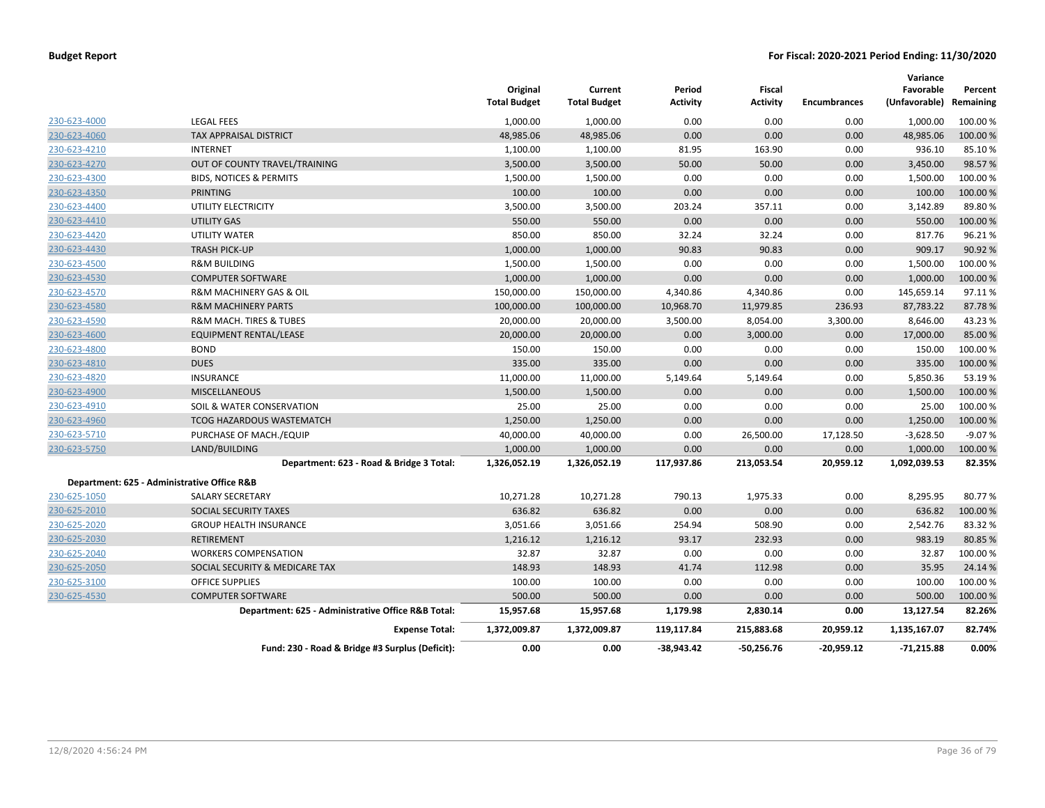|              |                                                    | Original<br><b>Total Budget</b> | Current<br><b>Total Budget</b> | Period<br><b>Activity</b> | Fiscal<br><b>Activity</b> | <b>Encumbrances</b> | Variance<br>Favorable<br>(Unfavorable) | Percent<br>Remaining |
|--------------|----------------------------------------------------|---------------------------------|--------------------------------|---------------------------|---------------------------|---------------------|----------------------------------------|----------------------|
| 230-623-4000 | <b>LEGAL FEES</b>                                  | 1,000.00                        | 1,000.00                       | 0.00                      | 0.00                      | 0.00                | 1,000.00                               | 100.00 %             |
| 230-623-4060 | <b>TAX APPRAISAL DISTRICT</b>                      | 48,985.06                       | 48,985.06                      | 0.00                      | 0.00                      | 0.00                | 48,985.06                              | 100.00%              |
| 230-623-4210 | <b>INTERNET</b>                                    | 1,100.00                        | 1,100.00                       | 81.95                     | 163.90                    | 0.00                | 936.10                                 | 85.10%               |
| 230-623-4270 | OUT OF COUNTY TRAVEL/TRAINING                      | 3,500.00                        | 3,500.00                       | 50.00                     | 50.00                     | 0.00                | 3,450.00                               | 98.57%               |
| 230-623-4300 | <b>BIDS, NOTICES &amp; PERMITS</b>                 | 1,500.00                        | 1,500.00                       | 0.00                      | 0.00                      | 0.00                | 1,500.00                               | 100.00%              |
| 230-623-4350 | <b>PRINTING</b>                                    | 100.00                          | 100.00                         | 0.00                      | 0.00                      | 0.00                | 100.00                                 | 100.00%              |
| 230-623-4400 | UTILITY ELECTRICITY                                | 3,500.00                        | 3,500.00                       | 203.24                    | 357.11                    | 0.00                | 3,142.89                               | 89.80%               |
| 230-623-4410 | UTILITY GAS                                        | 550.00                          | 550.00                         | 0.00                      | 0.00                      | 0.00                | 550.00                                 | 100.00 %             |
| 230-623-4420 | <b>UTILITY WATER</b>                               | 850.00                          | 850.00                         | 32.24                     | 32.24                     | 0.00                | 817.76                                 | 96.21%               |
| 230-623-4430 | <b>TRASH PICK-UP</b>                               | 1,000.00                        | 1,000.00                       | 90.83                     | 90.83                     | 0.00                | 909.17                                 | 90.92%               |
| 230-623-4500 | <b>R&amp;M BUILDING</b>                            | 1,500.00                        | 1,500.00                       | 0.00                      | 0.00                      | 0.00                | 1,500.00                               | 100.00%              |
| 230-623-4530 | <b>COMPUTER SOFTWARE</b>                           | 1,000.00                        | 1,000.00                       | 0.00                      | 0.00                      | 0.00                | 1,000.00                               | 100.00 %             |
| 230-623-4570 | R&M MACHINERY GAS & OIL                            | 150,000.00                      | 150,000.00                     | 4,340.86                  | 4,340.86                  | 0.00                | 145,659.14                             | 97.11%               |
| 230-623-4580 | <b>R&amp;M MACHINERY PARTS</b>                     | 100,000.00                      | 100,000.00                     | 10,968.70                 | 11,979.85                 | 236.93              | 87,783.22                              | 87.78%               |
| 230-623-4590 | R&M MACH. TIRES & TUBES                            | 20,000.00                       | 20,000.00                      | 3,500.00                  | 8,054.00                  | 3,300.00            | 8,646.00                               | 43.23%               |
| 230-623-4600 | EQUIPMENT RENTAL/LEASE                             | 20,000.00                       | 20,000.00                      | 0.00                      | 3,000.00                  | 0.00                | 17,000.00                              | 85.00 %              |
| 230-623-4800 | <b>BOND</b>                                        | 150.00                          | 150.00                         | 0.00                      | 0.00                      | 0.00                | 150.00                                 | 100.00%              |
| 230-623-4810 | <b>DUES</b>                                        | 335.00                          | 335.00                         | 0.00                      | 0.00                      | 0.00                | 335.00                                 | 100.00%              |
| 230-623-4820 | INSURANCE                                          | 11,000.00                       | 11,000.00                      | 5,149.64                  | 5,149.64                  | 0.00                | 5,850.36                               | 53.19%               |
| 230-623-4900 | <b>MISCELLANEOUS</b>                               | 1,500.00                        | 1,500.00                       | 0.00                      | 0.00                      | 0.00                | 1,500.00                               | 100.00%              |
| 230-623-4910 | SOIL & WATER CONSERVATION                          | 25.00                           | 25.00                          | 0.00                      | 0.00                      | 0.00                | 25.00                                  | 100.00%              |
| 230-623-4960 | TCOG HAZARDOUS WASTEMATCH                          | 1,250.00                        | 1,250.00                       | 0.00                      | 0.00                      | 0.00                | 1,250.00                               | 100.00 %             |
| 230-623-5710 | PURCHASE OF MACH./EQUIP                            | 40,000.00                       | 40,000.00                      | 0.00                      | 26,500.00                 | 17,128.50           | $-3,628.50$                            | $-9.07%$             |
| 230-623-5750 | LAND/BUILDING                                      | 1,000.00                        | 1,000.00                       | 0.00                      | 0.00                      | 0.00                | 1,000.00                               | 100.00 %             |
|              | Department: 623 - Road & Bridge 3 Total:           | 1,326,052.19                    | 1,326,052.19                   | 117,937.86                | 213,053.54                | 20,959.12           | 1,092,039.53                           | 82.35%               |
|              | Department: 625 - Administrative Office R&B        |                                 |                                |                           |                           |                     |                                        |                      |
| 230-625-1050 | <b>SALARY SECRETARY</b>                            | 10,271.28                       | 10,271.28                      | 790.13                    | 1,975.33                  | 0.00                | 8,295.95                               | 80.77%               |
| 230-625-2010 | SOCIAL SECURITY TAXES                              | 636.82                          | 636.82                         | 0.00                      | 0.00                      | 0.00                | 636.82                                 | 100.00%              |
| 230-625-2020 | <b>GROUP HEALTH INSURANCE</b>                      | 3,051.66                        | 3,051.66                       | 254.94                    | 508.90                    | 0.00                | 2,542.76                               | 83.32 %              |
| 230-625-2030 | <b>RETIREMENT</b>                                  | 1,216.12                        | 1,216.12                       | 93.17                     | 232.93                    | 0.00                | 983.19                                 | 80.85%               |
| 230-625-2040 | <b>WORKERS COMPENSATION</b>                        | 32.87                           | 32.87                          | 0.00                      | 0.00                      | 0.00                | 32.87                                  | 100.00%              |
| 230-625-2050 | SOCIAL SECURITY & MEDICARE TAX                     | 148.93                          | 148.93                         | 41.74                     | 112.98                    | 0.00                | 35.95                                  | 24.14 %              |
| 230-625-3100 | <b>OFFICE SUPPLIES</b>                             | 100.00                          | 100.00                         | 0.00                      | 0.00                      | 0.00                | 100.00                                 | 100.00 %             |
| 230-625-4530 | <b>COMPUTER SOFTWARE</b>                           | 500.00                          | 500.00                         | 0.00                      | 0.00                      | 0.00                | 500.00                                 | 100.00 %             |
|              | Department: 625 - Administrative Office R&B Total: | 15,957.68                       | 15,957.68                      | 1,179.98                  | 2,830.14                  | 0.00                | 13,127.54                              | 82.26%               |
|              | <b>Expense Total:</b>                              | 1,372,009.87                    | 1,372,009.87                   | 119,117.84                | 215,883.68                | 20,959.12           | 1,135,167.07                           | 82.74%               |
|              | Fund: 230 - Road & Bridge #3 Surplus (Deficit):    | 0.00                            | 0.00                           | $-38,943.42$              | $-50,256.76$              | -20,959.12          | $-71,215.88$                           | 0.00%                |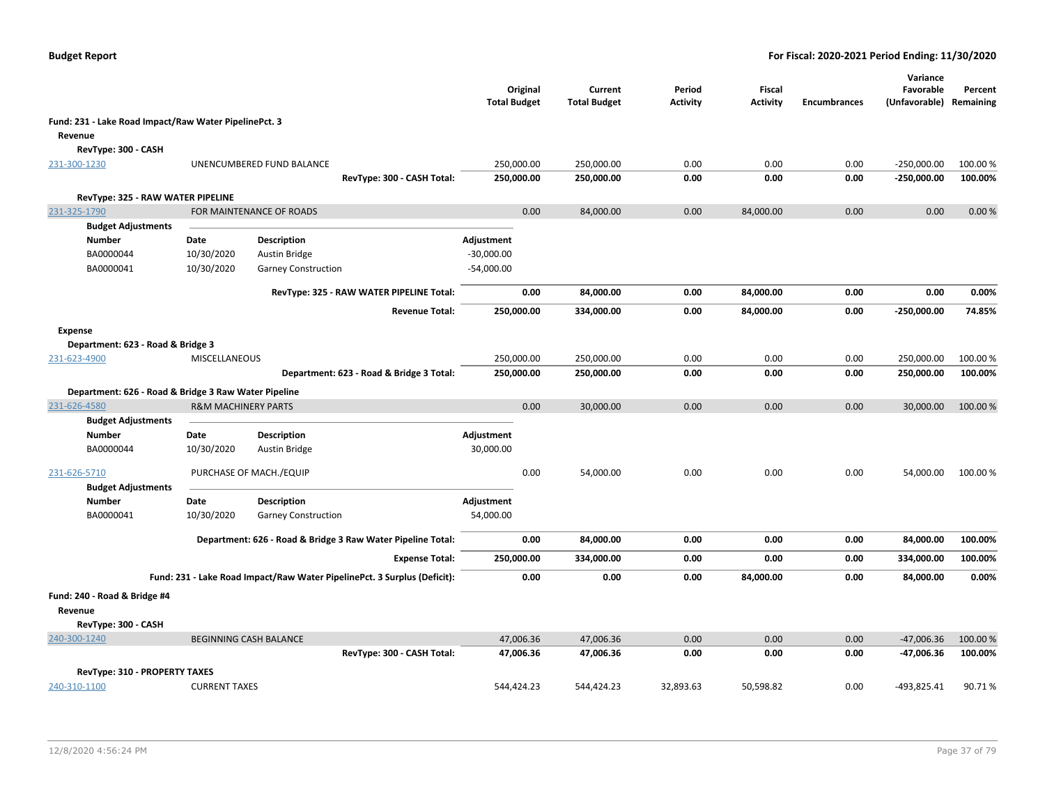|                                                       |                                |                                                                          | Original<br><b>Total Budget</b> | Current<br><b>Total Budget</b> | Period<br><b>Activity</b> | Fiscal<br><b>Activity</b> | <b>Encumbrances</b> | Variance<br>Favorable<br>(Unfavorable) Remaining | Percent  |
|-------------------------------------------------------|--------------------------------|--------------------------------------------------------------------------|---------------------------------|--------------------------------|---------------------------|---------------------------|---------------------|--------------------------------------------------|----------|
| Fund: 231 - Lake Road Impact/Raw Water PipelinePct. 3 |                                |                                                                          |                                 |                                |                           |                           |                     |                                                  |          |
| Revenue                                               |                                |                                                                          |                                 |                                |                           |                           |                     |                                                  |          |
| RevType: 300 - CASH                                   |                                |                                                                          |                                 |                                |                           |                           |                     |                                                  |          |
| 231-300-1230                                          |                                | UNENCUMBERED FUND BALANCE                                                | 250,000.00                      | 250,000.00                     | 0.00                      | 0.00                      | 0.00                | $-250,000.00$                                    | 100.00%  |
|                                                       |                                | RevType: 300 - CASH Total:                                               | 250,000.00                      | 250,000.00                     | 0.00                      | 0.00                      | 0.00                | $-250,000.00$                                    | 100.00%  |
| RevType: 325 - RAW WATER PIPELINE                     |                                |                                                                          |                                 |                                |                           |                           |                     |                                                  |          |
| 231-325-1790                                          |                                | FOR MAINTENANCE OF ROADS                                                 |                                 | 0.00<br>84,000.00              | 0.00                      | 84,000.00                 | 0.00                | 0.00                                             | 0.00%    |
| <b>Budget Adjustments</b>                             |                                |                                                                          |                                 |                                |                           |                           |                     |                                                  |          |
| <b>Number</b>                                         | Date                           | Description                                                              | Adjustment                      |                                |                           |                           |                     |                                                  |          |
| BA0000044                                             | 10/30/2020                     | <b>Austin Bridge</b>                                                     | $-30,000.00$                    |                                |                           |                           |                     |                                                  |          |
| BA0000041                                             | 10/30/2020                     | <b>Garney Construction</b>                                               | $-54,000.00$                    |                                |                           |                           |                     |                                                  |          |
|                                                       |                                | RevType: 325 - RAW WATER PIPELINE Total:                                 |                                 | 0.00<br>84,000.00              | 0.00                      | 84,000.00                 | 0.00                | 0.00                                             | 0.00%    |
|                                                       |                                | <b>Revenue Total:</b>                                                    | 250,000.00                      | 334,000.00                     | 0.00                      | 84,000.00                 | 0.00                | $-250,000.00$                                    | 74.85%   |
| Expense                                               |                                |                                                                          |                                 |                                |                           |                           |                     |                                                  |          |
| Department: 623 - Road & Bridge 3                     |                                |                                                                          |                                 |                                |                           |                           |                     |                                                  |          |
| 231-623-4900                                          | MISCELLANEOUS                  |                                                                          | 250,000.00                      | 250,000.00                     | 0.00                      | 0.00                      | 0.00                | 250,000.00                                       | 100.00%  |
|                                                       |                                | Department: 623 - Road & Bridge 3 Total:                                 | 250,000.00                      | 250,000.00                     | 0.00                      | 0.00                      | 0.00                | 250,000.00                                       | 100.00%  |
|                                                       |                                |                                                                          |                                 |                                |                           |                           |                     |                                                  |          |
| Department: 626 - Road & Bridge 3 Raw Water Pipeline  |                                |                                                                          |                                 | 0.00                           | 0.00                      | 0.00                      | 0.00                |                                                  |          |
| 231-626-4580                                          | <b>R&amp;M MACHINERY PARTS</b> |                                                                          |                                 | 30,000.00                      |                           |                           |                     | 30,000.00                                        | 100.00 % |
| <b>Budget Adjustments</b><br><b>Number</b>            | Date                           | Description                                                              | Adjustment                      |                                |                           |                           |                     |                                                  |          |
| BA0000044                                             | 10/30/2020                     | <b>Austin Bridge</b>                                                     | 30,000.00                       |                                |                           |                           |                     |                                                  |          |
|                                                       |                                |                                                                          |                                 |                                |                           |                           |                     |                                                  |          |
| 231-626-5710                                          |                                | PURCHASE OF MACH./EQUIP                                                  |                                 | 0.00<br>54,000.00              | 0.00                      | 0.00                      | 0.00                | 54,000.00                                        | 100.00%  |
| <b>Budget Adjustments</b>                             |                                |                                                                          |                                 |                                |                           |                           |                     |                                                  |          |
| <b>Number</b>                                         | Date                           | <b>Description</b>                                                       | Adjustment                      |                                |                           |                           |                     |                                                  |          |
| BA0000041                                             | 10/30/2020                     | Garney Construction                                                      | 54,000.00                       |                                |                           |                           |                     |                                                  |          |
|                                                       |                                | Department: 626 - Road & Bridge 3 Raw Water Pipeline Total:              |                                 | 0.00<br>84,000.00              | 0.00                      | 0.00                      | 0.00                | 84,000.00                                        | 100.00%  |
|                                                       |                                | <b>Expense Total:</b>                                                    | 250,000.00                      | 334,000.00                     | 0.00                      | 0.00                      | 0.00                | 334,000.00                                       | 100.00%  |
|                                                       |                                | Fund: 231 - Lake Road Impact/Raw Water PipelinePct. 3 Surplus (Deficit): |                                 | 0.00<br>0.00                   | 0.00                      | 84,000.00                 | 0.00                | 84,000.00                                        | 0.00%    |
| Fund: 240 - Road & Bridge #4                          |                                |                                                                          |                                 |                                |                           |                           |                     |                                                  |          |
| Revenue                                               |                                |                                                                          |                                 |                                |                           |                           |                     |                                                  |          |
| RevType: 300 - CASH                                   |                                |                                                                          |                                 |                                |                           |                           |                     |                                                  |          |
| 240-300-1240                                          |                                | <b>BEGINNING CASH BALANCE</b>                                            | 47,006.36                       | 47,006.36                      | 0.00                      | 0.00                      | 0.00                | $-47,006.36$                                     | 100.00%  |
|                                                       |                                | RevType: 300 - CASH Total:                                               | 47,006.36                       | 47,006.36                      | 0.00                      | 0.00                      | 0.00                | -47,006.36                                       | 100.00%  |
| RevType: 310 - PROPERTY TAXES                         |                                |                                                                          |                                 |                                |                           |                           |                     |                                                  |          |
| 240-310-1100                                          | <b>CURRENT TAXES</b>           |                                                                          | 544,424.23                      | 544,424.23                     | 32,893.63                 | 50,598.82                 | 0.00                | -493,825.41                                      | 90.71%   |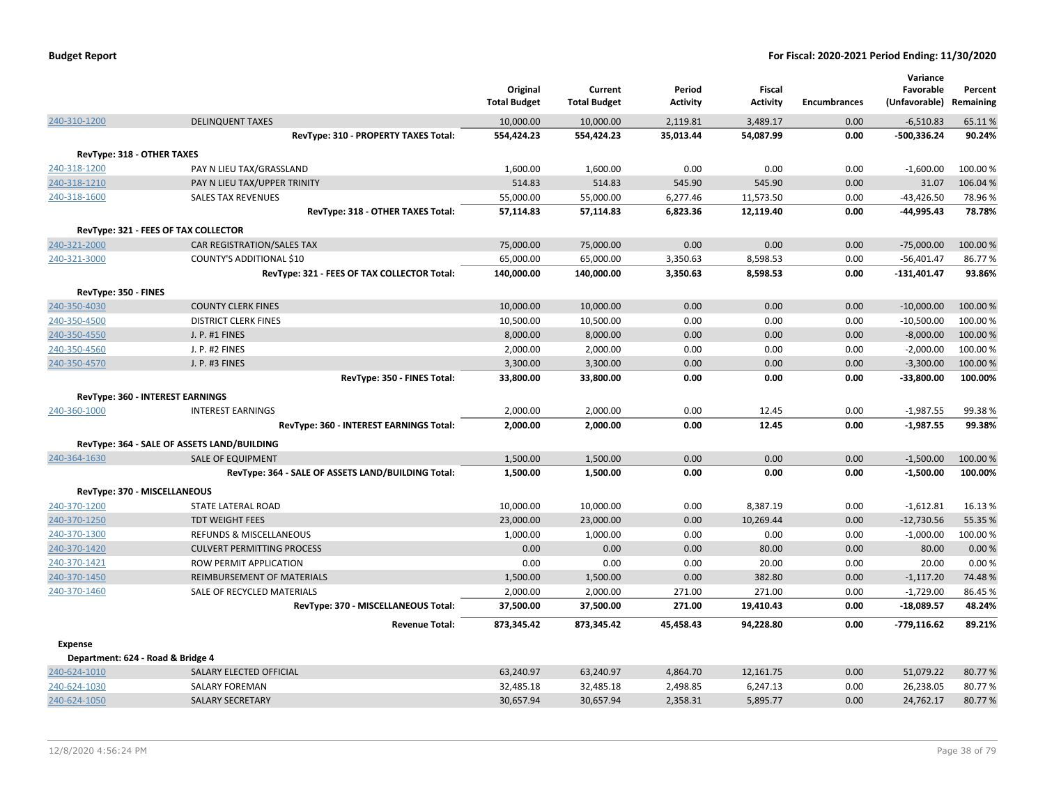|                                   |                                                                         | Original<br><b>Total Budget</b> | Current<br><b>Total Budget</b> | Period<br><b>Activity</b> | <b>Fiscal</b><br><b>Activity</b> | <b>Encumbrances</b> | Variance<br>Favorable<br>(Unfavorable) | Percent<br>Remaining |
|-----------------------------------|-------------------------------------------------------------------------|---------------------------------|--------------------------------|---------------------------|----------------------------------|---------------------|----------------------------------------|----------------------|
| 240-310-1200                      | <b>DELINQUENT TAXES</b>                                                 | 10,000.00                       | 10,000.00                      | 2,119.81                  | 3,489.17                         | 0.00                | $-6,510.83$                            | 65.11%               |
|                                   | RevType: 310 - PROPERTY TAXES Total:                                    | 554,424.23                      | 554,424.23                     | 35,013.44                 | 54,087.99                        | 0.00                | $-500,336.24$                          | 90.24%               |
| RevType: 318 - OTHER TAXES        |                                                                         |                                 |                                |                           |                                  |                     |                                        |                      |
| 240-318-1200                      | PAY N LIEU TAX/GRASSLAND                                                | 1,600.00                        | 1,600.00                       | 0.00                      | 0.00                             | 0.00                | $-1,600.00$                            | 100.00%              |
| 240-318-1210                      | PAY N LIEU TAX/UPPER TRINITY                                            | 514.83                          | 514.83                         | 545.90                    | 545.90                           | 0.00                | 31.07                                  | 106.04%              |
| 240-318-1600                      | <b>SALES TAX REVENUES</b>                                               | 55,000.00                       | 55,000.00                      | 6,277.46                  | 11,573.50                        | 0.00                | $-43,426.50$                           | 78.96%               |
|                                   | RevType: 318 - OTHER TAXES Total:                                       | 57,114.83                       | 57,114.83                      | 6,823.36                  | 12,119.40                        | 0.00                | -44,995.43                             | 78.78%               |
|                                   | RevType: 321 - FEES OF TAX COLLECTOR                                    |                                 |                                |                           |                                  |                     |                                        |                      |
| 240-321-2000                      | <b>CAR REGISTRATION/SALES TAX</b>                                       | 75,000.00                       | 75,000.00                      | 0.00                      | 0.00                             | 0.00                | $-75,000.00$                           | 100.00%              |
| 240-321-3000                      | COUNTY'S ADDITIONAL \$10                                                | 65,000.00                       | 65,000.00                      | 3,350.63                  | 8,598.53                         | 0.00                | $-56,401.47$                           | 86.77%               |
|                                   | RevType: 321 - FEES OF TAX COLLECTOR Total:                             | 140,000.00                      | 140,000.00                     | 3,350.63                  | 8,598.53                         | 0.00                | $-131,401.47$                          | 93.86%               |
| RevType: 350 - FINES              |                                                                         |                                 |                                |                           |                                  |                     |                                        |                      |
| 240-350-4030                      | <b>COUNTY CLERK FINES</b>                                               | 10,000.00                       | 10,000.00                      | 0.00                      | 0.00                             | 0.00                | $-10,000.00$                           | 100.00 %             |
| 240-350-4500                      | <b>DISTRICT CLERK FINES</b>                                             | 10,500.00                       | 10,500.00                      | 0.00                      | 0.00                             | 0.00                | $-10,500.00$                           | 100.00%              |
| 240-350-4550                      | J. P. #1 FINES                                                          | 8,000.00                        | 8,000.00                       | 0.00                      | 0.00                             | 0.00                | $-8,000.00$                            | 100.00 %             |
| 240-350-4560                      | J. P. #2 FINES                                                          | 2,000.00                        | 2,000.00                       | 0.00                      | 0.00                             | 0.00                | $-2,000.00$                            | 100.00%              |
| 240-350-4570                      | J. P. #3 FINES                                                          | 3,300.00                        | 3,300.00                       | 0.00                      | 0.00                             | 0.00                | $-3,300.00$                            | 100.00 %             |
|                                   | RevType: 350 - FINES Total:                                             | 33,800.00                       | 33,800.00                      | 0.00                      | 0.00                             | 0.00                | $-33,800.00$                           | 100.00%              |
|                                   | RevType: 360 - INTEREST EARNINGS                                        |                                 |                                |                           |                                  |                     |                                        |                      |
| 240-360-1000                      | <b>INTEREST EARNINGS</b>                                                | 2,000.00                        | 2,000.00                       | 0.00                      | 12.45                            | 0.00                | $-1,987.55$                            | 99.38%               |
|                                   | RevType: 360 - INTEREST EARNINGS Total:                                 | 2,000.00                        | 2,000.00                       | 0.00                      | 12.45                            | 0.00                | $-1,987.55$                            | 99.38%               |
|                                   |                                                                         |                                 |                                |                           |                                  |                     |                                        |                      |
| 240-364-1630                      | RevType: 364 - SALE OF ASSETS LAND/BUILDING<br><b>SALE OF EQUIPMENT</b> |                                 |                                |                           | 0.00                             |                     |                                        |                      |
|                                   | RevType: 364 - SALE OF ASSETS LAND/BUILDING Total:                      | 1,500.00<br>1,500.00            | 1,500.00<br>1,500.00           | 0.00<br>0.00              | 0.00                             | 0.00<br>0.00        | $-1,500.00$<br>$-1,500.00$             | 100.00%<br>100.00%   |
|                                   |                                                                         |                                 |                                |                           |                                  |                     |                                        |                      |
| RevType: 370 - MISCELLANEOUS      |                                                                         |                                 |                                |                           |                                  |                     |                                        |                      |
| 240-370-1200                      | STATE LATERAL ROAD                                                      | 10,000.00                       | 10,000.00                      | 0.00                      | 8,387.19                         | 0.00                | $-1,612.81$                            | 16.13%               |
| 240-370-1250                      | <b>TDT WEIGHT FEES</b>                                                  | 23,000.00                       | 23,000.00                      | 0.00                      | 10,269.44                        | 0.00                | $-12,730.56$                           | 55.35 %              |
| 240-370-1300                      | REFUNDS & MISCELLANEOUS                                                 | 1,000.00                        | 1,000.00                       | 0.00                      | 0.00                             | 0.00                | $-1,000.00$                            | 100.00%              |
| 240-370-1420                      | <b>CULVERT PERMITTING PROCESS</b>                                       | 0.00                            | 0.00                           | 0.00                      | 80.00                            | 0.00                | 80.00                                  | 0.00%                |
| 240-370-1421                      | ROW PERMIT APPLICATION                                                  | 0.00                            | 0.00                           | 0.00                      | 20.00                            | 0.00                | 20.00                                  | 0.00%                |
| 240-370-1450                      | <b>REIMBURSEMENT OF MATERIALS</b>                                       | 1,500.00                        | 1,500.00                       | 0.00                      | 382.80                           | 0.00                | $-1,117.20$                            | 74.48%               |
| 240-370-1460                      | SALE OF RECYCLED MATERIALS                                              | 2,000.00                        | 2,000.00                       | 271.00                    | 271.00                           | 0.00                | $-1,729.00$                            | 86.45%               |
|                                   | RevType: 370 - MISCELLANEOUS Total:                                     | 37,500.00                       | 37,500.00                      | 271.00                    | 19,410.43                        | 0.00                | $-18,089.57$                           | 48.24%               |
|                                   | <b>Revenue Total:</b>                                                   | 873,345.42                      | 873,345.42                     | 45,458.43                 | 94,228.80                        | 0.00                | $-779,116.62$                          | 89.21%               |
| <b>Expense</b>                    |                                                                         |                                 |                                |                           |                                  |                     |                                        |                      |
| Department: 624 - Road & Bridge 4 |                                                                         |                                 |                                |                           |                                  |                     |                                        |                      |
| 240-624-1010                      | SALARY ELECTED OFFICIAL                                                 | 63,240.97                       | 63,240.97                      | 4,864.70                  | 12,161.75                        | 0.00                | 51,079.22                              | 80.77%               |
| 240-624-1030                      | <b>SALARY FOREMAN</b>                                                   | 32,485.18                       | 32,485.18                      | 2,498.85                  | 6,247.13                         | 0.00                | 26,238.05                              | 80.77%               |
| 240-624-1050                      | <b>SALARY SECRETARY</b>                                                 | 30,657.94                       | 30,657.94                      | 2,358.31                  | 5,895.77                         | 0.00                | 24,762.17                              | 80.77%               |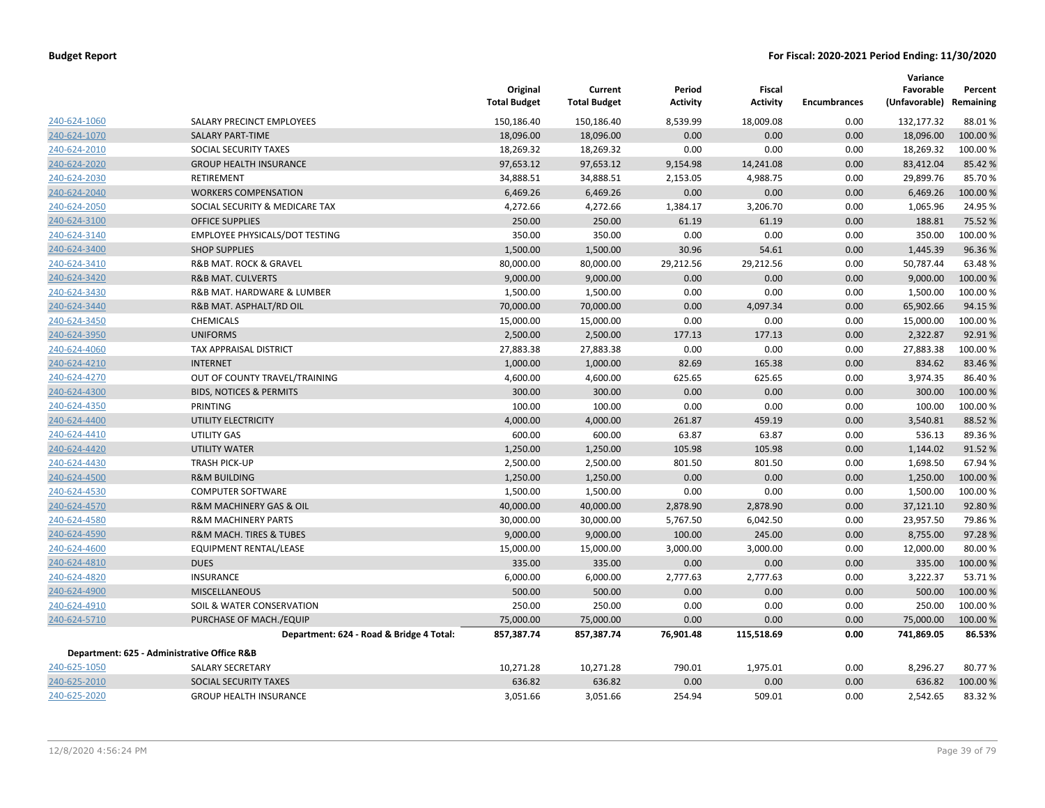|              |                                             | Original<br><b>Total Budget</b> | Current<br><b>Total Budget</b> | Period<br><b>Activity</b> | <b>Fiscal</b><br><b>Activity</b> | <b>Encumbrances</b> | Variance<br>Favorable<br>(Unfavorable) Remaining | Percent  |
|--------------|---------------------------------------------|---------------------------------|--------------------------------|---------------------------|----------------------------------|---------------------|--------------------------------------------------|----------|
| 240-624-1060 | SALARY PRECINCT EMPLOYEES                   | 150,186.40                      | 150,186.40                     | 8,539.99                  | 18,009.08                        | 0.00                | 132,177.32                                       | 88.01%   |
| 240-624-1070 | <b>SALARY PART-TIME</b>                     | 18,096.00                       | 18,096.00                      | 0.00                      | 0.00                             | 0.00                | 18,096.00                                        | 100.00%  |
| 240-624-2010 | SOCIAL SECURITY TAXES                       | 18,269.32                       | 18,269.32                      | 0.00                      | 0.00                             | 0.00                | 18,269.32                                        | 100.00%  |
| 240-624-2020 | <b>GROUP HEALTH INSURANCE</b>               | 97,653.12                       | 97,653.12                      | 9,154.98                  | 14,241.08                        | 0.00                | 83,412.04                                        | 85.42 %  |
| 240-624-2030 | RETIREMENT                                  | 34,888.51                       | 34,888.51                      | 2,153.05                  | 4,988.75                         | 0.00                | 29,899.76                                        | 85.70%   |
| 240-624-2040 | <b>WORKERS COMPENSATION</b>                 | 6,469.26                        | 6,469.26                       | 0.00                      | 0.00                             | 0.00                | 6,469.26                                         | 100.00 % |
| 240-624-2050 | SOCIAL SECURITY & MEDICARE TAX              | 4,272.66                        | 4,272.66                       | 1,384.17                  | 3,206.70                         | 0.00                | 1,065.96                                         | 24.95 %  |
| 240-624-3100 | <b>OFFICE SUPPLIES</b>                      | 250.00                          | 250.00                         | 61.19                     | 61.19                            | 0.00                | 188.81                                           | 75.52 %  |
| 240-624-3140 | EMPLOYEE PHYSICALS/DOT TESTING              | 350.00                          | 350.00                         | 0.00                      | 0.00                             | 0.00                | 350.00                                           | 100.00%  |
| 240-624-3400 | <b>SHOP SUPPLIES</b>                        | 1,500.00                        | 1,500.00                       | 30.96                     | 54.61                            | 0.00                | 1,445.39                                         | 96.36%   |
| 240-624-3410 | R&B MAT. ROCK & GRAVEL                      | 80,000.00                       | 80,000.00                      | 29,212.56                 | 29,212.56                        | 0.00                | 50,787.44                                        | 63.48%   |
| 240-624-3420 | <b>R&amp;B MAT. CULVERTS</b>                | 9,000.00                        | 9,000.00                       | 0.00                      | 0.00                             | 0.00                | 9,000.00                                         | 100.00 % |
| 240-624-3430 | R&B MAT. HARDWARE & LUMBER                  | 1,500.00                        | 1,500.00                       | 0.00                      | 0.00                             | 0.00                | 1,500.00                                         | 100.00%  |
| 240-624-3440 | R&B MAT. ASPHALT/RD OIL                     | 70,000.00                       | 70,000.00                      | 0.00                      | 4,097.34                         | 0.00                | 65,902.66                                        | 94.15 %  |
| 240-624-3450 | <b>CHEMICALS</b>                            | 15,000.00                       | 15,000.00                      | 0.00                      | 0.00                             | 0.00                | 15,000.00                                        | 100.00 % |
| 240-624-3950 | <b>UNIFORMS</b>                             | 2,500.00                        | 2,500.00                       | 177.13                    | 177.13                           | 0.00                | 2,322.87                                         | 92.91%   |
| 240-624-4060 | TAX APPRAISAL DISTRICT                      | 27,883.38                       | 27,883.38                      | 0.00                      | 0.00                             | 0.00                | 27,883.38                                        | 100.00%  |
| 240-624-4210 | <b>INTERNET</b>                             | 1,000.00                        | 1,000.00                       | 82.69                     | 165.38                           | 0.00                | 834.62                                           | 83.46%   |
| 240-624-4270 | OUT OF COUNTY TRAVEL/TRAINING               | 4,600.00                        | 4,600.00                       | 625.65                    | 625.65                           | 0.00                | 3,974.35                                         | 86.40%   |
| 240-624-4300 | <b>BIDS, NOTICES &amp; PERMITS</b>          | 300.00                          | 300.00                         | 0.00                      | 0.00                             | 0.00                | 300.00                                           | 100.00 % |
| 240-624-4350 | PRINTING                                    | 100.00                          | 100.00                         | 0.00                      | 0.00                             | 0.00                | 100.00                                           | 100.00%  |
| 240-624-4400 | UTILITY ELECTRICITY                         | 4,000.00                        | 4,000.00                       | 261.87                    | 459.19                           | 0.00                | 3,540.81                                         | 88.52 %  |
| 240-624-4410 | UTILITY GAS                                 | 600.00                          | 600.00                         | 63.87                     | 63.87                            | 0.00                | 536.13                                           | 89.36%   |
| 240-624-4420 | <b>UTILITY WATER</b>                        | 1,250.00                        | 1,250.00                       | 105.98                    | 105.98                           | 0.00                | 1,144.02                                         | 91.52%   |
| 240-624-4430 | <b>TRASH PICK-UP</b>                        | 2,500.00                        | 2,500.00                       | 801.50                    | 801.50                           | 0.00                | 1,698.50                                         | 67.94 %  |
| 240-624-4500 | <b>R&amp;M BUILDING</b>                     | 1,250.00                        | 1,250.00                       | 0.00                      | 0.00                             | 0.00                | 1,250.00                                         | 100.00%  |
| 240-624-4530 | <b>COMPUTER SOFTWARE</b>                    | 1,500.00                        | 1,500.00                       | 0.00                      | 0.00                             | 0.00                | 1,500.00                                         | 100.00%  |
| 240-624-4570 | <b>R&amp;M MACHINERY GAS &amp; OIL</b>      | 40,000.00                       | 40,000.00                      | 2,878.90                  | 2,878.90                         | 0.00                | 37,121.10                                        | 92.80%   |
| 240-624-4580 | <b>R&amp;M MACHINERY PARTS</b>              | 30,000.00                       | 30,000.00                      | 5,767.50                  | 6,042.50                         | 0.00                | 23,957.50                                        | 79.86%   |
| 240-624-4590 | R&M MACH. TIRES & TUBES                     | 9,000.00                        | 9,000.00                       | 100.00                    | 245.00                           | 0.00                | 8,755.00                                         | 97.28%   |
| 240-624-4600 | EQUIPMENT RENTAL/LEASE                      | 15,000.00                       | 15,000.00                      | 3,000.00                  | 3,000.00                         | 0.00                | 12,000.00                                        | 80.00%   |
| 240-624-4810 | <b>DUES</b>                                 | 335.00                          | 335.00                         | 0.00                      | 0.00                             | 0.00                | 335.00                                           | 100.00%  |
| 240-624-4820 | <b>INSURANCE</b>                            | 6,000.00                        | 6,000.00                       | 2,777.63                  | 2,777.63                         | 0.00                | 3,222.37                                         | 53.71%   |
| 240-624-4900 | <b>MISCELLANEOUS</b>                        | 500.00                          | 500.00                         | 0.00                      | 0.00                             | 0.00                | 500.00                                           | 100.00%  |
| 240-624-4910 | SOIL & WATER CONSERVATION                   | 250.00                          | 250.00                         | 0.00                      | 0.00                             | 0.00                | 250.00                                           | 100.00%  |
| 240-624-5710 | PURCHASE OF MACH./EQUIP                     | 75,000.00                       | 75,000.00                      | 0.00                      | 0.00                             | 0.00                | 75,000.00                                        | 100.00 % |
|              | Department: 624 - Road & Bridge 4 Total:    | 857,387.74                      | 857,387.74                     | 76,901.48                 | 115,518.69                       | 0.00                | 741,869.05                                       | 86.53%   |
|              | Department: 625 - Administrative Office R&B |                                 |                                |                           |                                  |                     |                                                  |          |
| 240-625-1050 | <b>SALARY SECRETARY</b>                     | 10,271.28                       | 10,271.28                      | 790.01                    | 1,975.01                         | 0.00                | 8,296.27                                         | 80.77%   |
| 240-625-2010 | SOCIAL SECURITY TAXES                       | 636.82                          | 636.82                         | 0.00                      | 0.00                             | 0.00                | 636.82                                           | 100.00 % |
| 240-625-2020 | <b>GROUP HEALTH INSURANCE</b>               | 3,051.66                        | 3,051.66                       | 254.94                    | 509.01                           | 0.00                | 2,542.65                                         | 83.32 %  |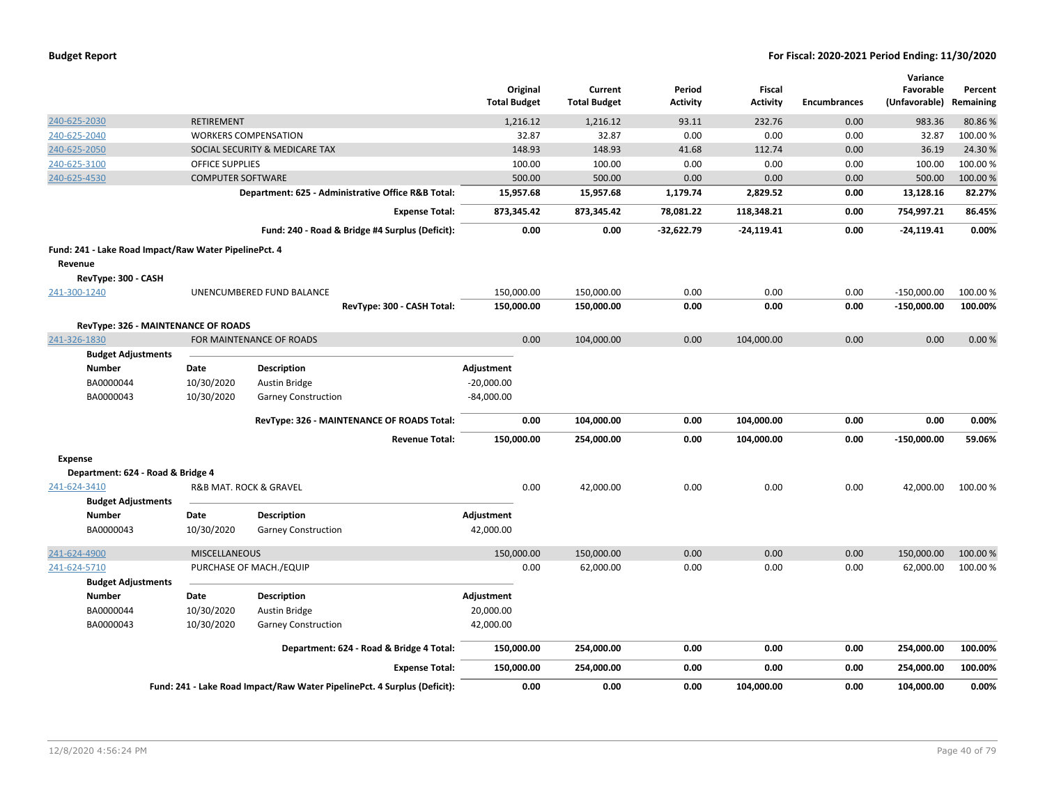|                                                       |                          |                                                                          | Original<br><b>Total Budget</b> | Current<br><b>Total Budget</b> | Period<br><b>Activity</b> | <b>Fiscal</b><br><b>Activity</b> | <b>Encumbrances</b> | Variance<br>Favorable<br>(Unfavorable) | Percent<br>Remaining |
|-------------------------------------------------------|--------------------------|--------------------------------------------------------------------------|---------------------------------|--------------------------------|---------------------------|----------------------------------|---------------------|----------------------------------------|----------------------|
| 240-625-2030                                          | <b>RETIREMENT</b>        |                                                                          | 1,216.12                        | 1,216.12                       | 93.11                     | 232.76                           | 0.00                | 983.36                                 | 80.86%               |
| 240-625-2040                                          |                          | <b>WORKERS COMPENSATION</b>                                              | 32.87                           | 32.87                          | 0.00                      | 0.00                             | 0.00                | 32.87                                  | 100.00%              |
| 240-625-2050                                          |                          | SOCIAL SECURITY & MEDICARE TAX                                           | 148.93                          | 148.93                         | 41.68                     | 112.74                           | 0.00                | 36.19                                  | 24.30%               |
| 240-625-3100                                          | <b>OFFICE SUPPLIES</b>   |                                                                          | 100.00                          | 100.00                         | 0.00                      | 0.00                             | 0.00                | 100.00                                 | 100.00%              |
| 240-625-4530                                          | <b>COMPUTER SOFTWARE</b> |                                                                          | 500.00                          | 500.00                         | 0.00                      | 0.00                             | 0.00                | 500.00                                 | 100.00%              |
|                                                       |                          | Department: 625 - Administrative Office R&B Total:                       | 15,957.68                       | 15,957.68                      | 1,179.74                  | 2,829.52                         | 0.00                | 13,128.16                              | 82.27%               |
|                                                       |                          | <b>Expense Total:</b>                                                    | 873,345.42                      | 873,345.42                     | 78,081.22                 | 118,348.21                       | 0.00                | 754,997.21                             | 86.45%               |
|                                                       |                          | Fund: 240 - Road & Bridge #4 Surplus (Deficit):                          | 0.00                            | 0.00                           | $-32,622.79$              | $-24,119.41$                     | 0.00                | $-24,119.41$                           | 0.00%                |
| Fund: 241 - Lake Road Impact/Raw Water PipelinePct. 4 |                          |                                                                          |                                 |                                |                           |                                  |                     |                                        |                      |
| Revenue                                               |                          |                                                                          |                                 |                                |                           |                                  |                     |                                        |                      |
| RevType: 300 - CASH                                   |                          |                                                                          |                                 |                                |                           |                                  |                     |                                        |                      |
| 241-300-1240                                          |                          | UNENCUMBERED FUND BALANCE                                                | 150,000.00                      | 150,000.00                     | 0.00                      | 0.00                             | 0.00                | $-150,000.00$                          | 100.00%              |
|                                                       |                          | RevType: 300 - CASH Total:                                               | 150,000.00                      | 150,000.00                     | 0.00                      | 0.00                             | 0.00                | $-150,000.00$                          | 100.00%              |
|                                                       |                          |                                                                          |                                 |                                |                           |                                  |                     |                                        |                      |
| RevType: 326 - MAINTENANCE OF ROADS<br>241-326-1830   |                          |                                                                          | 0.00                            | 104,000.00                     | 0.00                      | 104,000.00                       | 0.00                | 0.00                                   | 0.00%                |
|                                                       |                          | FOR MAINTENANCE OF ROADS                                                 |                                 |                                |                           |                                  |                     |                                        |                      |
| <b>Budget Adjustments</b>                             |                          |                                                                          |                                 |                                |                           |                                  |                     |                                        |                      |
| <b>Number</b><br>BA0000044                            | Date<br>10/30/2020       | Description                                                              | Adjustment                      |                                |                           |                                  |                     |                                        |                      |
|                                                       |                          | Austin Bridge                                                            | $-20,000.00$                    |                                |                           |                                  |                     |                                        |                      |
| BA0000043                                             | 10/30/2020               | <b>Garney Construction</b>                                               | $-84,000.00$                    |                                |                           |                                  |                     |                                        |                      |
|                                                       |                          | RevType: 326 - MAINTENANCE OF ROADS Total:                               | 0.00                            | 104,000.00                     | 0.00                      | 104,000.00                       | 0.00                | 0.00                                   | 0.00%                |
|                                                       |                          | <b>Revenue Total:</b>                                                    | 150,000.00                      | 254,000.00                     | 0.00                      | 104,000.00                       | 0.00                | $-150,000.00$                          | 59.06%               |
| <b>Expense</b>                                        |                          |                                                                          |                                 |                                |                           |                                  |                     |                                        |                      |
| Department: 624 - Road & Bridge 4                     |                          |                                                                          |                                 |                                |                           |                                  |                     |                                        |                      |
| 241-624-3410                                          |                          | R&B MAT. ROCK & GRAVEL                                                   | 0.00                            | 42,000.00                      | 0.00                      | 0.00                             | 0.00                | 42,000.00                              | 100.00 %             |
| <b>Budget Adjustments</b>                             |                          |                                                                          |                                 |                                |                           |                                  |                     |                                        |                      |
| <b>Number</b>                                         | Date                     | <b>Description</b>                                                       | Adjustment                      |                                |                           |                                  |                     |                                        |                      |
| BA0000043                                             | 10/30/2020               | <b>Garney Construction</b>                                               | 42,000.00                       |                                |                           |                                  |                     |                                        |                      |
| 241-624-4900                                          | <b>MISCELLANEOUS</b>     |                                                                          | 150,000.00                      | 150,000.00                     | 0.00                      | 0.00                             | 0.00                | 150,000.00                             | 100.00 %             |
| 241-624-5710                                          |                          | PURCHASE OF MACH./EQUIP                                                  | 0.00                            | 62,000.00                      | 0.00                      | 0.00                             | 0.00                | 62,000.00                              | 100.00%              |
| <b>Budget Adjustments</b>                             |                          |                                                                          |                                 |                                |                           |                                  |                     |                                        |                      |
| <b>Number</b>                                         | Date                     | Description                                                              | Adjustment                      |                                |                           |                                  |                     |                                        |                      |
| BA0000044                                             | 10/30/2020               | Austin Bridge                                                            | 20,000.00                       |                                |                           |                                  |                     |                                        |                      |
| BA0000043                                             | 10/30/2020               | <b>Garney Construction</b>                                               | 42,000.00                       |                                |                           |                                  |                     |                                        |                      |
|                                                       |                          | Department: 624 - Road & Bridge 4 Total:                                 | 150,000.00                      | 254,000.00                     | 0.00                      | 0.00                             | 0.00                | 254,000.00                             | 100.00%              |
|                                                       |                          | <b>Expense Total:</b>                                                    | 150,000.00                      | 254,000.00                     | 0.00                      | 0.00                             | 0.00                | 254,000.00                             | 100.00%              |
|                                                       |                          | Fund: 241 - Lake Road Impact/Raw Water PipelinePct. 4 Surplus (Deficit): | 0.00                            | 0.00                           | 0.00                      | 104.000.00                       | 0.00                | 104.000.00                             | 0.00%                |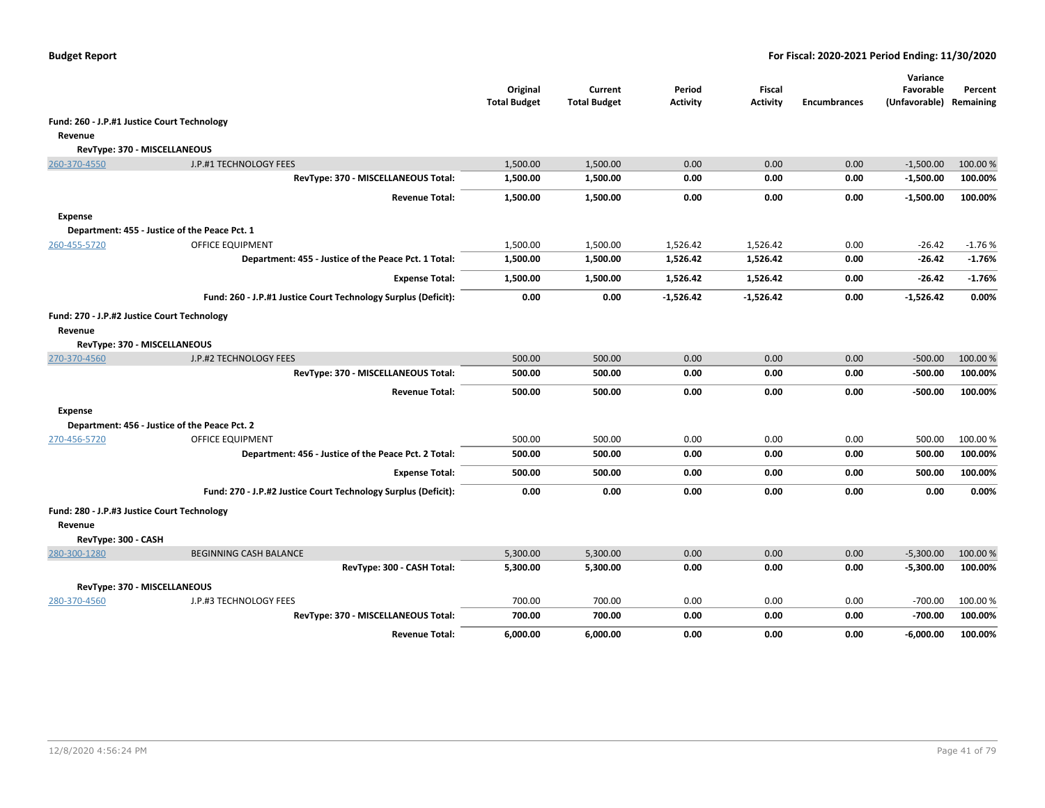|                                             |                                                                | Original<br><b>Total Budget</b> | Current<br><b>Total Budget</b> | Period<br><b>Activity</b> | Fiscal<br><b>Activity</b> | <b>Encumbrances</b> | Variance<br>Favorable<br>(Unfavorable) Remaining | Percent  |
|---------------------------------------------|----------------------------------------------------------------|---------------------------------|--------------------------------|---------------------------|---------------------------|---------------------|--------------------------------------------------|----------|
| Fund: 260 - J.P.#1 Justice Court Technology |                                                                |                                 |                                |                           |                           |                     |                                                  |          |
| Revenue                                     |                                                                |                                 |                                |                           |                           |                     |                                                  |          |
| RevType: 370 - MISCELLANEOUS                |                                                                |                                 |                                |                           |                           |                     |                                                  |          |
| 260-370-4550                                | J.P.#1 TECHNOLOGY FEES                                         | 1,500.00                        | 1,500.00                       | 0.00                      | 0.00                      | 0.00                | $-1,500.00$                                      | 100.00 % |
|                                             | RevType: 370 - MISCELLANEOUS Total:                            | 1,500.00                        | 1,500.00                       | 0.00                      | 0.00                      | 0.00                | $-1,500.00$                                      | 100.00%  |
|                                             | <b>Revenue Total:</b>                                          | 1,500.00                        | 1,500.00                       | 0.00                      | 0.00                      | 0.00                | $-1,500.00$                                      | 100.00%  |
| <b>Expense</b>                              |                                                                |                                 |                                |                           |                           |                     |                                                  |          |
|                                             | Department: 455 - Justice of the Peace Pct. 1                  |                                 |                                |                           |                           |                     |                                                  |          |
| 260-455-5720                                | <b>OFFICE EQUIPMENT</b>                                        | 1,500.00                        | 1,500.00                       | 1,526.42                  | 1.526.42                  | 0.00                | $-26.42$                                         | $-1.76%$ |
|                                             | Department: 455 - Justice of the Peace Pct. 1 Total:           | 1,500.00                        | 1,500.00                       | 1,526.42                  | 1,526.42                  | 0.00                | $-26.42$                                         | $-1.76%$ |
|                                             | <b>Expense Total:</b>                                          | 1,500.00                        | 1,500.00                       | 1,526.42                  | 1,526.42                  | 0.00                | $-26.42$                                         | $-1.76%$ |
|                                             | Fund: 260 - J.P.#1 Justice Court Technology Surplus (Deficit): | 0.00                            | 0.00                           | $-1,526.42$               | $-1,526.42$               | 0.00                | $-1,526.42$                                      | 0.00%    |
| Fund: 270 - J.P.#2 Justice Court Technology |                                                                |                                 |                                |                           |                           |                     |                                                  |          |
| Revenue                                     |                                                                |                                 |                                |                           |                           |                     |                                                  |          |
| RevType: 370 - MISCELLANEOUS                |                                                                |                                 |                                |                           |                           |                     |                                                  |          |
| 270-370-4560                                | J.P.#2 TECHNOLOGY FEES                                         | 500.00                          | 500.00                         | 0.00                      | 0.00                      | 0.00                | $-500.00$                                        | 100.00%  |
|                                             | RevType: 370 - MISCELLANEOUS Total:                            | 500.00                          | 500.00                         | 0.00                      | 0.00                      | 0.00                | $-500.00$                                        | 100.00%  |
|                                             | <b>Revenue Total:</b>                                          | 500.00                          | 500.00                         | 0.00                      | 0.00                      | 0.00                | $-500.00$                                        | 100.00%  |
| <b>Expense</b>                              |                                                                |                                 |                                |                           |                           |                     |                                                  |          |
|                                             | Department: 456 - Justice of the Peace Pct. 2                  |                                 |                                |                           |                           |                     |                                                  |          |
| 270-456-5720                                | OFFICE EQUIPMENT                                               | 500.00                          | 500.00                         | 0.00                      | 0.00                      | 0.00                | 500.00                                           | 100.00%  |
|                                             | Department: 456 - Justice of the Peace Pct. 2 Total:           | 500.00                          | 500.00                         | 0.00                      | 0.00                      | 0.00                | 500.00                                           | 100.00%  |
|                                             | <b>Expense Total:</b>                                          | 500.00                          | 500.00                         | 0.00                      | 0.00                      | 0.00                | 500.00                                           | 100.00%  |
|                                             | Fund: 270 - J.P.#2 Justice Court Technology Surplus (Deficit): | 0.00                            | 0.00                           | 0.00                      | 0.00                      | 0.00                | 0.00                                             | 0.00%    |
| Fund: 280 - J.P.#3 Justice Court Technology |                                                                |                                 |                                |                           |                           |                     |                                                  |          |
| Revenue                                     |                                                                |                                 |                                |                           |                           |                     |                                                  |          |
| RevType: 300 - CASH                         |                                                                |                                 |                                |                           |                           |                     |                                                  |          |
| 280-300-1280                                | <b>BEGINNING CASH BALANCE</b>                                  | 5,300.00                        | 5,300.00                       | 0.00                      | 0.00                      | 0.00                | $-5,300.00$                                      | 100.00 % |
|                                             | RevType: 300 - CASH Total:                                     | 5,300.00                        | 5,300.00                       | 0.00                      | 0.00                      | 0.00                | $-5,300.00$                                      | 100.00%  |
| RevType: 370 - MISCELLANEOUS                |                                                                |                                 |                                |                           |                           |                     |                                                  |          |
| 280-370-4560                                | J.P.#3 TECHNOLOGY FEES                                         | 700.00                          | 700.00                         | 0.00                      | 0.00                      | 0.00                | $-700.00$                                        | 100.00 % |
|                                             | RevType: 370 - MISCELLANEOUS Total:                            | 700.00                          | 700.00                         | 0.00                      | 0.00                      | 0.00                | $-700.00$                                        | 100.00%  |
|                                             | <b>Revenue Total:</b>                                          | 6,000.00                        | 6,000.00                       | 0.00                      | 0.00                      | 0.00                | $-6,000.00$                                      | 100.00%  |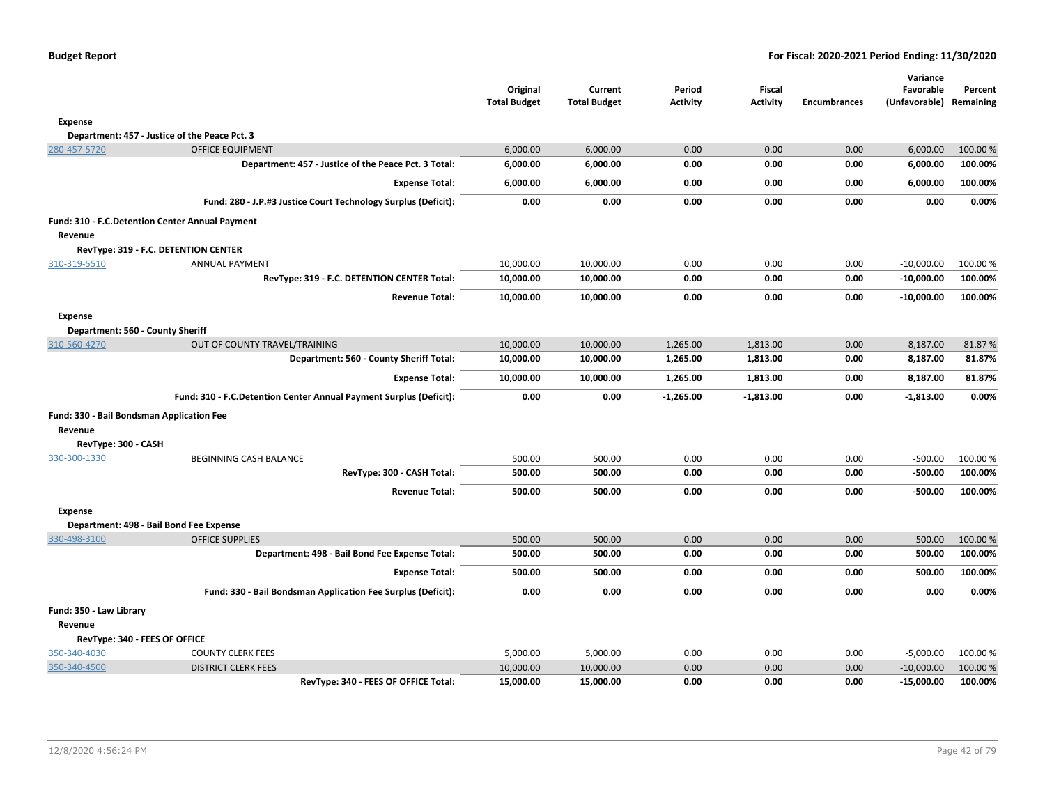| <b>Budget Report</b> |  |
|----------------------|--|
|----------------------|--|

|                                                    |                                                                    | Original<br><b>Total Budget</b> | Current<br><b>Total Budget</b> | Period<br>Activity | Fiscal<br><b>Activity</b> | <b>Encumbrances</b> | Variance<br>Favorable<br>(Unfavorable) Remaining | Percent  |
|----------------------------------------------------|--------------------------------------------------------------------|---------------------------------|--------------------------------|--------------------|---------------------------|---------------------|--------------------------------------------------|----------|
| <b>Expense</b>                                     |                                                                    |                                 |                                |                    |                           |                     |                                                  |          |
|                                                    | Department: 457 - Justice of the Peace Pct. 3                      |                                 |                                |                    |                           |                     |                                                  |          |
| 280-457-5720                                       | <b>OFFICE EQUIPMENT</b>                                            | 6,000.00                        | 6,000.00                       | 0.00               | 0.00                      | 0.00                | 6,000.00                                         | 100.00 % |
|                                                    | Department: 457 - Justice of the Peace Pct. 3 Total:               | 6,000.00                        | 6,000.00                       | 0.00               | 0.00                      | 0.00                | 6,000.00                                         | 100.00%  |
|                                                    | <b>Expense Total:</b>                                              | 6,000.00                        | 6,000.00                       | 0.00               | 0.00                      | 0.00                | 6,000.00                                         | 100.00%  |
|                                                    | Fund: 280 - J.P.#3 Justice Court Technology Surplus (Deficit):     | 0.00                            | 0.00                           | 0.00               | 0.00                      | 0.00                | 0.00                                             | 0.00%    |
|                                                    | Fund: 310 - F.C.Detention Center Annual Payment                    |                                 |                                |                    |                           |                     |                                                  |          |
| Revenue                                            |                                                                    |                                 |                                |                    |                           |                     |                                                  |          |
|                                                    | RevType: 319 - F.C. DETENTION CENTER                               |                                 |                                |                    |                           |                     |                                                  |          |
| 310-319-5510                                       | <b>ANNUAL PAYMENT</b>                                              | 10,000.00                       | 10,000.00                      | 0.00               | 0.00                      | 0.00                | $-10,000.00$                                     | 100.00 % |
|                                                    | RevType: 319 - F.C. DETENTION CENTER Total:                        | 10,000.00                       | 10,000.00                      | 0.00               | 0.00                      | 0.00                | $-10,000.00$                                     | 100.00%  |
|                                                    | <b>Revenue Total:</b>                                              | 10,000.00                       | 10,000.00                      | 0.00               | 0.00                      | 0.00                | $-10,000.00$                                     | 100.00%  |
| <b>Expense</b><br>Department: 560 - County Sheriff |                                                                    |                                 |                                |                    |                           |                     |                                                  |          |
| 310-560-4270                                       | OUT OF COUNTY TRAVEL/TRAINING                                      | 10,000.00                       | 10,000.00                      | 1,265.00           | 1,813.00                  | 0.00                | 8,187.00                                         | 81.87%   |
|                                                    | Department: 560 - County Sheriff Total:                            | 10,000.00                       | 10,000.00                      | 1,265.00           | 1,813.00                  | 0.00                | 8,187.00                                         | 81.87%   |
|                                                    | <b>Expense Total:</b>                                              | 10,000.00                       | 10,000.00                      | 1,265.00           | 1,813.00                  | 0.00                | 8,187.00                                         | 81.87%   |
|                                                    | Fund: 310 - F.C.Detention Center Annual Payment Surplus (Deficit): | 0.00                            | 0.00                           | $-1,265.00$        | $-1,813.00$               | 0.00                | $-1,813.00$                                      | 0.00%    |
| Fund: 330 - Bail Bondsman Application Fee          |                                                                    |                                 |                                |                    |                           |                     |                                                  |          |
| Revenue                                            |                                                                    |                                 |                                |                    |                           |                     |                                                  |          |
| RevType: 300 - CASH                                |                                                                    |                                 |                                |                    |                           |                     |                                                  |          |
| 330-300-1330                                       | BEGINNING CASH BALANCE                                             | 500.00                          | 500.00                         | 0.00               | 0.00                      | 0.00                | $-500.00$                                        | 100.00 % |
|                                                    | RevType: 300 - CASH Total:                                         | 500.00                          | 500.00                         | 0.00               | 0.00                      | 0.00                | $-500.00$                                        | 100.00%  |
|                                                    | <b>Revenue Total:</b>                                              | 500.00                          | 500.00                         | 0.00               | 0.00                      | 0.00                | $-500.00$                                        | 100.00%  |
| <b>Expense</b>                                     |                                                                    |                                 |                                |                    |                           |                     |                                                  |          |
|                                                    | Department: 498 - Bail Bond Fee Expense                            |                                 |                                |                    |                           |                     |                                                  |          |
| 330-498-3100                                       | <b>OFFICE SUPPLIES</b>                                             | 500.00                          | 500.00                         | 0.00               | 0.00                      | 0.00                | 500.00                                           | 100.00 % |
|                                                    | Department: 498 - Bail Bond Fee Expense Total:                     | 500.00                          | 500.00                         | 0.00               | 0.00                      | 0.00                | 500.00                                           | 100.00%  |
|                                                    | <b>Expense Total:</b>                                              | 500.00                          | 500.00                         | 0.00               | 0.00                      | 0.00                | 500.00                                           | 100.00%  |
|                                                    | Fund: 330 - Bail Bondsman Application Fee Surplus (Deficit):       | 0.00                            | 0.00                           | 0.00               | 0.00                      | 0.00                | 0.00                                             | 0.00%    |
| Fund: 350 - Law Library                            |                                                                    |                                 |                                |                    |                           |                     |                                                  |          |
| Revenue                                            |                                                                    |                                 |                                |                    |                           |                     |                                                  |          |
| RevType: 340 - FEES OF OFFICE                      |                                                                    |                                 |                                |                    |                           |                     |                                                  |          |
| 350-340-4030                                       | <b>COUNTY CLERK FEES</b>                                           | 5,000.00                        | 5,000.00                       | 0.00               | 0.00                      | 0.00                | $-5,000.00$                                      | 100.00 % |
| 350-340-4500                                       | <b>DISTRICT CLERK FEES</b>                                         | 10,000.00                       | 10,000.00                      | 0.00               | 0.00                      | 0.00                | $-10,000.00$                                     | 100.00 % |
|                                                    | RevType: 340 - FEES OF OFFICE Total:                               | 15,000.00                       | 15,000.00                      | 0.00               | 0.00                      | 0.00                | $-15,000.00$                                     | 100.00%  |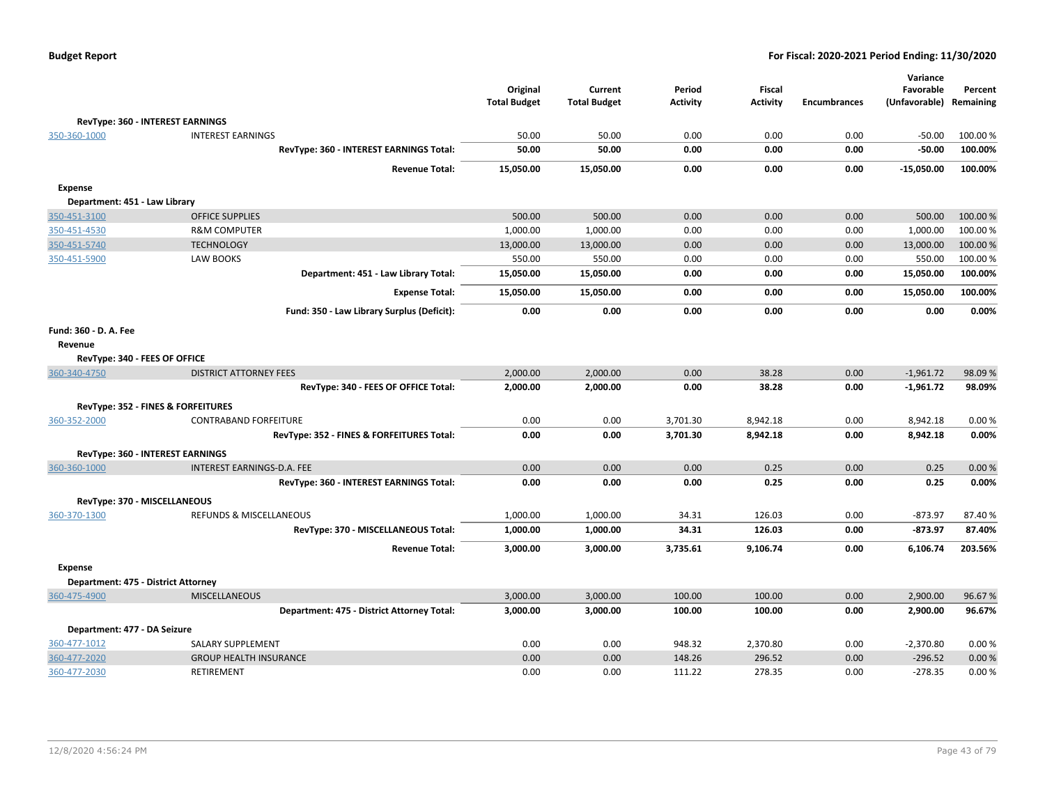|                               |                                            | Original            | Current             | Period          | Fiscal          |                     | Variance<br>Favorable   | Percent  |
|-------------------------------|--------------------------------------------|---------------------|---------------------|-----------------|-----------------|---------------------|-------------------------|----------|
|                               |                                            | <b>Total Budget</b> | <b>Total Budget</b> | <b>Activity</b> | <b>Activity</b> | <b>Encumbrances</b> | (Unfavorable) Remaining |          |
|                               | <b>RevType: 360 - INTEREST EARNINGS</b>    |                     |                     |                 |                 |                     |                         |          |
| 350-360-1000                  | <b>INTEREST EARNINGS</b>                   | 50.00               | 50.00               | 0.00            | 0.00            | 0.00                | $-50.00$                | 100.00 % |
|                               | RevType: 360 - INTEREST EARNINGS Total:    | 50.00               | 50.00               | 0.00            | 0.00            | 0.00                | $-50.00$                | 100.00%  |
|                               | <b>Revenue Total:</b>                      | 15,050.00           | 15,050.00           | 0.00            | 0.00            | 0.00                | $-15,050.00$            | 100.00%  |
| <b>Expense</b>                |                                            |                     |                     |                 |                 |                     |                         |          |
| Department: 451 - Law Library |                                            |                     |                     |                 |                 |                     |                         |          |
| 350-451-3100                  | <b>OFFICE SUPPLIES</b>                     | 500.00              | 500.00              | 0.00            | 0.00            | 0.00                | 500.00                  | 100.00 % |
| 350-451-4530                  | <b>R&amp;M COMPUTER</b>                    | 1,000.00            | 1,000.00            | 0.00            | 0.00            | 0.00                | 1,000.00                | 100.00%  |
| 350-451-5740                  | <b>TECHNOLOGY</b>                          | 13,000.00           | 13,000.00           | 0.00            | 0.00            | 0.00                | 13,000.00               | 100.00 % |
| 350-451-5900                  | LAW BOOKS                                  | 550.00              | 550.00              | 0.00            | 0.00            | 0.00                | 550.00                  | 100.00%  |
|                               | Department: 451 - Law Library Total:       | 15,050.00           | 15,050.00           | 0.00            | 0.00            | 0.00                | 15,050.00               | 100.00%  |
|                               | <b>Expense Total:</b>                      | 15,050.00           | 15,050.00           | 0.00            | 0.00            | 0.00                | 15,050.00               | 100.00%  |
|                               | Fund: 350 - Law Library Surplus (Deficit): | 0.00                | 0.00                | 0.00            | 0.00            | 0.00                | 0.00                    | 0.00%    |
| Fund: 360 - D. A. Fee         |                                            |                     |                     |                 |                 |                     |                         |          |
| Revenue                       |                                            |                     |                     |                 |                 |                     |                         |          |
|                               | RevType: 340 - FEES OF OFFICE              |                     |                     |                 |                 |                     |                         |          |
| 360-340-4750                  | <b>DISTRICT ATTORNEY FEES</b>              | 2,000.00            | 2,000.00            | 0.00            | 38.28           | 0.00                | $-1,961.72$             | 98.09%   |
|                               | RevType: 340 - FEES OF OFFICE Total:       | 2,000.00            | 2,000.00            | 0.00            | 38.28           | 0.00                | $-1,961.72$             | 98.09%   |
|                               | RevType: 352 - FINES & FORFEITURES         |                     |                     |                 |                 |                     |                         |          |
| 360-352-2000                  | <b>CONTRABAND FORFEITURE</b>               | 0.00                | 0.00                | 3,701.30        | 8,942.18        | 0.00                | 8,942.18                | 0.00%    |
|                               | RevType: 352 - FINES & FORFEITURES Total:  | 0.00                | 0.00                | 3,701.30        | 8,942.18        | 0.00                | 8,942.18                | 0.00%    |
|                               | <b>RevType: 360 - INTEREST EARNINGS</b>    |                     |                     |                 |                 |                     |                         |          |
| 360-360-1000                  | <b>INTEREST EARNINGS-D.A. FEE</b>          | 0.00                | 0.00                | 0.00            | 0.25            | 0.00                | 0.25                    | 0.00%    |
|                               | RevType: 360 - INTEREST EARNINGS Total:    | 0.00                | 0.00                | 0.00            | 0.25            | 0.00                | 0.25                    | 0.00%    |
|                               | RevType: 370 - MISCELLANEOUS               |                     |                     |                 |                 |                     |                         |          |
| 360-370-1300                  | REFUNDS & MISCELLANEOUS                    | 1,000.00            | 1,000.00            | 34.31           | 126.03          | 0.00                | $-873.97$               | 87.40%   |
|                               | RevType: 370 - MISCELLANEOUS Total:        | 1,000.00            | 1,000.00            | 34.31           | 126.03          | 0.00                | $-873.97$               | 87.40%   |
|                               | <b>Revenue Total:</b>                      | 3,000.00            | 3,000.00            | 3,735.61        | 9,106.74        | 0.00                | 6,106.74                | 203.56%  |
| <b>Expense</b>                |                                            |                     |                     |                 |                 |                     |                         |          |
|                               | Department: 475 - District Attorney        |                     |                     |                 |                 |                     |                         |          |
| 360-475-4900                  | <b>MISCELLANEOUS</b>                       | 3,000.00            | 3,000.00            | 100.00          | 100.00          | 0.00                | 2,900.00                | 96.67%   |
|                               | Department: 475 - District Attorney Total: | 3,000.00            | 3,000.00            | 100.00          | 100.00          | 0.00                | 2,900.00                | 96.67%   |
| Department: 477 - DA Seizure  |                                            |                     |                     |                 |                 |                     |                         |          |
| 360-477-1012                  | SALARY SUPPLEMENT                          | 0.00                | 0.00                | 948.32          | 2,370.80        | 0.00                | $-2,370.80$             | 0.00%    |
| 360-477-2020                  | <b>GROUP HEALTH INSURANCE</b>              | 0.00                | 0.00                | 148.26          | 296.52          | 0.00                | $-296.52$               | 0.00%    |
| 360-477-2030                  | <b>RETIREMENT</b>                          | 0.00                | 0.00                | 111.22          | 278.35          | 0.00                | -278.35                 | 0.00%    |
|                               |                                            |                     |                     |                 |                 |                     |                         |          |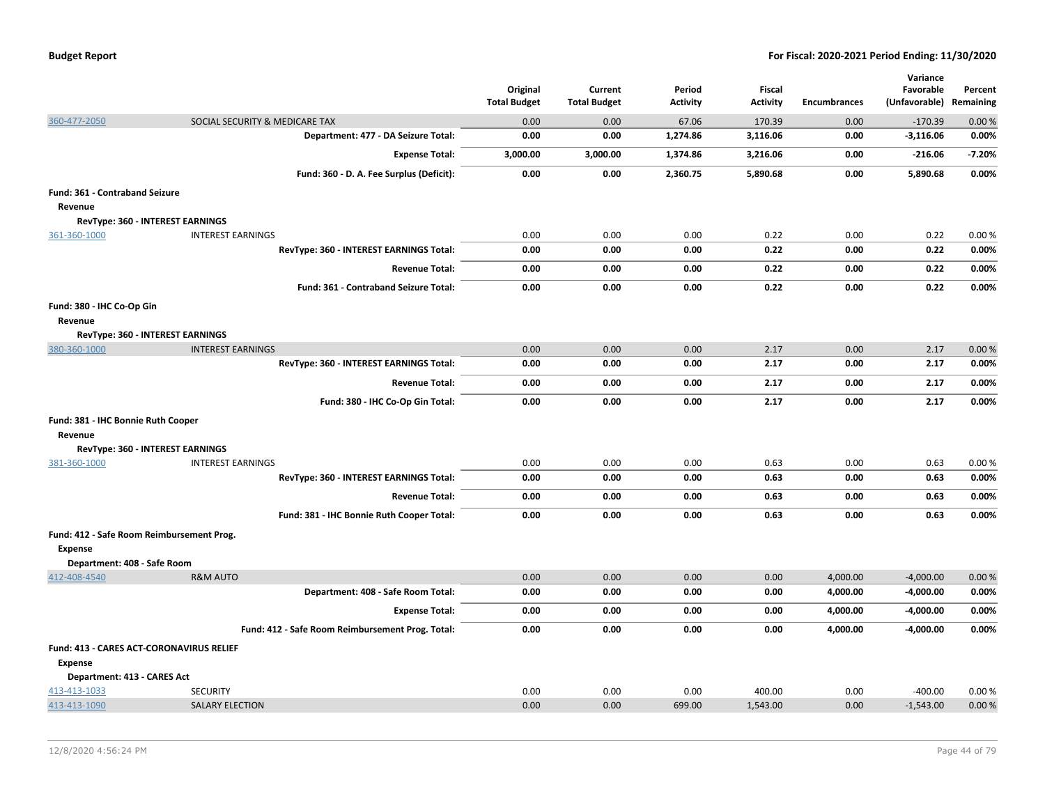| <b>Budget Report</b> |
|----------------------|
|----------------------|

|                                               |                                                                     | Original            | Current             | Period          | <b>Fiscal</b>      |                     | Variance<br>Favorable    | Percent        |
|-----------------------------------------------|---------------------------------------------------------------------|---------------------|---------------------|-----------------|--------------------|---------------------|--------------------------|----------------|
|                                               |                                                                     | <b>Total Budget</b> | <b>Total Budget</b> | <b>Activity</b> | <b>Activity</b>    | <b>Encumbrances</b> | (Unfavorable) Remaining  |                |
| 360-477-2050                                  | SOCIAL SECURITY & MEDICARE TAX                                      | 0.00                | 0.00                | 67.06           | 170.39             | 0.00                | $-170.39$                | 0.00%          |
|                                               | Department: 477 - DA Seizure Total:                                 | 0.00                | 0.00                | 1,274.86        | 3,116.06           | 0.00                | $-3,116.06$              | 0.00%          |
|                                               | <b>Expense Total:</b>                                               | 3,000.00            | 3,000.00            | 1,374.86        | 3,216.06           | 0.00                | $-216.06$                | $-7.20%$       |
|                                               | Fund: 360 - D. A. Fee Surplus (Deficit):                            | 0.00                | 0.00                | 2,360.75        | 5,890.68           | 0.00                | 5,890.68                 | 0.00%          |
| Fund: 361 - Contraband Seizure<br>Revenue     |                                                                     |                     |                     |                 |                    |                     |                          |                |
|                                               | RevType: 360 - INTEREST EARNINGS                                    |                     |                     |                 |                    |                     |                          |                |
| 361-360-1000                                  | <b>INTEREST EARNINGS</b><br>RevType: 360 - INTEREST EARNINGS Total: | 0.00<br>0.00        | 0.00<br>0.00        | 0.00<br>0.00    | 0.22<br>0.22       | 0.00<br>0.00        | 0.22<br>0.22             | 0.00%<br>0.00% |
|                                               |                                                                     |                     |                     |                 |                    |                     |                          |                |
|                                               | <b>Revenue Total:</b>                                               | 0.00                | 0.00                | 0.00            | 0.22               | 0.00                | 0.22                     | 0.00%          |
|                                               | Fund: 361 - Contraband Seizure Total:                               | 0.00                | 0.00                | 0.00            | 0.22               | 0.00                | 0.22                     | 0.00%          |
| Fund: 380 - IHC Co-Op Gin<br>Revenue          |                                                                     |                     |                     |                 |                    |                     |                          |                |
|                                               | RevType: 360 - INTEREST EARNINGS                                    |                     |                     |                 |                    |                     |                          |                |
| 380-360-1000                                  | <b>INTEREST EARNINGS</b>                                            | 0.00                | 0.00                | 0.00            | 2.17               | 0.00                | 2.17                     | 0.00%          |
|                                               | RevType: 360 - INTEREST EARNINGS Total:                             | 0.00                | 0.00                | 0.00            | 2.17               | 0.00                | 2.17                     | 0.00%          |
|                                               | <b>Revenue Total:</b>                                               | 0.00                | 0.00                | 0.00            | 2.17               | 0.00                | 2.17                     | 0.00%          |
|                                               | Fund: 380 - IHC Co-Op Gin Total:                                    | 0.00                | 0.00                | 0.00            | 2.17               | 0.00                | 2.17                     | 0.00%          |
| Fund: 381 - IHC Bonnie Ruth Cooper<br>Revenue |                                                                     |                     |                     |                 |                    |                     |                          |                |
|                                               | RevType: 360 - INTEREST EARNINGS                                    |                     |                     |                 |                    |                     |                          |                |
| 381-360-1000                                  | <b>INTEREST EARNINGS</b>                                            | 0.00                | 0.00                | 0.00            | 0.63               | 0.00                | 0.63                     | 0.00%          |
|                                               | RevType: 360 - INTEREST EARNINGS Total:                             | 0.00                | 0.00                | 0.00            | 0.63               | 0.00                | 0.63                     | 0.00%          |
|                                               | <b>Revenue Total:</b>                                               | 0.00                | 0.00                | 0.00            | 0.63               | 0.00                | 0.63                     | 0.00%          |
|                                               | Fund: 381 - IHC Bonnie Ruth Cooper Total:                           | 0.00                | 0.00                | 0.00            | 0.63               | 0.00                | 0.63                     | 0.00%          |
| Fund: 412 - Safe Room Reimbursement Prog.     |                                                                     |                     |                     |                 |                    |                     |                          |                |
| Expense                                       |                                                                     |                     |                     |                 |                    |                     |                          |                |
| Department: 408 - Safe Room                   |                                                                     |                     |                     |                 |                    |                     |                          |                |
| 412-408-4540                                  | <b>R&amp;M AUTO</b>                                                 | 0.00                | 0.00                | 0.00            | 0.00               | 4,000.00            | $-4,000.00$              | 0.00%          |
|                                               | Department: 408 - Safe Room Total:                                  | 0.00                | 0.00                | 0.00            | 0.00               | 4,000.00            | $-4,000.00$              | 0.00%          |
|                                               | <b>Expense Total:</b>                                               | 0.00                | 0.00                | 0.00            | 0.00               | 4,000.00            | $-4,000.00$              | 0.00%          |
|                                               | Fund: 412 - Safe Room Reimbursement Prog. Total:                    | 0.00                | 0.00                | 0.00            | 0.00               | 4,000.00            | $-4,000.00$              | 0.00%          |
| Fund: 413 - CARES ACT-CORONAVIRUS RELIEF      |                                                                     |                     |                     |                 |                    |                     |                          |                |
| <b>Expense</b>                                |                                                                     |                     |                     |                 |                    |                     |                          |                |
| Department: 413 - CARES Act                   |                                                                     |                     |                     |                 |                    |                     |                          |                |
| 413-413-1033<br>413-413-1090                  | <b>SECURITY</b><br><b>SALARY ELECTION</b>                           | 0.00<br>0.00        | 0.00<br>0.00        | 0.00<br>699.00  | 400.00<br>1,543.00 | 0.00<br>0.00        | $-400.00$<br>$-1,543.00$ | 0.00%<br>0.00% |
|                                               |                                                                     |                     |                     |                 |                    |                     |                          |                |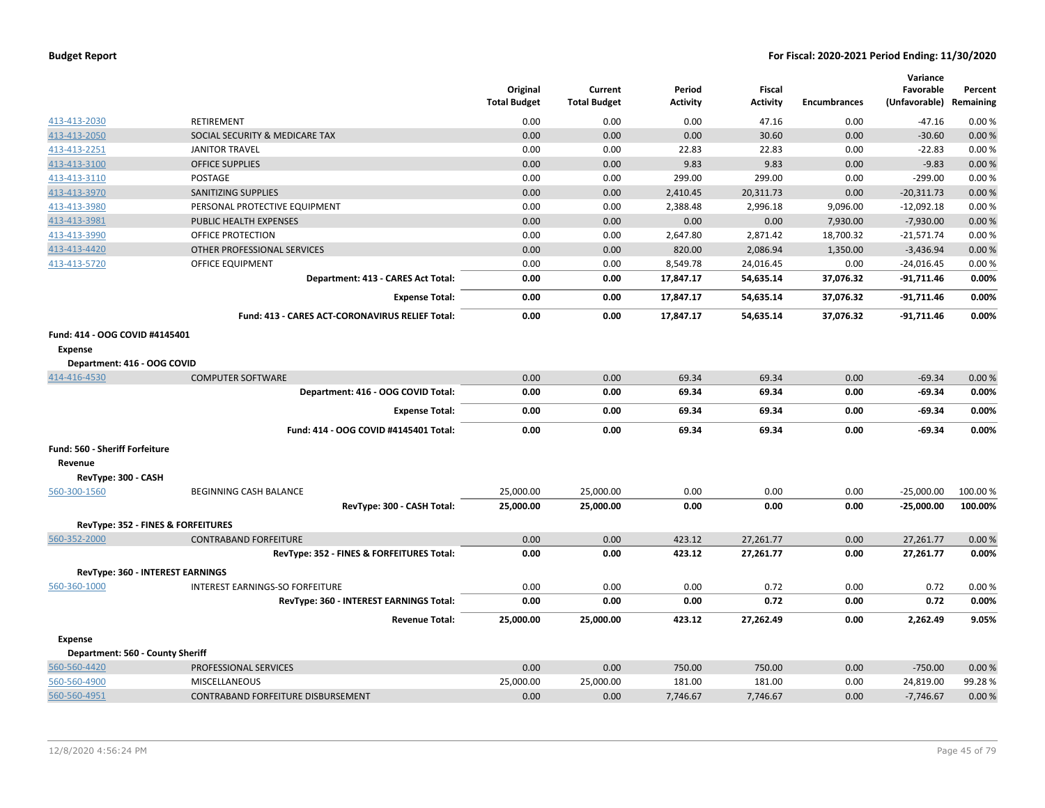|                                  |                                                 | Original<br><b>Total Budget</b> | Current<br><b>Total Budget</b> | Period<br><b>Activity</b> | <b>Fiscal</b><br><b>Activity</b> | <b>Encumbrances</b> | Variance<br>Favorable<br>(Unfavorable) Remaining | Percent  |
|----------------------------------|-------------------------------------------------|---------------------------------|--------------------------------|---------------------------|----------------------------------|---------------------|--------------------------------------------------|----------|
| 413-413-2030                     | RETIREMENT                                      | 0.00                            | 0.00                           | 0.00                      | 47.16                            | 0.00                | $-47.16$                                         | 0.00%    |
| 413-413-2050                     | SOCIAL SECURITY & MEDICARE TAX                  | 0.00                            | 0.00                           | 0.00                      | 30.60                            | 0.00                | $-30.60$                                         | 0.00%    |
| 413-413-2251                     | <b>JANITOR TRAVEL</b>                           | 0.00                            | 0.00                           | 22.83                     | 22.83                            | 0.00                | $-22.83$                                         | 0.00%    |
| 413-413-3100                     | <b>OFFICE SUPPLIES</b>                          | 0.00                            | 0.00                           | 9.83                      | 9.83                             | 0.00                | $-9.83$                                          | 0.00%    |
| 413-413-3110                     | <b>POSTAGE</b>                                  | 0.00                            | 0.00                           | 299.00                    | 299.00                           | 0.00                | $-299.00$                                        | 0.00%    |
| 413-413-3970                     | SANITIZING SUPPLIES                             | 0.00                            | 0.00                           | 2,410.45                  | 20,311.73                        | 0.00                | $-20,311.73$                                     | 0.00%    |
| 413-413-3980                     | PERSONAL PROTECTIVE EQUIPMENT                   | 0.00                            | 0.00                           | 2,388.48                  | 2,996.18                         | 9,096.00            | $-12,092.18$                                     | 0.00%    |
| 413-413-3981                     | PUBLIC HEALTH EXPENSES                          | 0.00                            | 0.00                           | 0.00                      | 0.00                             | 7,930.00            | $-7,930.00$                                      | 0.00%    |
| 413-413-3990                     | OFFICE PROTECTION                               | 0.00                            | 0.00                           | 2,647.80                  | 2,871.42                         | 18,700.32           | $-21,571.74$                                     | 0.00%    |
| 413-413-4420                     | OTHER PROFESSIONAL SERVICES                     | 0.00                            | 0.00                           | 820.00                    | 2,086.94                         | 1,350.00            | $-3,436.94$                                      | 0.00%    |
| 413-413-5720                     | <b>OFFICE EQUIPMENT</b>                         | 0.00                            | 0.00                           | 8,549.78                  | 24,016.45                        | 0.00                | $-24,016.45$                                     | 0.00%    |
|                                  | Department: 413 - CARES Act Total:              | 0.00                            | 0.00                           | 17,847.17                 | 54,635.14                        | 37,076.32           | $-91,711.46$                                     | 0.00%    |
|                                  | <b>Expense Total:</b>                           | 0.00                            | 0.00                           | 17,847.17                 | 54,635.14                        | 37,076.32           | $-91,711.46$                                     | 0.00%    |
|                                  | Fund: 413 - CARES ACT-CORONAVIRUS RELIEF Total: | 0.00                            | 0.00                           | 17,847.17                 | 54,635.14                        | 37,076.32           | $-91,711.46$                                     | 0.00%    |
| Fund: 414 - OOG COVID #4145401   |                                                 |                                 |                                |                           |                                  |                     |                                                  |          |
| Expense                          |                                                 |                                 |                                |                           |                                  |                     |                                                  |          |
| Department: 416 - OOG COVID      |                                                 |                                 |                                |                           |                                  |                     |                                                  |          |
| 414-416-4530                     | <b>COMPUTER SOFTWARE</b>                        | 0.00                            | 0.00                           | 69.34                     | 69.34                            | 0.00                | $-69.34$                                         | 0.00%    |
|                                  | Department: 416 - OOG COVID Total:              | 0.00                            | 0.00                           | 69.34                     | 69.34                            | 0.00                | $-69.34$                                         | 0.00%    |
|                                  | <b>Expense Total:</b>                           | 0.00                            | 0.00                           | 69.34                     | 69.34                            | 0.00                | $-69.34$                                         | 0.00%    |
|                                  | Fund: 414 - OOG COVID #4145401 Total:           | 0.00                            | 0.00                           | 69.34                     | 69.34                            | 0.00                | $-69.34$                                         | 0.00%    |
| Fund: 560 - Sheriff Forfeiture   |                                                 |                                 |                                |                           |                                  |                     |                                                  |          |
| Revenue                          |                                                 |                                 |                                |                           |                                  |                     |                                                  |          |
| RevType: 300 - CASH              |                                                 |                                 |                                |                           |                                  |                     |                                                  |          |
| 560-300-1560                     | BEGINNING CASH BALANCE                          | 25,000.00                       | 25,000.00                      | 0.00                      | 0.00                             | 0.00                | $-25,000.00$                                     | 100.00 % |
|                                  | RevType: 300 - CASH Total:                      | 25,000.00                       | 25,000.00                      | 0.00                      | 0.00                             | 0.00                | $-25,000.00$                                     | 100.00%  |
|                                  | RevType: 352 - FINES & FORFEITURES              |                                 |                                |                           |                                  |                     |                                                  |          |
| 560-352-2000                     | <b>CONTRABAND FORFEITURE</b>                    | 0.00                            | 0.00                           | 423.12                    | 27,261.77                        | 0.00                | 27,261.77                                        | 0.00%    |
|                                  | RevType: 352 - FINES & FORFEITURES Total:       | 0.00                            | 0.00                           | 423.12                    | 27,261.77                        | 0.00                | 27,261.77                                        | 0.00%    |
|                                  | RevType: 360 - INTEREST EARNINGS                |                                 |                                |                           |                                  |                     |                                                  |          |
| 560-360-1000                     | INTEREST EARNINGS-SO FORFEITURE                 | 0.00                            | 0.00                           | 0.00                      | 0.72                             | 0.00                | 0.72                                             | 0.00%    |
|                                  | RevType: 360 - INTEREST EARNINGS Total:         | 0.00                            | 0.00                           | 0.00                      | 0.72                             | 0.00                | 0.72                                             | 0.00%    |
|                                  | <b>Revenue Total:</b>                           | 25,000.00                       | 25,000.00                      | 423.12                    | 27,262.49                        | 0.00                | 2,262.49                                         | 9.05%    |
| <b>Expense</b>                   |                                                 |                                 |                                |                           |                                  |                     |                                                  |          |
| Department: 560 - County Sheriff |                                                 |                                 |                                |                           |                                  |                     |                                                  |          |
| 560-560-4420                     | PROFESSIONAL SERVICES                           | 0.00                            | 0.00                           | 750.00                    | 750.00                           | 0.00                | $-750.00$                                        | 0.00%    |
| 560-560-4900                     | MISCELLANEOUS                                   | 25,000.00                       | 25,000.00                      | 181.00                    | 181.00                           | 0.00                | 24,819.00                                        | 99.28%   |
| 560-560-4951                     | CONTRABAND FORFEITURE DISBURSEMENT              | 0.00                            | 0.00                           | 7,746.67                  | 7,746.67                         | 0.00                | $-7,746.67$                                      | 0.00%    |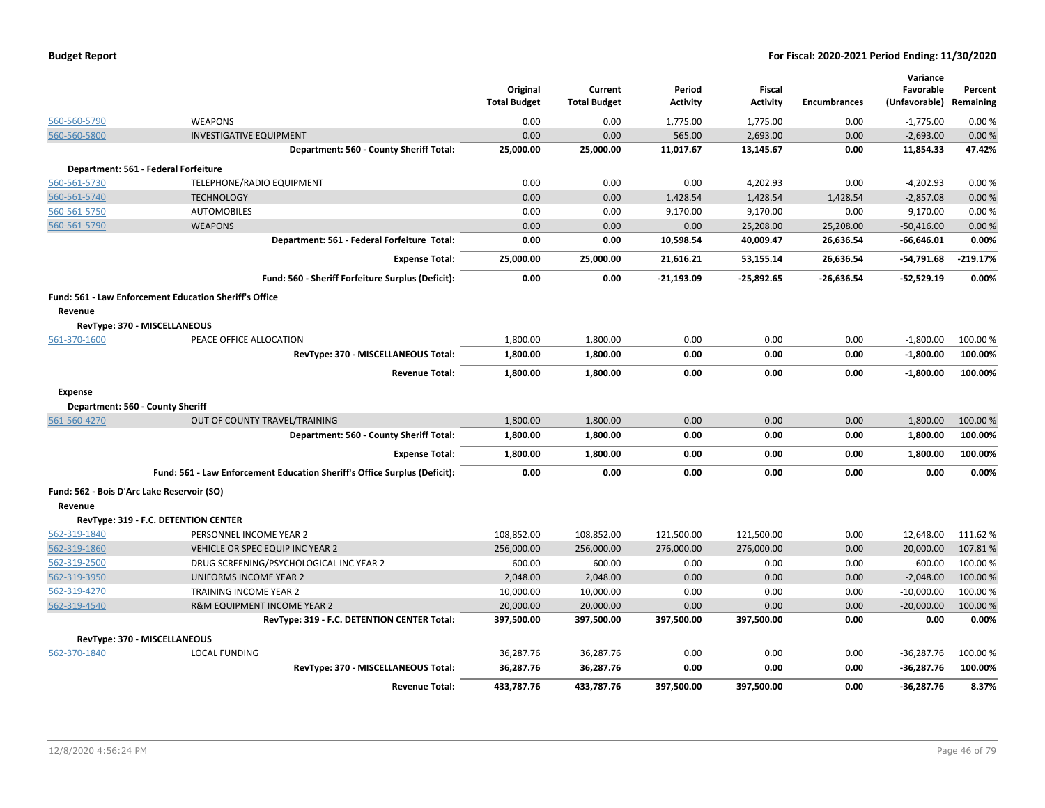|                |                                                                           | Original<br><b>Total Budget</b> | Current<br><b>Total Budget</b> | Period<br><b>Activity</b> | Fiscal<br><b>Activity</b> | <b>Encumbrances</b> | Variance<br>Favorable<br>(Unfavorable) Remaining | Percent    |
|----------------|---------------------------------------------------------------------------|---------------------------------|--------------------------------|---------------------------|---------------------------|---------------------|--------------------------------------------------|------------|
| 560-560-5790   | <b>WEAPONS</b>                                                            | 0.00                            | 0.00                           | 1,775.00                  | 1,775.00                  | 0.00                | $-1,775.00$                                      | 0.00%      |
| 560-560-5800   | <b>INVESTIGATIVE EQUIPMENT</b>                                            | 0.00                            | 0.00                           | 565.00                    | 2,693.00                  | 0.00                | $-2,693.00$                                      | 0.00%      |
|                | Department: 560 - County Sheriff Total:                                   | 25,000.00                       | 25,000.00                      | 11,017.67                 | 13,145.67                 | 0.00                | 11,854.33                                        | 47.42%     |
|                | Department: 561 - Federal Forfeiture                                      |                                 |                                |                           |                           |                     |                                                  |            |
| 560-561-5730   | TELEPHONE/RADIO EQUIPMENT                                                 | 0.00                            | 0.00                           | 0.00                      | 4,202.93                  | 0.00                | $-4,202.93$                                      | 0.00%      |
| 560-561-5740   | <b>TECHNOLOGY</b>                                                         | 0.00                            | 0.00                           | 1,428.54                  | 1,428.54                  | 1,428.54            | $-2,857.08$                                      | 0.00%      |
| 560-561-5750   | <b>AUTOMOBILES</b>                                                        | 0.00                            | 0.00                           | 9,170.00                  | 9,170.00                  | 0.00                | $-9,170.00$                                      | 0.00%      |
| 560-561-5790   | <b>WEAPONS</b>                                                            | 0.00                            | 0.00                           | 0.00                      | 25,208.00                 | 25,208.00           | $-50,416.00$                                     | 0.00%      |
|                | Department: 561 - Federal Forfeiture Total:                               | 0.00                            | 0.00                           | 10,598.54                 | 40,009.47                 | 26,636.54           | $-66,646.01$                                     | 0.00%      |
|                | <b>Expense Total:</b>                                                     | 25,000.00                       | 25,000.00                      | 21,616.21                 | 53,155.14                 | 26,636.54           | $-54,791.68$                                     | $-219.17%$ |
|                | Fund: 560 - Sheriff Forfeiture Surplus (Deficit):                         | 0.00                            | 0.00                           | $-21,193.09$              | $-25,892.65$              | $-26.636.54$        | $-52,529.19$                                     | 0.00%      |
| Revenue        | <b>Fund: 561 - Law Enforcement Education Sheriff's Office</b>             |                                 |                                |                           |                           |                     |                                                  |            |
|                | RevType: 370 - MISCELLANEOUS                                              |                                 |                                |                           |                           |                     |                                                  |            |
| 561-370-1600   | PEACE OFFICE ALLOCATION                                                   | 1,800.00                        | 1,800.00                       | 0.00                      | 0.00                      | 0.00                | $-1,800.00$                                      | 100.00 %   |
|                | RevType: 370 - MISCELLANEOUS Total:                                       | 1,800.00                        | 1,800.00                       | 0.00                      | 0.00                      | 0.00                | $-1,800.00$                                      | 100.00%    |
|                | <b>Revenue Total:</b>                                                     | 1,800.00                        | 1,800.00                       | 0.00                      | 0.00                      | 0.00                | $-1,800.00$                                      | 100.00%    |
| <b>Expense</b> |                                                                           |                                 |                                |                           |                           |                     |                                                  |            |
|                | Department: 560 - County Sheriff                                          |                                 |                                |                           |                           |                     |                                                  |            |
| 561-560-4270   | OUT OF COUNTY TRAVEL/TRAINING                                             | 1,800.00                        | 1,800.00                       | 0.00                      | 0.00                      | 0.00                | 1,800.00                                         | 100.00 %   |
|                | Department: 560 - County Sheriff Total:                                   | 1,800.00                        | 1,800.00                       | 0.00                      | 0.00                      | 0.00                | 1,800.00                                         | 100.00%    |
|                | <b>Expense Total:</b>                                                     | 1,800.00                        | 1,800.00                       | 0.00                      | 0.00                      | 0.00                | 1,800.00                                         | 100.00%    |
|                | Fund: 561 - Law Enforcement Education Sheriff's Office Surplus (Deficit): | 0.00                            | 0.00                           | 0.00                      | 0.00                      | 0.00                | 0.00                                             | 0.00%      |
|                | Fund: 562 - Bois D'Arc Lake Reservoir (SO)                                |                                 |                                |                           |                           |                     |                                                  |            |
| Revenue        |                                                                           |                                 |                                |                           |                           |                     |                                                  |            |
|                | RevType: 319 - F.C. DETENTION CENTER                                      |                                 |                                |                           |                           |                     |                                                  |            |
| 562-319-1840   | PERSONNEL INCOME YEAR 2                                                   | 108.852.00                      | 108,852.00                     | 121,500.00                | 121,500.00                | 0.00                | 12,648.00                                        | 111.62%    |
| 562-319-1860   | VEHICLE OR SPEC EQUIP INC YEAR 2                                          | 256,000.00                      | 256,000.00                     | 276,000.00                | 276,000.00                | 0.00                | 20,000.00                                        | 107.81%    |
| 562-319-2500   | DRUG SCREENING/PSYCHOLOGICAL INC YEAR 2                                   | 600.00                          | 600.00                         | 0.00                      | 0.00                      | 0.00                | $-600.00$                                        | 100.00 %   |
| 562-319-3950   | UNIFORMS INCOME YEAR 2                                                    | 2,048.00                        | 2,048.00                       | 0.00                      | 0.00                      | 0.00                | $-2,048.00$                                      | 100.00 %   |
| 562-319-4270   | <b>TRAINING INCOME YEAR 2</b>                                             | 10,000.00                       | 10,000.00                      | 0.00                      | 0.00                      | 0.00                | $-10,000.00$                                     | 100.00%    |
| 562-319-4540   | R&M EQUIPMENT INCOME YEAR 2                                               | 20,000.00                       | 20,000.00                      | 0.00                      | 0.00                      | 0.00                | $-20,000.00$                                     | 100.00%    |
|                | RevType: 319 - F.C. DETENTION CENTER Total:                               | 397,500.00                      | 397,500.00                     | 397,500.00                | 397,500.00                | 0.00                | 0.00                                             | 0.00%      |
|                | RevType: 370 - MISCELLANEOUS                                              |                                 |                                |                           |                           |                     |                                                  |            |
| 562-370-1840   | <b>LOCAL FUNDING</b>                                                      | 36,287.76                       | 36,287.76                      | 0.00                      | 0.00                      | 0.00                | $-36,287.76$                                     | 100.00%    |
|                | RevType: 370 - MISCELLANEOUS Total:                                       | 36,287.76                       | 36,287.76                      | 0.00                      | 0.00                      | 0.00                | $-36,287.76$                                     | 100.00%    |
|                | <b>Revenue Total:</b>                                                     | 433,787.76                      | 433,787.76                     | 397,500.00                | 397,500.00                | 0.00                | $-36,287.76$                                     | 8.37%      |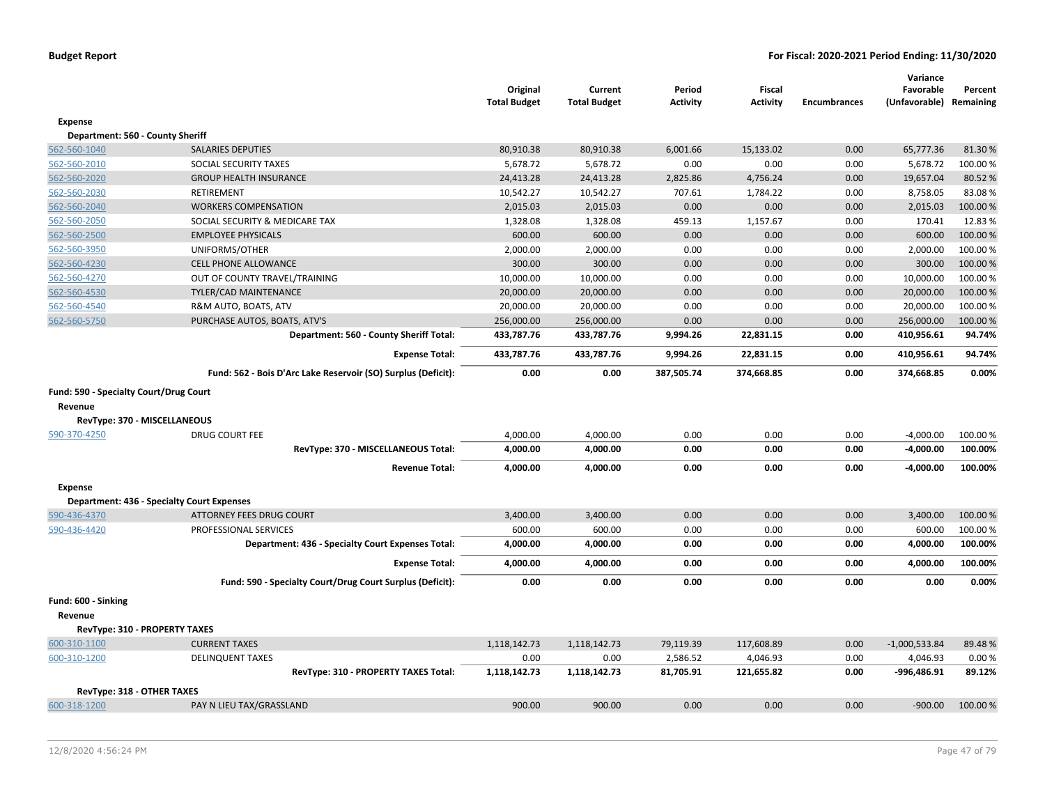|                                         |                                                               | Original<br><b>Total Budget</b> | Current<br><b>Total Budget</b> | Period<br>Activity | <b>Fiscal</b><br><b>Activity</b> | <b>Encumbrances</b> | Variance<br>Favorable<br>(Unfavorable) Remaining | Percent  |
|-----------------------------------------|---------------------------------------------------------------|---------------------------------|--------------------------------|--------------------|----------------------------------|---------------------|--------------------------------------------------|----------|
| <b>Expense</b>                          |                                                               |                                 |                                |                    |                                  |                     |                                                  |          |
| Department: 560 - County Sheriff        |                                                               |                                 |                                |                    |                                  |                     |                                                  |          |
| 562-560-1040                            | <b>SALARIES DEPUTIES</b>                                      | 80,910.38                       | 80,910.38                      | 6,001.66           | 15,133.02                        | 0.00                | 65,777.36                                        | 81.30%   |
| 562-560-2010                            | SOCIAL SECURITY TAXES                                         | 5,678.72                        | 5,678.72                       | 0.00               | 0.00                             | 0.00                | 5,678.72                                         | 100.00%  |
| 562-560-2020                            | <b>GROUP HEALTH INSURANCE</b>                                 | 24,413.28                       | 24,413.28                      | 2,825.86           | 4,756.24                         | 0.00                | 19,657.04                                        | 80.52%   |
| 562-560-2030                            | RETIREMENT                                                    | 10,542.27                       | 10,542.27                      | 707.61             | 1,784.22                         | 0.00                | 8,758.05                                         | 83.08%   |
| 562-560-2040                            | <b>WORKERS COMPENSATION</b>                                   | 2,015.03                        | 2,015.03                       | 0.00               | 0.00                             | 0.00                | 2,015.03                                         | 100.00 % |
| 562-560-2050                            | SOCIAL SECURITY & MEDICARE TAX                                | 1,328.08                        | 1,328.08                       | 459.13             | 1,157.67                         | 0.00                | 170.41                                           | 12.83%   |
| 562-560-2500                            | <b>EMPLOYEE PHYSICALS</b>                                     | 600.00                          | 600.00                         | 0.00               | 0.00                             | 0.00                | 600.00                                           | 100.00 % |
| 562-560-3950                            | UNIFORMS/OTHER                                                | 2,000.00                        | 2,000.00                       | 0.00               | 0.00                             | 0.00                | 2,000.00                                         | 100.00 % |
| 562-560-4230                            | CELL PHONE ALLOWANCE                                          | 300.00                          | 300.00                         | 0.00               | 0.00                             | 0.00                | 300.00                                           | 100.00 % |
| 562-560-4270                            | OUT OF COUNTY TRAVEL/TRAINING                                 | 10,000.00                       | 10,000.00                      | 0.00               | 0.00                             | 0.00                | 10,000.00                                        | 100.00%  |
| 562-560-4530                            | TYLER/CAD MAINTENANCE                                         | 20,000.00                       | 20,000.00                      | 0.00               | 0.00                             | 0.00                | 20,000.00                                        | 100.00 % |
| 562-560-4540                            | R&M AUTO, BOATS, ATV                                          | 20,000.00                       | 20,000.00                      | 0.00               | 0.00                             | 0.00                | 20,000.00                                        | 100.00%  |
| 562-560-5750                            | PURCHASE AUTOS, BOATS, ATV'S                                  | 256,000.00                      | 256,000.00                     | 0.00               | 0.00                             | 0.00                | 256,000.00                                       | 100.00%  |
|                                         | Department: 560 - County Sheriff Total:                       | 433,787.76                      | 433,787.76                     | 9,994.26           | 22,831.15                        | 0.00                | 410,956.61                                       | 94.74%   |
|                                         | <b>Expense Total:</b>                                         | 433,787.76                      | 433,787.76                     | 9,994.26           | 22,831.15                        | 0.00                | 410,956.61                                       | 94.74%   |
|                                         | Fund: 562 - Bois D'Arc Lake Reservoir (SO) Surplus (Deficit): | 0.00                            | 0.00                           | 387,505.74         | 374,668.85                       | 0.00                | 374,668.85                                       | 0.00%    |
| Revenue<br>RevType: 370 - MISCELLANEOUS |                                                               |                                 |                                |                    |                                  |                     |                                                  |          |
| 590-370-4250                            | <b>DRUG COURT FEE</b>                                         | 4,000.00                        | 4,000.00                       | 0.00               | 0.00                             | 0.00                | $-4,000.00$                                      | 100.00%  |
|                                         | RevType: 370 - MISCELLANEOUS Total:                           | 4,000.00                        | 4,000.00                       | 0.00               | 0.00                             | 0.00                | $-4,000.00$                                      | 100.00%  |
|                                         | <b>Revenue Total:</b>                                         | 4,000.00                        | 4,000.00                       | 0.00               | 0.00                             | 0.00                | $-4,000.00$                                      | 100.00%  |
| <b>Expense</b>                          |                                                               |                                 |                                |                    |                                  |                     |                                                  |          |
|                                         | <b>Department: 436 - Specialty Court Expenses</b>             |                                 |                                |                    |                                  |                     |                                                  |          |
| 590-436-4370                            | <b>ATTORNEY FEES DRUG COURT</b>                               | 3,400.00                        | 3,400.00                       | 0.00               | 0.00                             | 0.00                | 3,400.00                                         | 100.00 % |
| 590-436-4420                            | PROFESSIONAL SERVICES                                         | 600.00                          | 600.00                         | 0.00               | 0.00                             | 0.00                | 600.00                                           | 100.00%  |
|                                         | Department: 436 - Specialty Court Expenses Total:             | 4,000.00                        | 4,000.00                       | 0.00               | 0.00                             | 0.00                | 4,000.00                                         | 100.00%  |
|                                         | <b>Expense Total:</b>                                         | 4,000.00                        | 4,000.00                       | 0.00               | 0.00                             | 0.00                | 4,000.00                                         | 100.00%  |
|                                         | Fund: 590 - Specialty Court/Drug Court Surplus (Deficit):     | 0.00                            | 0.00                           | 0.00               | 0.00                             | 0.00                | 0.00                                             | 0.00%    |
| Fund: 600 - Sinking<br>Revenue          |                                                               |                                 |                                |                    |                                  |                     |                                                  |          |
| <b>RevType: 310 - PROPERTY TAXES</b>    |                                                               |                                 |                                |                    |                                  |                     |                                                  |          |
| 600-310-1100                            | <b>CURRENT TAXES</b>                                          | 1,118,142.73                    | 1,118,142.73                   | 79,119.39          | 117,608.89                       | 0.00                | $-1,000,533.84$                                  | 89.48%   |
| 600-310-1200                            | <b>DELINQUENT TAXES</b>                                       | 0.00                            | 0.00                           | 2,586.52           | 4,046.93                         | 0.00                | 4,046.93                                         | 0.00%    |
|                                         | RevType: 310 - PROPERTY TAXES Total:                          | 1,118,142.73                    | 1,118,142.73                   | 81,705.91          | 121,655.82                       | 0.00                | -996,486.91                                      | 89.12%   |
| RevType: 318 - OTHER TAXES              |                                                               |                                 |                                |                    |                                  |                     |                                                  |          |
| 600-318-1200                            | PAY N LIEU TAX/GRASSLAND                                      | 900.00                          | 900.00                         | 0.00               | 0.00                             | 0.00                | $-900.00$                                        | 100.00 % |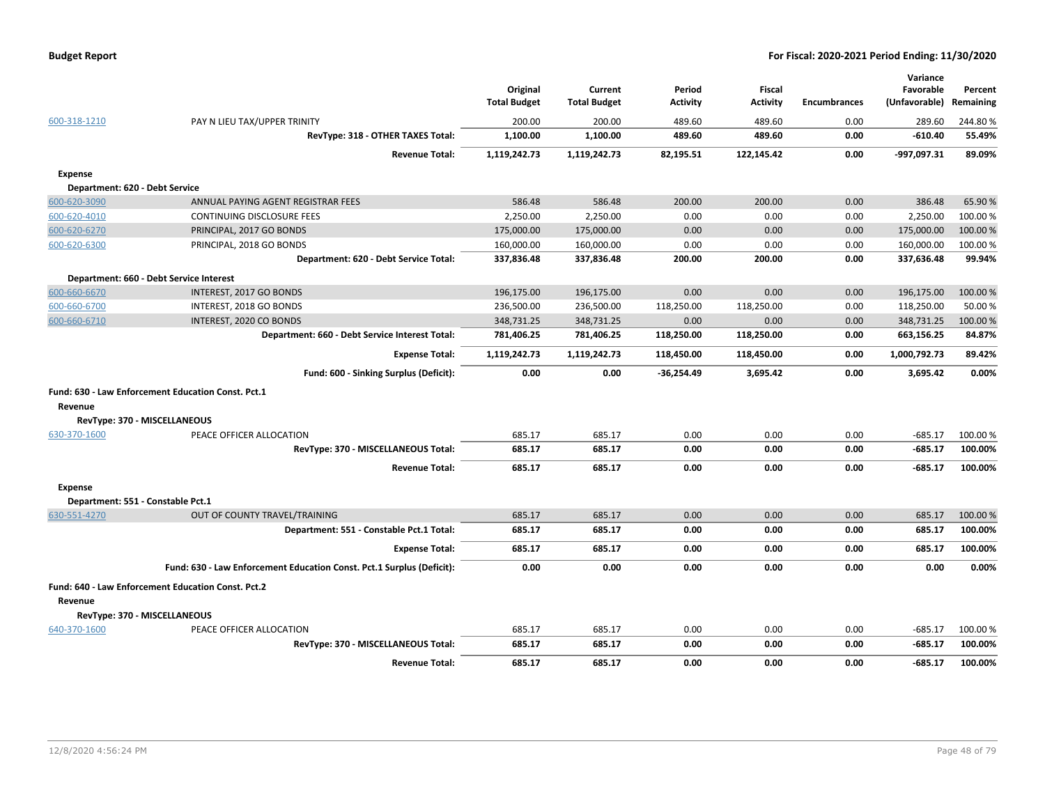| 600-318-1210   | PAY N LIEU TAX/UPPER TRINITY<br>RevType: 318 - OTHER TAXES Total:     | Original<br><b>Total Budget</b><br>200.00<br>1,100.00 | Current<br><b>Total Budget</b><br>200.00<br>1,100.00 | Period<br><b>Activity</b><br>489.60<br>489.60 | <b>Fiscal</b><br><b>Activity</b><br>489.60<br>489.60 | <b>Encumbrances</b><br>0.00<br>0.00 | Variance<br>Favorable<br>(Unfavorable)<br>289.60<br>$-610.40$ | Percent<br>Remaining<br>244.80%<br>55.49% |
|----------------|-----------------------------------------------------------------------|-------------------------------------------------------|------------------------------------------------------|-----------------------------------------------|------------------------------------------------------|-------------------------------------|---------------------------------------------------------------|-------------------------------------------|
|                | <b>Revenue Total:</b>                                                 | 1,119,242.73                                          | 1,119,242.73                                         | 82,195.51                                     | 122,145.42                                           | 0.00                                | -997,097.31                                                   | 89.09%                                    |
| <b>Expense</b> |                                                                       |                                                       |                                                      |                                               |                                                      |                                     |                                                               |                                           |
|                | Department: 620 - Debt Service                                        |                                                       |                                                      |                                               |                                                      |                                     |                                                               |                                           |
| 600-620-3090   | ANNUAL PAYING AGENT REGISTRAR FEES                                    | 586.48                                                | 586.48                                               | 200.00                                        | 200.00                                               | 0.00                                | 386.48                                                        | 65.90%                                    |
| 600-620-4010   | CONTINUING DISCLOSURE FEES                                            | 2,250.00                                              | 2,250.00                                             | 0.00                                          | 0.00                                                 | 0.00                                | 2,250.00                                                      | 100.00 %                                  |
| 600-620-6270   | PRINCIPAL, 2017 GO BONDS                                              | 175,000.00                                            | 175,000.00                                           | 0.00                                          | 0.00                                                 | 0.00                                | 175,000.00                                                    | 100.00 %                                  |
| 600-620-6300   | PRINCIPAL, 2018 GO BONDS                                              | 160,000.00                                            | 160,000.00                                           | 0.00                                          | 0.00                                                 | 0.00                                | 160,000.00                                                    | 100.00%                                   |
|                | Department: 620 - Debt Service Total:                                 | 337,836.48                                            | 337,836.48                                           | 200.00                                        | 200.00                                               | 0.00                                | 337,636.48                                                    | 99.94%                                    |
|                | Department: 660 - Debt Service Interest                               |                                                       |                                                      |                                               |                                                      |                                     |                                                               |                                           |
| 600-660-6670   | INTEREST, 2017 GO BONDS                                               | 196,175.00                                            | 196,175.00                                           | 0.00                                          | 0.00                                                 | 0.00                                | 196,175.00                                                    | 100.00 %                                  |
| 600-660-6700   | INTEREST, 2018 GO BONDS                                               | 236,500.00                                            | 236,500.00                                           | 118,250.00                                    | 118,250.00                                           | 0.00                                | 118,250.00                                                    | 50.00%                                    |
| 600-660-6710   | INTEREST, 2020 CO BONDS                                               | 348,731.25                                            | 348,731.25                                           | 0.00                                          | 0.00                                                 | 0.00                                | 348,731.25                                                    | 100.00%                                   |
|                | Department: 660 - Debt Service Interest Total:                        | 781,406.25                                            | 781,406.25                                           | 118,250.00                                    | 118,250.00                                           | 0.00                                | 663,156.25                                                    | 84.87%                                    |
|                | <b>Expense Total:</b>                                                 | 1,119,242.73                                          | 1,119,242.73                                         | 118,450.00                                    | 118,450.00                                           | 0.00                                | 1,000,792.73                                                  | 89.42%                                    |
|                | Fund: 600 - Sinking Surplus (Deficit):                                | 0.00                                                  | 0.00                                                 | $-36,254.49$                                  | 3,695.42                                             | 0.00                                | 3,695.42                                                      | 0.00%                                     |
|                | Fund: 630 - Law Enforcement Education Const. Pct.1                    |                                                       |                                                      |                                               |                                                      |                                     |                                                               |                                           |
| Revenue        |                                                                       |                                                       |                                                      |                                               |                                                      |                                     |                                                               |                                           |
|                | RevType: 370 - MISCELLANEOUS                                          |                                                       |                                                      |                                               |                                                      |                                     |                                                               |                                           |
| 630-370-1600   | PEACE OFFICER ALLOCATION                                              | 685.17                                                | 685.17                                               | 0.00                                          | 0.00                                                 | 0.00                                | $-685.17$                                                     | 100.00%                                   |
|                | RevType: 370 - MISCELLANEOUS Total:                                   | 685.17                                                | 685.17                                               | 0.00                                          | 0.00                                                 | 0.00                                | $-685.17$                                                     | 100.00%                                   |
|                | <b>Revenue Total:</b>                                                 | 685.17                                                | 685.17                                               | 0.00                                          | 0.00                                                 | 0.00                                | $-685.17$                                                     | 100.00%                                   |
| <b>Expense</b> |                                                                       |                                                       |                                                      |                                               |                                                      |                                     |                                                               |                                           |
|                | Department: 551 - Constable Pct.1                                     |                                                       |                                                      |                                               |                                                      |                                     |                                                               |                                           |
| 630-551-4270   | OUT OF COUNTY TRAVEL/TRAINING                                         | 685.17                                                | 685.17                                               | 0.00                                          | 0.00                                                 | 0.00                                | 685.17                                                        | 100.00 %                                  |
|                | Department: 551 - Constable Pct.1 Total:                              | 685.17                                                | 685.17                                               | 0.00                                          | 0.00                                                 | 0.00                                | 685.17                                                        | 100.00%                                   |
|                | <b>Expense Total:</b>                                                 | 685.17                                                | 685.17                                               | 0.00                                          | 0.00                                                 | 0.00                                | 685.17                                                        | 100.00%                                   |
|                | Fund: 630 - Law Enforcement Education Const. Pct.1 Surplus (Deficit): | 0.00                                                  | 0.00                                                 | 0.00                                          | 0.00                                                 | 0.00                                | 0.00                                                          | 0.00%                                     |
|                | Fund: 640 - Law Enforcement Education Const. Pct.2                    |                                                       |                                                      |                                               |                                                      |                                     |                                                               |                                           |
| Revenue        |                                                                       |                                                       |                                                      |                                               |                                                      |                                     |                                                               |                                           |
|                | RevType: 370 - MISCELLANEOUS                                          |                                                       |                                                      |                                               |                                                      |                                     |                                                               |                                           |
| 640-370-1600   | PEACE OFFICER ALLOCATION                                              | 685.17                                                | 685.17                                               | 0.00                                          | 0.00                                                 | 0.00                                | $-685.17$                                                     | 100.00%                                   |
|                | RevType: 370 - MISCELLANEOUS Total:                                   | 685.17                                                | 685.17                                               | 0.00                                          | 0.00                                                 | 0.00                                | $-685.17$                                                     | 100.00%                                   |
|                | <b>Revenue Total:</b>                                                 | 685.17                                                | 685.17                                               | 0.00                                          | 0.00                                                 | 0.00                                | $-685.17$                                                     | 100.00%                                   |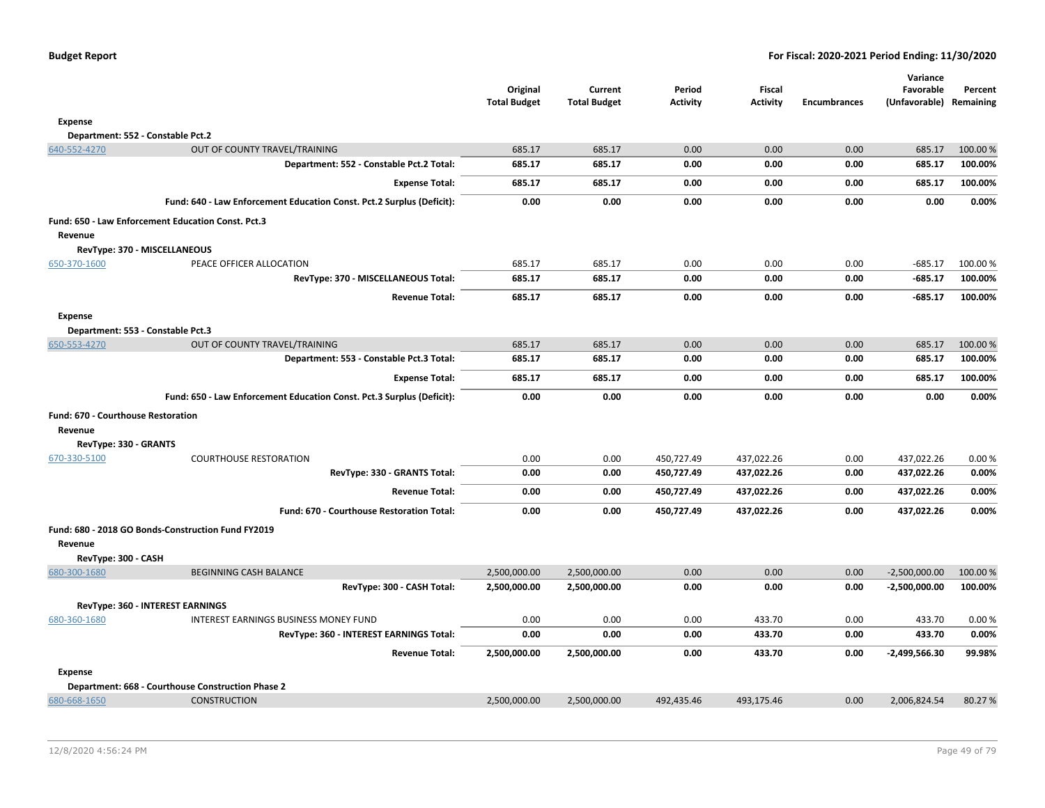|                                           |                                                                       | Original<br><b>Total Budget</b> | Current<br><b>Total Budget</b> | Period<br><b>Activity</b> | Fiscal<br><b>Activity</b> | <b>Encumbrances</b> | Variance<br>Favorable<br>(Unfavorable) Remaining | Percent  |
|-------------------------------------------|-----------------------------------------------------------------------|---------------------------------|--------------------------------|---------------------------|---------------------------|---------------------|--------------------------------------------------|----------|
| <b>Expense</b>                            |                                                                       |                                 |                                |                           |                           |                     |                                                  |          |
| Department: 552 - Constable Pct.2         |                                                                       |                                 |                                |                           |                           |                     |                                                  |          |
| 640-552-4270                              | OUT OF COUNTY TRAVEL/TRAINING                                         | 685.17                          | 685.17                         | 0.00                      | 0.00                      | 0.00                | 685.17                                           | 100.00 % |
|                                           | Department: 552 - Constable Pct.2 Total:                              | 685.17                          | 685.17                         | 0.00                      | 0.00                      | 0.00                | 685.17                                           | 100.00%  |
|                                           | <b>Expense Total:</b>                                                 | 685.17                          | 685.17                         | 0.00                      | 0.00                      | 0.00                | 685.17                                           | 100.00%  |
|                                           | Fund: 640 - Law Enforcement Education Const. Pct.2 Surplus (Deficit): | 0.00                            | 0.00                           | 0.00                      | 0.00                      | 0.00                | 0.00                                             | 0.00%    |
| Revenue                                   | Fund: 650 - Law Enforcement Education Const. Pct.3                    |                                 |                                |                           |                           |                     |                                                  |          |
| RevType: 370 - MISCELLANEOUS              |                                                                       |                                 |                                |                           |                           |                     |                                                  |          |
| 650-370-1600                              | PEACE OFFICER ALLOCATION                                              | 685.17                          | 685.17                         | 0.00                      | 0.00                      | 0.00                | $-685.17$                                        | 100.00%  |
|                                           | RevType: 370 - MISCELLANEOUS Total:                                   | 685.17                          | 685.17                         | 0.00                      | 0.00                      | 0.00                | $-685.17$                                        | 100.00%  |
|                                           | <b>Revenue Total:</b>                                                 | 685.17                          | 685.17                         | 0.00                      | 0.00                      | 0.00                | $-685.17$                                        | 100.00%  |
| <b>Expense</b>                            |                                                                       |                                 |                                |                           |                           |                     |                                                  |          |
| Department: 553 - Constable Pct.3         |                                                                       |                                 |                                |                           |                           |                     |                                                  |          |
| 650-553-4270                              | OUT OF COUNTY TRAVEL/TRAINING                                         | 685.17                          | 685.17                         | 0.00                      | 0.00                      | 0.00                | 685.17                                           | 100.00%  |
|                                           | Department: 553 - Constable Pct.3 Total:                              | 685.17                          | 685.17                         | 0.00                      | 0.00                      | 0.00                | 685.17                                           | 100.00%  |
|                                           | <b>Expense Total:</b>                                                 | 685.17                          | 685.17                         | 0.00                      | 0.00                      | 0.00                | 685.17                                           | 100.00%  |
|                                           | Fund: 650 - Law Enforcement Education Const. Pct.3 Surplus (Deficit): | 0.00                            | 0.00                           | 0.00                      | 0.00                      | 0.00                | 0.00                                             | 0.00%    |
| <b>Fund: 670 - Courthouse Restoration</b> |                                                                       |                                 |                                |                           |                           |                     |                                                  |          |
| Revenue                                   |                                                                       |                                 |                                |                           |                           |                     |                                                  |          |
| RevType: 330 - GRANTS                     |                                                                       |                                 |                                |                           |                           |                     |                                                  |          |
| 670-330-5100                              | <b>COURTHOUSE RESTORATION</b>                                         | 0.00                            | 0.00                           | 450,727.49                | 437,022.26                | 0.00                | 437,022.26                                       | 0.00%    |
|                                           | RevType: 330 - GRANTS Total:                                          | 0.00                            | 0.00                           | 450,727.49                | 437,022.26                | 0.00                | 437,022.26                                       | 0.00%    |
|                                           | <b>Revenue Total:</b>                                                 | 0.00                            | 0.00                           | 450,727.49                | 437,022.26                | 0.00                | 437,022.26                                       | 0.00%    |
|                                           | Fund: 670 - Courthouse Restoration Total:                             | 0.00                            | 0.00                           | 450,727.49                | 437,022.26                | 0.00                | 437,022.26                                       | 0.00%    |
|                                           | Fund: 680 - 2018 GO Bonds-Construction Fund FY2019                    |                                 |                                |                           |                           |                     |                                                  |          |
| Revenue                                   |                                                                       |                                 |                                |                           |                           |                     |                                                  |          |
| RevType: 300 - CASH                       |                                                                       |                                 |                                |                           |                           |                     |                                                  |          |
| 680-300-1680                              | <b>BEGINNING CASH BALANCE</b>                                         | 2,500,000.00                    | 2,500,000.00                   | 0.00                      | 0.00                      | 0.00                | $-2,500,000.00$                                  | 100.00%  |
|                                           | RevType: 300 - CASH Total:                                            | 2,500,000.00                    | 2,500,000.00                   | 0.00                      | 0.00                      | 0.00                | -2,500,000.00                                    | 100.00%  |
|                                           | RevType: 360 - INTEREST EARNINGS                                      |                                 |                                |                           |                           |                     |                                                  |          |
| 680-360-1680                              | INTEREST EARNINGS BUSINESS MONEY FUND                                 | 0.00                            | 0.00                           | 0.00                      | 433.70                    | 0.00                | 433.70                                           | 0.00%    |
|                                           | RevType: 360 - INTEREST EARNINGS Total:                               | 0.00                            | 0.00                           | 0.00                      | 433.70                    | 0.00                | 433.70                                           | 0.00%    |
|                                           | <b>Revenue Total:</b>                                                 | 2,500,000.00                    | 2,500,000.00                   | 0.00                      | 433.70                    | 0.00                | -2,499,566.30                                    | 99.98%   |
| <b>Expense</b>                            |                                                                       |                                 |                                |                           |                           |                     |                                                  |          |
|                                           | Department: 668 - Courthouse Construction Phase 2                     |                                 |                                |                           |                           |                     |                                                  |          |
| 680-668-1650                              | <b>CONSTRUCTION</b>                                                   | 2,500,000.00                    | 2,500,000.00                   | 492,435.46                | 493,175.46                | 0.00                | 2,006,824.54                                     | 80.27%   |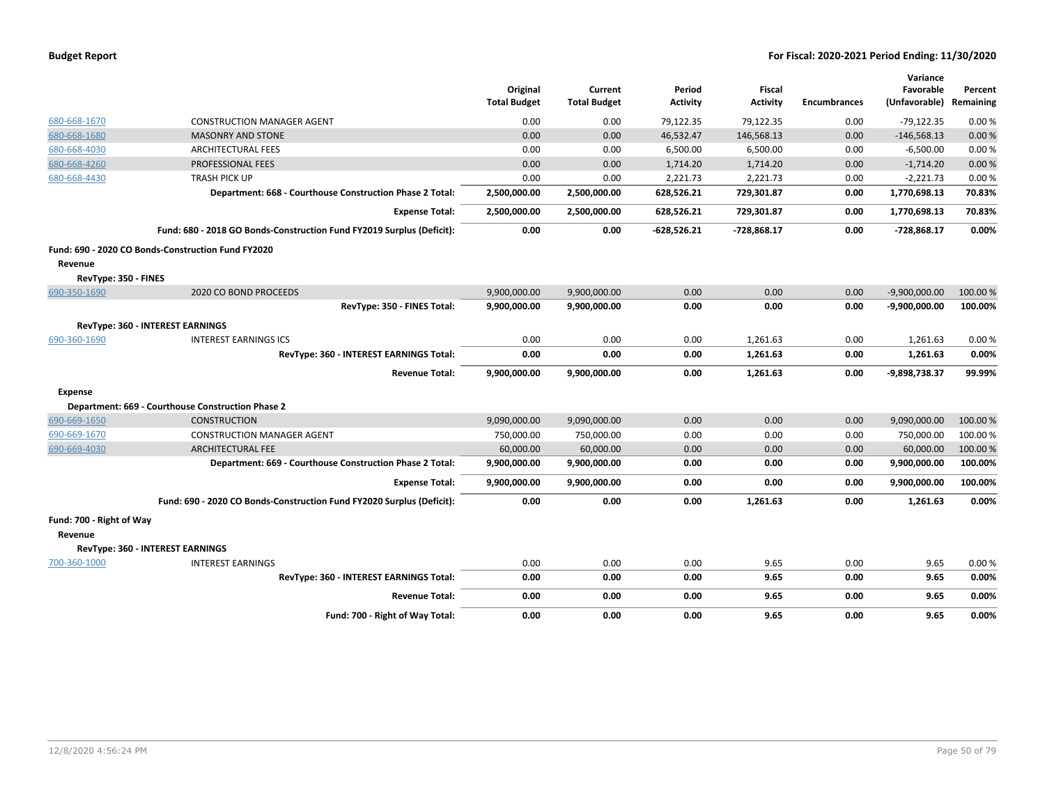|                          |                                                                       | Original<br><b>Total Budget</b> | Current<br><b>Total Budget</b> | Period<br><b>Activity</b> | <b>Fiscal</b><br><b>Activity</b> | <b>Encumbrances</b> | Variance<br>Favorable<br>(Unfavorable) | Percent<br>Remaining |
|--------------------------|-----------------------------------------------------------------------|---------------------------------|--------------------------------|---------------------------|----------------------------------|---------------------|----------------------------------------|----------------------|
| 680-668-1670             | <b>CONSTRUCTION MANAGER AGENT</b>                                     | 0.00                            | 0.00                           | 79,122.35                 | 79,122.35                        | 0.00                | $-79,122.35$                           | 0.00%                |
| 680-668-1680             | <b>MASONRY AND STONE</b>                                              | 0.00                            | 0.00                           | 46,532.47                 | 146,568.13                       | 0.00                | $-146,568.13$                          | 0.00%                |
| 680-668-4030             | <b>ARCHITECTURAL FEES</b>                                             | 0.00                            | 0.00                           | 6,500.00                  | 6,500.00                         | 0.00                | $-6,500.00$                            | 0.00%                |
| 680-668-4260             | PROFESSIONAL FEES                                                     | 0.00                            | 0.00                           | 1,714.20                  | 1,714.20                         | 0.00                | $-1,714.20$                            | 0.00%                |
| 680-668-4430             | <b>TRASH PICK UP</b>                                                  | 0.00                            | 0.00                           | 2,221.73                  | 2,221.73                         | 0.00                | $-2,221.73$                            | 0.00%                |
|                          | Department: 668 - Courthouse Construction Phase 2 Total:              | 2,500,000.00                    | 2,500,000.00                   | 628,526.21                | 729,301.87                       | 0.00                | 1,770,698.13                           | 70.83%               |
|                          | <b>Expense Total:</b>                                                 | 2,500,000.00                    | 2,500,000.00                   | 628,526.21                | 729,301.87                       | 0.00                | 1,770,698.13                           | 70.83%               |
|                          | Fund: 680 - 2018 GO Bonds-Construction Fund FY2019 Surplus (Deficit): | 0.00                            | 0.00                           | -628,526.21               | -728,868.17                      | 0.00                | -728,868.17                            | 0.00%                |
|                          | Fund: 690 - 2020 CO Bonds-Construction Fund FY2020                    |                                 |                                |                           |                                  |                     |                                        |                      |
| Revenue                  |                                                                       |                                 |                                |                           |                                  |                     |                                        |                      |
| RevType: 350 - FINES     |                                                                       |                                 |                                |                           |                                  |                     |                                        |                      |
| 690-350-1690             | 2020 CO BOND PROCEEDS                                                 | 9,900,000.00                    | 9,900,000.00                   | 0.00                      | 0.00                             | 0.00                | $-9,900,000.00$                        | 100.00 %             |
|                          | RevType: 350 - FINES Total:                                           | 9,900,000.00                    | 9,900,000.00                   | 0.00                      | 0.00                             | 0.00                | $-9,900,000.00$                        | 100.00%              |
|                          | <b>RevType: 360 - INTEREST EARNINGS</b>                               |                                 |                                |                           |                                  |                     |                                        |                      |
| 690-360-1690             | <b>INTEREST EARNINGS ICS</b>                                          | 0.00                            | 0.00                           | 0.00                      | 1,261.63                         | 0.00                | 1,261.63                               | 0.00%                |
|                          | RevType: 360 - INTEREST EARNINGS Total:                               | 0.00                            | 0.00                           | 0.00                      | 1,261.63                         | 0.00                | 1,261.63                               | 0.00%                |
|                          | <b>Revenue Total:</b>                                                 | 9,900,000.00                    | 9,900,000.00                   | 0.00                      | 1,261.63                         | 0.00                | -9,898,738.37                          | 99.99%               |
| Expense                  |                                                                       |                                 |                                |                           |                                  |                     |                                        |                      |
|                          | Department: 669 - Courthouse Construction Phase 2                     |                                 |                                |                           |                                  |                     |                                        |                      |
| 690-669-1650             | <b>CONSTRUCTION</b>                                                   | 9,090,000.00                    | 9,090,000.00                   | 0.00                      | 0.00                             | 0.00                | 9,090,000.00                           | 100.00 %             |
| 690-669-1670             | <b>CONSTRUCTION MANAGER AGENT</b>                                     | 750,000.00                      | 750,000.00                     | 0.00                      | 0.00                             | 0.00                | 750,000.00                             | 100.00 %             |
| 690-669-4030             | <b>ARCHITECTURAL FEE</b>                                              | 60,000.00                       | 60,000.00                      | 0.00                      | 0.00                             | 0.00                | 60,000.00                              | 100.00 %             |
|                          | Department: 669 - Courthouse Construction Phase 2 Total:              | 9,900,000.00                    | 9,900,000.00                   | 0.00                      | 0.00                             | 0.00                | 9,900,000.00                           | 100.00%              |
|                          | <b>Expense Total:</b>                                                 | 9,900,000.00                    | 9,900,000.00                   | 0.00                      | 0.00                             | 0.00                | 9,900,000.00                           | 100.00%              |
|                          | Fund: 690 - 2020 CO Bonds-Construction Fund FY2020 Surplus (Deficit): | 0.00                            | 0.00                           | 0.00                      | 1,261.63                         | 0.00                | 1,261.63                               | 0.00%                |
| Fund: 700 - Right of Way |                                                                       |                                 |                                |                           |                                  |                     |                                        |                      |
| Revenue                  |                                                                       |                                 |                                |                           |                                  |                     |                                        |                      |
|                          | RevType: 360 - INTEREST EARNINGS                                      |                                 |                                |                           |                                  |                     |                                        |                      |
| 700-360-1000             | <b>INTEREST EARNINGS</b>                                              | 0.00                            | 0.00                           | 0.00                      | 9.65                             | 0.00                | 9.65                                   | 0.00%                |
|                          | RevType: 360 - INTEREST EARNINGS Total:                               | 0.00                            | 0.00                           | 0.00                      | 9.65                             | 0.00                | 9.65                                   | 0.00%                |
|                          | <b>Revenue Total:</b>                                                 | 0.00                            | 0.00                           | 0.00                      | 9.65                             | 0.00                | 9.65                                   | 0.00%                |
|                          | Fund: 700 - Right of Way Total:                                       | 0.00                            | 0.00                           | 0.00                      | 9.65                             | 0.00                | 9.65                                   | 0.00%                |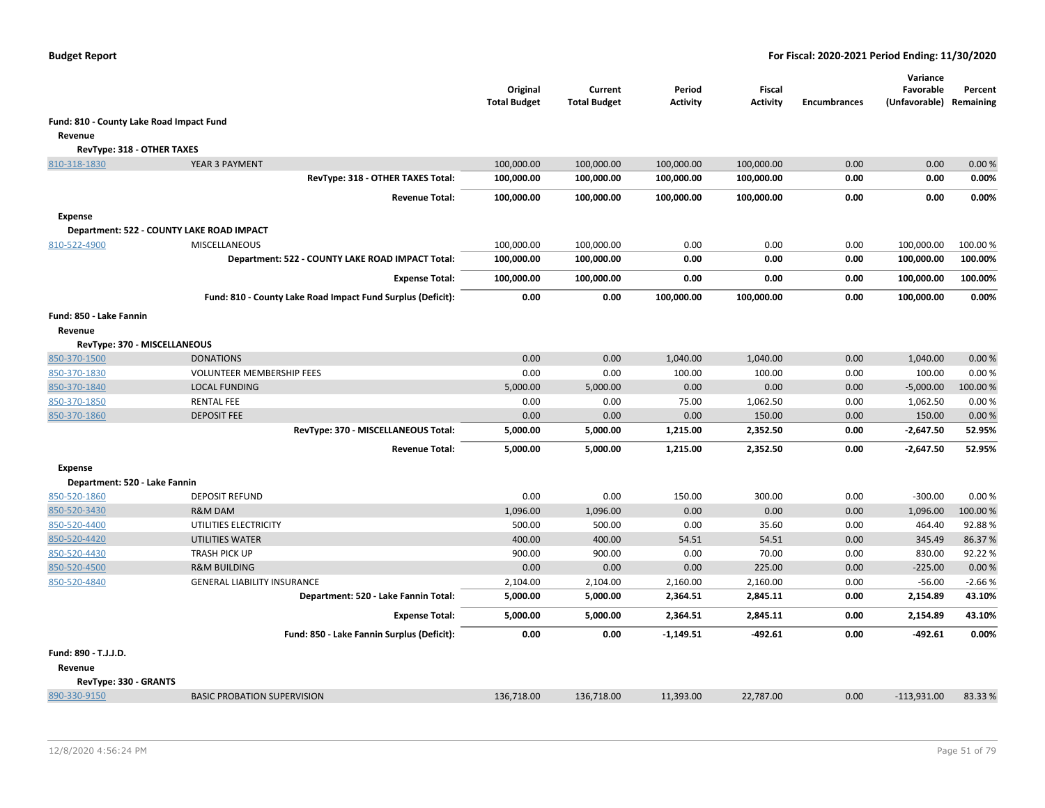|                                          |                                                             | Original<br><b>Total Budget</b> | Current<br><b>Total Budget</b> | Period<br><b>Activity</b> | Fiscal<br><b>Activity</b> | <b>Encumbrances</b> | Variance<br>Favorable<br>(Unfavorable) Remaining | Percent  |
|------------------------------------------|-------------------------------------------------------------|---------------------------------|--------------------------------|---------------------------|---------------------------|---------------------|--------------------------------------------------|----------|
| Fund: 810 - County Lake Road Impact Fund |                                                             |                                 |                                |                           |                           |                     |                                                  |          |
| Revenue                                  |                                                             |                                 |                                |                           |                           |                     |                                                  |          |
| RevType: 318 - OTHER TAXES               |                                                             |                                 |                                |                           |                           |                     |                                                  |          |
| 810-318-1830                             | YEAR 3 PAYMENT                                              | 100,000.00                      | 100,000.00                     | 100,000.00                | 100,000.00                | 0.00                | 0.00                                             | 0.00%    |
|                                          | RevType: 318 - OTHER TAXES Total:                           | 100,000.00                      | 100,000.00                     | 100,000.00                | 100,000.00                | 0.00                | 0.00                                             | 0.00%    |
|                                          | <b>Revenue Total:</b>                                       | 100,000.00                      | 100,000.00                     | 100,000.00                | 100,000.00                | 0.00                | 0.00                                             | 0.00%    |
| <b>Expense</b>                           |                                                             |                                 |                                |                           |                           |                     |                                                  |          |
|                                          | Department: 522 - COUNTY LAKE ROAD IMPACT                   |                                 |                                |                           |                           |                     |                                                  |          |
| 810-522-4900                             | MISCELLANEOUS                                               | 100,000.00                      | 100,000.00                     | 0.00                      | 0.00                      | 0.00                | 100,000.00                                       | 100.00 % |
|                                          | Department: 522 - COUNTY LAKE ROAD IMPACT Total:            | 100,000.00                      | 100,000.00                     | 0.00                      | 0.00                      | 0.00                | 100,000.00                                       | 100.00%  |
|                                          | <b>Expense Total:</b>                                       | 100,000.00                      | 100,000.00                     | 0.00                      | 0.00                      | 0.00                | 100,000.00                                       | 100.00%  |
|                                          | Fund: 810 - County Lake Road Impact Fund Surplus (Deficit): | 0.00                            | 0.00                           | 100,000.00                | 100,000.00                | 0.00                | 100,000.00                                       | 0.00%    |
| Fund: 850 - Lake Fannin                  |                                                             |                                 |                                |                           |                           |                     |                                                  |          |
| Revenue                                  |                                                             |                                 |                                |                           |                           |                     |                                                  |          |
| RevType: 370 - MISCELLANEOUS             |                                                             |                                 |                                |                           |                           |                     |                                                  |          |
| 850-370-1500                             | <b>DONATIONS</b>                                            | 0.00                            | 0.00                           | 1,040.00                  | 1,040.00                  | 0.00                | 1,040.00                                         | 0.00%    |
| 850-370-1830                             | <b>VOLUNTEER MEMBERSHIP FEES</b>                            | 0.00                            | 0.00                           | 100.00                    | 100.00                    | 0.00                | 100.00                                           | 0.00%    |
| 850-370-1840                             | <b>LOCAL FUNDING</b>                                        | 5,000.00                        | 5,000.00                       | 0.00                      | 0.00                      | 0.00                | $-5,000.00$                                      | 100.00%  |
| 850-370-1850                             | <b>RENTAL FEE</b>                                           | 0.00                            | 0.00                           | 75.00                     | 1,062.50                  | 0.00                | 1,062.50                                         | 0.00%    |
| 850-370-1860                             | <b>DEPOSIT FEE</b>                                          | 0.00                            | 0.00                           | 0.00                      | 150.00                    | 0.00                | 150.00                                           | 0.00%    |
|                                          | RevType: 370 - MISCELLANEOUS Total:                         | 5,000.00                        | 5,000.00                       | 1,215.00                  | 2,352.50                  | 0.00                | $-2,647.50$                                      | 52.95%   |
|                                          | <b>Revenue Total:</b>                                       | 5,000.00                        | 5,000.00                       | 1,215.00                  | 2,352.50                  | 0.00                | $-2,647.50$                                      | 52.95%   |
| <b>Expense</b>                           |                                                             |                                 |                                |                           |                           |                     |                                                  |          |
| Department: 520 - Lake Fannin            |                                                             |                                 |                                |                           |                           |                     |                                                  |          |
| 850-520-1860                             | <b>DEPOSIT REFUND</b>                                       | 0.00                            | 0.00                           | 150.00                    | 300.00                    | 0.00                | $-300.00$                                        | 0.00%    |
| 850-520-3430                             | R&M DAM                                                     | 1,096.00                        | 1,096.00                       | 0.00                      | 0.00                      | 0.00                | 1,096.00                                         | 100.00%  |
| 850-520-4400                             | UTILITIES ELECTRICITY                                       | 500.00                          | 500.00                         | 0.00                      | 35.60                     | 0.00                | 464.40                                           | 92.88%   |
| 850-520-4420                             | <b>UTILITIES WATER</b>                                      | 400.00                          | 400.00                         | 54.51                     | 54.51                     | 0.00                | 345.49                                           | 86.37%   |
| 850-520-4430                             | <b>TRASH PICK UP</b>                                        | 900.00                          | 900.00                         | 0.00                      | 70.00                     | 0.00                | 830.00                                           | 92.22%   |
| 850-520-4500                             | <b>R&amp;M BUILDING</b>                                     | 0.00                            | 0.00                           | 0.00                      | 225.00                    | 0.00                | $-225.00$                                        | 0.00%    |
| 850-520-4840                             | GENERAL LIABILITY INSURANCE                                 | 2,104.00                        | 2,104.00                       | 2,160.00                  | 2,160.00                  | 0.00                | $-56.00$                                         | $-2.66%$ |
|                                          | Department: 520 - Lake Fannin Total:                        | 5,000.00                        | 5,000.00                       | 2,364.51                  | 2,845.11                  | 0.00                | 2,154.89                                         | 43.10%   |
|                                          | <b>Expense Total:</b>                                       | 5,000.00                        | 5,000.00                       | 2,364.51                  | 2,845.11                  | 0.00                | 2,154.89                                         | 43.10%   |
|                                          | Fund: 850 - Lake Fannin Surplus (Deficit):                  | 0.00                            | 0.00                           | $-1,149.51$               | $-492.61$                 | 0.00                | $-492.61$                                        | 0.00%    |
| Fund: 890 - T.J.J.D.                     |                                                             |                                 |                                |                           |                           |                     |                                                  |          |
| Revenue                                  |                                                             |                                 |                                |                           |                           |                     |                                                  |          |
| RevType: 330 - GRANTS                    |                                                             |                                 |                                |                           |                           |                     |                                                  |          |
| 890-330-9150                             | <b>BASIC PROBATION SUPERVISION</b>                          | 136,718.00                      | 136,718.00                     | 11,393.00                 | 22,787.00                 | 0.00                | $-113,931.00$                                    | 83.33 %  |
|                                          |                                                             |                                 |                                |                           |                           |                     |                                                  |          |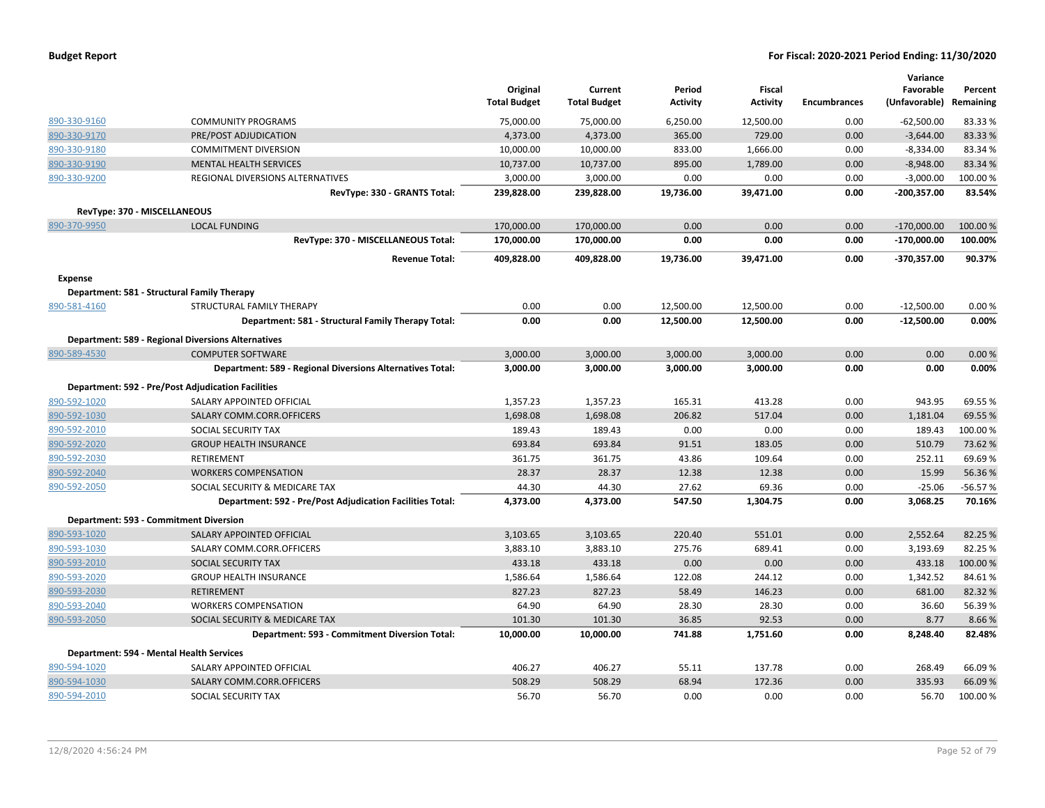|                |                                                           | Original<br><b>Total Budget</b> | Current<br><b>Total Budget</b> | Period<br><b>Activity</b> | Fiscal<br><b>Activity</b> | <b>Encumbrances</b> | Variance<br>Favorable<br>(Unfavorable) | Percent<br>Remaining |
|----------------|-----------------------------------------------------------|---------------------------------|--------------------------------|---------------------------|---------------------------|---------------------|----------------------------------------|----------------------|
| 890-330-9160   | <b>COMMUNITY PROGRAMS</b>                                 | 75,000.00                       | 75,000.00                      | 6,250.00                  | 12,500.00                 | 0.00                | $-62,500.00$                           | 83.33%               |
| 890-330-9170   | PRE/POST ADJUDICATION                                     | 4,373.00                        | 4,373.00                       | 365.00                    | 729.00                    | 0.00                | $-3,644.00$                            | 83.33 %              |
| 890-330-9180   | <b>COMMITMENT DIVERSION</b>                               | 10,000.00                       | 10,000.00                      | 833.00                    | 1,666.00                  | 0.00                | $-8,334.00$                            | 83.34 %              |
| 890-330-9190   | <b>MENTAL HEALTH SERVICES</b>                             | 10,737.00                       | 10,737.00                      | 895.00                    | 1,789.00                  | 0.00                | $-8,948.00$                            | 83.34 %              |
| 890-330-9200   | REGIONAL DIVERSIONS ALTERNATIVES                          | 3,000.00                        | 3,000.00                       | 0.00                      | 0.00                      | 0.00                | $-3,000.00$                            | 100.00%              |
|                | RevType: 330 - GRANTS Total:                              | 239,828.00                      | 239,828.00                     | 19,736.00                 | 39,471.00                 | 0.00                | -200,357.00                            | 83.54%               |
|                | RevType: 370 - MISCELLANEOUS                              |                                 |                                |                           |                           |                     |                                        |                      |
| 890-370-9950   | <b>LOCAL FUNDING</b>                                      | 170,000.00                      | 170,000.00                     | 0.00                      | 0.00                      | 0.00                | $-170,000.00$                          | 100.00%              |
|                | RevType: 370 - MISCELLANEOUS Total:                       | 170,000.00                      | 170,000.00                     | 0.00                      | 0.00                      | 0.00                | $-170,000.00$                          | 100.00%              |
|                | <b>Revenue Total:</b>                                     | 409,828.00                      | 409,828.00                     | 19,736.00                 | 39,471.00                 | 0.00                | -370,357.00                            | 90.37%               |
| <b>Expense</b> |                                                           |                                 |                                |                           |                           |                     |                                        |                      |
|                | Department: 581 - Structural Family Therapy               |                                 |                                |                           |                           |                     |                                        |                      |
| 890-581-4160   | STRUCTURAL FAMILY THERAPY                                 | 0.00                            | 0.00                           | 12,500.00                 | 12,500.00                 | 0.00                | $-12,500.00$                           | 0.00%                |
|                | Department: 581 - Structural Family Therapy Total:        | 0.00                            | 0.00                           | 12,500.00                 | 12,500.00                 | 0.00                | $-12,500.00$                           | 0.00%                |
|                | <b>Department: 589 - Regional Diversions Alternatives</b> |                                 |                                |                           |                           |                     |                                        |                      |
| 890-589-4530   | <b>COMPUTER SOFTWARE</b>                                  | 3,000.00                        | 3,000.00                       | 3,000.00                  | 3,000.00                  | 0.00                | 0.00                                   | 0.00%                |
|                | Department: 589 - Regional Diversions Alternatives Total: | 3,000.00                        | 3,000.00                       | 3,000.00                  | 3,000.00                  | 0.00                | 0.00                                   | 0.00%                |
|                | <b>Department: 592 - Pre/Post Adjudication Facilities</b> |                                 |                                |                           |                           |                     |                                        |                      |
| 890-592-1020   | SALARY APPOINTED OFFICIAL                                 | 1,357.23                        | 1,357.23                       | 165.31                    | 413.28                    | 0.00                | 943.95                                 | 69.55 %              |
| 890-592-1030   | SALARY COMM.CORR.OFFICERS                                 | 1,698.08                        | 1,698.08                       | 206.82                    | 517.04                    | 0.00                | 1,181.04                               | 69.55 %              |
| 890-592-2010   | SOCIAL SECURITY TAX                                       | 189.43                          | 189.43                         | 0.00                      | 0.00                      | 0.00                | 189.43                                 | 100.00%              |
| 890-592-2020   | <b>GROUP HEALTH INSURANCE</b>                             | 693.84                          | 693.84                         | 91.51                     | 183.05                    | 0.00                | 510.79                                 | 73.62 %              |
| 890-592-2030   | <b>RETIREMENT</b>                                         | 361.75                          | 361.75                         | 43.86                     | 109.64                    | 0.00                | 252.11                                 | 69.69%               |
| 890-592-2040   | <b>WORKERS COMPENSATION</b>                               | 28.37                           | 28.37                          | 12.38                     | 12.38                     | 0.00                | 15.99                                  | 56.36%               |
| 890-592-2050   | SOCIAL SECURITY & MEDICARE TAX                            | 44.30                           | 44.30                          | 27.62                     | 69.36                     | 0.00                | $-25.06$                               | $-56.57%$            |
|                | Department: 592 - Pre/Post Adjudication Facilities Total: | 4,373.00                        | 4,373.00                       | 547.50                    | 1,304.75                  | 0.00                | 3,068.25                               | 70.16%               |
|                | Department: 593 - Commitment Diversion                    |                                 |                                |                           |                           |                     |                                        |                      |
| 890-593-1020   | SALARY APPOINTED OFFICIAL                                 | 3,103.65                        | 3,103.65                       | 220.40                    | 551.01                    | 0.00                | 2,552.64                               | 82.25 %              |
| 890-593-1030   | SALARY COMM.CORR.OFFICERS                                 | 3,883.10                        | 3,883.10                       | 275.76                    | 689.41                    | 0.00                | 3,193.69                               | 82.25 %              |
| 890-593-2010   | SOCIAL SECURITY TAX                                       | 433.18                          | 433.18                         | 0.00                      | 0.00                      | 0.00                | 433.18                                 | 100.00%              |
| 890-593-2020   | <b>GROUP HEALTH INSURANCE</b>                             | 1,586.64                        | 1,586.64                       | 122.08                    | 244.12                    | 0.00                | 1,342.52                               | 84.61%               |
| 890-593-2030   | RETIREMENT                                                | 827.23                          | 827.23                         | 58.49                     | 146.23                    | 0.00                | 681.00                                 | 82.32 %              |
| 890-593-2040   | <b>WORKERS COMPENSATION</b>                               | 64.90                           | 64.90                          | 28.30                     | 28.30                     | 0.00                | 36.60                                  | 56.39%               |
| 890-593-2050   | SOCIAL SECURITY & MEDICARE TAX                            | 101.30                          | 101.30                         | 36.85                     | 92.53                     | 0.00                | 8.77                                   | 8.66%                |
|                | Department: 593 - Commitment Diversion Total:             | 10,000.00                       | 10,000.00                      | 741.88                    | 1,751.60                  | 0.00                | 8,248.40                               | 82.48%               |
|                | Department: 594 - Mental Health Services                  |                                 |                                |                           |                           |                     |                                        |                      |
| 890-594-1020   | SALARY APPOINTED OFFICIAL                                 | 406.27                          | 406.27                         | 55.11                     | 137.78                    | 0.00                | 268.49                                 | 66.09 %              |
| 890-594-1030   | SALARY COMM.CORR.OFFICERS                                 | 508.29                          | 508.29                         | 68.94                     | 172.36                    | 0.00                | 335.93                                 | 66.09 %              |
| 890-594-2010   | SOCIAL SECURITY TAX                                       | 56.70                           | 56.70                          | 0.00                      | 0.00                      | 0.00                | 56.70                                  | 100.00%              |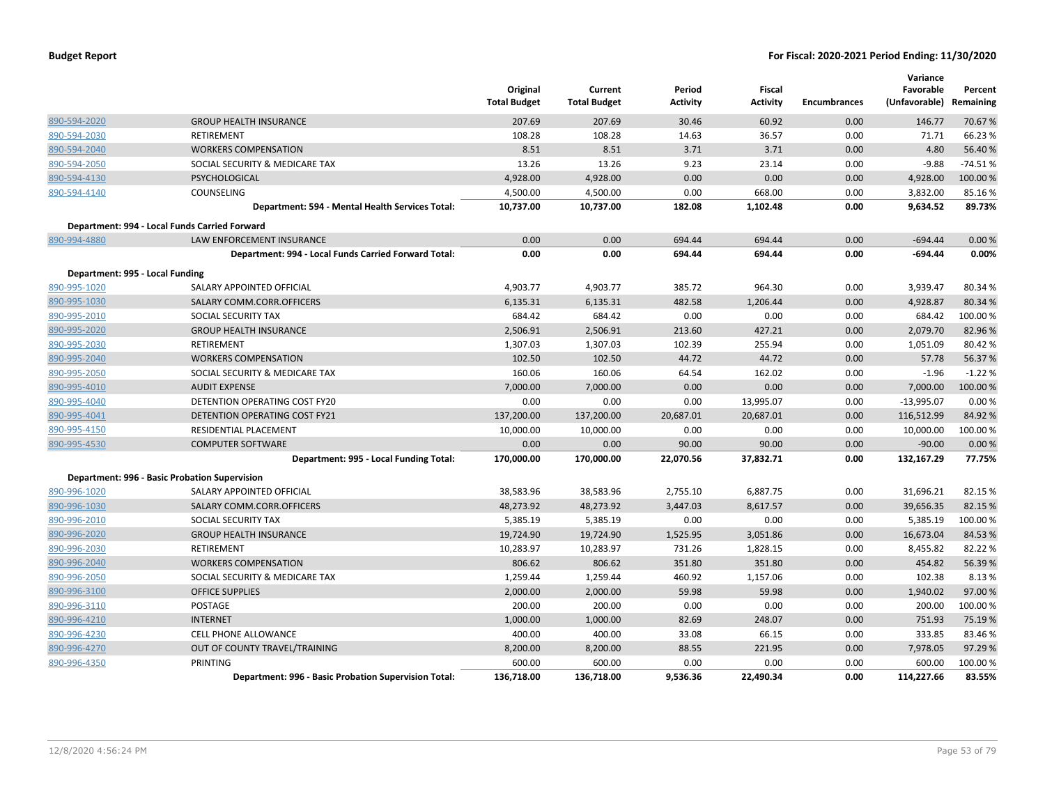|                                 |                                                             | Original<br><b>Total Budget</b> | Current<br><b>Total Budget</b> | Period<br><b>Activity</b> | <b>Fiscal</b><br><b>Activity</b> | <b>Encumbrances</b> | Variance<br>Favorable<br>(Unfavorable) | Percent<br>Remaining |
|---------------------------------|-------------------------------------------------------------|---------------------------------|--------------------------------|---------------------------|----------------------------------|---------------------|----------------------------------------|----------------------|
| 890-594-2020                    | <b>GROUP HEALTH INSURANCE</b>                               | 207.69                          | 207.69                         | 30.46                     | 60.92                            | 0.00                | 146.77                                 | 70.67%               |
| 890-594-2030                    | RETIREMENT                                                  | 108.28                          | 108.28                         | 14.63                     | 36.57                            | 0.00                | 71.71                                  | 66.23 %              |
| 890-594-2040                    | <b>WORKERS COMPENSATION</b>                                 | 8.51                            | 8.51                           | 3.71                      | 3.71                             | 0.00                | 4.80                                   | 56.40 %              |
| 890-594-2050                    | SOCIAL SECURITY & MEDICARE TAX                              | 13.26                           | 13.26                          | 9.23                      | 23.14                            | 0.00                | $-9.88$                                | $-74.51%$            |
| 890-594-4130                    | PSYCHOLOGICAL                                               | 4,928.00                        | 4,928.00                       | 0.00                      | 0.00                             | 0.00                | 4,928.00                               | 100.00 %             |
| 890-594-4140                    | COUNSELING                                                  | 4,500.00                        | 4,500.00                       | 0.00                      | 668.00                           | 0.00                | 3,832.00                               | 85.16%               |
|                                 | Department: 594 - Mental Health Services Total:             | 10,737.00                       | 10,737.00                      | 182.08                    | 1,102.48                         | 0.00                | 9,634.52                               | 89.73%               |
|                                 | Department: 994 - Local Funds Carried Forward               |                                 |                                |                           |                                  |                     |                                        |                      |
| 890-994-4880                    | LAW ENFORCEMENT INSURANCE                                   | 0.00                            | 0.00                           | 694.44                    | 694.44                           | 0.00                | $-694.44$                              | 0.00 %               |
|                                 | Department: 994 - Local Funds Carried Forward Total:        | 0.00                            | 0.00                           | 694.44                    | 694.44                           | 0.00                | $-694.44$                              | 0.00%                |
| Department: 995 - Local Funding |                                                             |                                 |                                |                           |                                  |                     |                                        |                      |
| 890-995-1020                    | SALARY APPOINTED OFFICIAL                                   | 4,903.77                        | 4,903.77                       | 385.72                    | 964.30                           | 0.00                | 3,939.47                               | 80.34 %              |
| 890-995-1030                    | SALARY COMM.CORR.OFFICERS                                   | 6,135.31                        | 6,135.31                       | 482.58                    | 1,206.44                         | 0.00                | 4,928.87                               | 80.34 %              |
| 890-995-2010                    | SOCIAL SECURITY TAX                                         | 684.42                          | 684.42                         | 0.00                      | 0.00                             | 0.00                | 684.42                                 | 100.00 %             |
| 890-995-2020                    | <b>GROUP HEALTH INSURANCE</b>                               | 2,506.91                        | 2,506.91                       | 213.60                    | 427.21                           | 0.00                | 2,079.70                               | 82.96%               |
| 890-995-2030                    | RETIREMENT                                                  | 1,307.03                        | 1,307.03                       | 102.39                    | 255.94                           | 0.00                | 1,051.09                               | 80.42%               |
| 890-995-2040                    | <b>WORKERS COMPENSATION</b>                                 | 102.50                          | 102.50                         | 44.72                     | 44.72                            | 0.00                | 57.78                                  | 56.37%               |
| 890-995-2050                    | SOCIAL SECURITY & MEDICARE TAX                              | 160.06                          | 160.06                         | 64.54                     | 162.02                           | 0.00                | $-1.96$                                | $-1.22%$             |
| 890-995-4010                    | <b>AUDIT EXPENSE</b>                                        | 7,000.00                        | 7,000.00                       | 0.00                      | 0.00                             | 0.00                | 7,000.00                               | 100.00 %             |
| 890-995-4040                    | DETENTION OPERATING COST FY20                               | 0.00                            | 0.00                           | 0.00                      | 13,995.07                        | 0.00                | $-13,995.07$                           | 0.00%                |
| 890-995-4041                    | DETENTION OPERATING COST FY21                               | 137,200.00                      | 137,200.00                     | 20,687.01                 | 20,687.01                        | 0.00                | 116,512.99                             | 84.92 %              |
| 890-995-4150                    | RESIDENTIAL PLACEMENT                                       | 10,000.00                       | 10,000.00                      | 0.00                      | 0.00                             | 0.00                | 10,000.00                              | 100.00%              |
| 890-995-4530                    | <b>COMPUTER SOFTWARE</b>                                    | 0.00                            | 0.00                           | 90.00                     | 90.00                            | 0.00                | $-90.00$                               | 0.00%                |
|                                 | Department: 995 - Local Funding Total:                      | 170,000.00                      | 170,000.00                     | 22,070.56                 | 37,832.71                        | 0.00                | 132,167.29                             | 77.75%               |
|                                 | Department: 996 - Basic Probation Supervision               |                                 |                                |                           |                                  |                     |                                        |                      |
| 890-996-1020                    | SALARY APPOINTED OFFICIAL                                   | 38,583.96                       | 38,583.96                      | 2,755.10                  | 6,887.75                         | 0.00                | 31,696.21                              | 82.15%               |
| 890-996-1030                    | SALARY COMM.CORR.OFFICERS                                   | 48,273.92                       | 48,273.92                      | 3,447.03                  | 8,617.57                         | 0.00                | 39,656.35                              | 82.15 %              |
| 890-996-2010                    | SOCIAL SECURITY TAX                                         | 5,385.19                        | 5,385.19                       | 0.00                      | 0.00                             | 0.00                | 5,385.19                               | 100.00 %             |
| 890-996-2020                    | <b>GROUP HEALTH INSURANCE</b>                               | 19,724.90                       | 19,724.90                      | 1,525.95                  | 3,051.86                         | 0.00                | 16,673.04                              | 84.53%               |
| 890-996-2030                    | RETIREMENT                                                  | 10,283.97                       | 10,283.97                      | 731.26                    | 1,828.15                         | 0.00                | 8,455.82                               | 82.22%               |
| 890-996-2040                    | <b>WORKERS COMPENSATION</b>                                 | 806.62                          | 806.62                         | 351.80                    | 351.80                           | 0.00                | 454.82                                 | 56.39 %              |
| 890-996-2050                    | SOCIAL SECURITY & MEDICARE TAX                              | 1,259.44                        | 1,259.44                       | 460.92                    | 1,157.06                         | 0.00                | 102.38                                 | 8.13%                |
| 890-996-3100                    | <b>OFFICE SUPPLIES</b>                                      | 2,000.00                        | 2,000.00                       | 59.98                     | 59.98                            | 0.00                | 1,940.02                               | 97.00 %              |
| 890-996-3110                    | POSTAGE                                                     | 200.00                          | 200.00                         | 0.00                      | 0.00                             | 0.00                | 200.00                                 | 100.00 %             |
| 890-996-4210                    | <b>INTERNET</b>                                             | 1,000.00                        | 1,000.00                       | 82.69                     | 248.07                           | 0.00                | 751.93                                 | 75.19%               |
| 890-996-4230                    | CELL PHONE ALLOWANCE                                        | 400.00                          | 400.00                         | 33.08                     | 66.15                            | 0.00                | 333.85                                 | 83.46%               |
| 890-996-4270                    | OUT OF COUNTY TRAVEL/TRAINING                               | 8,200.00                        | 8,200.00                       | 88.55                     | 221.95                           | 0.00                | 7,978.05                               | 97.29 %              |
| 890-996-4350                    | PRINTING                                                    | 600.00                          | 600.00                         | 0.00                      | 0.00                             | 0.00                | 600.00                                 | 100.00%              |
|                                 | <b>Department: 996 - Basic Probation Supervision Total:</b> | 136,718.00                      | 136,718.00                     | 9,536.36                  | 22,490.34                        | 0.00                | 114,227.66                             | 83.55%               |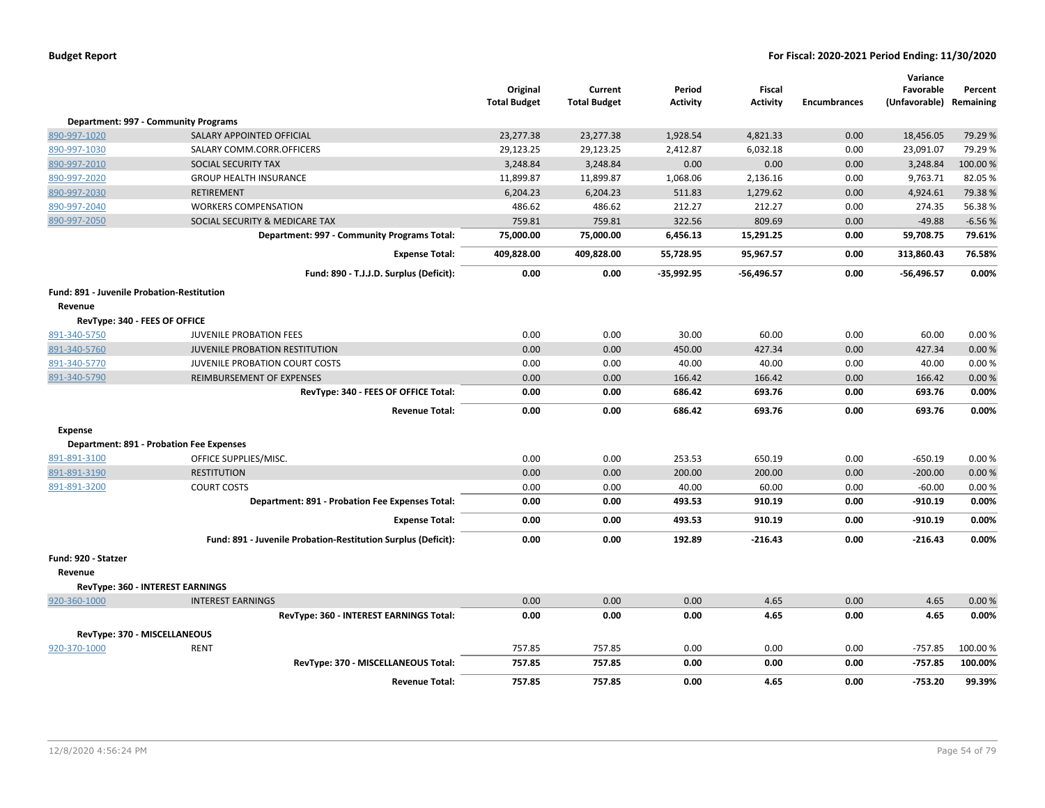|                                            |                                                               | Original<br><b>Total Budget</b> | Current<br><b>Total Budget</b> | Period<br><b>Activity</b> | <b>Fiscal</b><br><b>Activity</b> | <b>Encumbrances</b> | Variance<br>Favorable<br>(Unfavorable) Remaining | Percent  |
|--------------------------------------------|---------------------------------------------------------------|---------------------------------|--------------------------------|---------------------------|----------------------------------|---------------------|--------------------------------------------------|----------|
|                                            | Department: 997 - Community Programs                          |                                 |                                |                           |                                  |                     |                                                  |          |
| 890-997-1020                               | SALARY APPOINTED OFFICIAL                                     | 23,277.38                       | 23,277.38                      | 1,928.54                  | 4,821.33                         | 0.00                | 18,456.05                                        | 79.29 %  |
| 890-997-1030                               | SALARY COMM.CORR.OFFICERS                                     | 29,123.25                       | 29,123.25                      | 2,412.87                  | 6,032.18                         | 0.00                | 23,091.07                                        | 79.29 %  |
| 890-997-2010                               | SOCIAL SECURITY TAX                                           | 3,248.84                        | 3,248.84                       | 0.00                      | 0.00                             | 0.00                | 3,248.84                                         | 100.00%  |
| 890-997-2020                               | <b>GROUP HEALTH INSURANCE</b>                                 | 11,899.87                       | 11,899.87                      | 1,068.06                  | 2,136.16                         | 0.00                | 9,763.71                                         | 82.05%   |
| 890-997-2030                               | <b>RETIREMENT</b>                                             | 6,204.23                        | 6,204.23                       | 511.83                    | 1,279.62                         | 0.00                | 4,924.61                                         | 79.38%   |
| 890-997-2040                               | <b>WORKERS COMPENSATION</b>                                   | 486.62                          | 486.62                         | 212.27                    | 212.27                           | 0.00                | 274.35                                           | 56.38%   |
| 890-997-2050                               | SOCIAL SECURITY & MEDICARE TAX                                | 759.81                          | 759.81                         | 322.56                    | 809.69                           | 0.00                | $-49.88$                                         | $-6.56%$ |
|                                            | Department: 997 - Community Programs Total:                   | 75,000.00                       | 75,000.00                      | 6,456.13                  | 15,291.25                        | 0.00                | 59,708.75                                        | 79.61%   |
|                                            | <b>Expense Total:</b>                                         | 409,828.00                      | 409,828.00                     | 55,728.95                 | 95,967.57                        | 0.00                | 313,860.43                                       | 76.58%   |
|                                            | Fund: 890 - T.J.J.D. Surplus (Deficit):                       | 0.00                            | 0.00                           | $-35,992.95$              | -56,496.57                       | 0.00                | $-56,496.57$                                     | 0.00%    |
| Fund: 891 - Juvenile Probation-Restitution |                                                               |                                 |                                |                           |                                  |                     |                                                  |          |
| Revenue                                    |                                                               |                                 |                                |                           |                                  |                     |                                                  |          |
| RevType: 340 - FEES OF OFFICE              |                                                               |                                 |                                |                           |                                  |                     |                                                  |          |
| 891-340-5750                               | <b>JUVENILE PROBATION FEES</b>                                | 0.00                            | 0.00                           | 30.00                     | 60.00                            | 0.00                | 60.00                                            | 0.00%    |
| 891-340-5760                               | JUVENILE PROBATION RESTITUTION                                | 0.00                            | 0.00                           | 450.00                    | 427.34                           | 0.00                | 427.34                                           | 0.00%    |
| 891-340-5770                               | JUVENILE PROBATION COURT COSTS                                | 0.00                            | 0.00                           | 40.00                     | 40.00                            | 0.00                | 40.00                                            | 0.00%    |
| 891-340-5790                               | REIMBURSEMENT OF EXPENSES                                     | 0.00                            | 0.00                           | 166.42                    | 166.42                           | 0.00                | 166.42                                           | 0.00%    |
|                                            | RevType: 340 - FEES OF OFFICE Total:                          | 0.00                            | 0.00                           | 686.42                    | 693.76                           | 0.00                | 693.76                                           | 0.00%    |
|                                            | <b>Revenue Total:</b>                                         | 0.00                            | 0.00                           | 686.42                    | 693.76                           | 0.00                | 693.76                                           | 0.00%    |
| <b>Expense</b>                             |                                                               |                                 |                                |                           |                                  |                     |                                                  |          |
|                                            | <b>Department: 891 - Probation Fee Expenses</b>               |                                 |                                |                           |                                  |                     |                                                  |          |
| 891-891-3100                               | OFFICE SUPPLIES/MISC.                                         | 0.00                            | 0.00                           | 253.53                    | 650.19                           | 0.00                | $-650.19$                                        | 0.00%    |
| 891-891-3190                               | <b>RESTITUTION</b>                                            | 0.00                            | 0.00                           | 200.00                    | 200.00                           | 0.00                | $-200.00$                                        | 0.00%    |
| 891-891-3200                               | <b>COURT COSTS</b>                                            | 0.00                            | 0.00                           | 40.00                     | 60.00                            | 0.00                | $-60.00$                                         | 0.00%    |
|                                            | Department: 891 - Probation Fee Expenses Total:               | 0.00                            | 0.00                           | 493.53                    | 910.19                           | 0.00                | $-910.19$                                        | 0.00%    |
|                                            | <b>Expense Total:</b>                                         | 0.00                            | 0.00                           | 493.53                    | 910.19                           | 0.00                | $-910.19$                                        | 0.00%    |
|                                            | Fund: 891 - Juvenile Probation-Restitution Surplus (Deficit): | 0.00                            | 0.00                           | 192.89                    | $-216.43$                        | 0.00                | $-216.43$                                        | 0.00%    |
| Fund: 920 - Statzer                        |                                                               |                                 |                                |                           |                                  |                     |                                                  |          |
| Revenue                                    |                                                               |                                 |                                |                           |                                  |                     |                                                  |          |
|                                            | RevType: 360 - INTEREST EARNINGS                              |                                 |                                |                           |                                  |                     |                                                  |          |
| 920-360-1000                               | <b>INTEREST EARNINGS</b>                                      | 0.00                            | 0.00                           | 0.00                      | 4.65                             | 0.00                | 4.65                                             | 0.00%    |
|                                            | RevType: 360 - INTEREST EARNINGS Total:                       | 0.00                            | 0.00                           | 0.00                      | 4.65                             | 0.00                | 4.65                                             | 0.00%    |
| RevType: 370 - MISCELLANEOUS               |                                                               |                                 |                                |                           |                                  |                     |                                                  |          |
| 920-370-1000                               | <b>RENT</b>                                                   | 757.85                          | 757.85                         | 0.00                      | 0.00                             | 0.00                | $-757.85$                                        | 100.00%  |
|                                            | RevType: 370 - MISCELLANEOUS Total:                           | 757.85                          | 757.85                         | 0.00                      | 0.00                             | 0.00                | $-757.85$                                        | 100.00%  |
|                                            | <b>Revenue Total:</b>                                         | 757.85                          | 757.85                         | 0.00                      | 4.65                             | 0.00                | -753.20                                          | 99.39%   |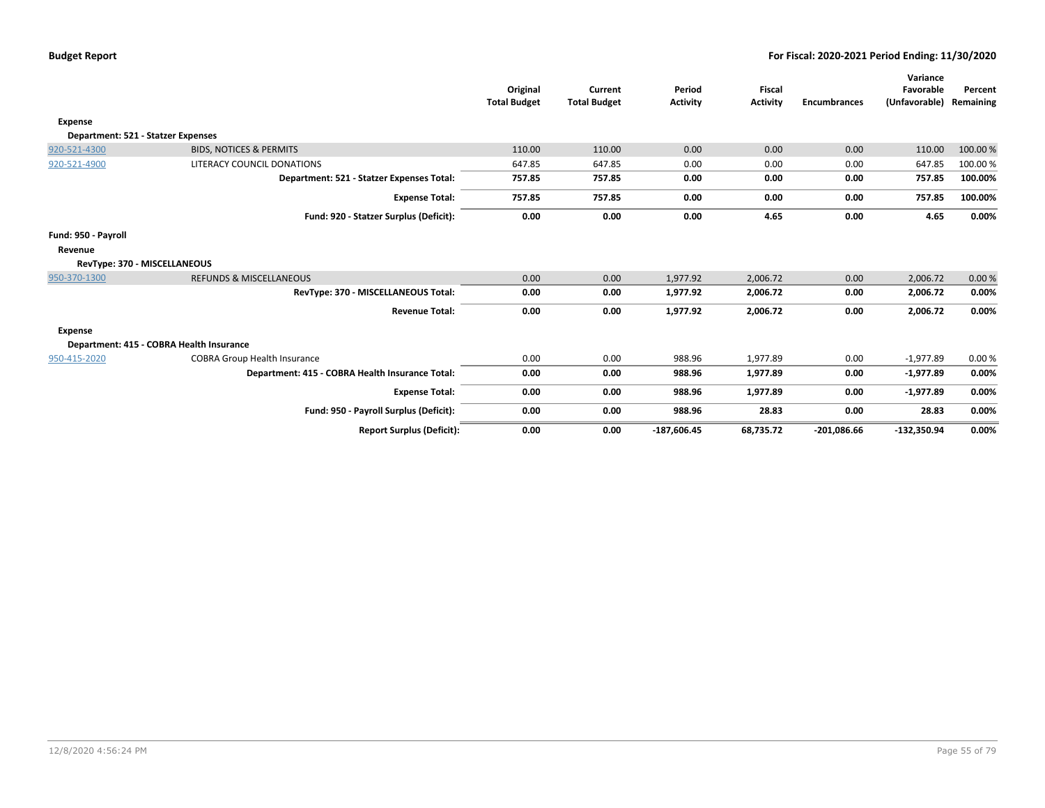|                                    |                                                 | Original<br><b>Total Budget</b> | Current<br><b>Total Budget</b> | Period<br><b>Activity</b> | <b>Fiscal</b><br><b>Activity</b> | <b>Encumbrances</b> | Variance<br>Favorable<br>(Unfavorable) | Percent<br>Remaining |
|------------------------------------|-------------------------------------------------|---------------------------------|--------------------------------|---------------------------|----------------------------------|---------------------|----------------------------------------|----------------------|
| <b>Expense</b>                     |                                                 |                                 |                                |                           |                                  |                     |                                        |                      |
| Department: 521 - Statzer Expenses |                                                 |                                 |                                |                           |                                  |                     |                                        |                      |
| 920-521-4300                       | <b>BIDS, NOTICES &amp; PERMITS</b>              | 110.00                          | 110.00                         | 0.00                      | 0.00                             | 0.00                | 110.00                                 | 100.00 %             |
| 920-521-4900                       | LITERACY COUNCIL DONATIONS                      | 647.85                          | 647.85                         | 0.00                      | 0.00                             | 0.00                | 647.85                                 | 100.00 %             |
|                                    | Department: 521 - Statzer Expenses Total:       | 757.85                          | 757.85                         | 0.00                      | 0.00                             | 0.00                | 757.85                                 | 100.00%              |
|                                    | <b>Expense Total:</b>                           | 757.85                          | 757.85                         | 0.00                      | 0.00                             | 0.00                | 757.85                                 | 100.00%              |
|                                    | Fund: 920 - Statzer Surplus (Deficit):          | 0.00                            | 0.00                           | 0.00                      | 4.65                             | 0.00                | 4.65                                   | 0.00%                |
| Fund: 950 - Payroll                |                                                 |                                 |                                |                           |                                  |                     |                                        |                      |
| Revenue                            |                                                 |                                 |                                |                           |                                  |                     |                                        |                      |
| RevType: 370 - MISCELLANEOUS       |                                                 |                                 |                                |                           |                                  |                     |                                        |                      |
| 950-370-1300                       | <b>REFUNDS &amp; MISCELLANEOUS</b>              | 0.00                            | 0.00                           | 1,977.92                  | 2,006.72                         | 0.00                | 2,006.72                               | 0.00%                |
|                                    | RevType: 370 - MISCELLANEOUS Total:             | 0.00                            | 0.00                           | 1,977.92                  | 2,006.72                         | 0.00                | 2,006.72                               | 0.00%                |
|                                    | <b>Revenue Total:</b>                           | 0.00                            | 0.00                           | 1,977.92                  | 2,006.72                         | 0.00                | 2,006.72                               | 0.00%                |
| Expense                            |                                                 |                                 |                                |                           |                                  |                     |                                        |                      |
|                                    | Department: 415 - COBRA Health Insurance        |                                 |                                |                           |                                  |                     |                                        |                      |
| 950-415-2020                       | <b>COBRA Group Health Insurance</b>             | 0.00                            | 0.00                           | 988.96                    | 1,977.89                         | 0.00                | $-1,977.89$                            | 0.00%                |
|                                    | Department: 415 - COBRA Health Insurance Total: | 0.00                            | 0.00                           | 988.96                    | 1,977.89                         | 0.00                | $-1,977.89$                            | 0.00%                |
|                                    | <b>Expense Total:</b>                           | 0.00                            | 0.00                           | 988.96                    | 1,977.89                         | 0.00                | $-1,977.89$                            | 0.00%                |
|                                    | Fund: 950 - Payroll Surplus (Deficit):          | 0.00                            | 0.00                           | 988.96                    | 28.83                            | 0.00                | 28.83                                  | 0.00%                |
|                                    | <b>Report Surplus (Deficit):</b>                | 0.00                            | 0.00                           | $-187,606.45$             | 68,735.72                        | $-201.086.66$       | $-132,350.94$                          | 0.00%                |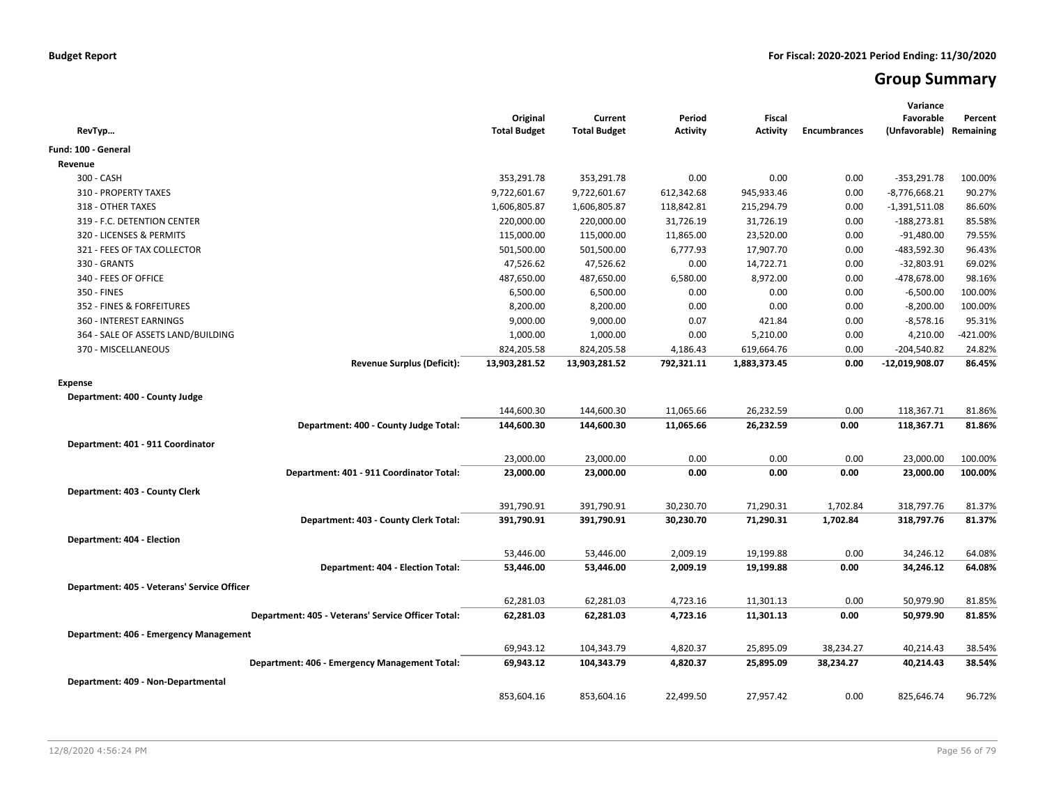# **Group Summary**

| RevTyp                                             | Original<br><b>Total Budget</b> | Current<br><b>Total Budget</b> | Period<br><b>Activity</b> | <b>Fiscal</b><br><b>Activity</b> | <b>Encumbrances</b> | Variance<br>Favorable<br>(Unfavorable) Remaining | Percent  |
|----------------------------------------------------|---------------------------------|--------------------------------|---------------------------|----------------------------------|---------------------|--------------------------------------------------|----------|
| Fund: 100 - General                                |                                 |                                |                           |                                  |                     |                                                  |          |
| Revenue                                            |                                 |                                |                           |                                  |                     |                                                  |          |
| 300 - CASH                                         | 353,291.78                      | 353,291.78                     | 0.00                      | 0.00                             | 0.00                | $-353,291.78$                                    | 100.00%  |
| 310 - PROPERTY TAXES                               | 9,722,601.67                    | 9,722,601.67                   | 612,342.68                | 945,933.46                       | 0.00                | $-8,776,668.21$                                  | 90.27%   |
| 318 - OTHER TAXES                                  | 1,606,805.87                    | 1,606,805.87                   | 118,842.81                | 215,294.79                       | 0.00                | $-1,391,511.08$                                  | 86.60%   |
| 319 - F.C. DETENTION CENTER                        | 220,000.00                      | 220,000.00                     | 31,726.19                 | 31,726.19                        | 0.00                | $-188,273.81$                                    | 85.58%   |
| 320 - LICENSES & PERMITS                           | 115,000.00                      | 115,000.00                     | 11,865.00                 | 23,520.00                        | 0.00                | $-91,480.00$                                     | 79.55%   |
| 321 - FEES OF TAX COLLECTOR                        | 501,500.00                      | 501,500.00                     | 6,777.93                  | 17,907.70                        | 0.00                | -483,592.30                                      | 96.43%   |
| 330 - GRANTS                                       | 47,526.62                       | 47,526.62                      | 0.00                      | 14,722.71                        | 0.00                | $-32,803.91$                                     | 69.02%   |
| 340 - FEES OF OFFICE                               | 487,650.00                      | 487,650.00                     | 6,580.00                  | 8,972.00                         | 0.00                | -478,678.00                                      | 98.16%   |
| 350 - FINES                                        | 6,500.00                        | 6,500.00                       | 0.00                      | 0.00                             | 0.00                | $-6,500.00$                                      | 100.00%  |
| 352 - FINES & FORFEITURES                          | 8,200.00                        | 8,200.00                       | 0.00                      | 0.00                             | 0.00                | $-8,200.00$                                      | 100.00%  |
| 360 - INTEREST EARNINGS                            | 9,000.00                        | 9,000.00                       | 0.07                      | 421.84                           | 0.00                | $-8,578.16$                                      | 95.31%   |
| 364 - SALE OF ASSETS LAND/BUILDING                 | 1,000.00                        | 1,000.00                       | 0.00                      | 5,210.00                         | 0.00                | 4,210.00                                         | -421.00% |
| 370 - MISCELLANEOUS                                | 824,205.58                      | 824,205.58                     | 4,186.43                  | 619,664.76                       | 0.00                | $-204,540.82$                                    | 24.82%   |
| <b>Revenue Surplus (Deficit):</b>                  | 13,903,281.52                   | 13,903,281.52                  | 792,321.11                | 1,883,373.45                     | 0.00                | -12,019,908.07                                   | 86.45%   |
| <b>Expense</b>                                     |                                 |                                |                           |                                  |                     |                                                  |          |
| Department: 400 - County Judge                     |                                 |                                |                           |                                  |                     |                                                  |          |
|                                                    | 144,600.30                      | 144,600.30                     | 11,065.66                 | 26,232.59                        | 0.00                | 118,367.71                                       | 81.86%   |
| Department: 400 - County Judge Total:              | 144,600.30                      | 144,600.30                     | 11,065.66                 | 26,232.59                        | 0.00                | 118,367.71                                       | 81.86%   |
|                                                    |                                 |                                |                           |                                  |                     |                                                  |          |
| Department: 401 - 911 Coordinator                  |                                 |                                |                           |                                  |                     |                                                  |          |
|                                                    | 23,000.00                       | 23,000.00                      | 0.00                      | 0.00                             | 0.00                | 23,000.00                                        | 100.00%  |
| Department: 401 - 911 Coordinator Total:           | 23,000.00                       | 23,000.00                      | 0.00                      | 0.00                             | 0.00                | 23,000.00                                        | 100.00%  |
| Department: 403 - County Clerk                     |                                 |                                |                           |                                  |                     |                                                  |          |
|                                                    | 391,790.91                      | 391,790.91                     | 30,230.70                 | 71,290.31                        | 1,702.84            | 318,797.76                                       | 81.37%   |
| Department: 403 - County Clerk Total:              | 391,790.91                      | 391,790.91                     | 30,230.70                 | 71,290.31                        | 1,702.84            | 318,797.76                                       | 81.37%   |
| Department: 404 - Election                         |                                 |                                |                           |                                  |                     |                                                  |          |
|                                                    | 53,446.00                       | 53,446.00                      | 2,009.19                  | 19,199.88                        | 0.00                | 34,246.12                                        | 64.08%   |
| Department: 404 - Election Total:                  | 53,446.00                       | 53,446.00                      | 2,009.19                  | 19,199.88                        | 0.00                | 34,246.12                                        | 64.08%   |
|                                                    |                                 |                                |                           |                                  |                     |                                                  |          |
| Department: 405 - Veterans' Service Officer        |                                 |                                |                           |                                  |                     |                                                  |          |
|                                                    | 62,281.03                       | 62,281.03                      | 4,723.16                  | 11,301.13                        | 0.00                | 50,979.90                                        | 81.85%   |
| Department: 405 - Veterans' Service Officer Total: | 62,281.03                       | 62,281.03                      | 4,723.16                  | 11,301.13                        | 0.00                | 50,979.90                                        | 81.85%   |
| Department: 406 - Emergency Management             |                                 |                                |                           |                                  |                     |                                                  |          |
|                                                    | 69,943.12                       | 104,343.79                     | 4,820.37                  | 25,895.09                        | 38,234.27           | 40,214.43                                        | 38.54%   |
| Department: 406 - Emergency Management Total:      | 69,943.12                       | 104,343.79                     | 4,820.37                  | 25,895.09                        | 38,234.27           | 40,214.43                                        | 38.54%   |
|                                                    |                                 |                                |                           |                                  |                     |                                                  |          |
| Department: 409 - Non-Departmental                 |                                 |                                |                           |                                  |                     |                                                  |          |
|                                                    | 853,604.16                      | 853,604.16                     | 22,499.50                 | 27,957.42                        | 0.00                | 825,646.74                                       | 96.72%   |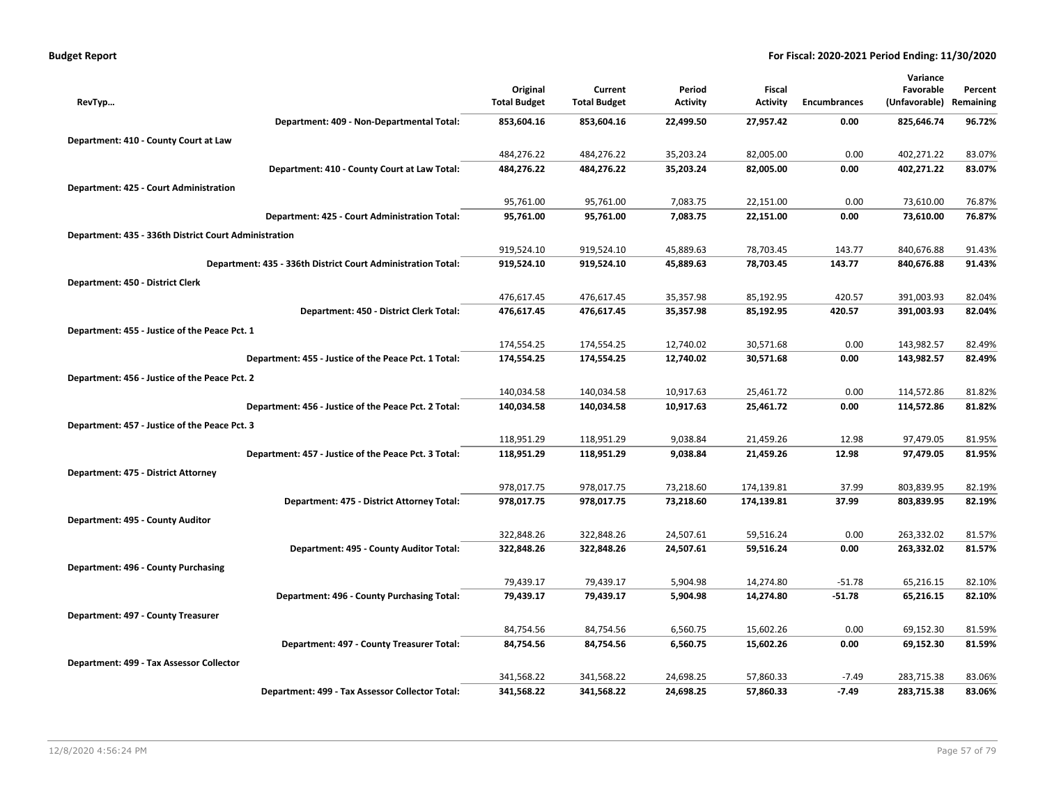| <b>Budget Report</b> |  |
|----------------------|--|
|----------------------|--|

|                                                              |                     |                     |                 |                 |                     | Variance      |           |
|--------------------------------------------------------------|---------------------|---------------------|-----------------|-----------------|---------------------|---------------|-----------|
|                                                              | Original            | Current             | Period          | Fiscal          |                     | Favorable     | Percent   |
| RevTyp                                                       | <b>Total Budget</b> | <b>Total Budget</b> | <b>Activity</b> | <b>Activity</b> | <b>Encumbrances</b> | (Unfavorable) | Remaining |
| Department: 409 - Non-Departmental Total:                    | 853,604.16          | 853,604.16          | 22,499.50       | 27,957.42       | 0.00                | 825,646.74    | 96.72%    |
| Department: 410 - County Court at Law                        |                     |                     |                 |                 |                     |               |           |
|                                                              | 484,276.22          | 484,276.22          | 35,203.24       | 82,005.00       | 0.00                | 402,271.22    | 83.07%    |
| Department: 410 - County Court at Law Total:                 | 484,276.22          | 484,276.22          | 35,203.24       | 82,005.00       | 0.00                | 402,271.22    | 83.07%    |
| Department: 425 - Court Administration                       |                     |                     |                 |                 |                     |               |           |
|                                                              | 95,761.00           | 95,761.00           | 7,083.75        | 22,151.00       | 0.00                | 73,610.00     | 76.87%    |
| Department: 425 - Court Administration Total:                | 95,761.00           | 95,761.00           | 7,083.75        | 22,151.00       | 0.00                | 73,610.00     | 76.87%    |
| Department: 435 - 336th District Court Administration        |                     |                     |                 |                 |                     |               |           |
|                                                              | 919,524.10          | 919,524.10          | 45,889.63       | 78,703.45       | 143.77              | 840,676.88    | 91.43%    |
| Department: 435 - 336th District Court Administration Total: | 919,524.10          | 919,524.10          | 45,889.63       | 78,703.45       | 143.77              | 840,676.88    | 91.43%    |
| Department: 450 - District Clerk                             |                     |                     |                 |                 |                     |               |           |
|                                                              | 476,617.45          | 476,617.45          | 35,357.98       | 85,192.95       | 420.57              | 391,003.93    | 82.04%    |
| Department: 450 - District Clerk Total:                      | 476,617.45          | 476,617.45          | 35,357.98       | 85,192.95       | 420.57              | 391,003.93    | 82.04%    |
| Department: 455 - Justice of the Peace Pct. 1                |                     |                     |                 |                 |                     |               |           |
|                                                              | 174,554.25          | 174,554.25          | 12,740.02       | 30,571.68       | 0.00                | 143,982.57    | 82.49%    |
| Department: 455 - Justice of the Peace Pct. 1 Total:         | 174,554.25          | 174,554.25          | 12,740.02       | 30,571.68       | 0.00                | 143,982.57    | 82.49%    |
| Department: 456 - Justice of the Peace Pct. 2                |                     |                     |                 |                 |                     |               |           |
|                                                              | 140,034.58          | 140,034.58          | 10,917.63       | 25,461.72       | 0.00                | 114,572.86    | 81.82%    |
| Department: 456 - Justice of the Peace Pct. 2 Total:         | 140,034.58          | 140,034.58          | 10,917.63       | 25,461.72       | 0.00                | 114,572.86    | 81.82%    |
| Department: 457 - Justice of the Peace Pct. 3                |                     |                     |                 |                 |                     |               |           |
|                                                              | 118,951.29          | 118,951.29          | 9,038.84        | 21,459.26       | 12.98               | 97,479.05     | 81.95%    |
| Department: 457 - Justice of the Peace Pct. 3 Total:         | 118,951.29          | 118,951.29          | 9,038.84        | 21,459.26       | 12.98               | 97,479.05     | 81.95%    |
| Department: 475 - District Attorney                          |                     |                     |                 |                 |                     |               |           |
|                                                              | 978,017.75          | 978,017.75          | 73,218.60       | 174,139.81      | 37.99               | 803,839.95    | 82.19%    |
| Department: 475 - District Attorney Total:                   | 978,017.75          | 978,017.75          | 73,218.60       | 174,139.81      | 37.99               | 803,839.95    | 82.19%    |
| Department: 495 - County Auditor                             |                     |                     |                 |                 |                     |               |           |
|                                                              | 322,848.26          | 322,848.26          | 24,507.61       | 59,516.24       | 0.00                | 263,332.02    | 81.57%    |
| Department: 495 - County Auditor Total:                      | 322,848.26          | 322,848.26          | 24,507.61       | 59,516.24       | 0.00                | 263,332.02    | 81.57%    |
| Department: 496 - County Purchasing                          |                     |                     |                 |                 |                     |               |           |
|                                                              | 79,439.17           | 79,439.17           | 5,904.98        | 14,274.80       | $-51.78$            | 65,216.15     | 82.10%    |
| Department: 496 - County Purchasing Total:                   | 79,439.17           | 79,439.17           | 5,904.98        | 14,274.80       | $-51.78$            | 65,216.15     | 82.10%    |
| Department: 497 - County Treasurer                           |                     |                     |                 |                 |                     |               |           |
|                                                              | 84,754.56           | 84,754.56           | 6,560.75        | 15,602.26       | 0.00                | 69,152.30     | 81.59%    |
| Department: 497 - County Treasurer Total:                    | 84,754.56           | 84,754.56           | 6,560.75        | 15,602.26       | 0.00                | 69,152.30     | 81.59%    |
| Department: 499 - Tax Assessor Collector                     |                     |                     |                 |                 |                     |               |           |
|                                                              | 341,568.22          | 341,568.22          | 24,698.25       | 57,860.33       | $-7.49$             | 283,715.38    | 83.06%    |
| Department: 499 - Tax Assessor Collector Total:              | 341,568.22          | 341,568.22          | 24,698.25       | 57,860.33       | $-7.49$             | 283,715.38    | 83.06%    |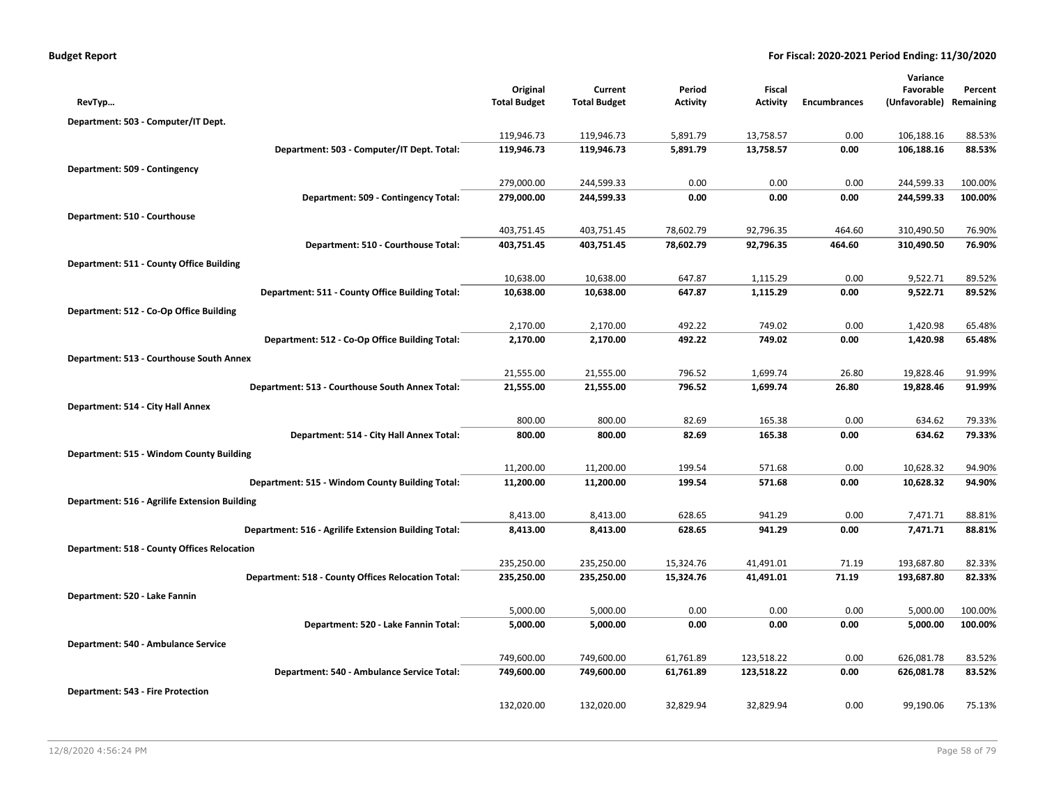| <b>Budget Report</b> |  |  |  |  |
|----------------------|--|--|--|--|
|----------------------|--|--|--|--|

|                                                      |                          |                          |                        |                          |                     | Variance                 |                  |
|------------------------------------------------------|--------------------------|--------------------------|------------------------|--------------------------|---------------------|--------------------------|------------------|
|                                                      | Original                 | Current                  | Period                 | Fiscal                   |                     | Favorable                | Percent          |
| RevTyp                                               | <b>Total Budget</b>      | <b>Total Budget</b>      | <b>Activity</b>        | <b>Activity</b>          | <b>Encumbrances</b> | (Unfavorable)            | Remaining        |
| Department: 503 - Computer/IT Dept.                  |                          |                          |                        |                          |                     |                          |                  |
|                                                      | 119,946.73               | 119,946.73               | 5,891.79               | 13,758.57                | 0.00                | 106,188.16               | 88.53%           |
| Department: 503 - Computer/IT Dept. Total:           | 119,946.73               | 119,946.73               | 5,891.79               | 13,758.57                | 0.00                | 106,188.16               | 88.53%           |
| Department: 509 - Contingency                        |                          |                          |                        |                          |                     |                          |                  |
|                                                      | 279,000.00               | 244,599.33               | 0.00                   | 0.00                     | 0.00                | 244,599.33               | 100.00%          |
| Department: 509 - Contingency Total:                 | 279,000.00               | 244,599.33               | 0.00                   | 0.00                     | 0.00                | 244,599.33               | 100.00%          |
| Department: 510 - Courthouse                         |                          |                          |                        |                          |                     |                          |                  |
|                                                      | 403,751.45               | 403,751.45               | 78,602.79              | 92,796.35                | 464.60              | 310,490.50               | 76.90%           |
| Department: 510 - Courthouse Total:                  | 403,751.45               | 403,751.45               | 78,602.79              | 92,796.35                | 464.60              | 310,490.50               | 76.90%           |
| Department: 511 - County Office Building             |                          |                          |                        |                          |                     |                          |                  |
|                                                      | 10,638.00                | 10,638.00                | 647.87                 | 1,115.29                 | 0.00                | 9,522.71                 | 89.52%           |
| Department: 511 - County Office Building Total:      | 10,638.00                | 10,638.00                | 647.87                 | 1,115.29                 | 0.00                | 9,522.71                 | 89.52%           |
| Department: 512 - Co-Op Office Building              |                          |                          |                        |                          |                     |                          |                  |
|                                                      | 2,170.00                 | 2,170.00                 | 492.22                 | 749.02                   | 0.00                | 1,420.98                 | 65.48%           |
| Department: 512 - Co-Op Office Building Total:       | 2,170.00                 | 2,170.00                 | 492.22                 | 749.02                   | 0.00                | 1,420.98                 | 65.48%           |
| Department: 513 - Courthouse South Annex             |                          |                          |                        |                          |                     |                          |                  |
|                                                      | 21,555.00                | 21,555.00                | 796.52                 | 1,699.74                 | 26.80               | 19,828.46                | 91.99%           |
| Department: 513 - Courthouse South Annex Total:      | 21,555.00                | 21,555.00                | 796.52                 | 1,699.74                 | 26.80               | 19,828.46                | 91.99%           |
| Department: 514 - City Hall Annex                    |                          |                          |                        |                          |                     |                          |                  |
|                                                      | 800.00                   | 800.00                   | 82.69                  | 165.38                   | 0.00                | 634.62                   | 79.33%           |
| Department: 514 - City Hall Annex Total:             | 800.00                   | 800.00                   | 82.69                  | 165.38                   | 0.00                | 634.62                   | 79.33%           |
| Department: 515 - Windom County Building             |                          |                          |                        |                          |                     |                          |                  |
|                                                      | 11,200.00                | 11,200.00                | 199.54                 | 571.68                   | 0.00                | 10,628.32                | 94.90%           |
| Department: 515 - Windom County Building Total:      | 11,200.00                | 11,200.00                | 199.54                 | 571.68                   | 0.00                | 10,628.32                | 94.90%           |
| Department: 516 - Agrilife Extension Building        |                          |                          |                        |                          |                     |                          |                  |
|                                                      | 8,413.00                 | 8,413.00                 | 628.65                 | 941.29                   | 0.00                | 7,471.71                 | 88.81%           |
| Department: 516 - Agrilife Extension Building Total: | 8,413.00                 | 8,413.00                 | 628.65                 | 941.29                   | 0.00                | 7,471.71                 | 88.81%           |
| <b>Department: 518 - County Offices Relocation</b>   |                          |                          |                        |                          |                     |                          |                  |
|                                                      | 235,250.00               | 235,250.00               | 15,324.76              | 41,491.01                | 71.19               | 193,687.80               | 82.33%           |
| Department: 518 - County Offices Relocation Total:   | 235,250.00               | 235,250.00               | 15,324.76              | 41,491.01                | 71.19               | 193,687.80               | 82.33%           |
|                                                      |                          |                          |                        |                          |                     |                          |                  |
| Department: 520 - Lake Fannin                        | 5,000.00                 | 5,000.00                 | 0.00                   | 0.00                     | 0.00                | 5,000.00                 | 100.00%          |
| Department: 520 - Lake Fannin Total:                 | 5,000.00                 | 5,000.00                 | 0.00                   | 0.00                     | 0.00                | 5,000.00                 | 100.00%          |
|                                                      |                          |                          |                        |                          |                     |                          |                  |
| Department: 540 - Ambulance Service                  |                          |                          |                        |                          |                     |                          |                  |
| Department: 540 - Ambulance Service Total:           | 749,600.00<br>749,600.00 | 749,600.00<br>749,600.00 | 61,761.89<br>61,761.89 | 123,518.22<br>123,518.22 | 0.00<br>0.00        | 626,081.78<br>626,081.78 | 83.52%<br>83.52% |
|                                                      |                          |                          |                        |                          |                     |                          |                  |
| Department: 543 - Fire Protection                    |                          |                          |                        |                          |                     |                          |                  |
|                                                      | 132,020.00               | 132,020.00               | 32,829.94              | 32,829.94                | 0.00                | 99,190.06                | 75.13%           |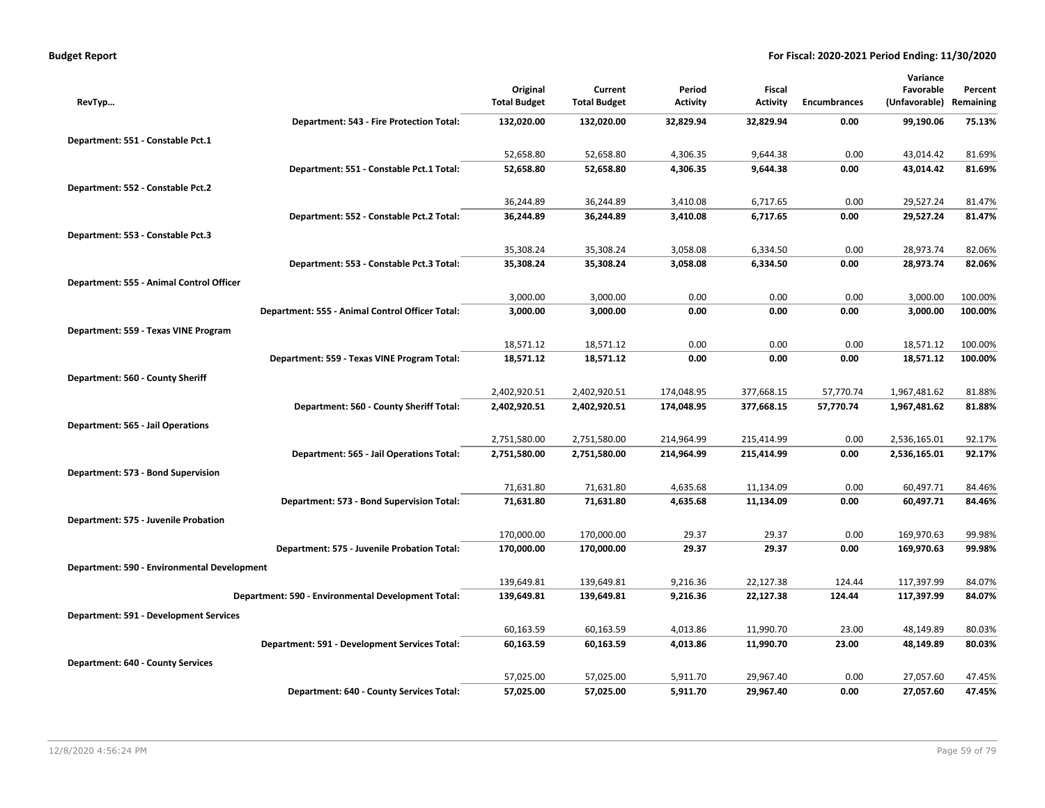|                                             |                                                    |                     |                     |                 |                 |                     | Variance      |           |
|---------------------------------------------|----------------------------------------------------|---------------------|---------------------|-----------------|-----------------|---------------------|---------------|-----------|
|                                             |                                                    | Original            | Current             | Period          | Fiscal          |                     | Favorable     | Percent   |
| RevTyp                                      |                                                    | <b>Total Budget</b> | <b>Total Budget</b> | <b>Activity</b> | <b>Activity</b> | <b>Encumbrances</b> | (Unfavorable) | Remaining |
|                                             | Department: 543 - Fire Protection Total:           | 132,020.00          | 132,020.00          | 32,829.94       | 32,829.94       | 0.00                | 99,190.06     | 75.13%    |
| Department: 551 - Constable Pct.1           |                                                    |                     |                     |                 |                 |                     |               |           |
|                                             |                                                    | 52,658.80           | 52,658.80           | 4,306.35        | 9,644.38        | 0.00                | 43,014.42     | 81.69%    |
|                                             | Department: 551 - Constable Pct.1 Total:           | 52,658.80           | 52,658.80           | 4,306.35        | 9,644.38        | 0.00                | 43,014.42     | 81.69%    |
| Department: 552 - Constable Pct.2           |                                                    |                     |                     |                 |                 |                     |               |           |
|                                             |                                                    | 36,244.89           | 36,244.89           | 3,410.08        | 6,717.65        | 0.00                | 29,527.24     | 81.47%    |
|                                             | Department: 552 - Constable Pct.2 Total:           | 36,244.89           | 36,244.89           | 3,410.08        | 6,717.65        | 0.00                | 29,527.24     | 81.47%    |
| Department: 553 - Constable Pct.3           |                                                    |                     |                     |                 |                 |                     |               |           |
|                                             |                                                    | 35,308.24           | 35,308.24           | 3,058.08        | 6,334.50        | 0.00                | 28,973.74     | 82.06%    |
|                                             | Department: 553 - Constable Pct.3 Total:           | 35,308.24           | 35,308.24           | 3,058.08        | 6,334.50        | 0.00                | 28,973.74     | 82.06%    |
| Department: 555 - Animal Control Officer    |                                                    |                     |                     |                 |                 |                     |               |           |
|                                             |                                                    | 3,000.00            | 3,000.00            | 0.00            | 0.00            | 0.00                | 3,000.00      | 100.00%   |
|                                             | Department: 555 - Animal Control Officer Total:    | 3,000.00            | 3,000.00            | 0.00            | 0.00            | 0.00                | 3,000.00      | 100.00%   |
| Department: 559 - Texas VINE Program        |                                                    |                     |                     |                 |                 |                     |               |           |
|                                             |                                                    | 18,571.12           | 18,571.12           | 0.00            | 0.00            | 0.00                | 18,571.12     | 100.00%   |
|                                             | Department: 559 - Texas VINE Program Total:        | 18,571.12           | 18,571.12           | 0.00            | 0.00            | 0.00                | 18,571.12     | 100.00%   |
| Department: 560 - County Sheriff            |                                                    |                     |                     |                 |                 |                     |               |           |
|                                             |                                                    | 2,402,920.51        | 2,402,920.51        | 174,048.95      | 377,668.15      | 57,770.74           | 1,967,481.62  | 81.88%    |
|                                             | Department: 560 - County Sheriff Total:            | 2,402,920.51        | 2,402,920.51        | 174,048.95      | 377,668.15      | 57,770.74           | 1,967,481.62  | 81.88%    |
| Department: 565 - Jail Operations           |                                                    |                     |                     |                 |                 |                     |               |           |
|                                             |                                                    | 2,751,580.00        | 2,751,580.00        | 214,964.99      | 215,414.99      | 0.00                | 2,536,165.01  | 92.17%    |
|                                             | Department: 565 - Jail Operations Total:           | 2,751,580.00        | 2,751,580.00        | 214,964.99      | 215,414.99      | 0.00                | 2,536,165.01  | 92.17%    |
| Department: 573 - Bond Supervision          |                                                    |                     |                     |                 |                 |                     |               |           |
|                                             |                                                    | 71,631.80           | 71,631.80           | 4,635.68        | 11,134.09       | 0.00                | 60,497.71     | 84.46%    |
|                                             | Department: 573 - Bond Supervision Total:          | 71,631.80           | 71,631.80           | 4,635.68        | 11,134.09       | 0.00                | 60,497.71     | 84.46%    |
| Department: 575 - Juvenile Probation        |                                                    |                     |                     |                 |                 |                     |               |           |
|                                             |                                                    | 170,000.00          | 170,000.00          | 29.37           | 29.37           | 0.00                | 169,970.63    | 99.98%    |
|                                             | Department: 575 - Juvenile Probation Total:        | 170,000.00          | 170,000.00          | 29.37           | 29.37           | 0.00                | 169,970.63    | 99.98%    |
| Department: 590 - Environmental Development |                                                    |                     |                     |                 |                 |                     |               |           |
|                                             |                                                    | 139,649.81          | 139,649.81          | 9,216.36        | 22,127.38       | 124.44              | 117,397.99    | 84.07%    |
|                                             | Department: 590 - Environmental Development Total: | 139,649.81          | 139,649.81          | 9,216.36        | 22,127.38       | 124.44              | 117,397.99    | 84.07%    |
| Department: 591 - Development Services      |                                                    |                     |                     |                 |                 |                     |               |           |
|                                             |                                                    | 60,163.59           | 60,163.59           | 4,013.86        | 11,990.70       | 23.00               | 48,149.89     | 80.03%    |
|                                             | Department: 591 - Development Services Total:      | 60,163.59           | 60,163.59           | 4,013.86        | 11,990.70       | 23.00               | 48,149.89     | 80.03%    |
| <b>Department: 640 - County Services</b>    |                                                    |                     |                     |                 |                 |                     |               |           |
|                                             |                                                    | 57,025.00           | 57,025.00           | 5,911.70        | 29,967.40       | 0.00                | 27,057.60     | 47.45%    |
|                                             | Department: 640 - County Services Total:           | 57,025.00           | 57,025.00           | 5,911.70        | 29,967.40       | 0.00                | 27,057.60     | 47.45%    |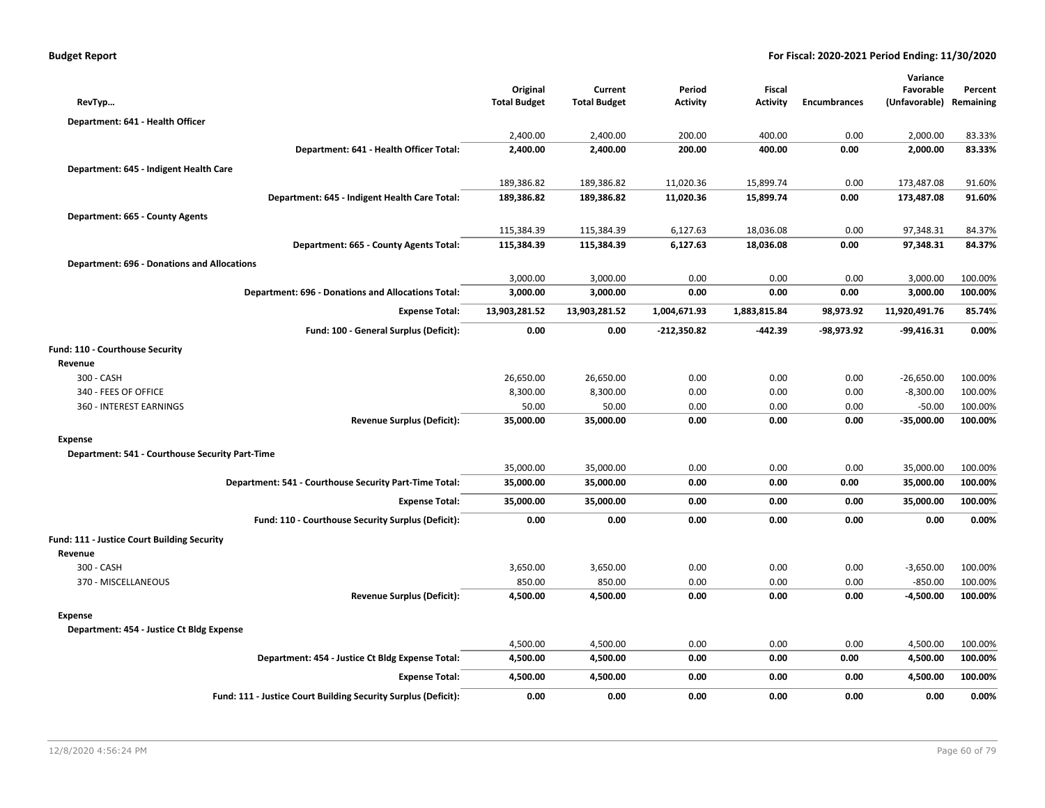|                                                    |                                                                | Original            | Current             | Period          | <b>Fiscal</b>   |                     | Variance<br>Favorable | Percent   |
|----------------------------------------------------|----------------------------------------------------------------|---------------------|---------------------|-----------------|-----------------|---------------------|-----------------------|-----------|
| RevTyp                                             |                                                                | <b>Total Budget</b> | <b>Total Budget</b> | <b>Activity</b> | <b>Activity</b> | <b>Encumbrances</b> | (Unfavorable)         | Remaining |
| Department: 641 - Health Officer                   |                                                                |                     |                     |                 |                 |                     |                       |           |
|                                                    |                                                                | 2,400.00            | 2,400.00            | 200.00          | 400.00          | 0.00                | 2,000.00              | 83.33%    |
|                                                    | Department: 641 - Health Officer Total:                        | 2,400.00            | 2,400.00            | 200.00          | 400.00          | 0.00                | 2,000.00              | 83.33%    |
| Department: 645 - Indigent Health Care             |                                                                |                     |                     |                 |                 |                     |                       |           |
|                                                    |                                                                | 189,386.82          | 189,386.82          | 11,020.36       | 15,899.74       | 0.00                | 173,487.08            | 91.60%    |
|                                                    | Department: 645 - Indigent Health Care Total:                  | 189,386.82          | 189,386.82          | 11,020.36       | 15,899.74       | 0.00                | 173,487.08            | 91.60%    |
| Department: 665 - County Agents                    |                                                                |                     |                     |                 |                 |                     |                       |           |
|                                                    |                                                                | 115,384.39          | 115,384.39          | 6,127.63        | 18,036.08       | 0.00                | 97,348.31             | 84.37%    |
|                                                    | Department: 665 - County Agents Total:                         | 115,384.39          | 115,384.39          | 6,127.63        | 18,036.08       | 0.00                | 97,348.31             | 84.37%    |
| <b>Department: 696 - Donations and Allocations</b> |                                                                |                     |                     |                 |                 |                     |                       |           |
|                                                    |                                                                | 3,000.00            | 3,000.00            | 0.00            | 0.00            | 0.00                | 3,000.00              | 100.00%   |
|                                                    | <b>Department: 696 - Donations and Allocations Total:</b>      | 3,000.00            | 3,000.00            | 0.00            | 0.00            | 0.00                | 3,000.00              | 100.00%   |
|                                                    | <b>Expense Total:</b>                                          | 13,903,281.52       | 13,903,281.52       | 1,004,671.93    | 1,883,815.84    | 98,973.92           | 11,920,491.76         | 85.74%    |
|                                                    | Fund: 100 - General Surplus (Deficit):                         | 0.00                | 0.00                | -212,350.82     | -442.39         | -98,973.92          | $-99,416.31$          | 0.00%     |
| Fund: 110 - Courthouse Security                    |                                                                |                     |                     |                 |                 |                     |                       |           |
| Revenue                                            |                                                                |                     |                     |                 |                 |                     |                       |           |
| 300 - CASH                                         |                                                                | 26,650.00           | 26,650.00           | 0.00            | 0.00            | 0.00                | $-26,650.00$          | 100.00%   |
| 340 - FEES OF OFFICE                               |                                                                | 8,300.00            | 8,300.00            | 0.00            | 0.00            | 0.00                | $-8,300.00$           | 100.00%   |
| 360 - INTEREST EARNINGS                            |                                                                | 50.00               | 50.00               | 0.00            | 0.00            | 0.00                | $-50.00$              | 100.00%   |
|                                                    | <b>Revenue Surplus (Deficit):</b>                              | 35,000.00           | 35,000.00           | 0.00            | 0.00            | 0.00                | $-35,000.00$          | 100.00%   |
| <b>Expense</b>                                     |                                                                |                     |                     |                 |                 |                     |                       |           |
| Department: 541 - Courthouse Security Part-Time    |                                                                |                     |                     |                 |                 |                     |                       |           |
|                                                    |                                                                | 35,000.00           | 35,000.00           | 0.00<br>0.00    | 0.00<br>0.00    | 0.00                | 35,000.00             | 100.00%   |
|                                                    | Department: 541 - Courthouse Security Part-Time Total:         | 35,000.00           | 35,000.00           |                 |                 | 0.00                | 35,000.00             | 100.00%   |
|                                                    | <b>Expense Total:</b>                                          | 35,000.00           | 35,000.00           | 0.00            | 0.00            | 0.00                | 35,000.00             | 100.00%   |
|                                                    | Fund: 110 - Courthouse Security Surplus (Deficit):             | 0.00                | 0.00                | 0.00            | 0.00            | 0.00                | 0.00                  | 0.00%     |
| Fund: 111 - Justice Court Building Security        |                                                                |                     |                     |                 |                 |                     |                       |           |
| Revenue                                            |                                                                |                     |                     |                 |                 |                     |                       |           |
| 300 - CASH                                         |                                                                | 3,650.00            | 3,650.00            | 0.00            | 0.00            | 0.00                | $-3,650.00$           | 100.00%   |
| 370 - MISCELLANEOUS                                |                                                                | 850.00              | 850.00              | 0.00            | 0.00            | 0.00                | $-850.00$             | 100.00%   |
|                                                    | <b>Revenue Surplus (Deficit):</b>                              | 4,500.00            | 4,500.00            | 0.00            | 0.00            | 0.00                | -4,500.00             | 100.00%   |
| <b>Expense</b>                                     |                                                                |                     |                     |                 |                 |                     |                       |           |
| Department: 454 - Justice Ct Bldg Expense          |                                                                |                     |                     |                 |                 |                     |                       |           |
|                                                    |                                                                | 4,500.00            | 4,500.00            | 0.00            | 0.00            | 0.00                | 4,500.00              | 100.00%   |
|                                                    | Department: 454 - Justice Ct Bldg Expense Total:               | 4,500.00            | 4,500.00            | 0.00            | 0.00            | 0.00                | 4,500.00              | 100.00%   |
|                                                    | <b>Expense Total:</b>                                          | 4,500.00            | 4,500.00            | 0.00            | 0.00            | 0.00                | 4,500.00              | 100.00%   |
|                                                    | Fund: 111 - Justice Court Building Security Surplus (Deficit): | 0.00                | 0.00                | 0.00            | 0.00            | 0.00                | 0.00                  | 0.00%     |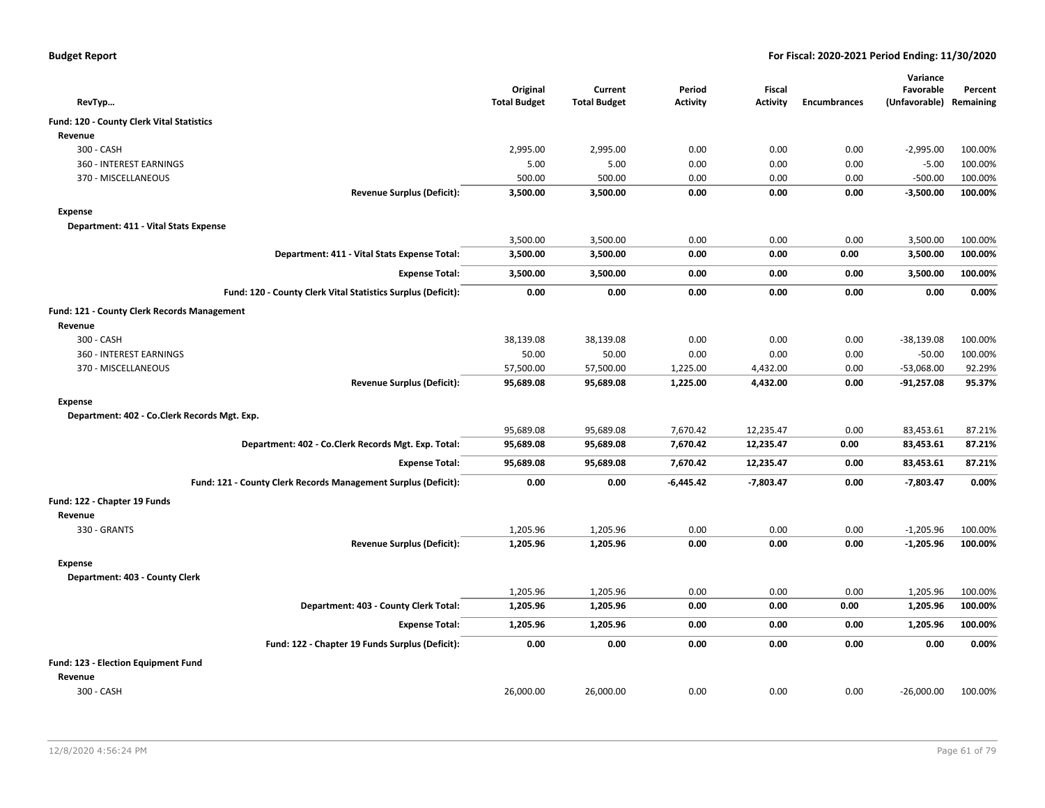|                                                                |                                 |                     |                 |                 |                     | Variance                   |           |
|----------------------------------------------------------------|---------------------------------|---------------------|-----------------|-----------------|---------------------|----------------------------|-----------|
|                                                                | Original<br><b>Total Budget</b> | Current             | Period          | <b>Fiscal</b>   | <b>Encumbrances</b> | Favorable<br>(Unfavorable) | Percent   |
| RevTyp                                                         |                                 | <b>Total Budget</b> | <b>Activity</b> | <b>Activity</b> |                     |                            | Remaining |
| Fund: 120 - County Clerk Vital Statistics                      |                                 |                     |                 |                 |                     |                            |           |
| Revenue                                                        |                                 |                     |                 |                 |                     |                            |           |
| 300 - CASH                                                     | 2,995.00                        | 2,995.00            | 0.00            | 0.00            | 0.00                | $-2,995.00$                | 100.00%   |
| 360 - INTEREST EARNINGS                                        | 5.00                            | 5.00                | 0.00            | 0.00            | 0.00                | $-5.00$                    | 100.00%   |
| 370 - MISCELLANEOUS                                            | 500.00                          | 500.00              | 0.00            | 0.00            | 0.00                | $-500.00$                  | 100.00%   |
| <b>Revenue Surplus (Deficit):</b>                              | 3,500.00                        | 3,500.00            | 0.00            | 0.00            | 0.00                | $-3,500.00$                | 100.00%   |
| <b>Expense</b>                                                 |                                 |                     |                 |                 |                     |                            |           |
| Department: 411 - Vital Stats Expense                          |                                 |                     |                 |                 |                     |                            |           |
|                                                                | 3,500.00                        | 3,500.00            | 0.00            | 0.00            | 0.00                | 3,500.00                   | 100.00%   |
| Department: 411 - Vital Stats Expense Total:                   | 3,500.00                        | 3,500.00            | 0.00            | 0.00            | 0.00                | 3,500.00                   | 100.00%   |
| <b>Expense Total:</b>                                          | 3,500.00                        | 3,500.00            | 0.00            | 0.00            | 0.00                | 3,500.00                   | 100.00%   |
| Fund: 120 - County Clerk Vital Statistics Surplus (Deficit):   | 0.00                            | 0.00                | 0.00            | 0.00            | 0.00                | 0.00                       | 0.00%     |
| Fund: 121 - County Clerk Records Management                    |                                 |                     |                 |                 |                     |                            |           |
| Revenue                                                        |                                 |                     |                 |                 |                     |                            |           |
| 300 - CASH                                                     | 38,139.08                       | 38,139.08           | 0.00            | 0.00            | 0.00                | $-38,139.08$               | 100.00%   |
| 360 - INTEREST EARNINGS                                        | 50.00                           | 50.00               | 0.00            | 0.00            | 0.00                | $-50.00$                   | 100.00%   |
| 370 - MISCELLANEOUS                                            | 57,500.00                       | 57,500.00           | 1,225.00        | 4,432.00        | 0.00                | $-53,068.00$               | 92.29%    |
| <b>Revenue Surplus (Deficit):</b>                              | 95,689.08                       | 95,689.08           | 1,225.00        | 4,432.00        | 0.00                | $-91,257.08$               | 95.37%    |
| <b>Expense</b>                                                 |                                 |                     |                 |                 |                     |                            |           |
| Department: 402 - Co.Clerk Records Mgt. Exp.                   |                                 |                     |                 |                 |                     |                            |           |
|                                                                | 95,689.08                       | 95,689.08           | 7,670.42        | 12,235.47       | 0.00                | 83,453.61                  | 87.21%    |
| Department: 402 - Co.Clerk Records Mgt. Exp. Total:            | 95,689.08                       | 95,689.08           | 7,670.42        | 12,235.47       | 0.00                | 83,453.61                  | 87.21%    |
|                                                                |                                 |                     |                 |                 |                     |                            |           |
| <b>Expense Total:</b>                                          | 95,689.08                       | 95,689.08           | 7,670.42        | 12,235.47       | 0.00                | 83,453.61                  | 87.21%    |
| Fund: 121 - County Clerk Records Management Surplus (Deficit): | 0.00                            | 0.00                | $-6,445.42$     | $-7,803.47$     | 0.00                | -7,803.47                  | 0.00%     |
| Fund: 122 - Chapter 19 Funds                                   |                                 |                     |                 |                 |                     |                            |           |
| Revenue                                                        |                                 |                     |                 |                 |                     |                            |           |
| 330 - GRANTS                                                   | 1,205.96                        | 1,205.96            | 0.00            | 0.00            | 0.00                | $-1,205.96$                | 100.00%   |
| <b>Revenue Surplus (Deficit):</b>                              | 1,205.96                        | 1,205.96            | 0.00            | 0.00            | 0.00                | $-1,205.96$                | 100.00%   |
| <b>Expense</b>                                                 |                                 |                     |                 |                 |                     |                            |           |
| Department: 403 - County Clerk                                 |                                 |                     |                 |                 |                     |                            |           |
|                                                                | 1,205.96                        | 1,205.96            | 0.00            | 0.00            | 0.00                | 1,205.96                   | 100.00%   |
| Department: 403 - County Clerk Total:                          | 1,205.96                        | 1,205.96            | 0.00            | 0.00            | 0.00                | 1,205.96                   | 100.00%   |
| <b>Expense Total:</b>                                          | 1,205.96                        | 1,205.96            | 0.00            | 0.00            | 0.00                | 1,205.96                   | 100.00%   |
| Fund: 122 - Chapter 19 Funds Surplus (Deficit):                | 0.00                            | 0.00                | 0.00            | 0.00            | 0.00                | 0.00                       | 0.00%     |
|                                                                |                                 |                     |                 |                 |                     |                            |           |
| Fund: 123 - Election Equipment Fund<br>Revenue                 |                                 |                     |                 |                 |                     |                            |           |
| 300 - CASH                                                     | 26,000.00                       | 26,000.00           | 0.00            | 0.00            | 0.00                | $-26,000.00$               | 100.00%   |
|                                                                |                                 |                     |                 |                 |                     |                            |           |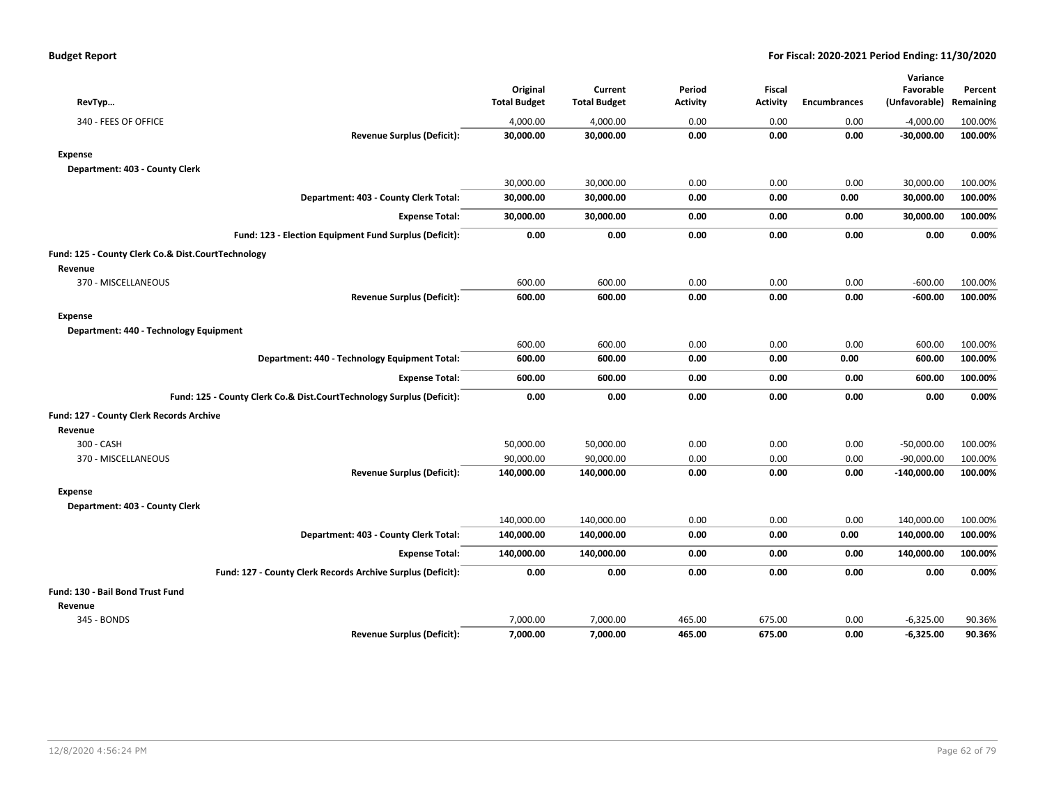|                                                                       |                     |                     |                 |                 |                     | Variance      |           |
|-----------------------------------------------------------------------|---------------------|---------------------|-----------------|-----------------|---------------------|---------------|-----------|
|                                                                       | Original            | Current             | Period          | Fiscal          |                     | Favorable     | Percent   |
| RevTyp                                                                | <b>Total Budget</b> | <b>Total Budget</b> | <b>Activity</b> | <b>Activity</b> | <b>Encumbrances</b> | (Unfavorable) | Remaining |
| 340 - FEES OF OFFICE                                                  | 4,000.00            | 4,000.00            | 0.00            | 0.00            | 0.00                | $-4,000.00$   | 100.00%   |
| <b>Revenue Surplus (Deficit):</b>                                     | 30,000.00           | 30,000.00           | 0.00            | 0.00            | 0.00                | $-30,000.00$  | 100.00%   |
| <b>Expense</b>                                                        |                     |                     |                 |                 |                     |               |           |
| Department: 403 - County Clerk                                        |                     |                     |                 |                 |                     |               |           |
|                                                                       | 30,000.00           | 30,000.00           | 0.00            | 0.00            | 0.00                | 30,000.00     | 100.00%   |
| Department: 403 - County Clerk Total:                                 | 30,000.00           | 30,000.00           | 0.00            | 0.00            | 0.00                | 30,000.00     | 100.00%   |
| <b>Expense Total:</b>                                                 | 30,000.00           | 30,000.00           | 0.00            | 0.00            | 0.00                | 30,000.00     | 100.00%   |
| Fund: 123 - Election Equipment Fund Surplus (Deficit):                | 0.00                | 0.00                | 0.00            | 0.00            | 0.00                | 0.00          | 0.00%     |
| Fund: 125 - County Clerk Co.& Dist.CourtTechnology                    |                     |                     |                 |                 |                     |               |           |
| Revenue                                                               |                     |                     |                 |                 |                     |               |           |
| 370 - MISCELLANEOUS                                                   | 600.00              | 600.00              | 0.00            | 0.00            | 0.00                | $-600.00$     | 100.00%   |
| <b>Revenue Surplus (Deficit):</b>                                     | 600.00              | 600.00              | 0.00            | 0.00            | 0.00                | $-600.00$     | 100.00%   |
| <b>Expense</b>                                                        |                     |                     |                 |                 |                     |               |           |
| Department: 440 - Technology Equipment                                |                     |                     |                 |                 |                     |               |           |
|                                                                       | 600.00              | 600.00              | 0.00            | 0.00            | 0.00                | 600.00        | 100.00%   |
| Department: 440 - Technology Equipment Total:                         | 600.00              | 600.00              | 0.00            | 0.00            | 0.00                | 600.00        | 100.00%   |
| <b>Expense Total:</b>                                                 | 600.00              | 600.00              | 0.00            | 0.00            | 0.00                | 600.00        | 100.00%   |
| Fund: 125 - County Clerk Co.& Dist.CourtTechnology Surplus (Deficit): | 0.00                | 0.00                | 0.00            | 0.00            | 0.00                | 0.00          | 0.00%     |
| Fund: 127 - County Clerk Records Archive                              |                     |                     |                 |                 |                     |               |           |
| Revenue                                                               |                     |                     |                 |                 |                     |               |           |
| 300 - CASH                                                            | 50,000.00           | 50,000.00           | 0.00            | 0.00            | 0.00                | $-50,000.00$  | 100.00%   |
| 370 - MISCELLANEOUS                                                   | 90,000.00           | 90,000.00           | 0.00            | 0.00            | 0.00                | $-90,000.00$  | 100.00%   |
| <b>Revenue Surplus (Deficit):</b>                                     | 140,000.00          | 140,000.00          | 0.00            | 0.00            | 0.00                | $-140,000.00$ | 100.00%   |
| <b>Expense</b>                                                        |                     |                     |                 |                 |                     |               |           |
| Department: 403 - County Clerk                                        |                     |                     |                 |                 |                     |               |           |
|                                                                       | 140,000.00          | 140,000.00          | 0.00            | 0.00            | 0.00                | 140,000.00    | 100.00%   |
| Department: 403 - County Clerk Total:                                 | 140,000.00          | 140,000.00          | 0.00            | 0.00            | 0.00                | 140,000.00    | 100.00%   |
| <b>Expense Total:</b>                                                 | 140,000.00          | 140,000.00          | 0.00            | 0.00            | 0.00                | 140,000.00    | 100.00%   |
| Fund: 127 - County Clerk Records Archive Surplus (Deficit):           | 0.00                | 0.00                | 0.00            | 0.00            | 0.00                | 0.00          | 0.00%     |
| Fund: 130 - Bail Bond Trust Fund                                      |                     |                     |                 |                 |                     |               |           |
| Revenue                                                               |                     |                     |                 |                 |                     |               |           |
| 345 - BONDS                                                           | 7,000.00            | 7,000.00            | 465.00          | 675.00          | 0.00                | $-6,325.00$   | 90.36%    |
| <b>Revenue Surplus (Deficit):</b>                                     | 7,000.00            | 7,000.00            | 465.00          | 675.00          | 0.00                | $-6,325.00$   | 90.36%    |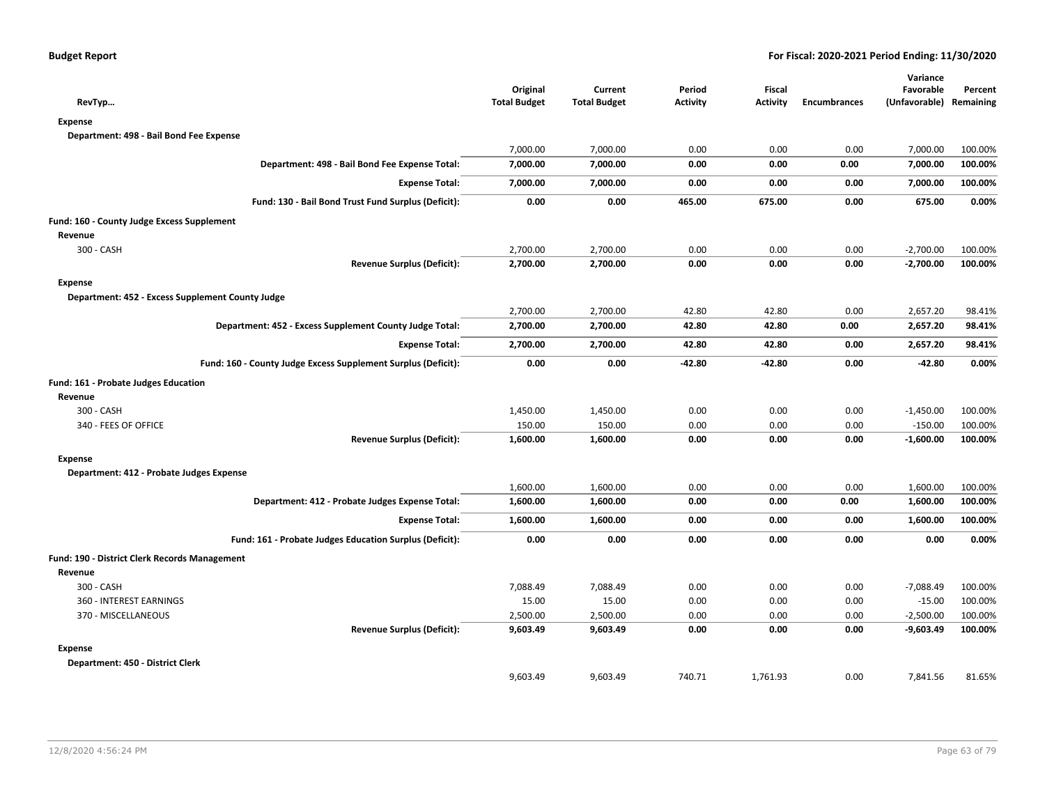| RevTyp                                                        | Original<br><b>Total Budget</b> | Current<br><b>Total Budget</b> | Period<br><b>Activity</b> | Fiscal<br><b>Activity</b> | <b>Encumbrances</b> | Variance<br>Favorable<br>(Unfavorable) Remaining | Percent |
|---------------------------------------------------------------|---------------------------------|--------------------------------|---------------------------|---------------------------|---------------------|--------------------------------------------------|---------|
| <b>Expense</b>                                                |                                 |                                |                           |                           |                     |                                                  |         |
| Department: 498 - Bail Bond Fee Expense                       |                                 |                                |                           |                           |                     |                                                  |         |
|                                                               | 7,000.00                        | 7,000.00                       | 0.00                      | 0.00                      | 0.00                | 7,000.00                                         | 100.00% |
| Department: 498 - Bail Bond Fee Expense Total:                | 7,000.00                        | 7,000.00                       | 0.00                      | 0.00                      | 0.00                | 7,000.00                                         | 100.00% |
| <b>Expense Total:</b>                                         | 7,000.00                        | 7,000.00                       | 0.00                      | 0.00                      | 0.00                | 7,000.00                                         | 100.00% |
| Fund: 130 - Bail Bond Trust Fund Surplus (Deficit):           | 0.00                            | 0.00                           | 465.00                    | 675.00                    | 0.00                | 675.00                                           | 0.00%   |
| Fund: 160 - County Judge Excess Supplement                    |                                 |                                |                           |                           |                     |                                                  |         |
| Revenue                                                       |                                 |                                |                           |                           |                     |                                                  |         |
| 300 - CASH                                                    | 2,700.00                        | 2,700.00                       | 0.00                      | 0.00                      | 0.00                | $-2,700.00$                                      | 100.00% |
| <b>Revenue Surplus (Deficit):</b>                             | 2,700.00                        | 2,700.00                       | 0.00                      | 0.00                      | 0.00                | $-2,700.00$                                      | 100.00% |
| <b>Expense</b>                                                |                                 |                                |                           |                           |                     |                                                  |         |
| Department: 452 - Excess Supplement County Judge              |                                 |                                |                           |                           |                     |                                                  |         |
|                                                               | 2,700.00                        | 2,700.00                       | 42.80                     | 42.80                     | 0.00                | 2,657.20                                         | 98.41%  |
| Department: 452 - Excess Supplement County Judge Total:       | 2,700.00                        | 2,700.00                       | 42.80                     | 42.80                     | 0.00                | 2,657.20                                         | 98.41%  |
| <b>Expense Total:</b>                                         | 2,700.00                        | 2,700.00                       | 42.80                     | 42.80                     | 0.00                | 2,657.20                                         | 98.41%  |
| Fund: 160 - County Judge Excess Supplement Surplus (Deficit): | 0.00                            | 0.00                           | -42.80                    | $-42.80$                  | 0.00                | $-42.80$                                         | 0.00%   |
| Fund: 161 - Probate Judges Education                          |                                 |                                |                           |                           |                     |                                                  |         |
| Revenue                                                       |                                 |                                |                           |                           |                     |                                                  |         |
| 300 - CASH                                                    | 1,450.00                        | 1,450.00                       | 0.00                      | 0.00                      | 0.00                | $-1,450.00$                                      | 100.00% |
| 340 - FEES OF OFFICE                                          | 150.00                          | 150.00                         | 0.00                      | 0.00                      | 0.00                | $-150.00$                                        | 100.00% |
| <b>Revenue Surplus (Deficit):</b>                             | 1,600.00                        | 1,600.00                       | 0.00                      | 0.00                      | 0.00                | $-1,600.00$                                      | 100.00% |
| <b>Expense</b>                                                |                                 |                                |                           |                           |                     |                                                  |         |
| Department: 412 - Probate Judges Expense                      |                                 |                                |                           |                           |                     |                                                  |         |
|                                                               | 1,600.00                        | 1,600.00                       | 0.00                      | 0.00                      | 0.00                | 1,600.00                                         | 100.00% |
| Department: 412 - Probate Judges Expense Total:               | 1,600.00                        | 1,600.00                       | 0.00                      | 0.00                      | 0.00                | 1,600.00                                         | 100.00% |
| <b>Expense Total:</b>                                         | 1,600.00                        | 1,600.00                       | 0.00                      | 0.00                      | 0.00                | 1,600.00                                         | 100.00% |
| Fund: 161 - Probate Judges Education Surplus (Deficit):       | 0.00                            | 0.00                           | 0.00                      | 0.00                      | 0.00                | 0.00                                             | 0.00%   |
| Fund: 190 - District Clerk Records Management                 |                                 |                                |                           |                           |                     |                                                  |         |
| Revenue                                                       |                                 |                                |                           |                           |                     |                                                  |         |
| 300 - CASH                                                    | 7,088.49                        | 7,088.49                       | 0.00                      | 0.00                      | 0.00                | $-7,088.49$                                      | 100.00% |
| 360 - INTEREST EARNINGS                                       | 15.00                           | 15.00                          | 0.00                      | 0.00                      | 0.00                | $-15.00$                                         | 100.00% |
| 370 - MISCELLANEOUS                                           | 2,500.00                        | 2,500.00                       | 0.00                      | 0.00                      | 0.00                | $-2,500.00$                                      | 100.00% |
| <b>Revenue Surplus (Deficit):</b>                             | 9,603.49                        | 9,603.49                       | 0.00                      | 0.00                      | 0.00                | $-9,603.49$                                      | 100.00% |
| <b>Expense</b>                                                |                                 |                                |                           |                           |                     |                                                  |         |
| Department: 450 - District Clerk                              |                                 |                                |                           |                           |                     |                                                  |         |
|                                                               | 9,603.49                        | 9,603.49                       | 740.71                    | 1,761.93                  | 0.00                | 7,841.56                                         | 81.65%  |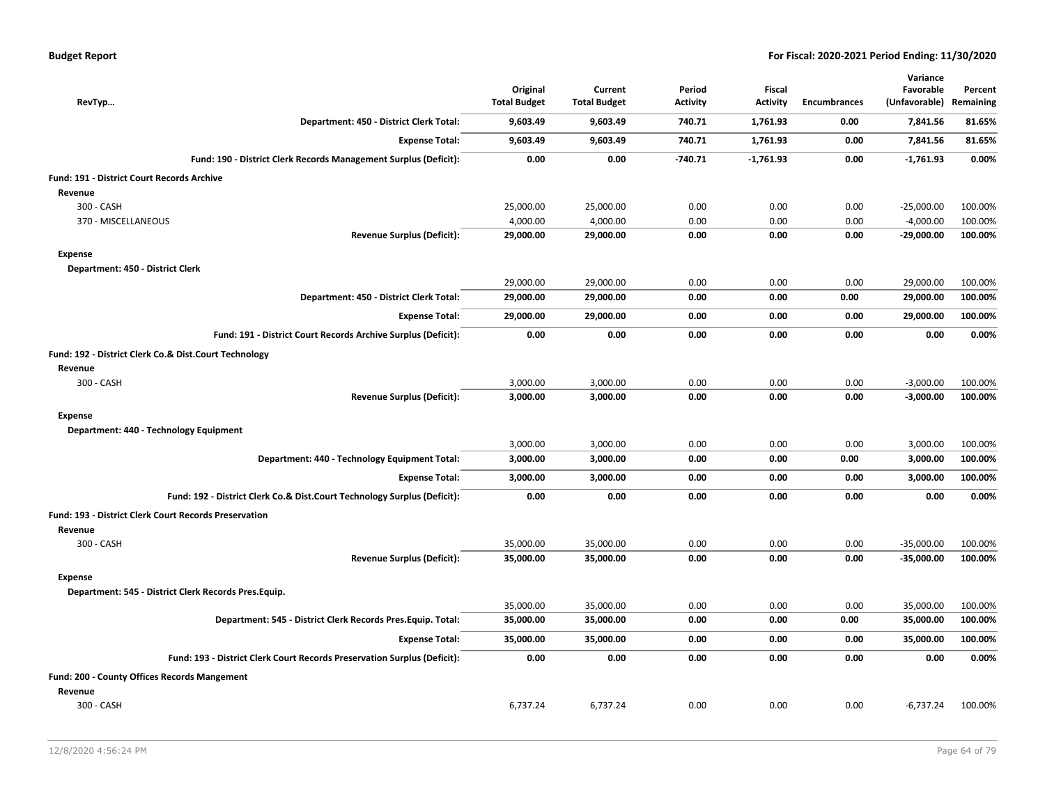| RevTyp                                                                   |                                   | Original<br><b>Total Budget</b> | Current<br><b>Total Budget</b> | Period<br><b>Activity</b> | Fiscal<br><b>Activity</b> | <b>Encumbrances</b> | Variance<br>Favorable<br>(Unfavorable) | Percent<br>Remaining |
|--------------------------------------------------------------------------|-----------------------------------|---------------------------------|--------------------------------|---------------------------|---------------------------|---------------------|----------------------------------------|----------------------|
| Department: 450 - District Clerk Total:                                  |                                   | 9,603.49                        | 9,603.49                       | 740.71                    | 1,761.93                  | 0.00                | 7,841.56                               | 81.65%               |
|                                                                          | <b>Expense Total:</b>             | 9,603.49                        | 9,603.49                       | 740.71                    | 1,761.93                  | 0.00                | 7,841.56                               | 81.65%               |
| Fund: 190 - District Clerk Records Management Surplus (Deficit):         |                                   | 0.00                            | 0.00                           | $-740.71$                 | $-1,761.93$               | 0.00                | $-1,761.93$                            | 0.00%                |
| <b>Fund: 191 - District Court Records Archive</b>                        |                                   |                                 |                                |                           |                           |                     |                                        |                      |
| Revenue                                                                  |                                   |                                 |                                |                           |                           |                     |                                        |                      |
| 300 - CASH                                                               |                                   | 25,000.00                       | 25,000.00                      | 0.00                      | 0.00                      | 0.00                | $-25,000.00$                           | 100.00%              |
| 370 - MISCELLANEOUS                                                      |                                   | 4,000.00                        | 4,000.00                       | 0.00                      | 0.00                      | 0.00                | $-4,000.00$                            | 100.00%              |
|                                                                          | <b>Revenue Surplus (Deficit):</b> | 29,000.00                       | 29,000.00                      | 0.00                      | 0.00                      | 0.00                | $-29,000.00$                           | 100.00%              |
| <b>Expense</b>                                                           |                                   |                                 |                                |                           |                           |                     |                                        |                      |
| Department: 450 - District Clerk                                         |                                   |                                 |                                |                           |                           |                     |                                        |                      |
|                                                                          |                                   | 29,000.00                       | 29,000.00                      | 0.00                      | 0.00                      | 0.00                | 29,000.00                              | 100.00%              |
| Department: 450 - District Clerk Total:                                  |                                   | 29,000.00                       | 29,000.00                      | 0.00                      | 0.00                      | 0.00                | 29,000.00                              | 100.00%              |
|                                                                          | <b>Expense Total:</b>             | 29,000.00                       | 29,000.00                      | 0.00                      | 0.00                      | 0.00                | 29,000.00                              | 100.00%              |
| Fund: 191 - District Court Records Archive Surplus (Deficit):            |                                   | 0.00                            | 0.00                           | 0.00                      | 0.00                      | 0.00                | 0.00                                   | 0.00%                |
| Fund: 192 - District Clerk Co.& Dist.Court Technology<br>Revenue         |                                   |                                 |                                |                           |                           |                     |                                        |                      |
| 300 - CASH                                                               |                                   | 3,000.00                        | 3,000.00                       | 0.00                      | 0.00                      | 0.00                | $-3,000.00$                            | 100.00%              |
|                                                                          | <b>Revenue Surplus (Deficit):</b> | 3,000.00                        | 3,000.00                       | 0.00                      | 0.00                      | 0.00                | $-3,000.00$                            | 100.00%              |
| <b>Expense</b>                                                           |                                   |                                 |                                |                           |                           |                     |                                        |                      |
| Department: 440 - Technology Equipment                                   |                                   |                                 |                                |                           |                           |                     |                                        |                      |
|                                                                          |                                   | 3,000.00                        | 3,000.00                       | 0.00                      | 0.00                      | 0.00                | 3,000.00                               | 100.00%              |
| Department: 440 - Technology Equipment Total:                            |                                   | 3,000.00                        | 3,000.00                       | 0.00                      | 0.00                      | 0.00                | 3,000.00                               | 100.00%              |
|                                                                          | <b>Expense Total:</b>             | 3,000.00                        | 3,000.00                       | 0.00                      | 0.00                      | 0.00                | 3,000.00                               | 100.00%              |
| Fund: 192 - District Clerk Co.& Dist.Court Technology Surplus (Deficit): |                                   | 0.00                            | 0.00                           | 0.00                      | 0.00                      | 0.00                | 0.00                                   | 0.00%                |
| <b>Fund: 193 - District Clerk Court Records Preservation</b><br>Revenue  |                                   |                                 |                                |                           |                           |                     |                                        |                      |
| 300 - CASH                                                               |                                   | 35,000.00                       | 35,000.00                      | 0.00                      | 0.00                      | 0.00                | $-35,000.00$                           | 100.00%              |
|                                                                          | <b>Revenue Surplus (Deficit):</b> | 35,000.00                       | 35,000.00                      | 0.00                      | 0.00                      | 0.00                | $-35,000.00$                           | 100.00%              |
| <b>Expense</b><br>Department: 545 - District Clerk Records Pres.Equip.   |                                   |                                 |                                |                           |                           |                     |                                        |                      |
|                                                                          |                                   | 35,000.00                       | 35,000.00                      | 0.00                      | 0.00                      | 0.00                | 35,000.00                              | 100.00%              |
| Department: 545 - District Clerk Records Pres. Equip. Total:             |                                   | 35,000.00                       | 35,000.00                      | 0.00                      | 0.00                      | 0.00                | 35,000.00                              | 100.00%              |
|                                                                          | <b>Expense Total:</b>             | 35,000.00                       | 35,000.00                      | 0.00                      | 0.00                      | 0.00                | 35,000.00                              | 100.00%              |
| Fund: 193 - District Clerk Court Records Preservation Surplus (Deficit): |                                   | 0.00                            | 0.00                           | 0.00                      | 0.00                      | 0.00                | 0.00                                   | 0.00%                |
| <b>Fund: 200 - County Offices Records Mangement</b>                      |                                   |                                 |                                |                           |                           |                     |                                        |                      |
| Revenue                                                                  |                                   |                                 |                                |                           |                           |                     |                                        |                      |
| 300 - CASH                                                               |                                   | 6,737.24                        | 6,737.24                       | 0.00                      | 0.00                      | 0.00                | $-6,737.24$                            | 100.00%              |
|                                                                          |                                   |                                 |                                |                           |                           |                     |                                        |                      |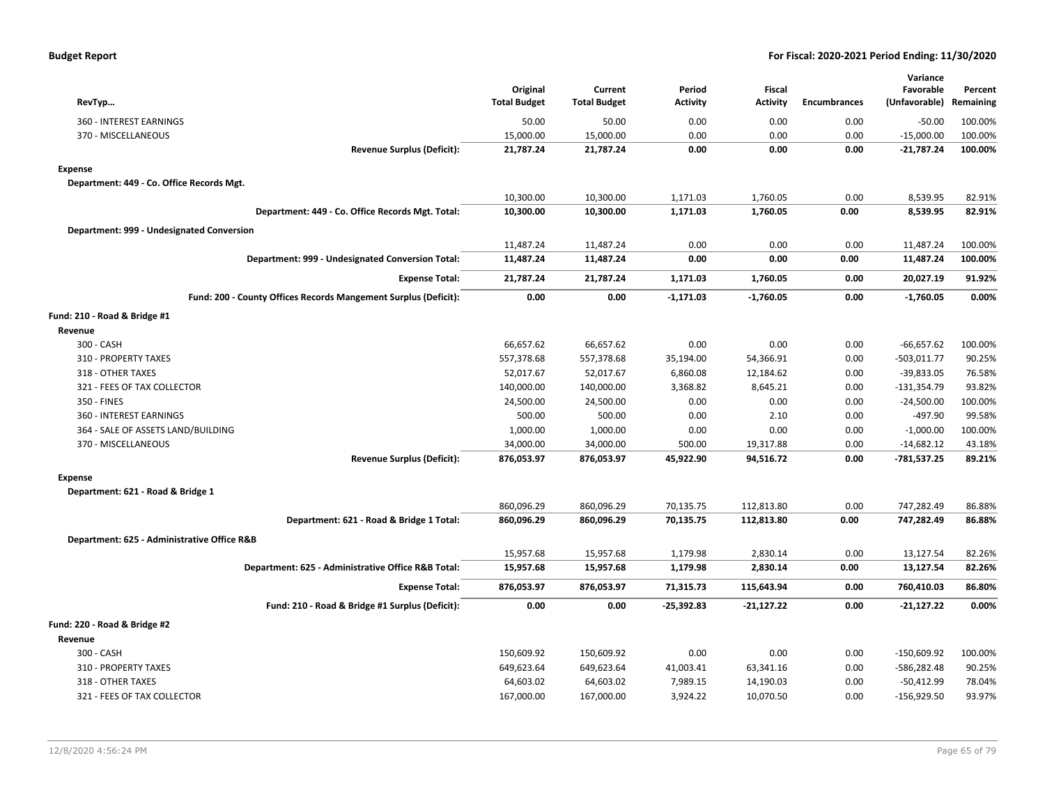| RevTyp                                                          | Original<br><b>Total Budget</b> | Current<br><b>Total Budget</b> | Period<br><b>Activity</b> | <b>Fiscal</b><br><b>Activity</b> | <b>Encumbrances</b> | Variance<br>Favorable<br>(Unfavorable) | Percent<br>Remaining |
|-----------------------------------------------------------------|---------------------------------|--------------------------------|---------------------------|----------------------------------|---------------------|----------------------------------------|----------------------|
| 360 - INTEREST EARNINGS                                         | 50.00                           | 50.00                          | 0.00                      | 0.00                             | 0.00                | $-50.00$                               | 100.00%              |
| 370 - MISCELLANEOUS                                             | 15,000.00                       | 15,000.00                      | 0.00                      | 0.00                             | 0.00                | $-15,000.00$                           | 100.00%              |
| <b>Revenue Surplus (Deficit):</b>                               | 21,787.24                       | 21,787.24                      | 0.00                      | 0.00                             | 0.00                | $-21,787.24$                           | 100.00%              |
| <b>Expense</b>                                                  |                                 |                                |                           |                                  |                     |                                        |                      |
| Department: 449 - Co. Office Records Mgt.                       |                                 |                                |                           |                                  |                     |                                        |                      |
|                                                                 | 10,300.00                       | 10,300.00                      | 1,171.03                  | 1,760.05                         | 0.00                | 8,539.95                               | 82.91%               |
| Department: 449 - Co. Office Records Mgt. Total:                | 10,300.00                       | 10,300.00                      | 1,171.03                  | 1,760.05                         | 0.00                | 8,539.95                               | 82.91%               |
| Department: 999 - Undesignated Conversion                       |                                 |                                |                           |                                  |                     |                                        |                      |
|                                                                 | 11,487.24                       | 11,487.24                      | 0.00                      | 0.00                             | 0.00                | 11,487.24                              | 100.00%              |
| Department: 999 - Undesignated Conversion Total:                | 11,487.24                       | 11,487.24                      | 0.00                      | 0.00                             | 0.00                | 11,487.24                              | 100.00%              |
| <b>Expense Total:</b>                                           | 21,787.24                       | 21,787.24                      | 1,171.03                  | 1,760.05                         | 0.00                | 20,027.19                              | 91.92%               |
| Fund: 200 - County Offices Records Mangement Surplus (Deficit): | 0.00                            | 0.00                           | $-1,171.03$               | $-1,760.05$                      | 0.00                | $-1,760.05$                            | 0.00%                |
| Fund: 210 - Road & Bridge #1                                    |                                 |                                |                           |                                  |                     |                                        |                      |
| Revenue                                                         |                                 |                                |                           |                                  |                     |                                        |                      |
| 300 - CASH                                                      | 66,657.62                       | 66,657.62                      | 0.00                      | 0.00                             | 0.00                | $-66,657.62$                           | 100.00%              |
| 310 - PROPERTY TAXES                                            | 557,378.68                      | 557,378.68                     | 35,194.00                 | 54,366.91                        | 0.00                | $-503,011.77$                          | 90.25%               |
| 318 - OTHER TAXES                                               | 52,017.67                       | 52,017.67                      | 6,860.08                  | 12,184.62                        | 0.00                | $-39,833.05$                           | 76.58%               |
| 321 - FEES OF TAX COLLECTOR                                     | 140,000.00                      | 140,000.00                     | 3,368.82                  | 8,645.21                         | 0.00                | $-131,354.79$                          | 93.82%               |
| 350 - FINES                                                     | 24,500.00                       | 24,500.00                      | 0.00                      | 0.00                             | 0.00                | $-24,500.00$                           | 100.00%              |
| 360 - INTEREST EARNINGS                                         | 500.00                          | 500.00                         | 0.00                      | 2.10                             | 0.00                | -497.90                                | 99.58%               |
| 364 - SALE OF ASSETS LAND/BUILDING                              | 1,000.00                        | 1,000.00                       | 0.00                      | 0.00                             | 0.00                | $-1,000.00$                            | 100.00%              |
| 370 - MISCELLANEOUS                                             | 34,000.00                       | 34,000.00                      | 500.00                    | 19,317.88                        | 0.00                | $-14,682.12$                           | 43.18%               |
| <b>Revenue Surplus (Deficit):</b>                               | 876,053.97                      | 876,053.97                     | 45,922.90                 | 94,516.72                        | 0.00                | $-781,537.25$                          | 89.21%               |
| <b>Expense</b>                                                  |                                 |                                |                           |                                  |                     |                                        |                      |
| Department: 621 - Road & Bridge 1                               |                                 |                                |                           |                                  |                     |                                        |                      |
|                                                                 | 860,096.29                      | 860,096.29                     | 70,135.75                 | 112,813.80                       | 0.00                | 747,282.49                             | 86.88%               |
| Department: 621 - Road & Bridge 1 Total:                        | 860,096.29                      | 860,096.29                     | 70,135.75                 | 112,813.80                       | 0.00                | 747,282.49                             | 86.88%               |
| Department: 625 - Administrative Office R&B                     |                                 |                                |                           |                                  |                     |                                        |                      |
|                                                                 | 15,957.68                       | 15,957.68                      | 1,179.98                  | 2,830.14                         | 0.00                | 13,127.54                              | 82.26%               |
| Department: 625 - Administrative Office R&B Total:              | 15,957.68                       | 15,957.68                      | 1,179.98                  | 2,830.14                         | 0.00                | 13,127.54                              | 82.26%               |
| <b>Expense Total:</b>                                           | 876,053.97                      | 876,053.97                     | 71,315.73                 | 115,643.94                       | 0.00                | 760,410.03                             | 86.80%               |
| Fund: 210 - Road & Bridge #1 Surplus (Deficit):                 | 0.00                            | 0.00                           | $-25,392.83$              | $-21,127.22$                     | 0.00                | $-21,127.22$                           | 0.00%                |
| Fund: 220 - Road & Bridge #2                                    |                                 |                                |                           |                                  |                     |                                        |                      |
| Revenue                                                         |                                 |                                |                           |                                  |                     |                                        |                      |
| 300 - CASH                                                      | 150,609.92                      | 150,609.92                     | 0.00                      | 0.00                             | 0.00                | $-150,609.92$                          | 100.00%              |
| 310 - PROPERTY TAXES                                            | 649,623.64                      | 649,623.64                     | 41,003.41                 | 63,341.16                        | 0.00                | $-586,282.48$                          | 90.25%               |
| 318 - OTHER TAXES                                               | 64,603.02                       | 64,603.02                      | 7,989.15                  | 14,190.03                        | 0.00                | $-50,412.99$                           | 78.04%               |
| 321 - FEES OF TAX COLLECTOR                                     | 167,000.00                      | 167,000.00                     | 3,924.22                  | 10,070.50                        | 0.00                | $-156,929.50$                          | 93.97%               |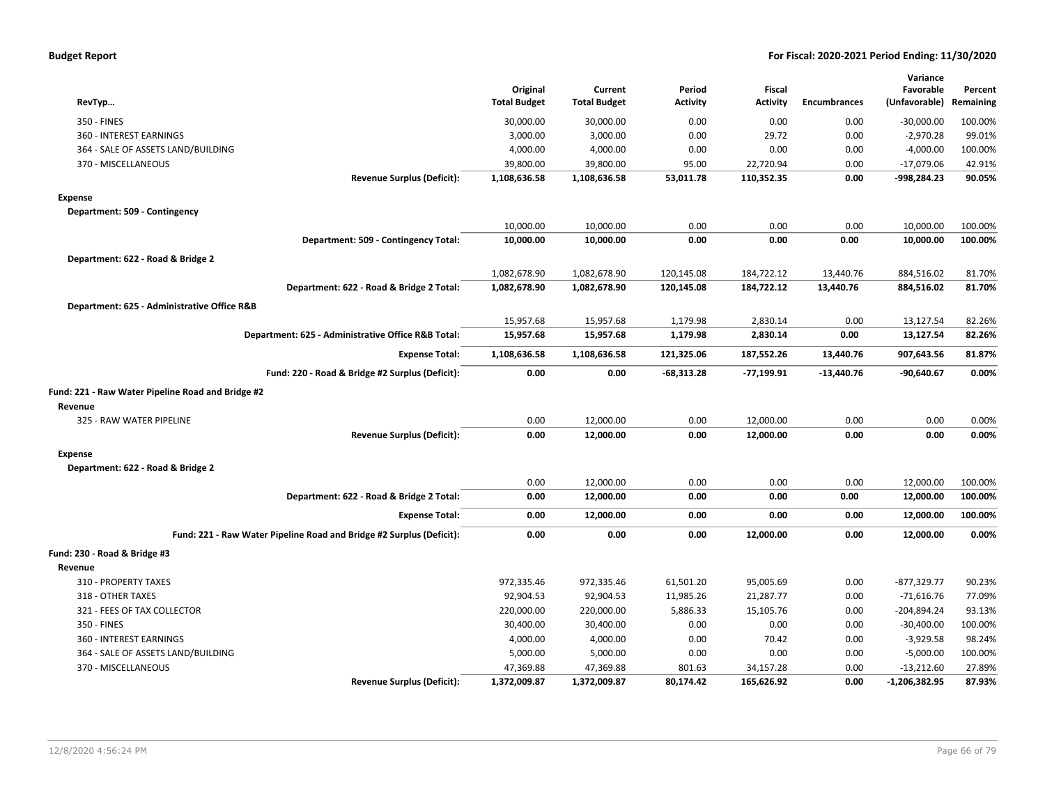| <b>Budget Report</b> |  |
|----------------------|--|
|----------------------|--|

| RevTyp                                                               | Original<br><b>Total Budget</b> | Current<br><b>Total Budget</b> | Period<br><b>Activity</b> | Fiscal<br>Activity | <b>Encumbrances</b> | Variance<br>Favorable<br>(Unfavorable) | Percent<br>Remaining |
|----------------------------------------------------------------------|---------------------------------|--------------------------------|---------------------------|--------------------|---------------------|----------------------------------------|----------------------|
| 350 - FINES                                                          | 30,000.00                       | 30,000.00                      | 0.00                      | 0.00               | 0.00                | $-30,000.00$                           | 100.00%              |
| 360 - INTEREST EARNINGS                                              | 3,000.00                        | 3,000.00                       | 0.00                      | 29.72              | 0.00                | $-2,970.28$                            | 99.01%               |
| 364 - SALE OF ASSETS LAND/BUILDING                                   | 4,000.00                        | 4,000.00                       | 0.00                      | 0.00               | 0.00                | $-4,000.00$                            | 100.00%              |
| 370 - MISCELLANEOUS                                                  | 39,800.00                       | 39,800.00                      | 95.00                     | 22,720.94          | 0.00                | $-17,079.06$                           | 42.91%               |
| <b>Revenue Surplus (Deficit):</b>                                    | 1,108,636.58                    | 1,108,636.58                   | 53,011.78                 | 110,352.35         | 0.00                | -998,284.23                            | 90.05%               |
| <b>Expense</b>                                                       |                                 |                                |                           |                    |                     |                                        |                      |
| Department: 509 - Contingency                                        |                                 |                                |                           |                    |                     |                                        |                      |
|                                                                      | 10,000.00                       | 10,000.00                      | 0.00                      | 0.00               | 0.00                | 10,000.00                              | 100.00%              |
| Department: 509 - Contingency Total:                                 | 10,000.00                       | 10,000.00                      | 0.00                      | 0.00               | 0.00                | 10,000.00                              | 100.00%              |
| Department: 622 - Road & Bridge 2                                    |                                 |                                |                           |                    |                     |                                        |                      |
|                                                                      | 1,082,678.90                    | 1,082,678.90                   | 120,145.08                | 184,722.12         | 13,440.76           | 884,516.02                             | 81.70%               |
| Department: 622 - Road & Bridge 2 Total:                             | 1,082,678.90                    | 1,082,678.90                   | 120,145.08                | 184,722.12         | 13,440.76           | 884,516.02                             | 81.70%               |
|                                                                      |                                 |                                |                           |                    |                     |                                        |                      |
| Department: 625 - Administrative Office R&B                          | 15,957.68                       | 15,957.68                      | 1,179.98                  | 2,830.14           | 0.00                | 13,127.54                              | 82.26%               |
| Department: 625 - Administrative Office R&B Total:                   | 15,957.68                       | 15,957.68                      | 1,179.98                  | 2,830.14           | 0.00                | 13,127.54                              | 82.26%               |
|                                                                      |                                 |                                |                           |                    |                     |                                        |                      |
| <b>Expense Total:</b>                                                | 1,108,636.58                    | 1,108,636.58                   | 121,325.06                | 187,552.26         | 13,440.76           | 907,643.56                             | 81.87%               |
| Fund: 220 - Road & Bridge #2 Surplus (Deficit):                      | 0.00                            | 0.00                           | $-68,313.28$              | $-77,199.91$       | $-13,440.76$        | $-90,640.67$                           | 0.00%                |
| Fund: 221 - Raw Water Pipeline Road and Bridge #2                    |                                 |                                |                           |                    |                     |                                        |                      |
| Revenue                                                              |                                 |                                |                           |                    |                     |                                        |                      |
| 325 - RAW WATER PIPELINE                                             | 0.00                            | 12,000.00                      | 0.00                      | 12,000.00          | 0.00                | 0.00                                   | 0.00%                |
| <b>Revenue Surplus (Deficit):</b>                                    | 0.00                            | 12,000.00                      | 0.00                      | 12,000.00          | 0.00                | 0.00                                   | 0.00%                |
| <b>Expense</b>                                                       |                                 |                                |                           |                    |                     |                                        |                      |
| Department: 622 - Road & Bridge 2                                    |                                 |                                |                           |                    |                     |                                        |                      |
|                                                                      | 0.00                            | 12,000.00                      | 0.00                      | 0.00               | 0.00                | 12,000.00                              | 100.00%              |
| Department: 622 - Road & Bridge 2 Total:                             | 0.00                            | 12,000.00                      | 0.00                      | 0.00               | 0.00                | 12,000.00                              | 100.00%              |
| <b>Expense Total:</b>                                                | 0.00                            | 12,000.00                      | 0.00                      | 0.00               | 0.00                | 12,000.00                              | 100.00%              |
| Fund: 221 - Raw Water Pipeline Road and Bridge #2 Surplus (Deficit): | 0.00                            | 0.00                           | 0.00                      | 12,000.00          | 0.00                | 12,000.00                              | 0.00%                |
| Fund: 230 - Road & Bridge #3                                         |                                 |                                |                           |                    |                     |                                        |                      |
| Revenue                                                              |                                 |                                |                           |                    |                     |                                        |                      |
| 310 - PROPERTY TAXES                                                 | 972,335.46                      | 972,335.46                     | 61,501.20                 | 95,005.69          | 0.00                | -877,329.77                            | 90.23%               |
| 318 - OTHER TAXES                                                    | 92,904.53                       | 92,904.53                      | 11,985.26                 | 21,287.77          | 0.00                | $-71,616.76$                           | 77.09%               |
| 321 - FEES OF TAX COLLECTOR                                          | 220,000.00                      | 220,000.00                     | 5,886.33                  | 15,105.76          | 0.00                | -204,894.24                            | 93.13%               |
| 350 - FINES                                                          | 30,400.00                       | 30,400.00                      | 0.00                      | 0.00               | 0.00                | $-30,400.00$                           | 100.00%              |
| 360 - INTEREST EARNINGS                                              | 4,000.00                        | 4,000.00                       | 0.00                      | 70.42              | 0.00                | $-3,929.58$                            | 98.24%               |
| 364 - SALE OF ASSETS LAND/BUILDING                                   | 5,000.00                        | 5,000.00                       | 0.00                      | 0.00               | 0.00                | $-5,000.00$                            | 100.00%              |
| 370 - MISCELLANEOUS                                                  | 47,369.88                       | 47,369.88                      | 801.63                    | 34,157.28          | 0.00                | $-13,212.60$                           | 27.89%               |
| <b>Revenue Surplus (Deficit):</b>                                    | 1,372,009.87                    | 1,372,009.87                   | 80,174.42                 | 165,626.92         | 0.00                | $-1,206,382.95$                        | 87.93%               |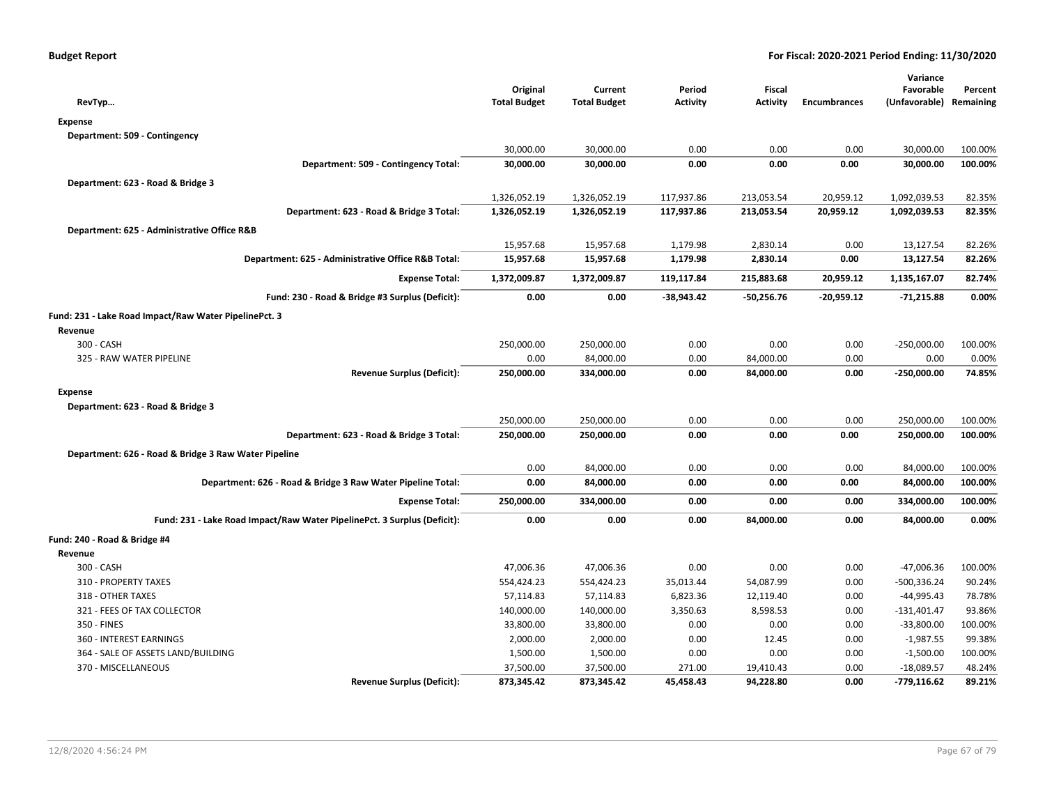| RevTyp                                                                   | Original<br><b>Total Budget</b> | Current<br><b>Total Budget</b> | Period<br>Activity | Fiscal<br>Activity | <b>Encumbrances</b> | Variance<br>Favorable<br>(Unfavorable) | Percent<br>Remaining |
|--------------------------------------------------------------------------|---------------------------------|--------------------------------|--------------------|--------------------|---------------------|----------------------------------------|----------------------|
| <b>Expense</b>                                                           |                                 |                                |                    |                    |                     |                                        |                      |
| Department: 509 - Contingency                                            |                                 |                                |                    |                    |                     |                                        |                      |
|                                                                          | 30,000.00                       | 30,000.00                      | 0.00               | 0.00               | 0.00                | 30,000.00                              | 100.00%              |
| Department: 509 - Contingency Total:                                     | 30,000.00                       | 30,000.00                      | 0.00               | 0.00               | 0.00                | 30,000.00                              | 100.00%              |
| Department: 623 - Road & Bridge 3                                        |                                 |                                |                    |                    |                     |                                        |                      |
|                                                                          | 1,326,052.19                    | 1,326,052.19                   | 117,937.86         | 213,053.54         | 20,959.12           | 1,092,039.53                           | 82.35%               |
| Department: 623 - Road & Bridge 3 Total:                                 | 1,326,052.19                    | 1,326,052.19                   | 117,937.86         | 213,053.54         | 20,959.12           | 1,092,039.53                           | 82.35%               |
| Department: 625 - Administrative Office R&B                              |                                 |                                |                    |                    |                     |                                        |                      |
|                                                                          | 15,957.68                       | 15,957.68                      | 1,179.98           | 2,830.14           | 0.00                | 13,127.54                              | 82.26%               |
| Department: 625 - Administrative Office R&B Total:                       | 15,957.68                       | 15,957.68                      | 1,179.98           | 2,830.14           | 0.00                | 13,127.54                              | 82.26%               |
| <b>Expense Total:</b>                                                    | 1,372,009.87                    | 1,372,009.87                   | 119,117.84         | 215,883.68         | 20,959.12           | 1,135,167.07                           | 82.74%               |
| Fund: 230 - Road & Bridge #3 Surplus (Deficit):                          | 0.00                            | 0.00                           | -38,943.42         | $-50,256.76$       | $-20,959.12$        | $-71,215.88$                           | 0.00%                |
| Fund: 231 - Lake Road Impact/Raw Water PipelinePct. 3                    |                                 |                                |                    |                    |                     |                                        |                      |
| Revenue                                                                  |                                 |                                |                    |                    |                     |                                        |                      |
| 300 - CASH                                                               | 250,000.00                      | 250,000.00                     | 0.00               | 0.00               | 0.00                | $-250,000.00$                          | 100.00%              |
| 325 - RAW WATER PIPELINE                                                 | 0.00                            | 84,000.00                      | 0.00               | 84,000.00          | 0.00                | 0.00                                   | 0.00%                |
| <b>Revenue Surplus (Deficit):</b>                                        | 250,000.00                      | 334,000.00                     | 0.00               | 84,000.00          | 0.00                | $-250,000.00$                          | 74.85%               |
| <b>Expense</b>                                                           |                                 |                                |                    |                    |                     |                                        |                      |
| Department: 623 - Road & Bridge 3                                        |                                 |                                |                    |                    |                     |                                        |                      |
|                                                                          | 250,000.00                      | 250,000.00                     | 0.00               | 0.00               | 0.00                | 250,000.00                             | 100.00%              |
| Department: 623 - Road & Bridge 3 Total:                                 | 250,000.00                      | 250,000.00                     | 0.00               | 0.00               | 0.00                | 250,000.00                             | 100.00%              |
| Department: 626 - Road & Bridge 3 Raw Water Pipeline                     |                                 |                                |                    |                    |                     |                                        |                      |
|                                                                          | 0.00                            | 84,000.00                      | 0.00               | 0.00               | 0.00                | 84,000.00                              | 100.00%              |
| Department: 626 - Road & Bridge 3 Raw Water Pipeline Total:              | 0.00                            | 84,000.00                      | 0.00               | 0.00               | 0.00                | 84,000.00                              | 100.00%              |
| <b>Expense Total:</b>                                                    | 250,000.00                      | 334,000.00                     | 0.00               | 0.00               | 0.00                | 334,000.00                             | 100.00%              |
| Fund: 231 - Lake Road Impact/Raw Water PipelinePct. 3 Surplus (Deficit): | 0.00                            | 0.00                           | 0.00               | 84,000.00          | 0.00                | 84,000.00                              | 0.00%                |
| Fund: 240 - Road & Bridge #4                                             |                                 |                                |                    |                    |                     |                                        |                      |
| Revenue                                                                  |                                 |                                |                    |                    |                     |                                        |                      |
| 300 - CASH                                                               | 47,006.36                       | 47,006.36                      | 0.00               | 0.00               | 0.00                | -47,006.36                             | 100.00%              |
| 310 - PROPERTY TAXES                                                     | 554,424.23                      | 554,424.23                     | 35,013.44          | 54,087.99          | 0.00                | $-500,336.24$                          | 90.24%               |
| 318 - OTHER TAXES                                                        | 57,114.83                       | 57,114.83                      | 6,823.36           | 12,119.40          | 0.00                | -44,995.43                             | 78.78%               |
| 321 - FEES OF TAX COLLECTOR                                              | 140,000.00                      | 140,000.00                     | 3,350.63           | 8,598.53           | 0.00                | $-131,401.47$                          | 93.86%               |
| 350 - FINES                                                              | 33,800.00                       | 33,800.00                      | 0.00               | 0.00               | 0.00                | $-33,800.00$                           | 100.00%              |
| 360 - INTEREST EARNINGS                                                  | 2,000.00                        | 2,000.00                       | 0.00               | 12.45              | 0.00                | $-1,987.55$                            | 99.38%               |
| 364 - SALE OF ASSETS LAND/BUILDING                                       | 1,500.00                        | 1,500.00                       | 0.00               | 0.00               | 0.00                | $-1,500.00$                            | 100.00%              |
| 370 - MISCELLANEOUS                                                      | 37,500.00                       | 37,500.00                      | 271.00             | 19,410.43          | 0.00                | $-18,089.57$                           | 48.24%               |
| <b>Revenue Surplus (Deficit):</b>                                        | 873,345.42                      | 873,345.42                     | 45,458.43          | 94,228.80          | 0.00                | $-779,116.62$                          | 89.21%               |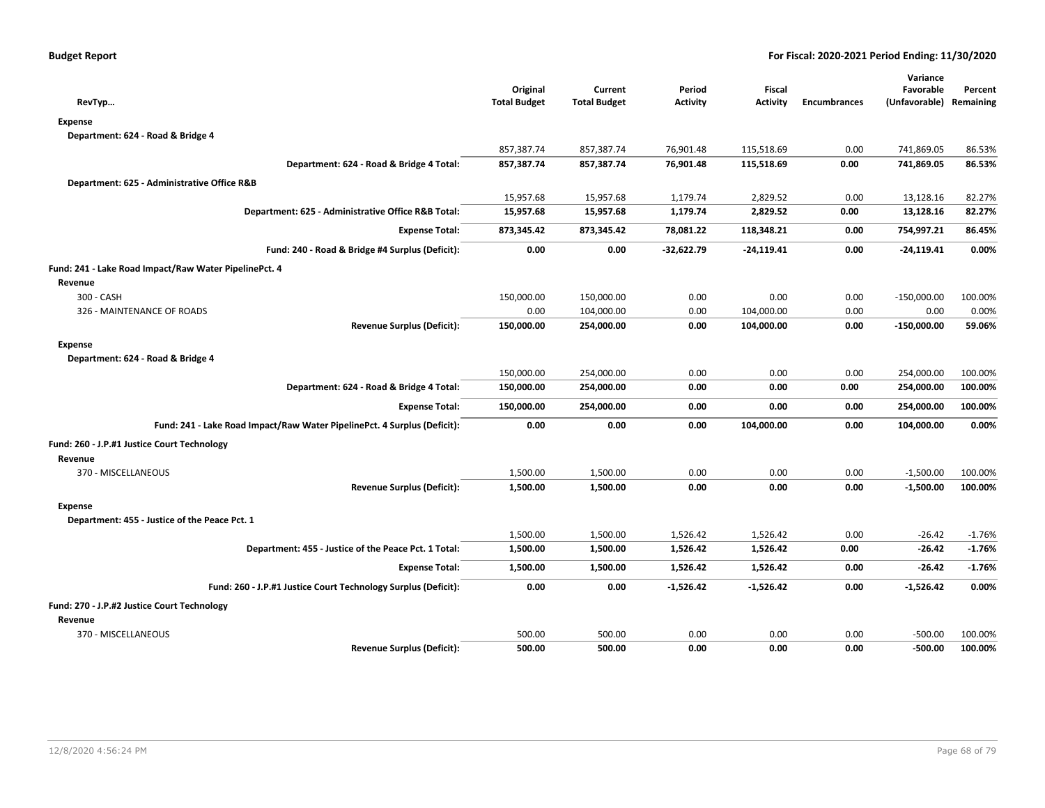|                                                                          |                     |                     |                 |                 |                     | Variance                |          |
|--------------------------------------------------------------------------|---------------------|---------------------|-----------------|-----------------|---------------------|-------------------------|----------|
|                                                                          | Original            | Current             | Period          | Fiscal          |                     | Favorable               | Percent  |
| RevTyp                                                                   | <b>Total Budget</b> | <b>Total Budget</b> | <b>Activity</b> | <b>Activity</b> | <b>Encumbrances</b> | (Unfavorable) Remaining |          |
| <b>Expense</b>                                                           |                     |                     |                 |                 |                     |                         |          |
| Department: 624 - Road & Bridge 4                                        |                     |                     |                 |                 |                     |                         |          |
|                                                                          | 857,387.74          | 857,387.74          | 76,901.48       | 115,518.69      | 0.00                | 741,869.05              | 86.53%   |
| Department: 624 - Road & Bridge 4 Total:                                 | 857,387.74          | 857,387.74          | 76,901.48       | 115,518.69      | 0.00                | 741,869.05              | 86.53%   |
| Department: 625 - Administrative Office R&B                              |                     |                     |                 |                 |                     |                         |          |
|                                                                          | 15,957.68           | 15,957.68           | 1,179.74        | 2,829.52        | 0.00                | 13,128.16               | 82.27%   |
| Department: 625 - Administrative Office R&B Total:                       | 15,957.68           | 15,957.68           | 1,179.74        | 2,829.52        | 0.00                | 13,128.16               | 82.27%   |
| <b>Expense Total:</b>                                                    | 873,345.42          | 873,345.42          | 78,081.22       | 118,348.21      | 0.00                | 754,997.21              | 86.45%   |
| Fund: 240 - Road & Bridge #4 Surplus (Deficit):                          | 0.00                | 0.00                | $-32,622.79$    | $-24,119.41$    | 0.00                | $-24,119.41$            | 0.00%    |
| Fund: 241 - Lake Road Impact/Raw Water PipelinePct. 4                    |                     |                     |                 |                 |                     |                         |          |
| Revenue                                                                  |                     |                     |                 |                 |                     |                         |          |
| 300 - CASH                                                               | 150,000.00          | 150,000.00          | 0.00            | 0.00            | 0.00                | $-150,000.00$           | 100.00%  |
| 326 - MAINTENANCE OF ROADS                                               | 0.00                | 104,000.00          | 0.00            | 104,000.00      | 0.00                | 0.00                    | 0.00%    |
| <b>Revenue Surplus (Deficit):</b>                                        | 150,000.00          | 254,000.00          | 0.00            | 104,000.00      | 0.00                | $-150,000.00$           | 59.06%   |
| <b>Expense</b>                                                           |                     |                     |                 |                 |                     |                         |          |
| Department: 624 - Road & Bridge 4                                        |                     |                     |                 |                 |                     |                         |          |
|                                                                          | 150,000.00          | 254,000.00          | 0.00            | 0.00            | 0.00                | 254,000.00              | 100.00%  |
| Department: 624 - Road & Bridge 4 Total:                                 | 150,000.00          | 254,000.00          | 0.00            | 0.00            | 0.00                | 254,000.00              | 100.00%  |
| <b>Expense Total:</b>                                                    | 150,000.00          | 254,000.00          | 0.00            | 0.00            | 0.00                | 254,000.00              | 100.00%  |
| Fund: 241 - Lake Road Impact/Raw Water PipelinePct. 4 Surplus (Deficit): | 0.00                | 0.00                | 0.00            | 104,000.00      | 0.00                | 104,000.00              | 0.00%    |
| Fund: 260 - J.P.#1 Justice Court Technology                              |                     |                     |                 |                 |                     |                         |          |
| Revenue                                                                  |                     |                     |                 |                 |                     |                         |          |
| 370 - MISCELLANEOUS                                                      | 1,500.00            | 1,500.00            | 0.00            | 0.00            | 0.00                | $-1,500.00$             | 100.00%  |
| <b>Revenue Surplus (Deficit):</b>                                        | 1,500.00            | 1,500.00            | 0.00            | 0.00            | 0.00                | $-1,500.00$             | 100.00%  |
| <b>Expense</b>                                                           |                     |                     |                 |                 |                     |                         |          |
| Department: 455 - Justice of the Peace Pct. 1                            |                     |                     |                 |                 |                     |                         |          |
|                                                                          | 1,500.00            | 1,500.00            | 1,526.42        | 1,526.42        | 0.00                | $-26.42$                | $-1.76%$ |
| Department: 455 - Justice of the Peace Pct. 1 Total:                     | 1,500.00            | 1,500.00            | 1,526.42        | 1,526.42        | 0.00                | $-26.42$                | $-1.76%$ |
| <b>Expense Total:</b>                                                    | 1,500.00            | 1,500.00            | 1,526.42        | 1,526.42        | 0.00                | -26.42                  | $-1.76%$ |
| Fund: 260 - J.P.#1 Justice Court Technology Surplus (Deficit):           | 0.00                | 0.00                | $-1,526.42$     | $-1,526.42$     | 0.00                | $-1,526.42$             | 0.00%    |
| Fund: 270 - J.P.#2 Justice Court Technology                              |                     |                     |                 |                 |                     |                         |          |
| Revenue                                                                  |                     |                     |                 |                 |                     |                         |          |
| 370 - MISCELLANEOUS                                                      | 500.00              | 500.00              | 0.00            | 0.00            | 0.00                | $-500.00$               | 100.00%  |
| <b>Revenue Surplus (Deficit):</b>                                        | 500.00              | 500.00              | 0.00            | 0.00            | 0.00                | $-500.00$               | 100.00%  |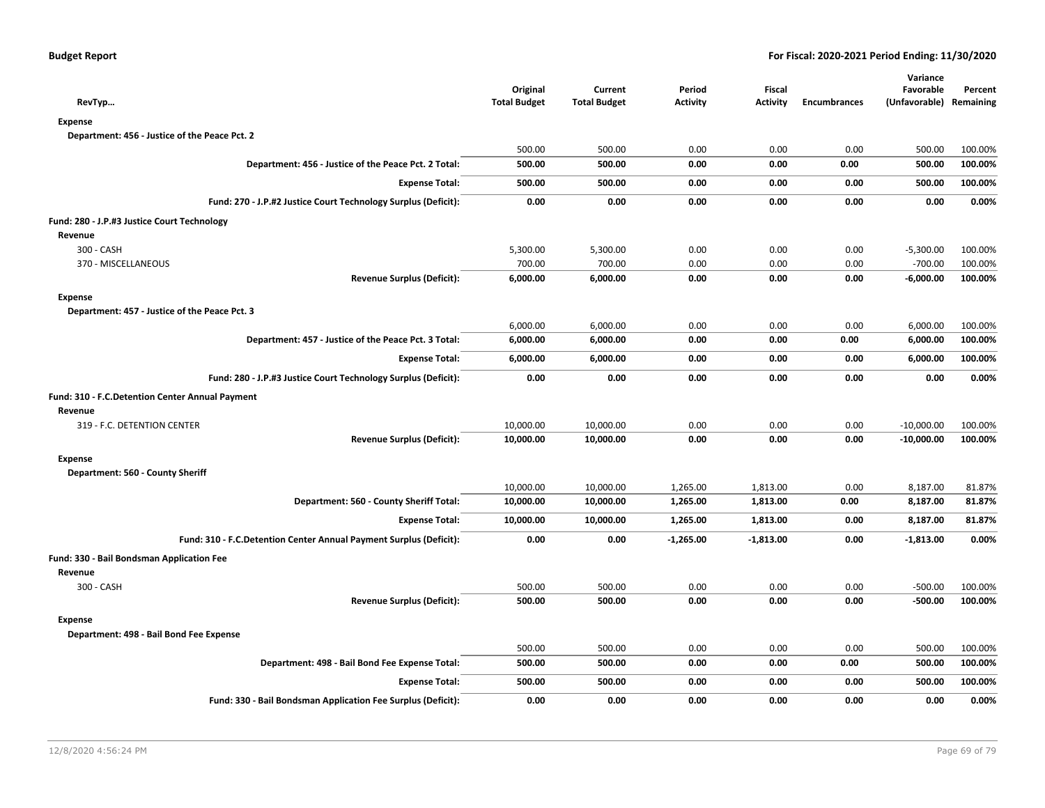| RevTyp                                                             | Original<br><b>Total Budget</b> | Current<br><b>Total Budget</b> | Period<br><b>Activity</b> | Fiscal<br><b>Activity</b> | <b>Encumbrances</b> | Variance<br>Favorable<br>(Unfavorable) | Percent<br>Remaining |
|--------------------------------------------------------------------|---------------------------------|--------------------------------|---------------------------|---------------------------|---------------------|----------------------------------------|----------------------|
| <b>Expense</b>                                                     |                                 |                                |                           |                           |                     |                                        |                      |
| Department: 456 - Justice of the Peace Pct. 2                      |                                 |                                |                           |                           |                     |                                        |                      |
|                                                                    | 500.00                          | 500.00                         | 0.00                      | 0.00                      | 0.00                | 500.00                                 | 100.00%              |
| Department: 456 - Justice of the Peace Pct. 2 Total:               | 500.00                          | 500.00                         | 0.00                      | 0.00                      | 0.00                | 500.00                                 | 100.00%              |
| <b>Expense Total:</b>                                              | 500.00                          | 500.00                         | 0.00                      | 0.00                      | 0.00                | 500.00                                 | 100.00%              |
| Fund: 270 - J.P.#2 Justice Court Technology Surplus (Deficit):     | 0.00                            | 0.00                           | 0.00                      | 0.00                      | 0.00                | 0.00                                   | 0.00%                |
| Fund: 280 - J.P.#3 Justice Court Technology                        |                                 |                                |                           |                           |                     |                                        |                      |
| Revenue                                                            |                                 |                                |                           |                           |                     |                                        |                      |
| 300 - CASH                                                         | 5,300.00                        | 5,300.00                       | 0.00                      | 0.00                      | 0.00                | $-5,300.00$                            | 100.00%              |
| 370 - MISCELLANEOUS                                                | 700.00                          | 700.00                         | 0.00                      | 0.00                      | 0.00                | $-700.00$                              | 100.00%              |
| <b>Revenue Surplus (Deficit):</b>                                  | 6,000.00                        | 6,000.00                       | 0.00                      | 0.00                      | 0.00                | $-6,000.00$                            | 100.00%              |
| <b>Expense</b>                                                     |                                 |                                |                           |                           |                     |                                        |                      |
| Department: 457 - Justice of the Peace Pct. 3                      |                                 |                                |                           |                           |                     |                                        |                      |
|                                                                    | 6,000.00                        | 6,000.00                       | 0.00                      | 0.00                      | 0.00                | 6,000.00                               | 100.00%              |
| Department: 457 - Justice of the Peace Pct. 3 Total:               | 6,000.00                        | 6,000.00                       | 0.00                      | 0.00                      | 0.00                | 6,000.00                               | 100.00%              |
| <b>Expense Total:</b>                                              | 6,000.00                        | 6,000.00                       | 0.00                      | 0.00                      | 0.00                | 6,000.00                               | 100.00%              |
| Fund: 280 - J.P.#3 Justice Court Technology Surplus (Deficit):     | 0.00                            | 0.00                           | 0.00                      | 0.00                      | 0.00                | 0.00                                   | 0.00%                |
| Fund: 310 - F.C.Detention Center Annual Payment                    |                                 |                                |                           |                           |                     |                                        |                      |
| Revenue                                                            |                                 |                                |                           |                           |                     |                                        |                      |
| 319 - F.C. DETENTION CENTER                                        | 10,000.00                       | 10,000.00                      | 0.00                      | 0.00                      | 0.00                | $-10,000.00$                           | 100.00%              |
| <b>Revenue Surplus (Deficit):</b>                                  | 10,000.00                       | 10,000.00                      | 0.00                      | 0.00                      | 0.00                | $-10,000.00$                           | 100.00%              |
| <b>Expense</b>                                                     |                                 |                                |                           |                           |                     |                                        |                      |
| Department: 560 - County Sheriff                                   |                                 |                                |                           |                           |                     |                                        |                      |
|                                                                    | 10,000.00                       | 10,000.00                      | 1,265.00                  | 1,813.00                  | 0.00                | 8,187.00                               | 81.87%               |
| Department: 560 - County Sheriff Total:                            | 10,000.00                       | 10,000.00                      | 1,265.00                  | 1,813.00                  | 0.00                | 8,187.00                               | 81.87%               |
| <b>Expense Total:</b>                                              | 10,000.00                       | 10,000.00                      | 1,265.00                  | 1,813.00                  | 0.00                | 8,187.00                               | 81.87%               |
| Fund: 310 - F.C.Detention Center Annual Payment Surplus (Deficit): | 0.00                            | 0.00                           | $-1,265.00$               | $-1,813.00$               | 0.00                | $-1,813.00$                            | 0.00%                |
| Fund: 330 - Bail Bondsman Application Fee                          |                                 |                                |                           |                           |                     |                                        |                      |
| Revenue                                                            |                                 |                                |                           |                           |                     |                                        |                      |
| 300 - CASH                                                         | 500.00                          | 500.00                         | 0.00                      | 0.00                      | 0.00                | $-500.00$                              | 100.00%              |
| <b>Revenue Surplus (Deficit):</b>                                  | 500.00                          | 500.00                         | 0.00                      | 0.00                      | 0.00                | $-500.00$                              | 100.00%              |
| Expense                                                            |                                 |                                |                           |                           |                     |                                        |                      |
| Department: 498 - Bail Bond Fee Expense                            |                                 |                                |                           |                           |                     |                                        |                      |
|                                                                    | 500.00                          | 500.00                         | 0.00                      | 0.00                      | 0.00                | 500.00                                 | 100.00%              |
| Department: 498 - Bail Bond Fee Expense Total:                     | 500.00                          | 500.00                         | 0.00                      | 0.00                      | 0.00                | 500.00                                 | 100.00%              |
| <b>Expense Total:</b>                                              | 500.00                          | 500.00                         | 0.00                      | 0.00                      | 0.00                | 500.00                                 | 100.00%              |
| Fund: 330 - Bail Bondsman Application Fee Surplus (Deficit):       | 0.00                            | 0.00                           | 0.00                      | 0.00                      | 0.00                | 0.00                                   | 0.00%                |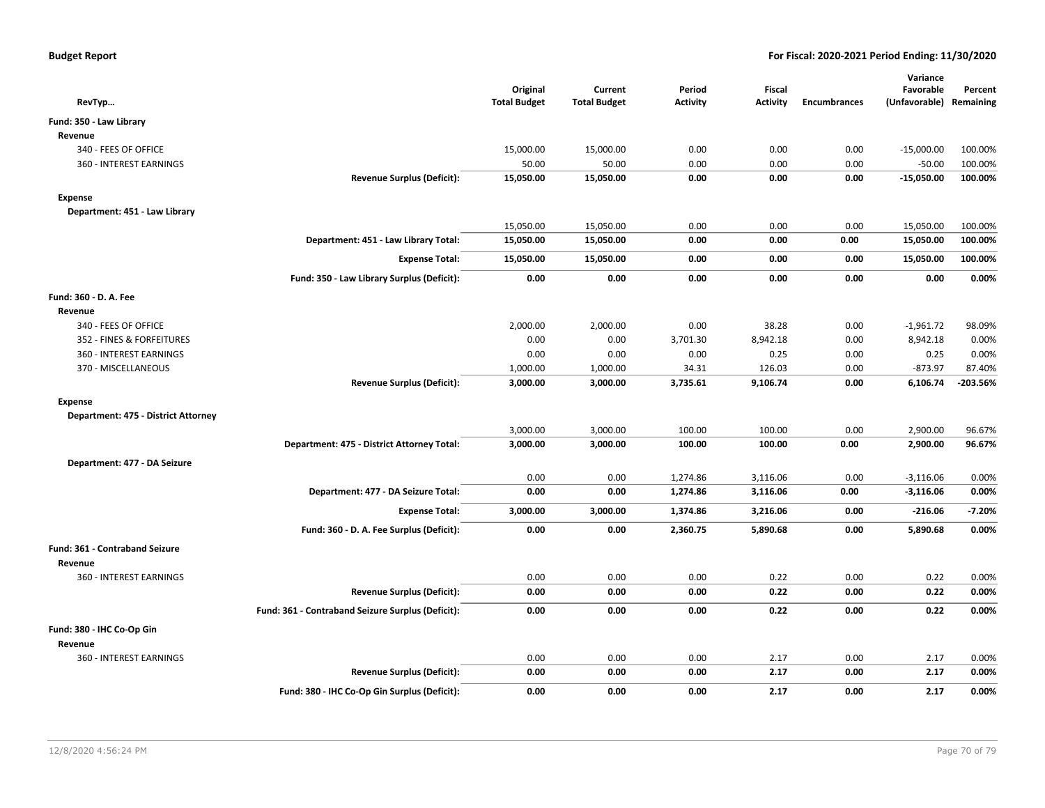| RevTyp                              |                                                   | Original<br><b>Total Budget</b> | Current<br><b>Total Budget</b> | Period<br><b>Activity</b> | <b>Fiscal</b><br><b>Activity</b> | <b>Encumbrances</b> | Variance<br>Favorable<br>(Unfavorable) Remaining | Percent    |
|-------------------------------------|---------------------------------------------------|---------------------------------|--------------------------------|---------------------------|----------------------------------|---------------------|--------------------------------------------------|------------|
| Fund: 350 - Law Library             |                                                   |                                 |                                |                           |                                  |                     |                                                  |            |
| Revenue                             |                                                   |                                 |                                |                           |                                  |                     |                                                  |            |
| 340 - FEES OF OFFICE                |                                                   | 15,000.00                       | 15,000.00                      | 0.00                      | 0.00                             | 0.00                | $-15,000.00$                                     | 100.00%    |
| 360 - INTEREST EARNINGS             |                                                   | 50.00                           | 50.00                          | 0.00                      | 0.00                             | 0.00                | $-50.00$                                         | 100.00%    |
|                                     | <b>Revenue Surplus (Deficit):</b>                 | 15,050.00                       | 15,050.00                      | 0.00                      | 0.00                             | 0.00                | $-15,050.00$                                     | 100.00%    |
| <b>Expense</b>                      |                                                   |                                 |                                |                           |                                  |                     |                                                  |            |
| Department: 451 - Law Library       |                                                   |                                 |                                |                           |                                  |                     |                                                  |            |
|                                     |                                                   | 15,050.00                       | 15,050.00                      | 0.00                      | 0.00                             | 0.00                | 15,050.00                                        | 100.00%    |
|                                     | Department: 451 - Law Library Total:              | 15,050.00                       | 15,050.00                      | 0.00                      | 0.00                             | 0.00                | 15,050.00                                        | 100.00%    |
|                                     | <b>Expense Total:</b>                             | 15,050.00                       | 15,050.00                      | 0.00                      | 0.00                             | 0.00                | 15,050.00                                        | 100.00%    |
|                                     | Fund: 350 - Law Library Surplus (Deficit):        | 0.00                            | 0.00                           | 0.00                      | 0.00                             | 0.00                | 0.00                                             | 0.00%      |
| Fund: 360 - D. A. Fee               |                                                   |                                 |                                |                           |                                  |                     |                                                  |            |
| Revenue                             |                                                   |                                 |                                |                           |                                  |                     |                                                  |            |
| 340 - FEES OF OFFICE                |                                                   | 2,000.00                        | 2,000.00                       | 0.00                      | 38.28                            | 0.00                | $-1,961.72$                                      | 98.09%     |
| 352 - FINES & FORFEITURES           |                                                   | 0.00                            | 0.00                           | 3,701.30                  | 8,942.18                         | 0.00                | 8,942.18                                         | 0.00%      |
| 360 - INTEREST EARNINGS             |                                                   | 0.00                            | 0.00                           | 0.00                      | 0.25                             | 0.00                | 0.25                                             | 0.00%      |
| 370 - MISCELLANEOUS                 |                                                   | 1,000.00                        | 1,000.00                       | 34.31                     | 126.03                           | 0.00                | $-873.97$                                        | 87.40%     |
|                                     | <b>Revenue Surplus (Deficit):</b>                 | 3,000.00                        | 3,000.00                       | 3,735.61                  | 9,106.74                         | 0.00                | 6,106.74                                         | $-203.56%$ |
| <b>Expense</b>                      |                                                   |                                 |                                |                           |                                  |                     |                                                  |            |
| Department: 475 - District Attorney |                                                   |                                 |                                |                           |                                  |                     |                                                  |            |
|                                     |                                                   | 3,000.00                        | 3,000.00                       | 100.00                    | 100.00                           | 0.00                | 2,900.00                                         | 96.67%     |
|                                     | Department: 475 - District Attorney Total:        | 3,000.00                        | 3,000.00                       | 100.00                    | 100.00                           | 0.00                | 2,900.00                                         | 96.67%     |
| Department: 477 - DA Seizure        |                                                   |                                 |                                |                           |                                  |                     |                                                  |            |
|                                     |                                                   | 0.00                            | 0.00                           | 1,274.86                  | 3,116.06                         | 0.00                | $-3,116.06$                                      | 0.00%      |
|                                     | Department: 477 - DA Seizure Total:               | 0.00                            | 0.00                           | 1,274.86                  | 3,116.06                         | 0.00                | $-3,116.06$                                      | 0.00%      |
|                                     | <b>Expense Total:</b>                             | 3,000.00                        | 3,000.00                       | 1,374.86                  | 3,216.06                         | 0.00                | $-216.06$                                        | $-7.20%$   |
|                                     | Fund: 360 - D. A. Fee Surplus (Deficit):          | 0.00                            | 0.00                           | 2,360.75                  | 5,890.68                         | 0.00                | 5,890.68                                         | 0.00%      |
| Fund: 361 - Contraband Seizure      |                                                   |                                 |                                |                           |                                  |                     |                                                  |            |
| Revenue                             |                                                   |                                 |                                |                           |                                  |                     |                                                  |            |
| 360 - INTEREST EARNINGS             |                                                   | 0.00                            | 0.00                           | 0.00                      | 0.22                             | 0.00                | 0.22                                             | 0.00%      |
|                                     | <b>Revenue Surplus (Deficit):</b>                 | 0.00                            | 0.00                           | 0.00                      | 0.22                             | 0.00                | 0.22                                             | 0.00%      |
|                                     | Fund: 361 - Contraband Seizure Surplus (Deficit): | 0.00                            | 0.00                           | 0.00                      | 0.22                             | 0.00                | 0.22                                             | 0.00%      |
| Fund: 380 - IHC Co-Op Gin           |                                                   |                                 |                                |                           |                                  |                     |                                                  |            |
| Revenue                             |                                                   |                                 |                                |                           |                                  |                     |                                                  |            |
| 360 - INTEREST EARNINGS             |                                                   | 0.00                            | 0.00                           | 0.00                      | 2.17                             | 0.00                | 2.17                                             | 0.00%      |
|                                     | <b>Revenue Surplus (Deficit):</b>                 | 0.00                            | 0.00                           | 0.00                      | 2.17                             | 0.00                | 2.17                                             | 0.00%      |
|                                     | Fund: 380 - IHC Co-Op Gin Surplus (Deficit):      | 0.00                            | 0.00                           | 0.00                      | 2.17                             | 0.00                | 2.17                                             | 0.00%      |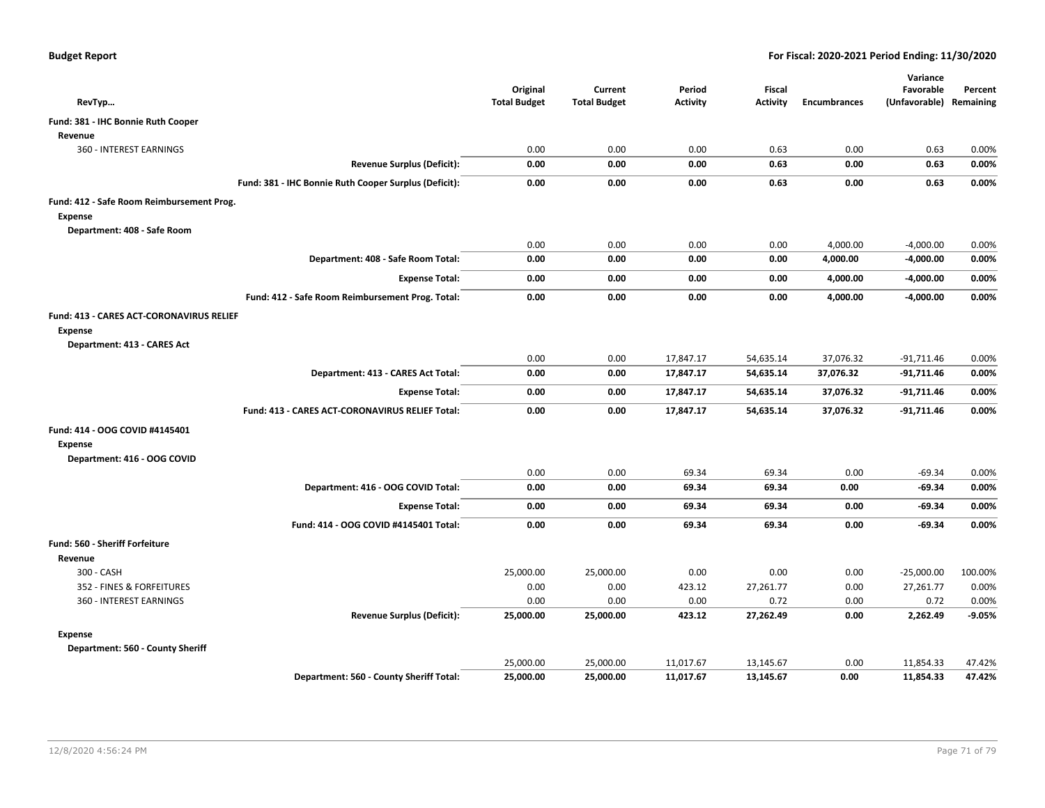| RevTyp                                                                                    | Original<br><b>Total Budget</b> | Current<br><b>Total Budget</b> | Period<br><b>Activity</b> | Fiscal<br><b>Activity</b> | <b>Encumbrances</b> | Variance<br>Favorable<br>(Unfavorable) Remaining | Percent  |
|-------------------------------------------------------------------------------------------|---------------------------------|--------------------------------|---------------------------|---------------------------|---------------------|--------------------------------------------------|----------|
| Fund: 381 - IHC Bonnie Ruth Cooper                                                        |                                 |                                |                           |                           |                     |                                                  |          |
| Revenue                                                                                   |                                 |                                |                           |                           |                     |                                                  |          |
| 360 - INTEREST EARNINGS                                                                   | 0.00                            | 0.00                           | 0.00                      | 0.63                      | 0.00                | 0.63                                             | 0.00%    |
| <b>Revenue Surplus (Deficit):</b>                                                         | 0.00                            | 0.00                           | 0.00                      | 0.63                      | 0.00                | 0.63                                             | 0.00%    |
| Fund: 381 - IHC Bonnie Ruth Cooper Surplus (Deficit):                                     | 0.00                            | 0.00                           | 0.00                      | 0.63                      | 0.00                | 0.63                                             | 0.00%    |
| Fund: 412 - Safe Room Reimbursement Prog.                                                 |                                 |                                |                           |                           |                     |                                                  |          |
| <b>Expense</b>                                                                            |                                 |                                |                           |                           |                     |                                                  |          |
| Department: 408 - Safe Room                                                               |                                 |                                |                           |                           |                     |                                                  |          |
|                                                                                           | 0.00                            | 0.00                           | 0.00                      | 0.00                      | 4,000.00            | $-4,000.00$                                      | 0.00%    |
| Department: 408 - Safe Room Total:                                                        | 0.00                            | 0.00                           | 0.00                      | 0.00                      | 4,000.00            | $-4,000.00$                                      | 0.00%    |
| <b>Expense Total:</b>                                                                     | 0.00                            | 0.00                           | 0.00                      | 0.00                      | 4,000.00            | $-4,000.00$                                      | 0.00%    |
| Fund: 412 - Safe Room Reimbursement Prog. Total:                                          | 0.00                            | 0.00                           | 0.00                      | 0.00                      | 4,000.00            | $-4,000.00$                                      | 0.00%    |
| Fund: 413 - CARES ACT-CORONAVIRUS RELIEF<br><b>Expense</b><br>Department: 413 - CARES Act |                                 |                                |                           |                           |                     |                                                  |          |
|                                                                                           | 0.00                            | 0.00                           | 17,847.17                 | 54,635.14                 | 37,076.32           | $-91,711.46$                                     | 0.00%    |
| Department: 413 - CARES Act Total:                                                        | 0.00                            | 0.00                           | 17,847.17                 | 54,635.14                 | 37,076.32           | -91,711.46                                       | 0.00%    |
| <b>Expense Total:</b>                                                                     | 0.00                            | 0.00                           | 17,847.17                 | 54,635.14                 | 37,076.32           | -91,711.46                                       | 0.00%    |
| Fund: 413 - CARES ACT-CORONAVIRUS RELIEF Total:                                           | 0.00                            | 0.00                           | 17,847.17                 | 54,635.14                 | 37,076.32           | $-91,711.46$                                     | 0.00%    |
| Fund: 414 - OOG COVID #4145401<br><b>Expense</b><br>Department: 416 - OOG COVID           |                                 |                                |                           |                           |                     |                                                  |          |
|                                                                                           | 0.00                            | 0.00                           | 69.34                     | 69.34                     | 0.00                | $-69.34$                                         | 0.00%    |
| Department: 416 - OOG COVID Total:                                                        | 0.00                            | 0.00                           | 69.34                     | 69.34                     | 0.00                | $-69.34$                                         | 0.00%    |
| <b>Expense Total:</b>                                                                     | 0.00                            | 0.00                           | 69.34                     | 69.34                     | 0.00                | $-69.34$                                         | 0.00%    |
| Fund: 414 - OOG COVID #4145401 Total:                                                     | 0.00                            | 0.00                           | 69.34                     | 69.34                     | 0.00                | $-69.34$                                         | 0.00%    |
| <b>Fund: 560 - Sheriff Forfeiture</b>                                                     |                                 |                                |                           |                           |                     |                                                  |          |
| Revenue                                                                                   |                                 |                                |                           |                           |                     |                                                  |          |
| 300 - CASH                                                                                | 25,000.00                       | 25,000.00                      | 0.00                      | 0.00                      | 0.00                | $-25,000.00$                                     | 100.00%  |
| 352 - FINES & FORFEITURES                                                                 | 0.00                            | 0.00                           | 423.12                    | 27,261.77                 | 0.00                | 27,261.77                                        | 0.00%    |
| 360 - INTEREST EARNINGS                                                                   | 0.00                            | 0.00                           | 0.00                      | 0.72                      | 0.00                | 0.72                                             | 0.00%    |
| <b>Revenue Surplus (Deficit):</b>                                                         | 25,000.00                       | 25,000.00                      | 423.12                    | 27,262.49                 | 0.00                | 2,262.49                                         | $-9.05%$ |
| Expense<br>Department: 560 - County Sheriff                                               |                                 |                                |                           |                           |                     |                                                  |          |
|                                                                                           | 25,000.00                       | 25,000.00                      | 11,017.67                 | 13,145.67                 | 0.00                | 11,854.33                                        | 47.42%   |
| Department: 560 - County Sheriff Total:                                                   | 25,000.00                       | 25,000.00                      | 11,017.67                 | 13,145.67                 | 0.00                | 11,854.33                                        | 47.42%   |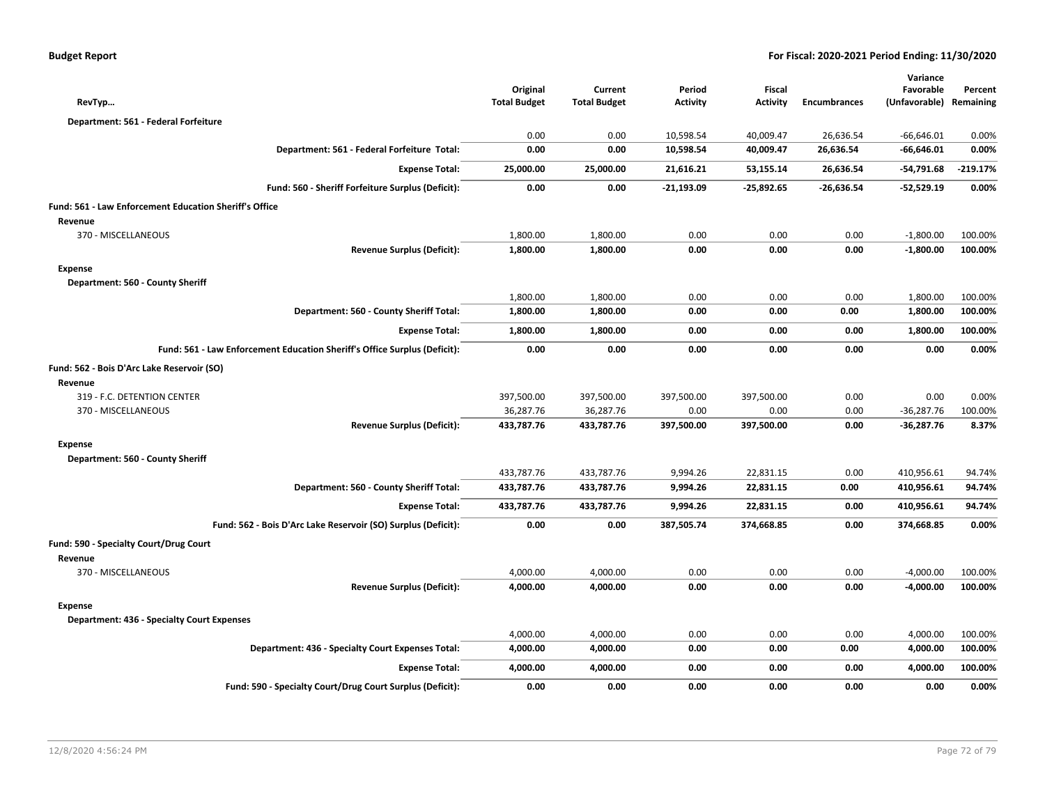| RevTyp                                                 |                                                                           | Original<br><b>Total Budget</b> | Current<br><b>Total Budget</b> | Period<br><b>Activity</b> | Fiscal<br><b>Activity</b> | <b>Encumbrances</b> | Variance<br>Favorable<br>(Unfavorable) | Percent<br>Remaining |
|--------------------------------------------------------|---------------------------------------------------------------------------|---------------------------------|--------------------------------|---------------------------|---------------------------|---------------------|----------------------------------------|----------------------|
| Department: 561 - Federal Forfeiture                   |                                                                           |                                 |                                |                           |                           |                     |                                        |                      |
|                                                        |                                                                           | 0.00                            | 0.00                           | 10,598.54                 | 40,009.47                 | 26,636.54           | $-66,646.01$                           | 0.00%                |
|                                                        | Department: 561 - Federal Forfeiture Total:                               | 0.00                            | 0.00                           | 10,598.54                 | 40,009.47                 | 26,636.54           | -66,646.01                             | 0.00%                |
|                                                        | <b>Expense Total:</b>                                                     | 25,000.00                       | 25,000.00                      | 21,616.21                 | 53,155.14                 | 26,636.54           | -54,791.68                             | $-219.17%$           |
|                                                        | Fund: 560 - Sheriff Forfeiture Surplus (Deficit):                         | 0.00                            | 0.00                           | -21,193.09                | $-25,892.65$              | $-26,636.54$        | $-52,529.19$                           | 0.00%                |
| Fund: 561 - Law Enforcement Education Sheriff's Office |                                                                           |                                 |                                |                           |                           |                     |                                        |                      |
| Revenue                                                |                                                                           |                                 |                                |                           |                           |                     |                                        |                      |
| 370 - MISCELLANEOUS                                    |                                                                           | 1,800.00                        | 1,800.00                       | 0.00                      | 0.00                      | 0.00                | $-1,800.00$                            | 100.00%              |
|                                                        | <b>Revenue Surplus (Deficit):</b>                                         | 1,800.00                        | 1,800.00                       | 0.00                      | 0.00                      | 0.00                | $-1,800.00$                            | 100.00%              |
| <b>Expense</b>                                         |                                                                           |                                 |                                |                           |                           |                     |                                        |                      |
| Department: 560 - County Sheriff                       |                                                                           |                                 |                                |                           |                           |                     |                                        |                      |
|                                                        |                                                                           | 1,800.00                        | 1,800.00                       | 0.00                      | 0.00                      | 0.00                | 1,800.00                               | 100.00%              |
|                                                        | Department: 560 - County Sheriff Total:                                   | 1,800.00                        | 1,800.00                       | 0.00                      | 0.00                      | 0.00                | 1,800.00                               | 100.00%              |
|                                                        | <b>Expense Total:</b>                                                     | 1,800.00                        | 1,800.00                       | 0.00                      | 0.00                      | 0.00                | 1,800.00                               | 100.00%              |
|                                                        | Fund: 561 - Law Enforcement Education Sheriff's Office Surplus (Deficit): | 0.00                            | 0.00                           | 0.00                      | 0.00                      | 0.00                | 0.00                                   | 0.00%                |
| Fund: 562 - Bois D'Arc Lake Reservoir (SO)             |                                                                           |                                 |                                |                           |                           |                     |                                        |                      |
| Revenue                                                |                                                                           |                                 |                                |                           |                           |                     |                                        |                      |
| 319 - F.C. DETENTION CENTER                            |                                                                           | 397,500.00                      | 397,500.00                     | 397,500.00                | 397,500.00                | 0.00                | 0.00                                   | 0.00%                |
| 370 - MISCELLANEOUS                                    |                                                                           | 36,287.76                       | 36,287.76                      | 0.00                      | 0.00                      | 0.00                | $-36,287.76$                           | 100.00%              |
|                                                        | <b>Revenue Surplus (Deficit):</b>                                         | 433,787.76                      | 433,787.76                     | 397,500.00                | 397,500.00                | 0.00                | -36,287.76                             | 8.37%                |
| <b>Expense</b>                                         |                                                                           |                                 |                                |                           |                           |                     |                                        |                      |
| Department: 560 - County Sheriff                       |                                                                           |                                 |                                |                           |                           |                     |                                        |                      |
|                                                        |                                                                           | 433,787.76                      | 433,787.76                     | 9,994.26                  | 22,831.15                 | 0.00                | 410,956.61                             | 94.74%               |
|                                                        | Department: 560 - County Sheriff Total:                                   | 433,787.76                      | 433,787.76                     | 9,994.26                  | 22,831.15                 | 0.00                | 410,956.61                             | 94.74%               |
|                                                        | <b>Expense Total:</b>                                                     | 433,787.76                      | 433,787.76                     | 9,994.26                  | 22,831.15                 | 0.00                | 410,956.61                             | 94.74%               |
|                                                        | Fund: 562 - Bois D'Arc Lake Reservoir (SO) Surplus (Deficit):             | 0.00                            | 0.00                           | 387,505.74                | 374,668.85                | 0.00                | 374,668.85                             | 0.00%                |
| Fund: 590 - Specialty Court/Drug Court                 |                                                                           |                                 |                                |                           |                           |                     |                                        |                      |
| Revenue                                                |                                                                           |                                 |                                |                           |                           |                     |                                        |                      |
| 370 - MISCELLANEOUS                                    |                                                                           | 4,000.00                        | 4,000.00                       | 0.00                      | 0.00                      | 0.00                | $-4,000.00$                            | 100.00%              |
|                                                        | <b>Revenue Surplus (Deficit):</b>                                         | 4,000.00                        | 4,000.00                       | 0.00                      | 0.00                      | 0.00                | $-4,000.00$                            | 100.00%              |
| <b>Expense</b>                                         |                                                                           |                                 |                                |                           |                           |                     |                                        |                      |
| <b>Department: 436 - Specialty Court Expenses</b>      |                                                                           |                                 |                                |                           |                           |                     |                                        |                      |
|                                                        |                                                                           | 4,000.00                        | 4,000.00                       | 0.00                      | 0.00                      | 0.00                | 4,000.00                               | 100.00%              |
|                                                        | Department: 436 - Specialty Court Expenses Total:                         | 4,000.00                        | 4,000.00                       | 0.00                      | 0.00                      | 0.00                | 4,000.00                               | 100.00%              |
|                                                        | <b>Expense Total:</b>                                                     | 4,000.00                        | 4,000.00                       | 0.00                      | 0.00                      | 0.00                | 4,000.00                               | 100.00%              |
|                                                        | Fund: 590 - Specialty Court/Drug Court Surplus (Deficit):                 | 0.00                            | 0.00                           | 0.00                      | 0.00                      | 0.00                | 0.00                                   | 0.00%                |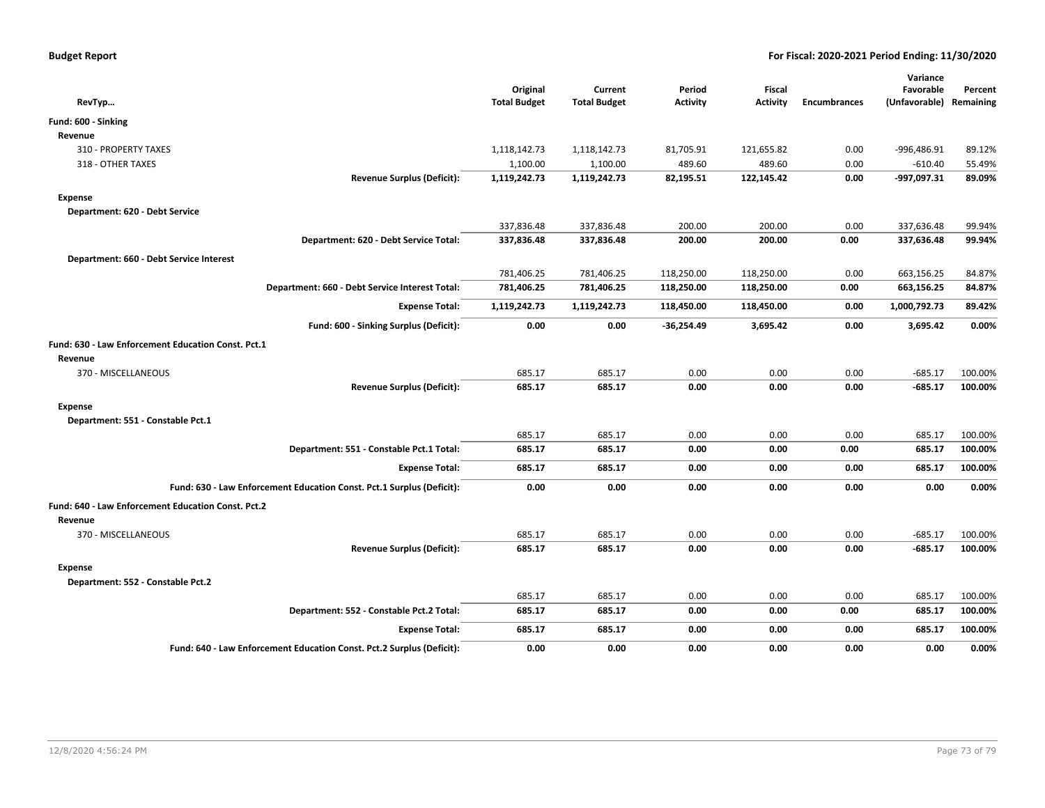|                                                                       | Original            | Current             | Period       | Fiscal          |                     | Variance<br>Favorable   | Percent |
|-----------------------------------------------------------------------|---------------------|---------------------|--------------|-----------------|---------------------|-------------------------|---------|
| RevTyp                                                                | <b>Total Budget</b> | <b>Total Budget</b> | Activity     | <b>Activity</b> | <b>Encumbrances</b> | (Unfavorable) Remaining |         |
| Fund: 600 - Sinking                                                   |                     |                     |              |                 |                     |                         |         |
| Revenue                                                               |                     |                     |              |                 |                     |                         |         |
| 310 - PROPERTY TAXES                                                  | 1,118,142.73        | 1,118,142.73        | 81,705.91    | 121,655.82      | 0.00                | -996,486.91             | 89.12%  |
| 318 - OTHER TAXES                                                     | 1,100.00            | 1,100.00            | 489.60       | 489.60          | 0.00                | $-610.40$               | 55.49%  |
| <b>Revenue Surplus (Deficit):</b>                                     | 1,119,242.73        | 1,119,242.73        | 82,195.51    | 122,145.42      | 0.00                | -997,097.31             | 89.09%  |
| <b>Expense</b>                                                        |                     |                     |              |                 |                     |                         |         |
| Department: 620 - Debt Service                                        |                     |                     |              |                 |                     |                         |         |
|                                                                       | 337,836.48          | 337,836.48          | 200.00       | 200.00          | 0.00                | 337,636.48              | 99.94%  |
| Department: 620 - Debt Service Total:                                 | 337,836.48          | 337,836.48          | 200.00       | 200.00          | 0.00                | 337,636.48              | 99.94%  |
| Department: 660 - Debt Service Interest                               |                     |                     |              |                 |                     |                         |         |
|                                                                       | 781,406.25          | 781,406.25          | 118,250.00   | 118,250.00      | 0.00                | 663,156.25              | 84.87%  |
| Department: 660 - Debt Service Interest Total:                        | 781,406.25          | 781,406.25          | 118,250.00   | 118,250.00      | 0.00                | 663,156.25              | 84.87%  |
| <b>Expense Total:</b>                                                 | 1,119,242.73        | 1,119,242.73        | 118,450.00   | 118,450.00      | 0.00                | 1,000,792.73            | 89.42%  |
| Fund: 600 - Sinking Surplus (Deficit):                                | 0.00                | 0.00                | $-36,254.49$ | 3,695.42        | 0.00                | 3,695.42                | 0.00%   |
| Fund: 630 - Law Enforcement Education Const. Pct.1                    |                     |                     |              |                 |                     |                         |         |
| Revenue                                                               |                     |                     |              |                 |                     |                         |         |
| 370 - MISCELLANEOUS                                                   | 685.17              | 685.17              | 0.00         | 0.00            | 0.00                | $-685.17$               | 100.00% |
| <b>Revenue Surplus (Deficit):</b>                                     | 685.17              | 685.17              | 0.00         | 0.00            | 0.00                | $-685.17$               | 100.00% |
| <b>Expense</b>                                                        |                     |                     |              |                 |                     |                         |         |
| Department: 551 - Constable Pct.1                                     |                     |                     |              |                 |                     |                         |         |
|                                                                       | 685.17              | 685.17              | 0.00         | 0.00            | 0.00                | 685.17                  | 100.00% |
| Department: 551 - Constable Pct.1 Total:                              | 685.17              | 685.17              | 0.00         | 0.00            | 0.00                | 685.17                  | 100.00% |
| <b>Expense Total:</b>                                                 | 685.17              | 685.17              | 0.00         | 0.00            | 0.00                | 685.17                  | 100.00% |
| Fund: 630 - Law Enforcement Education Const. Pct.1 Surplus (Deficit): | 0.00                | 0.00                | 0.00         | 0.00            | 0.00                | 0.00                    | 0.00%   |
| Fund: 640 - Law Enforcement Education Const. Pct.2                    |                     |                     |              |                 |                     |                         |         |
| Revenue                                                               |                     |                     |              |                 |                     |                         |         |
| 370 - MISCELLANEOUS                                                   | 685.17              | 685.17              | 0.00         | 0.00            | 0.00                | $-685.17$               | 100.00% |
| <b>Revenue Surplus (Deficit):</b>                                     | 685.17              | 685.17              | 0.00         | 0.00            | 0.00                | $-685.17$               | 100.00% |
| <b>Expense</b>                                                        |                     |                     |              |                 |                     |                         |         |
| Department: 552 - Constable Pct.2                                     |                     |                     |              |                 |                     |                         |         |
|                                                                       | 685.17              | 685.17              | 0.00         | 0.00            | 0.00                | 685.17                  | 100.00% |
| Department: 552 - Constable Pct.2 Total:                              | 685.17              | 685.17              | 0.00         | 0.00            | 0.00                | 685.17                  | 100.00% |
| <b>Expense Total:</b>                                                 | 685.17              | 685.17              | 0.00         | 0.00            | 0.00                | 685.17                  | 100.00% |
| Fund: 640 - Law Enforcement Education Const. Pct.2 Surplus (Deficit): | 0.00                | 0.00                | 0.00         | 0.00            | 0.00                | 0.00                    | 0.00%   |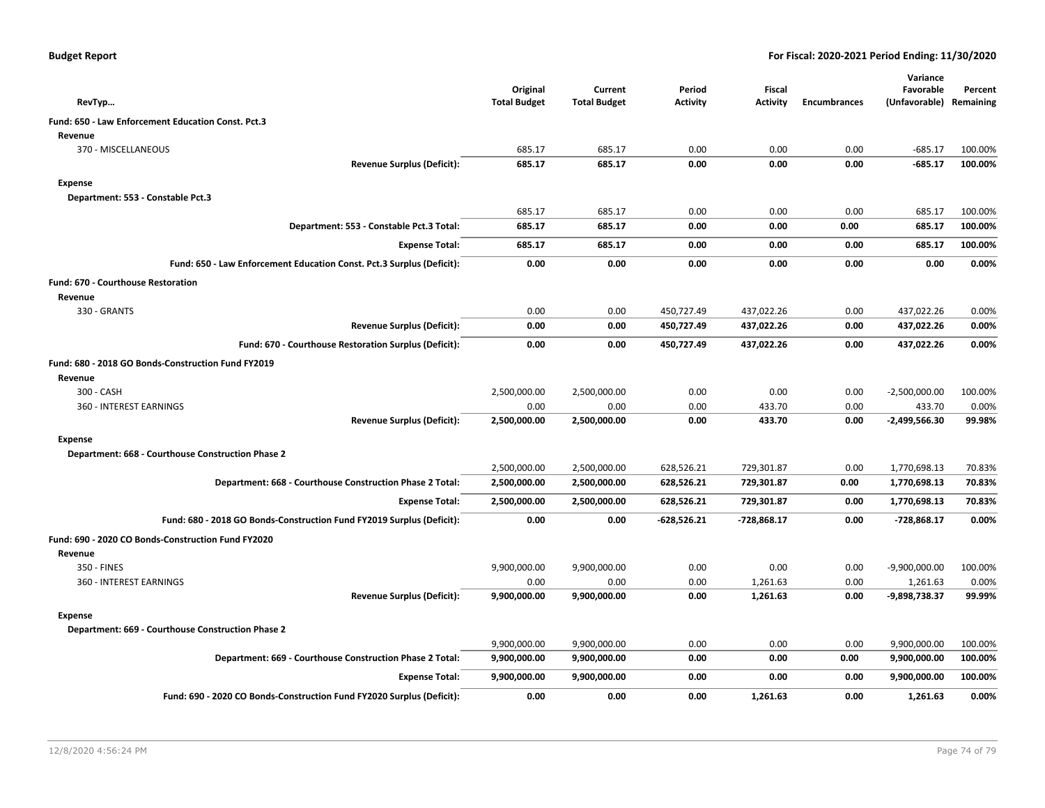|  |  |  | <b>Budget Report</b> |
|--|--|--|----------------------|
|--|--|--|----------------------|

| RevTyp                                                                | Original<br><b>Total Budget</b> | Current<br><b>Total Budget</b> | Period<br><b>Activity</b> | Fiscal<br><b>Activity</b> | <b>Encumbrances</b> | Variance<br>Favorable<br>(Unfavorable) | Percent<br>Remaining |
|-----------------------------------------------------------------------|---------------------------------|--------------------------------|---------------------------|---------------------------|---------------------|----------------------------------------|----------------------|
|                                                                       |                                 |                                |                           |                           |                     |                                        |                      |
| Fund: 650 - Law Enforcement Education Const. Pct.3<br>Revenue         |                                 |                                |                           |                           |                     |                                        |                      |
| 370 - MISCELLANEOUS                                                   | 685.17                          | 685.17                         | 0.00                      | 0.00                      | 0.00                | $-685.17$                              | 100.00%              |
| <b>Revenue Surplus (Deficit):</b>                                     | 685.17                          | 685.17                         | 0.00                      | 0.00                      | 0.00                | $-685.17$                              | 100.00%              |
|                                                                       |                                 |                                |                           |                           |                     |                                        |                      |
| <b>Expense</b>                                                        |                                 |                                |                           |                           |                     |                                        |                      |
| Department: 553 - Constable Pct.3                                     | 685.17                          | 685.17                         | 0.00                      | 0.00                      | 0.00                | 685.17                                 | 100.00%              |
| Department: 553 - Constable Pct.3 Total:                              | 685.17                          | 685.17                         | 0.00                      | 0.00                      | 0.00                | 685.17                                 | 100.00%              |
|                                                                       |                                 |                                |                           |                           |                     |                                        |                      |
| <b>Expense Total:</b>                                                 | 685.17                          | 685.17                         | 0.00                      | 0.00                      | 0.00                | 685.17                                 | 100.00%              |
| Fund: 650 - Law Enforcement Education Const. Pct.3 Surplus (Deficit): | 0.00                            | 0.00                           | 0.00                      | 0.00                      | 0.00                | 0.00                                   | 0.00%                |
| <b>Fund: 670 - Courthouse Restoration</b>                             |                                 |                                |                           |                           |                     |                                        |                      |
| Revenue                                                               |                                 |                                |                           |                           |                     |                                        |                      |
| 330 - GRANTS                                                          | 0.00                            | 0.00                           | 450,727.49                | 437,022.26                | 0.00                | 437,022.26                             | 0.00%                |
| <b>Revenue Surplus (Deficit):</b>                                     | 0.00                            | 0.00                           | 450,727.49                | 437,022.26                | 0.00                | 437,022.26                             | 0.00%                |
| Fund: 670 - Courthouse Restoration Surplus (Deficit):                 | 0.00                            | 0.00                           | 450,727.49                | 437,022.26                | 0.00                | 437,022.26                             | 0.00%                |
| Fund: 680 - 2018 GO Bonds-Construction Fund FY2019                    |                                 |                                |                           |                           |                     |                                        |                      |
| Revenue                                                               |                                 |                                |                           |                           |                     |                                        |                      |
| 300 - CASH                                                            | 2,500,000.00                    | 2,500,000.00                   | 0.00                      | 0.00                      | 0.00                | $-2,500,000.00$                        | 100.00%              |
| 360 - INTEREST EARNINGS                                               | 0.00                            | 0.00                           | 0.00                      | 433.70                    | 0.00                | 433.70                                 | 0.00%                |
| <b>Revenue Surplus (Deficit):</b>                                     | 2,500,000.00                    | 2,500,000.00                   | 0.00                      | 433.70                    | 0.00                | $-2,499,566.30$                        | 99.98%               |
| <b>Expense</b>                                                        |                                 |                                |                           |                           |                     |                                        |                      |
| Department: 668 - Courthouse Construction Phase 2                     |                                 |                                |                           |                           |                     |                                        |                      |
|                                                                       | 2,500,000.00                    | 2,500,000.00                   | 628,526.21                | 729,301.87                | 0.00                | 1,770,698.13                           | 70.83%               |
| Department: 668 - Courthouse Construction Phase 2 Total:              | 2,500,000.00                    | 2,500,000.00                   | 628,526.21                | 729,301.87                | 0.00                | 1,770,698.13                           | 70.83%               |
| <b>Expense Total:</b>                                                 | 2,500,000.00                    | 2,500,000.00                   | 628,526.21                | 729,301.87                | 0.00                | 1,770,698.13                           | 70.83%               |
| Fund: 680 - 2018 GO Bonds-Construction Fund FY2019 Surplus (Deficit): | 0.00                            | 0.00                           | $-628,526.21$             | $-728,868.17$             | 0.00                | $-728,868.17$                          | 0.00%                |
|                                                                       |                                 |                                |                           |                           |                     |                                        |                      |
| Fund: 690 - 2020 CO Bonds-Construction Fund FY2020                    |                                 |                                |                           |                           |                     |                                        |                      |
| Revenue                                                               |                                 |                                |                           |                           |                     |                                        |                      |
| 350 - FINES                                                           | 9,900,000.00                    | 9,900,000.00                   | 0.00                      | 0.00                      | 0.00                | $-9,900,000.00$                        | 100.00%              |
| 360 - INTEREST EARNINGS<br><b>Revenue Surplus (Deficit):</b>          | 0.00<br>9,900,000.00            | 0.00<br>9,900,000.00           | 0.00<br>0.00              | 1,261.63<br>1,261.63      | 0.00<br>0.00        | 1,261.63<br>-9,898,738.37              | 0.00%<br>99.99%      |
|                                                                       |                                 |                                |                           |                           |                     |                                        |                      |
| <b>Expense</b>                                                        |                                 |                                |                           |                           |                     |                                        |                      |
| Department: 669 - Courthouse Construction Phase 2                     |                                 |                                |                           |                           |                     |                                        |                      |
|                                                                       | 9,900,000.00                    | 9,900,000.00                   | 0.00                      | 0.00                      | 0.00                | 9,900,000.00                           | 100.00%              |
| Department: 669 - Courthouse Construction Phase 2 Total:              | 9,900,000.00                    | 9,900,000.00                   | 0.00                      | 0.00                      | 0.00                | 9,900,000.00                           | 100.00%              |
| <b>Expense Total:</b>                                                 | 9,900,000.00                    | 9,900,000.00                   | 0.00                      | 0.00                      | 0.00                | 9,900,000.00                           | 100.00%              |
| Fund: 690 - 2020 CO Bonds-Construction Fund FY2020 Surplus (Deficit): | 0.00                            | 0.00                           | 0.00                      | 1,261.63                  | 0.00                | 1,261.63                               | 0.00%                |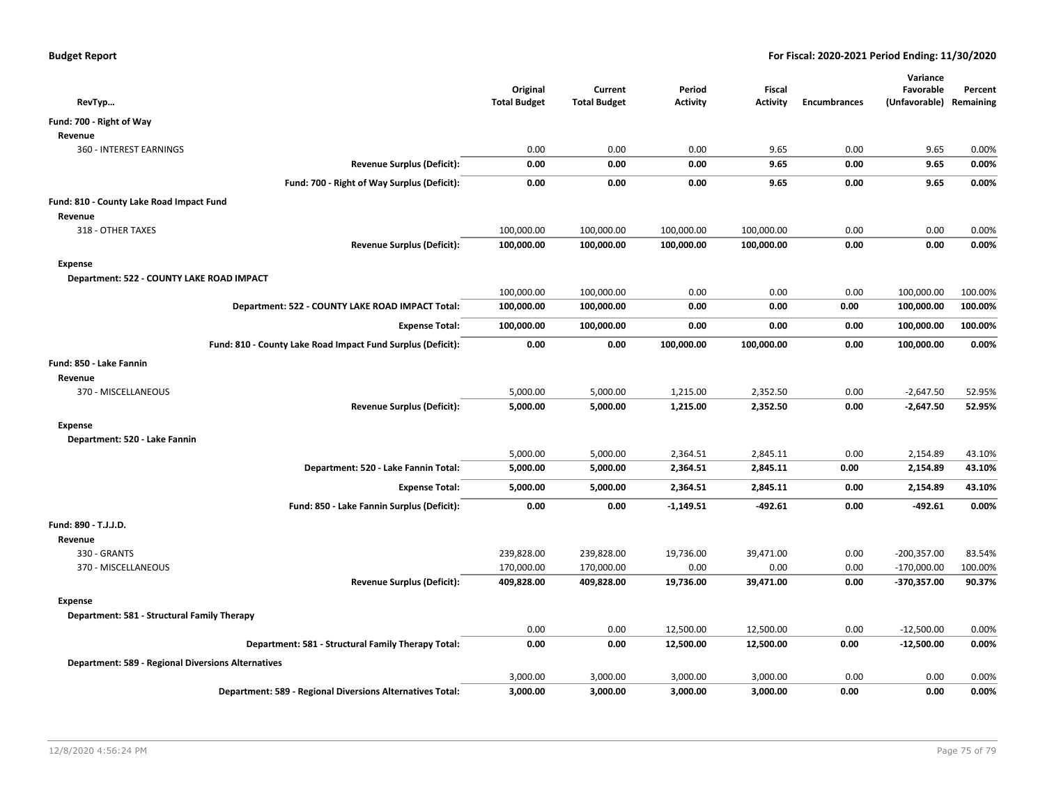| RevTyp                                                      | Original<br><b>Total Budget</b> | Current<br><b>Total Budget</b> | Period<br><b>Activity</b> | <b>Fiscal</b><br><b>Activity</b> | <b>Encumbrances</b> | Variance<br>Favorable<br>(Unfavorable) Remaining | Percent |
|-------------------------------------------------------------|---------------------------------|--------------------------------|---------------------------|----------------------------------|---------------------|--------------------------------------------------|---------|
| Fund: 700 - Right of Way                                    |                                 |                                |                           |                                  |                     |                                                  |         |
| Revenue                                                     |                                 |                                |                           |                                  |                     |                                                  |         |
| 360 - INTEREST EARNINGS                                     | 0.00                            | 0.00                           | 0.00                      | 9.65                             | 0.00                | 9.65                                             | 0.00%   |
| <b>Revenue Surplus (Deficit):</b>                           | 0.00                            | 0.00                           | 0.00                      | 9.65                             | 0.00                | 9.65                                             | 0.00%   |
| Fund: 700 - Right of Way Surplus (Deficit):                 | 0.00                            | 0.00                           | 0.00                      | 9.65                             | 0.00                | 9.65                                             | 0.00%   |
|                                                             |                                 |                                |                           |                                  |                     |                                                  |         |
| Fund: 810 - County Lake Road Impact Fund                    |                                 |                                |                           |                                  |                     |                                                  |         |
| Revenue                                                     |                                 |                                |                           |                                  |                     |                                                  |         |
| 318 - OTHER TAXES                                           | 100,000.00                      | 100,000.00                     | 100,000.00                | 100,000.00                       | 0.00                | 0.00                                             | 0.00%   |
| <b>Revenue Surplus (Deficit):</b>                           | 100,000.00                      | 100,000.00                     | 100,000.00                | 100,000.00                       | 0.00                | 0.00                                             | 0.00%   |
| <b>Expense</b>                                              |                                 |                                |                           |                                  |                     |                                                  |         |
| Department: 522 - COUNTY LAKE ROAD IMPACT                   |                                 |                                |                           |                                  |                     |                                                  |         |
|                                                             | 100,000.00                      | 100,000.00                     | 0.00                      | 0.00                             | 0.00                | 100,000.00                                       | 100.00% |
| Department: 522 - COUNTY LAKE ROAD IMPACT Total:            | 100,000.00                      | 100,000.00                     | 0.00                      | 0.00                             | 0.00                | 100,000.00                                       | 100.00% |
| <b>Expense Total:</b>                                       | 100,000.00                      | 100,000.00                     | 0.00                      | 0.00                             | 0.00                | 100,000.00                                       | 100.00% |
| Fund: 810 - County Lake Road Impact Fund Surplus (Deficit): | 0.00                            | 0.00                           | 100,000.00                | 100,000.00                       | 0.00                | 100,000.00                                       | 0.00%   |
| Fund: 850 - Lake Fannin                                     |                                 |                                |                           |                                  |                     |                                                  |         |
| Revenue                                                     |                                 |                                |                           |                                  |                     |                                                  |         |
| 370 - MISCELLANEOUS                                         | 5,000.00                        | 5,000.00                       | 1,215.00                  | 2,352.50                         | 0.00                | $-2,647.50$                                      | 52.95%  |
| <b>Revenue Surplus (Deficit):</b>                           | 5,000.00                        | 5,000.00                       | 1,215.00                  | 2,352.50                         | 0.00                | $-2,647.50$                                      | 52.95%  |
| <b>Expense</b>                                              |                                 |                                |                           |                                  |                     |                                                  |         |
| Department: 520 - Lake Fannin                               |                                 |                                |                           |                                  |                     |                                                  |         |
|                                                             | 5,000.00                        | 5,000.00                       | 2,364.51                  | 2,845.11                         | 0.00                | 2,154.89                                         | 43.10%  |
| Department: 520 - Lake Fannin Total:                        | 5,000.00                        | 5,000.00                       | 2,364.51                  | 2,845.11                         | 0.00                | 2,154.89                                         | 43.10%  |
| <b>Expense Total:</b>                                       | 5,000.00                        | 5,000.00                       | 2,364.51                  | 2,845.11                         | 0.00                | 2,154.89                                         | 43.10%  |
| Fund: 850 - Lake Fannin Surplus (Deficit):                  | 0.00                            | 0.00                           | $-1,149.51$               | $-492.61$                        | 0.00                | $-492.61$                                        | 0.00%   |
| Fund: 890 - T.J.J.D.                                        |                                 |                                |                           |                                  |                     |                                                  |         |
| Revenue                                                     |                                 |                                |                           |                                  |                     |                                                  |         |
| 330 - GRANTS                                                | 239,828.00                      | 239,828.00                     | 19,736.00                 | 39,471.00                        | 0.00                | $-200,357.00$                                    | 83.54%  |
| 370 - MISCELLANEOUS                                         | 170,000.00                      | 170,000.00                     | 0.00                      | 0.00                             | 0.00                | $-170,000.00$                                    | 100.00% |
| <b>Revenue Surplus (Deficit):</b>                           | 409,828.00                      | 409,828.00                     | 19,736.00                 | 39,471.00                        | 0.00                | $-370,357.00$                                    | 90.37%  |
| <b>Expense</b>                                              |                                 |                                |                           |                                  |                     |                                                  |         |
| Department: 581 - Structural Family Therapy                 |                                 |                                |                           |                                  |                     |                                                  |         |
|                                                             | 0.00                            | 0.00                           | 12,500.00                 | 12,500.00                        | 0.00                | $-12,500.00$                                     | 0.00%   |
| Department: 581 - Structural Family Therapy Total:          | 0.00                            | 0.00                           | 12,500.00                 | 12,500.00                        | 0.00                | $-12,500.00$                                     | 0.00%   |
| <b>Department: 589 - Regional Diversions Alternatives</b>   |                                 |                                |                           |                                  |                     |                                                  |         |
|                                                             | 3,000.00                        | 3,000.00                       | 3,000.00                  | 3,000.00                         | 0.00                | 0.00                                             | 0.00%   |
| Department: 589 - Regional Diversions Alternatives Total:   | 3,000.00                        | 3,000.00                       | 3,000.00                  | 3,000.00                         | 0.00                | 0.00                                             | 0.00%   |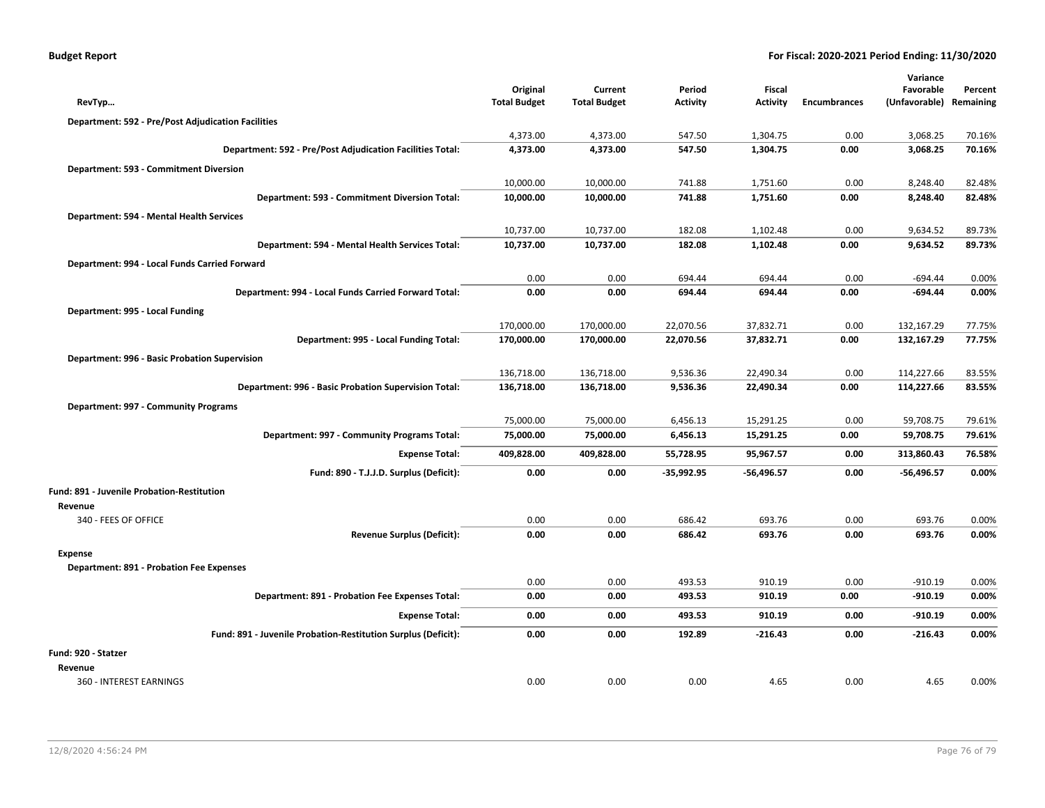| <b>Budget Report</b> |  |
|----------------------|--|
|----------------------|--|

| RevTyp                                                        | Original<br><b>Total Budget</b> | Current<br><b>Total Budget</b> | Period<br><b>Activity</b> | <b>Fiscal</b><br>Activity | <b>Encumbrances</b> | Variance<br>Favorable<br>(Unfavorable) | Percent<br>Remaining |
|---------------------------------------------------------------|---------------------------------|--------------------------------|---------------------------|---------------------------|---------------------|----------------------------------------|----------------------|
|                                                               |                                 |                                |                           |                           |                     |                                        |                      |
| <b>Department: 592 - Pre/Post Adjudication Facilities</b>     |                                 |                                | 547.50                    | 1,304.75                  | 0.00                | 3,068.25                               |                      |
| Department: 592 - Pre/Post Adjudication Facilities Total:     | 4,373.00<br>4,373.00            | 4,373.00<br>4,373.00           | 547.50                    | 1,304.75                  | 0.00                | 3,068.25                               | 70.16%<br>70.16%     |
|                                                               |                                 |                                |                           |                           |                     |                                        |                      |
| Department: 593 - Commitment Diversion                        | 10,000.00                       | 10,000.00                      | 741.88                    | 1,751.60                  | 0.00                | 8,248.40                               | 82.48%               |
| <b>Department: 593 - Commitment Diversion Total:</b>          | 10,000.00                       | 10,000.00                      | 741.88                    | 1,751.60                  | 0.00                | 8,248.40                               | 82.48%               |
|                                                               |                                 |                                |                           |                           |                     |                                        |                      |
| Department: 594 - Mental Health Services                      | 10,737.00                       | 10,737.00                      | 182.08                    | 1,102.48                  | 0.00                | 9,634.52                               | 89.73%               |
| Department: 594 - Mental Health Services Total:               | 10,737.00                       | 10,737.00                      | 182.08                    | 1,102.48                  | 0.00                | 9,634.52                               | 89.73%               |
| Department: 994 - Local Funds Carried Forward                 |                                 |                                |                           |                           |                     |                                        |                      |
|                                                               | 0.00                            | 0.00                           | 694.44                    | 694.44                    | 0.00                | $-694.44$                              | 0.00%                |
| Department: 994 - Local Funds Carried Forward Total:          | 0.00                            | 0.00                           | 694.44                    | 694.44                    | 0.00                | $-694.44$                              | 0.00%                |
| Department: 995 - Local Funding                               |                                 |                                |                           |                           |                     |                                        |                      |
|                                                               | 170,000.00                      | 170,000.00                     | 22,070.56                 | 37,832.71                 | 0.00                | 132,167.29                             | 77.75%               |
| Department: 995 - Local Funding Total:                        | 170,000.00                      | 170,000.00                     | 22,070.56                 | 37,832.71                 | 0.00                | 132,167.29                             | 77.75%               |
| Department: 996 - Basic Probation Supervision                 |                                 |                                |                           |                           |                     |                                        |                      |
|                                                               | 136,718.00                      | 136,718.00                     | 9,536.36                  | 22,490.34                 | 0.00                | 114,227.66                             | 83.55%               |
| Department: 996 - Basic Probation Supervision Total:          | 136,718.00                      | 136,718.00                     | 9,536.36                  | 22,490.34                 | 0.00                | 114,227.66                             | 83.55%               |
| Department: 997 - Community Programs                          |                                 |                                |                           |                           |                     |                                        |                      |
|                                                               | 75,000.00                       | 75,000.00                      | 6,456.13                  | 15,291.25                 | 0.00                | 59,708.75                              | 79.61%               |
| Department: 997 - Community Programs Total:                   | 75,000.00                       | 75,000.00                      | 6,456.13                  | 15,291.25                 | 0.00                | 59,708.75                              | 79.61%               |
| <b>Expense Total:</b>                                         | 409,828.00                      | 409,828.00                     | 55,728.95                 | 95,967.57                 | 0.00                | 313,860.43                             | 76.58%               |
| Fund: 890 - T.J.J.D. Surplus (Deficit):                       | 0.00                            | 0.00                           | -35,992.95                | -56,496.57                | 0.00                | $-56,496.57$                           | 0.00%                |
| <b>Fund: 891 - Juvenile Probation-Restitution</b>             |                                 |                                |                           |                           |                     |                                        |                      |
| Revenue                                                       |                                 |                                |                           |                           |                     |                                        |                      |
| 340 - FEES OF OFFICE                                          | 0.00                            | 0.00                           | 686.42                    | 693.76                    | 0.00                | 693.76                                 | 0.00%                |
| <b>Revenue Surplus (Deficit):</b>                             | 0.00                            | 0.00                           | 686.42                    | 693.76                    | 0.00                | 693.76                                 | 0.00%                |
| Expense                                                       |                                 |                                |                           |                           |                     |                                        |                      |
| <b>Department: 891 - Probation Fee Expenses</b>               |                                 |                                |                           |                           |                     |                                        |                      |
|                                                               | 0.00                            | 0.00                           | 493.53                    | 910.19                    | 0.00                | $-910.19$                              | 0.00%                |
| <b>Department: 891 - Probation Fee Expenses Total:</b>        | 0.00                            | 0.00                           | 493.53                    | 910.19                    | 0.00                | $-910.19$                              | 0.00%                |
| <b>Expense Total:</b>                                         | 0.00                            | 0.00                           | 493.53                    | 910.19                    | 0.00                | $-910.19$                              | 0.00%                |
| Fund: 891 - Juvenile Probation-Restitution Surplus (Deficit): | 0.00                            | 0.00                           | 192.89                    | $-216.43$                 | 0.00                | $-216.43$                              | 0.00%                |
| Fund: 920 - Statzer                                           |                                 |                                |                           |                           |                     |                                        |                      |
| Revenue                                                       |                                 |                                |                           |                           |                     |                                        |                      |
| 360 - INTEREST EARNINGS                                       | 0.00                            | 0.00                           | 0.00                      | 4.65                      | 0.00                | 4.65                                   | 0.00%                |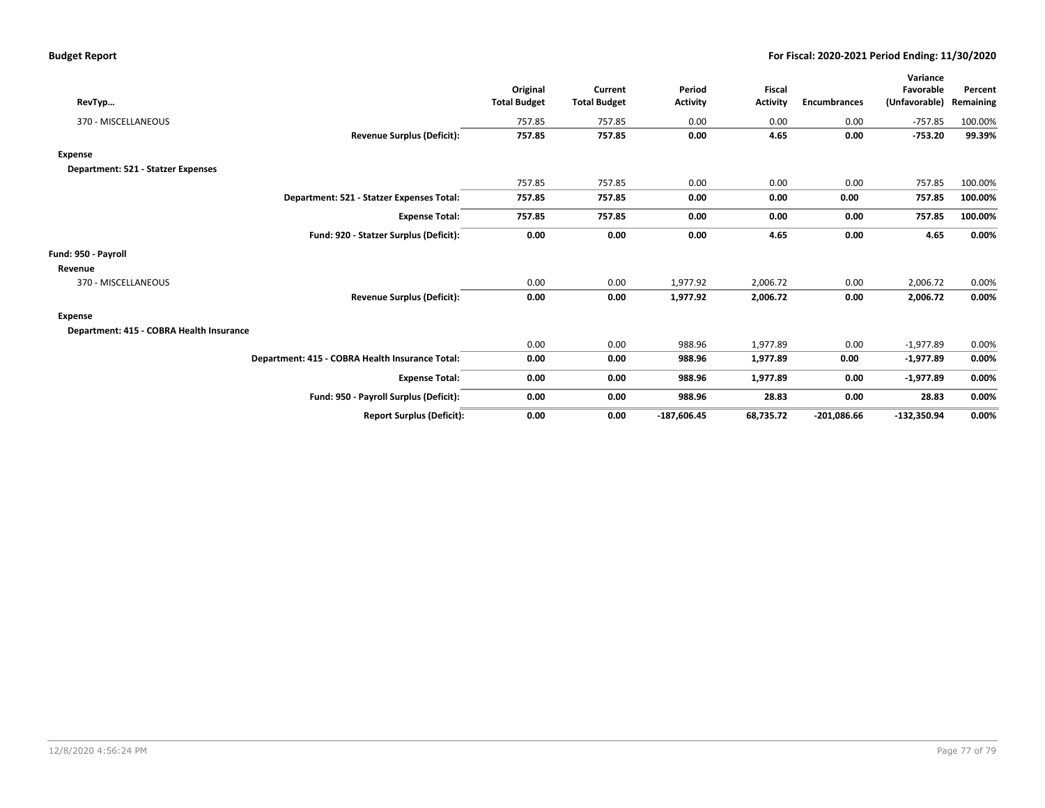|                                          |                                                 |                     |                     |                 |                 |                     | Variance      |           |
|------------------------------------------|-------------------------------------------------|---------------------|---------------------|-----------------|-----------------|---------------------|---------------|-----------|
|                                          |                                                 | Original            | Current             | Period          | <b>Fiscal</b>   |                     | Favorable     | Percent   |
| RevTyp                                   |                                                 | <b>Total Budget</b> | <b>Total Budget</b> | <b>Activity</b> | <b>Activity</b> | <b>Encumbrances</b> | (Unfavorable) | Remaining |
| 370 - MISCELLANEOUS                      |                                                 | 757.85              | 757.85              | 0.00            | 0.00            | 0.00                | $-757.85$     | 100.00%   |
|                                          | <b>Revenue Surplus (Deficit):</b>               | 757.85              | 757.85              | 0.00            | 4.65            | 0.00                | $-753.20$     | 99.39%    |
| <b>Expense</b>                           |                                                 |                     |                     |                 |                 |                     |               |           |
| Department: 521 - Statzer Expenses       |                                                 |                     |                     |                 |                 |                     |               |           |
|                                          |                                                 | 757.85              | 757.85              | 0.00            | 0.00            | 0.00                | 757.85        | 100.00%   |
|                                          | Department: 521 - Statzer Expenses Total:       | 757.85              | 757.85              | 0.00            | 0.00            | 0.00                | 757.85        | 100.00%   |
|                                          | <b>Expense Total:</b>                           | 757.85              | 757.85              | 0.00            | 0.00            | 0.00                | 757.85        | 100.00%   |
|                                          | Fund: 920 - Statzer Surplus (Deficit):          | 0.00                | 0.00                | 0.00            | 4.65            | 0.00                | 4.65          | 0.00%     |
| Fund: 950 - Payroll                      |                                                 |                     |                     |                 |                 |                     |               |           |
| Revenue                                  |                                                 |                     |                     |                 |                 |                     |               |           |
| 370 - MISCELLANEOUS                      |                                                 | 0.00                | 0.00                | 1,977.92        | 2,006.72        | 0.00                | 2,006.72      | 0.00%     |
|                                          | <b>Revenue Surplus (Deficit):</b>               | 0.00                | 0.00                | 1,977.92        | 2,006.72        | 0.00                | 2,006.72      | 0.00%     |
| <b>Expense</b>                           |                                                 |                     |                     |                 |                 |                     |               |           |
| Department: 415 - COBRA Health Insurance |                                                 |                     |                     |                 |                 |                     |               |           |
|                                          |                                                 | 0.00                | 0.00                | 988.96          | 1,977.89        | 0.00                | $-1,977.89$   | 0.00%     |
|                                          | Department: 415 - COBRA Health Insurance Total: | 0.00                | 0.00                | 988.96          | 1,977.89        | 0.00                | $-1,977.89$   | 0.00%     |
|                                          | <b>Expense Total:</b>                           | 0.00                | 0.00                | 988.96          | 1,977.89        | 0.00                | $-1,977.89$   | 0.00%     |
|                                          | Fund: 950 - Payroll Surplus (Deficit):          | 0.00                | 0.00                | 988.96          | 28.83           | 0.00                | 28.83         | 0.00%     |
|                                          | <b>Report Surplus (Deficit):</b>                | 0.00                | 0.00                | $-187,606.45$   | 68,735.72       | $-201,086.66$       | $-132,350.94$ | 0.00%     |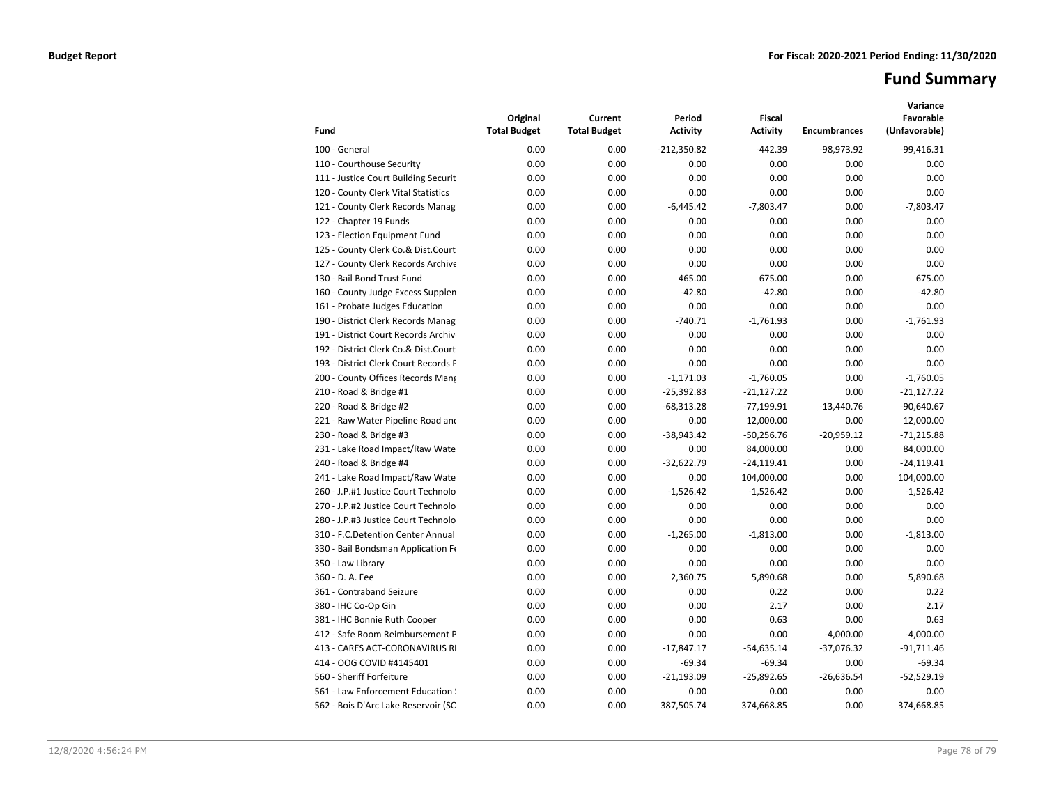# **Fund Summary**

| Fund                                 | Original<br><b>Total Budget</b> | Current<br><b>Total Budget</b> | Period<br><b>Activity</b> | <b>Fiscal</b><br><b>Activity</b> | <b>Encumbrances</b> | Variance<br>Favorable<br>(Unfavorable) |
|--------------------------------------|---------------------------------|--------------------------------|---------------------------|----------------------------------|---------------------|----------------------------------------|
| 100 - General                        | 0.00                            | 0.00                           | $-212,350.82$             | $-442.39$                        | $-98,973.92$        | $-99,416.31$                           |
| 110 - Courthouse Security            | 0.00                            | 0.00                           | 0.00                      | 0.00                             | 0.00                | 0.00                                   |
| 111 - Justice Court Building Securit | 0.00                            | 0.00                           | 0.00                      | 0.00                             | 0.00                | 0.00                                   |
| 120 - County Clerk Vital Statistics  | 0.00                            | 0.00                           | 0.00                      | 0.00                             | 0.00                | 0.00                                   |
| 121 - County Clerk Records Manag     | 0.00                            | 0.00                           | $-6,445.42$               | $-7,803.47$                      | 0.00                | $-7,803.47$                            |
| 122 - Chapter 19 Funds               | 0.00                            | 0.00                           | 0.00                      | 0.00                             | 0.00                | 0.00                                   |
| 123 - Election Equipment Fund        | 0.00                            | 0.00                           | 0.00                      | 0.00                             | 0.00                | 0.00                                   |
| 125 - County Clerk Co.& Dist.Court   | 0.00                            | 0.00                           | 0.00                      | 0.00                             | 0.00                | 0.00                                   |
| 127 - County Clerk Records Archive   | 0.00                            | 0.00                           | 0.00                      | 0.00                             | 0.00                | 0.00                                   |
| 130 - Bail Bond Trust Fund           | 0.00                            | 0.00                           | 465.00                    | 675.00                           | 0.00                | 675.00                                 |
| 160 - County Judge Excess Supplen    | 0.00                            | 0.00                           | $-42.80$                  | $-42.80$                         | 0.00                | $-42.80$                               |
| 161 - Probate Judges Education       | 0.00                            | 0.00                           | 0.00                      | 0.00                             | 0.00                | 0.00                                   |
| 190 - District Clerk Records Manag   | 0.00                            | 0.00                           | $-740.71$                 | $-1,761.93$                      | 0.00                | $-1,761.93$                            |
| 191 - District Court Records Archive | 0.00                            | 0.00                           | 0.00                      | 0.00                             | 0.00                | 0.00                                   |
| 192 - District Clerk Co.& Dist.Court | 0.00                            | 0.00                           | 0.00                      | 0.00                             | 0.00                | 0.00                                   |
| 193 - District Clerk Court Records F | 0.00                            | 0.00                           | 0.00                      | 0.00                             | 0.00                | 0.00                                   |
| 200 - County Offices Records Mang    | 0.00                            | 0.00                           | $-1,171.03$               | $-1,760.05$                      | 0.00                | $-1,760.05$                            |
| 210 - Road & Bridge #1               | 0.00                            | 0.00                           | $-25,392.83$              | $-21,127.22$                     | 0.00                | $-21,127.22$                           |
| 220 - Road & Bridge #2               | 0.00                            | 0.00                           | $-68,313.28$              | $-77,199.91$                     | $-13,440.76$        | $-90,640.67$                           |
| 221 - Raw Water Pipeline Road and    | 0.00                            | 0.00                           | 0.00                      | 12,000.00                        | 0.00                | 12,000.00                              |
| 230 - Road & Bridge #3               | 0.00                            | 0.00                           | $-38,943.42$              | $-50,256.76$                     | $-20,959.12$        | $-71,215.88$                           |
| 231 - Lake Road Impact/Raw Wate      | 0.00                            | 0.00                           | 0.00                      | 84,000.00                        | 0.00                | 84,000.00                              |
| 240 - Road & Bridge #4               | 0.00                            | 0.00                           | $-32,622.79$              | $-24,119.41$                     | 0.00                | $-24,119.41$                           |
| 241 - Lake Road Impact/Raw Wate      | 0.00                            | 0.00                           | 0.00                      | 104,000.00                       | 0.00                | 104,000.00                             |
| 260 - J.P.#1 Justice Court Technolo  | 0.00                            | 0.00                           | $-1,526.42$               | $-1,526.42$                      | 0.00                | $-1,526.42$                            |
| 270 - J.P.#2 Justice Court Technolo  | 0.00                            | 0.00                           | 0.00                      | 0.00                             | 0.00                | 0.00                                   |
| 280 - J.P.#3 Justice Court Technolo  | 0.00                            | 0.00                           | 0.00                      | 0.00                             | 0.00                | 0.00                                   |
| 310 - F.C.Detention Center Annual    | 0.00                            | 0.00                           | $-1,265.00$               | $-1,813.00$                      | 0.00                | $-1,813.00$                            |
| 330 - Bail Bondsman Application Fe   | 0.00                            | 0.00                           | 0.00                      | 0.00                             | 0.00                | 0.00                                   |
| 350 - Law Library                    | 0.00                            | 0.00                           | 0.00                      | 0.00                             | 0.00                | 0.00                                   |
| 360 - D. A. Fee                      | 0.00                            | 0.00                           | 2,360.75                  | 5,890.68                         | 0.00                | 5,890.68                               |
| 361 - Contraband Seizure             | 0.00                            | 0.00                           | 0.00                      | 0.22                             | 0.00                | 0.22                                   |
| 380 - IHC Co-Op Gin                  | 0.00                            | 0.00                           | 0.00                      | 2.17                             | 0.00                | 2.17                                   |
| 381 - IHC Bonnie Ruth Cooper         | 0.00                            | 0.00                           | 0.00                      | 0.63                             | 0.00                | 0.63                                   |
| 412 - Safe Room Reimbursement P      | 0.00                            | 0.00                           | 0.00                      | 0.00                             | $-4,000.00$         | $-4,000.00$                            |
| 413 - CARES ACT-CORONAVIRUS RI       | 0.00                            | 0.00                           | $-17,847.17$              | $-54,635.14$                     | $-37,076.32$        | $-91,711.46$                           |
| 414 - OOG COVID #4145401             | 0.00                            | 0.00                           | $-69.34$                  | $-69.34$                         | 0.00                | $-69.34$                               |
| 560 - Sheriff Forfeiture             | 0.00                            | 0.00                           | $-21,193.09$              | $-25,892.65$                     | $-26,636.54$        | $-52,529.19$                           |
| 561 - Law Enforcement Education !    | 0.00                            | 0.00                           | 0.00                      | 0.00                             | 0.00                | 0.00                                   |
| 562 - Bois D'Arc Lake Reservoir (SO  | 0.00                            | 0.00                           | 387,505.74                | 374,668.85                       | 0.00                | 374,668.85                             |